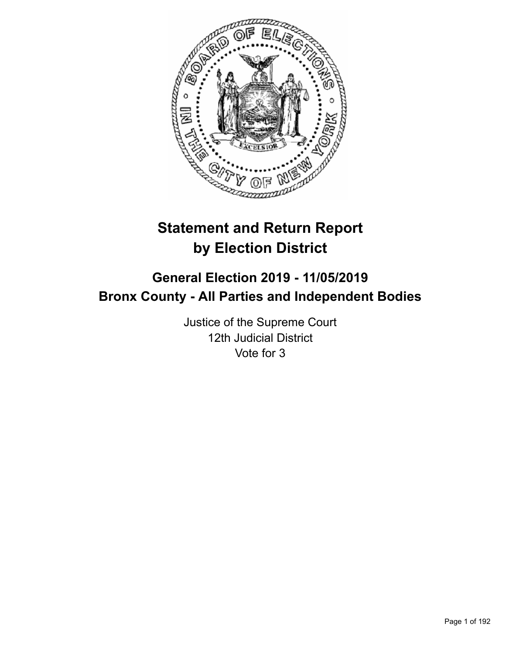

# **Statement and Return Report by Election District**

# **General Election 2019 - 11/05/2019 Bronx County - All Parties and Independent Bodies**

Justice of the Supreme Court 12th Judicial District Vote for 3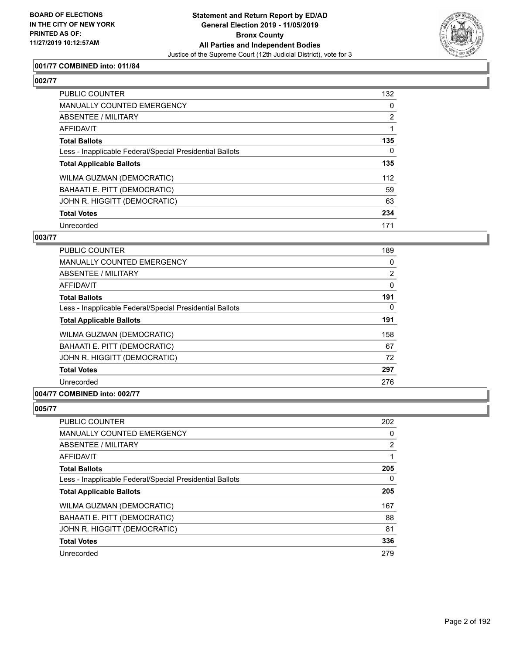

## **001/77 COMBINED into: 011/84**

# **002/77**

| <b>PUBLIC COUNTER</b>                                    | 132 |
|----------------------------------------------------------|-----|
| <b>MANUALLY COUNTED EMERGENCY</b>                        | 0   |
| ABSENTEE / MILITARY                                      | 2   |
| AFFIDAVIT                                                |     |
| <b>Total Ballots</b>                                     | 135 |
| Less - Inapplicable Federal/Special Presidential Ballots | 0   |
| <b>Total Applicable Ballots</b>                          | 135 |
| WILMA GUZMAN (DEMOCRATIC)                                | 112 |
| BAHAATI E. PITT (DEMOCRATIC)                             | 59  |
| JOHN R. HIGGITT (DEMOCRATIC)                             | 63  |
| <b>Total Votes</b>                                       | 234 |
| Unrecorded                                               | 171 |

### **003/77**

| <b>PUBLIC COUNTER</b>                                    | 189            |
|----------------------------------------------------------|----------------|
| <b>MANUALLY COUNTED EMERGENCY</b>                        | 0              |
| ABSENTEE / MILITARY                                      | $\overline{2}$ |
| AFFIDAVIT                                                | 0              |
| <b>Total Ballots</b>                                     | 191            |
| Less - Inapplicable Federal/Special Presidential Ballots | 0              |
| <b>Total Applicable Ballots</b>                          | 191            |
| WILMA GUZMAN (DEMOCRATIC)                                | 158            |
| BAHAATI E. PITT (DEMOCRATIC)                             | 67             |
| JOHN R. HIGGITT (DEMOCRATIC)                             | 72             |
| <b>Total Votes</b>                                       | 297            |
| Unrecorded                                               | 276            |
|                                                          |                |

# **004/77 COMBINED into: 002/77**

| <b>PUBLIC COUNTER</b>                                    | 202            |
|----------------------------------------------------------|----------------|
| <b>MANUALLY COUNTED EMERGENCY</b>                        | 0              |
| ABSENTEE / MILITARY                                      | $\overline{2}$ |
| <b>AFFIDAVIT</b>                                         |                |
| <b>Total Ballots</b>                                     | 205            |
| Less - Inapplicable Federal/Special Presidential Ballots | 0              |
| <b>Total Applicable Ballots</b>                          | 205            |
| <b>WILMA GUZMAN (DEMOCRATIC)</b>                         | 167            |
| BAHAATI E. PITT (DEMOCRATIC)                             | 88             |
| JOHN R. HIGGITT (DEMOCRATIC)                             | 81             |
| <b>Total Votes</b>                                       | 336            |
| Unrecorded                                               | 279            |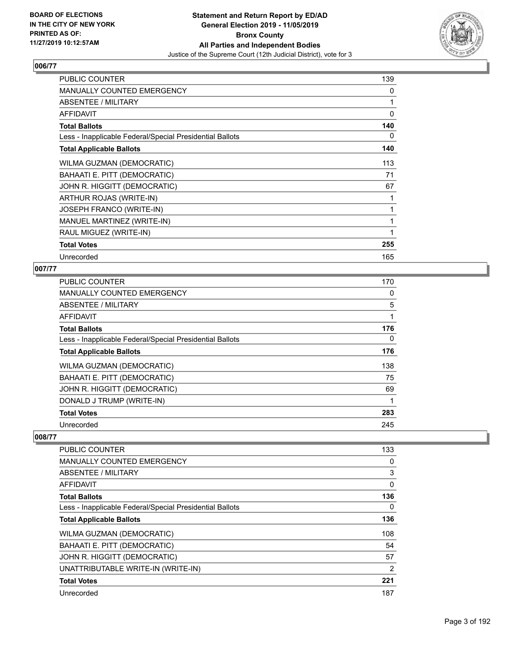

| PUBLIC COUNTER                                           | 139 |
|----------------------------------------------------------|-----|
| MANUALLY COUNTED EMERGENCY                               | 0   |
| ABSENTEE / MILITARY                                      | 1   |
| AFFIDAVIT                                                | 0   |
| <b>Total Ballots</b>                                     | 140 |
| Less - Inapplicable Federal/Special Presidential Ballots | 0   |
| <b>Total Applicable Ballots</b>                          | 140 |
| WILMA GUZMAN (DEMOCRATIC)                                | 113 |
| BAHAATI E. PITT (DEMOCRATIC)                             | 71  |
| JOHN R. HIGGITT (DEMOCRATIC)                             | 67  |
| ARTHUR ROJAS (WRITE-IN)                                  |     |
| <b>JOSEPH FRANCO (WRITE-IN)</b>                          | 1   |
| MANUEL MARTINEZ (WRITE-IN)                               | 1   |
| RAUL MIGUEZ (WRITE-IN)                                   | 1   |
| <b>Total Votes</b>                                       | 255 |
| Unrecorded                                               | 165 |

# **007/77**

| PUBLIC COUNTER                                           | 170      |
|----------------------------------------------------------|----------|
| MANUALLY COUNTED EMERGENCY                               | 0        |
| ABSENTEE / MILITARY                                      | 5        |
| AFFIDAVIT                                                |          |
| <b>Total Ballots</b>                                     | 176      |
| Less - Inapplicable Federal/Special Presidential Ballots | $\Omega$ |
| <b>Total Applicable Ballots</b>                          | 176      |
| WILMA GUZMAN (DEMOCRATIC)                                | 138      |
| BAHAATI E. PITT (DEMOCRATIC)                             | 75       |
| JOHN R. HIGGITT (DEMOCRATIC)                             | 69       |
| DONALD J TRUMP (WRITE-IN)                                |          |
| <b>Total Votes</b>                                       | 283      |
| Unrecorded                                               | 245      |

| <b>PUBLIC COUNTER</b>                                    | 133 |
|----------------------------------------------------------|-----|
| <b>MANUALLY COUNTED EMERGENCY</b>                        | 0   |
| ABSENTEE / MILITARY                                      | 3   |
| AFFIDAVIT                                                | 0   |
| <b>Total Ballots</b>                                     | 136 |
| Less - Inapplicable Federal/Special Presidential Ballots | 0   |
| <b>Total Applicable Ballots</b>                          | 136 |
| WILMA GUZMAN (DEMOCRATIC)                                | 108 |
| BAHAATI E. PITT (DEMOCRATIC)                             | 54  |
| JOHN R. HIGGITT (DEMOCRATIC)                             | 57  |
| UNATTRIBUTABLE WRITE-IN (WRITE-IN)                       | 2   |
| <b>Total Votes</b>                                       | 221 |
| Unrecorded                                               | 187 |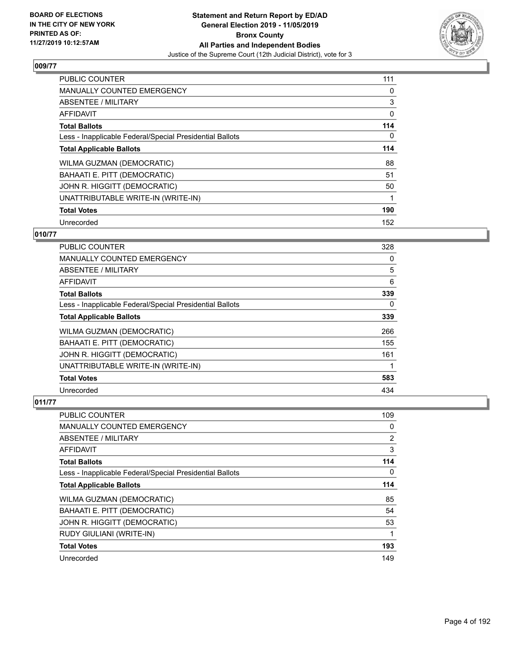

| <b>PUBLIC COUNTER</b>                                    | 111 |
|----------------------------------------------------------|-----|
| <b>MANUALLY COUNTED EMERGENCY</b>                        | 0   |
| ABSENTEE / MILITARY                                      | 3   |
| <b>AFFIDAVIT</b>                                         | 0   |
| <b>Total Ballots</b>                                     | 114 |
| Less - Inapplicable Federal/Special Presidential Ballots | 0   |
| <b>Total Applicable Ballots</b>                          | 114 |
| WILMA GUZMAN (DEMOCRATIC)                                | 88  |
| BAHAATI E. PITT (DEMOCRATIC)                             | 51  |
| JOHN R. HIGGITT (DEMOCRATIC)                             | 50  |
| UNATTRIBUTABLE WRITE-IN (WRITE-IN)                       |     |
| <b>Total Votes</b>                                       | 190 |
| Unrecorded                                               | 152 |

## **010/77**

| <b>PUBLIC COUNTER</b>                                    | 328 |
|----------------------------------------------------------|-----|
| MANUALLY COUNTED EMERGENCY                               | 0   |
| ABSENTEE / MILITARY                                      | 5   |
| AFFIDAVIT                                                | 6   |
| <b>Total Ballots</b>                                     | 339 |
| Less - Inapplicable Federal/Special Presidential Ballots | 0   |
| <b>Total Applicable Ballots</b>                          | 339 |
| WILMA GUZMAN (DEMOCRATIC)                                | 266 |
| BAHAATI E. PITT (DEMOCRATIC)                             | 155 |
| JOHN R. HIGGITT (DEMOCRATIC)                             | 161 |
| UNATTRIBUTABLE WRITE-IN (WRITE-IN)                       |     |
| <b>Total Votes</b>                                       | 583 |
| Unrecorded                                               | 434 |

| PUBLIC COUNTER                                           | 109      |
|----------------------------------------------------------|----------|
| <b>MANUALLY COUNTED EMERGENCY</b>                        | 0        |
| ABSENTEE / MILITARY                                      | 2        |
| AFFIDAVIT                                                | 3        |
| <b>Total Ballots</b>                                     | 114      |
| Less - Inapplicable Federal/Special Presidential Ballots | $\Omega$ |
| <b>Total Applicable Ballots</b>                          | 114      |
| WILMA GUZMAN (DEMOCRATIC)                                | 85       |
| BAHAATI E. PITT (DEMOCRATIC)                             | 54       |
| JOHN R. HIGGITT (DEMOCRATIC)                             | 53       |
| RUDY GIULIANI (WRITE-IN)                                 | 1        |
| <b>Total Votes</b>                                       | 193      |
| Unrecorded                                               | 149      |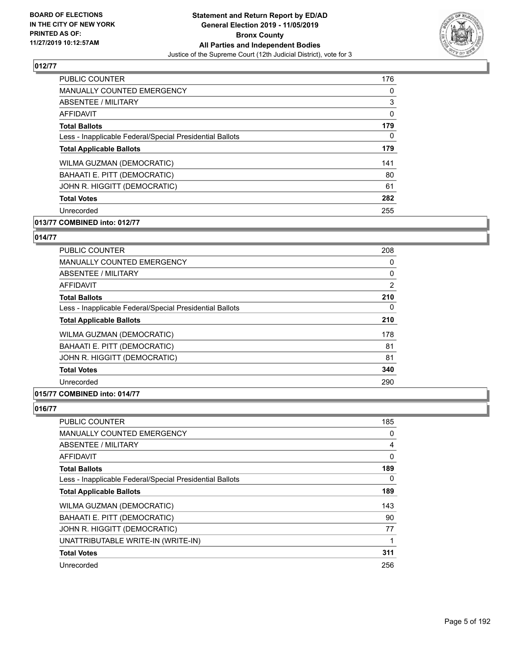

| <b>PUBLIC COUNTER</b>                                    | 176      |
|----------------------------------------------------------|----------|
| <b>MANUALLY COUNTED EMERGENCY</b>                        | $\Omega$ |
| ABSENTEE / MILITARY                                      | 3        |
| AFFIDAVIT                                                | $\Omega$ |
| <b>Total Ballots</b>                                     | 179      |
| Less - Inapplicable Federal/Special Presidential Ballots | $\Omega$ |
| <b>Total Applicable Ballots</b>                          | 179      |
| <b>WILMA GUZMAN (DEMOCRATIC)</b>                         | 141      |
| BAHAATI E. PITT (DEMOCRATIC)                             | 80       |
| JOHN R. HIGGITT (DEMOCRATIC)                             | 61       |
| <b>Total Votes</b>                                       | 282      |
| Unrecorded                                               | 255      |

# **013/77 COMBINED into: 012/77**

#### **014/77**

| <b>PUBLIC COUNTER</b>                                    | 208            |
|----------------------------------------------------------|----------------|
| <b>MANUALLY COUNTED EMERGENCY</b>                        | 0              |
| ABSENTEE / MILITARY                                      | 0              |
| <b>AFFIDAVIT</b>                                         | $\overline{2}$ |
| <b>Total Ballots</b>                                     | 210            |
| Less - Inapplicable Federal/Special Presidential Ballots | 0              |
| <b>Total Applicable Ballots</b>                          | 210            |
| WILMA GUZMAN (DEMOCRATIC)                                | 178            |
| BAHAATI E. PITT (DEMOCRATIC)                             | 81             |
| JOHN R. HIGGITT (DEMOCRATIC)                             | 81             |
| <b>Total Votes</b>                                       | 340            |
| Unrecorded                                               | 290            |
|                                                          |                |

# **015/77 COMBINED into: 014/77**

| <b>PUBLIC COUNTER</b>                                    | 185 |
|----------------------------------------------------------|-----|
| <b>MANUALLY COUNTED EMERGENCY</b>                        | 0   |
| ABSENTEE / MILITARY                                      | 4   |
| AFFIDAVIT                                                | 0   |
| <b>Total Ballots</b>                                     | 189 |
| Less - Inapplicable Federal/Special Presidential Ballots | 0   |
| <b>Total Applicable Ballots</b>                          | 189 |
| WILMA GUZMAN (DEMOCRATIC)                                | 143 |
| BAHAATI E. PITT (DEMOCRATIC)                             | 90  |
| JOHN R. HIGGITT (DEMOCRATIC)                             | 77  |
| UNATTRIBUTABLE WRITE-IN (WRITE-IN)                       | 1   |
| <b>Total Votes</b>                                       | 311 |
| Unrecorded                                               | 256 |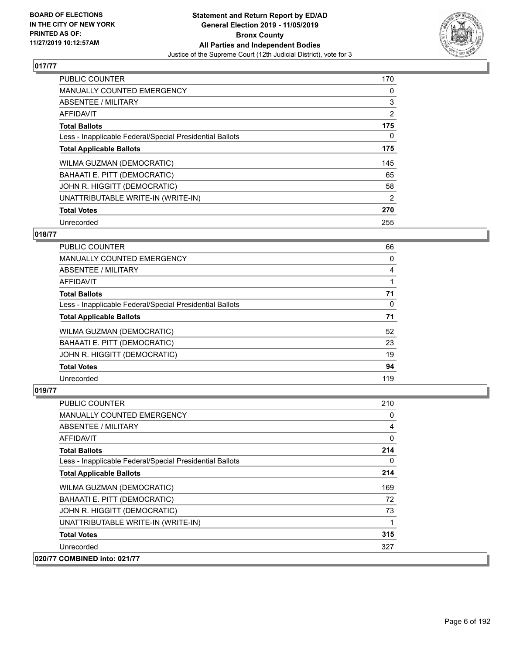

| <b>PUBLIC COUNTER</b>                                    | 170            |
|----------------------------------------------------------|----------------|
| <b>MANUALLY COUNTED EMERGENCY</b>                        | 0              |
| ABSENTEE / MILITARY                                      | 3              |
| <b>AFFIDAVIT</b>                                         | $\overline{2}$ |
| <b>Total Ballots</b>                                     | 175            |
| Less - Inapplicable Federal/Special Presidential Ballots | 0              |
| <b>Total Applicable Ballots</b>                          | 175            |
| WILMA GUZMAN (DEMOCRATIC)                                | 145            |
| BAHAATI E. PITT (DEMOCRATIC)                             | 65             |
| JOHN R. HIGGITT (DEMOCRATIC)                             | 58             |
| UNATTRIBUTABLE WRITE-IN (WRITE-IN)                       | 2              |
| <b>Total Votes</b>                                       | 270            |
| Unrecorded                                               | 255            |

## **018/77**

| <b>PUBLIC COUNTER</b>                                    | 66       |
|----------------------------------------------------------|----------|
| <b>MANUALLY COUNTED EMERGENCY</b>                        | 0        |
| ABSENTEE / MILITARY                                      | 4        |
| AFFIDAVIT                                                |          |
| <b>Total Ballots</b>                                     | 71       |
| Less - Inapplicable Federal/Special Presidential Ballots | $\Omega$ |
| <b>Total Applicable Ballots</b>                          | 71       |
| WILMA GUZMAN (DEMOCRATIC)                                | 52       |
| BAHAATI E. PITT (DEMOCRATIC)                             | 23       |
| JOHN R. HIGGITT (DEMOCRATIC)                             | 19       |
| <b>Total Votes</b>                                       | 94       |
| Unrecorded                                               | 119      |

| <b>PUBLIC COUNTER</b>                                    | 210      |
|----------------------------------------------------------|----------|
| <b>MANUALLY COUNTED EMERGENCY</b>                        | 0        |
| ABSENTEE / MILITARY                                      | 4        |
| <b>AFFIDAVIT</b>                                         | 0        |
| <b>Total Ballots</b>                                     | 214      |
| Less - Inapplicable Federal/Special Presidential Ballots | $\Omega$ |
| <b>Total Applicable Ballots</b>                          | 214      |
| WILMA GUZMAN (DEMOCRATIC)                                | 169      |
| BAHAATI E. PITT (DEMOCRATIC)                             | 72       |
| JOHN R. HIGGITT (DEMOCRATIC)                             | 73       |
| UNATTRIBUTABLE WRITE-IN (WRITE-IN)                       |          |
| <b>Total Votes</b>                                       | 315      |
| Unrecorded                                               | 327      |
| 020/77 COMBINED into: 021/77                             |          |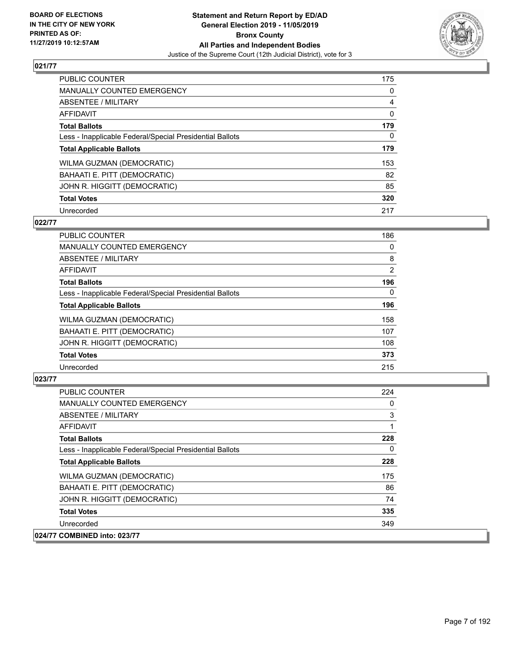

| <b>PUBLIC COUNTER</b>                                    | 175 |
|----------------------------------------------------------|-----|
| <b>MANUALLY COUNTED EMERGENCY</b>                        | 0   |
| ABSENTEE / MILITARY                                      | 4   |
| <b>AFFIDAVIT</b>                                         | 0   |
| <b>Total Ballots</b>                                     | 179 |
| Less - Inapplicable Federal/Special Presidential Ballots | 0   |
| <b>Total Applicable Ballots</b>                          | 179 |
| WILMA GUZMAN (DEMOCRATIC)                                | 153 |
| BAHAATI E. PITT (DEMOCRATIC)                             | 82  |
| JOHN R. HIGGITT (DEMOCRATIC)                             | 85  |
| <b>Total Votes</b>                                       | 320 |
| Unrecorded                                               | 217 |

#### **022/77**

| <b>PUBLIC COUNTER</b>                                    | 186      |
|----------------------------------------------------------|----------|
| <b>MANUALLY COUNTED EMERGENCY</b>                        | 0        |
| ABSENTEE / MILITARY                                      | 8        |
| <b>AFFIDAVIT</b>                                         | 2        |
| <b>Total Ballots</b>                                     | 196      |
| Less - Inapplicable Federal/Special Presidential Ballots | $\Omega$ |
| <b>Total Applicable Ballots</b>                          | 196      |
| WILMA GUZMAN (DEMOCRATIC)                                | 158      |
| BAHAATI E. PITT (DEMOCRATIC)                             | 107      |
| JOHN R. HIGGITT (DEMOCRATIC)                             | 108      |
| <b>Total Votes</b>                                       | 373      |
| Unrecorded                                               | 215      |

| <b>PUBLIC COUNTER</b>                                    | 224      |
|----------------------------------------------------------|----------|
| MANUALLY COUNTED EMERGENCY                               | 0        |
| ABSENTEE / MILITARY                                      | 3        |
| AFFIDAVIT                                                |          |
| <b>Total Ballots</b>                                     | 228      |
| Less - Inapplicable Federal/Special Presidential Ballots | $\Omega$ |
| <b>Total Applicable Ballots</b>                          | 228      |
| WILMA GUZMAN (DEMOCRATIC)                                | 175      |
| BAHAATI E. PITT (DEMOCRATIC)                             | 86       |
| JOHN R. HIGGITT (DEMOCRATIC)                             | 74       |
| <b>Total Votes</b>                                       | 335      |
| Unrecorded                                               | 349      |
| 024/77 COMBINED into: 023/77                             |          |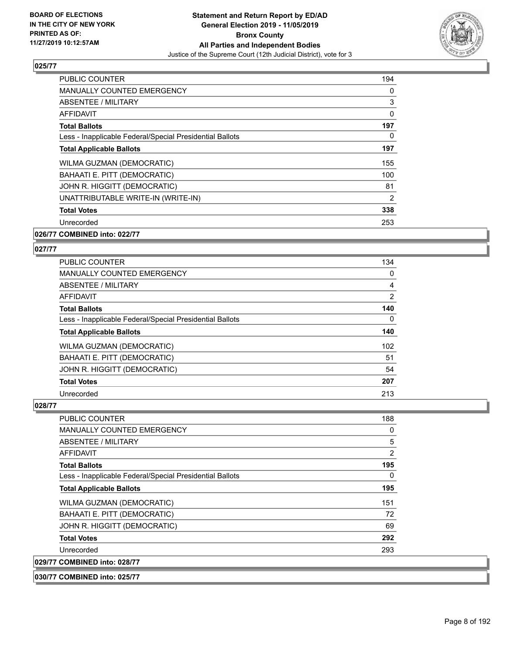

| <b>PUBLIC COUNTER</b>                                    | 194      |
|----------------------------------------------------------|----------|
| MANUALLY COUNTED EMERGENCY                               | 0        |
| ABSENTEE / MILITARY                                      | 3        |
| AFFIDAVIT                                                | $\Omega$ |
| <b>Total Ballots</b>                                     | 197      |
| Less - Inapplicable Federal/Special Presidential Ballots | 0        |
| <b>Total Applicable Ballots</b>                          | 197      |
| WILMA GUZMAN (DEMOCRATIC)                                | 155      |
| BAHAATI E. PITT (DEMOCRATIC)                             | 100      |
| JOHN R. HIGGITT (DEMOCRATIC)                             | 81       |
| UNATTRIBUTABLE WRITE-IN (WRITE-IN)                       | 2        |
| <b>Total Votes</b>                                       | 338      |
| Unrecorded                                               | 253      |
|                                                          |          |

## **026/77 COMBINED into: 022/77**

#### **027/77**

| <b>PUBLIC COUNTER</b>                                    | 134            |
|----------------------------------------------------------|----------------|
| <b>MANUALLY COUNTED EMERGENCY</b>                        | 0              |
| ABSENTEE / MILITARY                                      | 4              |
| AFFIDAVIT                                                | $\overline{2}$ |
| <b>Total Ballots</b>                                     | 140            |
| Less - Inapplicable Federal/Special Presidential Ballots | 0              |
| <b>Total Applicable Ballots</b>                          | 140            |
| WILMA GUZMAN (DEMOCRATIC)                                | 102            |
| BAHAATI E. PITT (DEMOCRATIC)                             | 51             |
| JOHN R. HIGGITT (DEMOCRATIC)                             | 54             |
| <b>Total Votes</b>                                       | 207            |
| Unrecorded                                               | 213            |

#### **028/77**

| <b>PUBLIC COUNTER</b>                                    | 188      |
|----------------------------------------------------------|----------|
| <b>MANUALLY COUNTED EMERGENCY</b>                        | 0        |
| ABSENTEE / MILITARY                                      | 5        |
| AFFIDAVIT                                                | 2        |
| <b>Total Ballots</b>                                     | 195      |
| Less - Inapplicable Federal/Special Presidential Ballots | $\Omega$ |
| <b>Total Applicable Ballots</b>                          | 195      |
| WILMA GUZMAN (DEMOCRATIC)                                | 151      |
| BAHAATI E. PITT (DEMOCRATIC)                             | 72       |
| JOHN R. HIGGITT (DEMOCRATIC)                             | 69       |
| <b>Total Votes</b>                                       | 292      |
| Unrecorded                                               | 293      |
| 029/77 COMBINED into: 028/77                             |          |
|                                                          |          |

#### **030/77 COMBINED into: 025/77**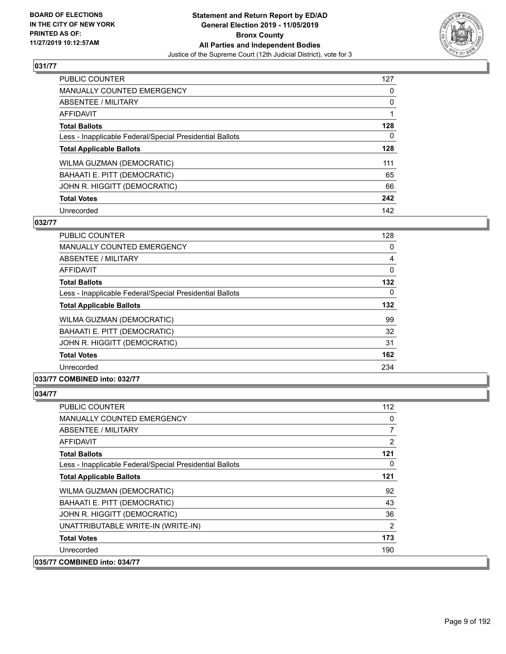

| <b>PUBLIC COUNTER</b>                                    | 127      |
|----------------------------------------------------------|----------|
| <b>MANUALLY COUNTED EMERGENCY</b>                        | 0        |
| ABSENTEE / MILITARY                                      | 0        |
| AFFIDAVIT                                                |          |
| <b>Total Ballots</b>                                     | 128      |
| Less - Inapplicable Federal/Special Presidential Ballots | $\Omega$ |
| <b>Total Applicable Ballots</b>                          | 128      |
| WILMA GUZMAN (DEMOCRATIC)                                | 111      |
| BAHAATI E. PITT (DEMOCRATIC)                             | 65       |
| JOHN R. HIGGITT (DEMOCRATIC)                             | 66       |
| <b>Total Votes</b>                                       | 242      |
| Unrecorded                                               | 142      |

#### **032/77**

| <b>PUBLIC COUNTER</b>                                    | 128      |
|----------------------------------------------------------|----------|
| <b>MANUALLY COUNTED EMERGENCY</b>                        | 0        |
| <b>ABSENTEE / MILITARY</b>                               | 4        |
| <b>AFFIDAVIT</b>                                         | $\Omega$ |
| <b>Total Ballots</b>                                     | 132      |
| Less - Inapplicable Federal/Special Presidential Ballots | 0        |
| <b>Total Applicable Ballots</b>                          | 132      |
| WILMA GUZMAN (DEMOCRATIC)                                | 99       |
| BAHAATI E. PITT (DEMOCRATIC)                             | 32       |
| JOHN R. HIGGITT (DEMOCRATIC)                             | 31       |
| <b>Total Votes</b>                                       | 162      |
| Unrecorded                                               | 234      |
|                                                          |          |

## **033/77 COMBINED into: 032/77**

| <b>PUBLIC COUNTER</b>                                    | 112      |
|----------------------------------------------------------|----------|
| MANUALLY COUNTED EMERGENCY                               | 0        |
| ABSENTEE / MILITARY                                      | 7        |
| AFFIDAVIT                                                | 2        |
| <b>Total Ballots</b>                                     | 121      |
| Less - Inapplicable Federal/Special Presidential Ballots | $\Omega$ |
| <b>Total Applicable Ballots</b>                          | 121      |
| WILMA GUZMAN (DEMOCRATIC)                                | 92       |
| BAHAATI E. PITT (DEMOCRATIC)                             | 43       |
| JOHN R. HIGGITT (DEMOCRATIC)                             | 36       |
| UNATTRIBUTABLE WRITE-IN (WRITE-IN)                       | 2        |
| <b>Total Votes</b>                                       | 173      |
| Unrecorded                                               | 190      |
| 035/77 COMBINED into: 034/77                             |          |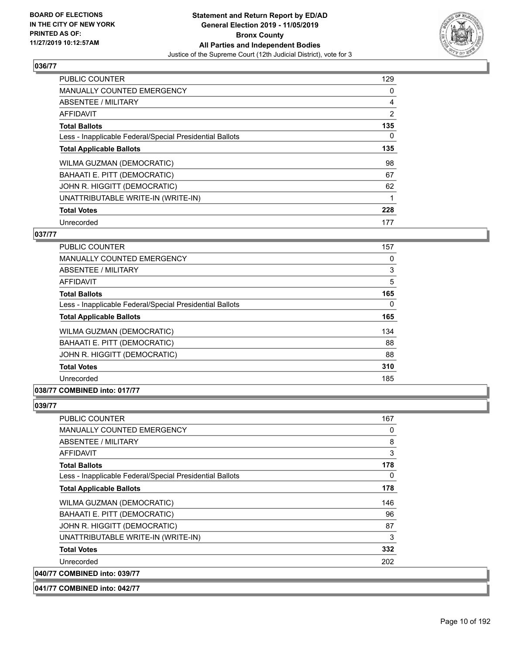

| <b>PUBLIC COUNTER</b>                                    | 129            |
|----------------------------------------------------------|----------------|
| <b>MANUALLY COUNTED EMERGENCY</b>                        | 0              |
| ABSENTEE / MILITARY                                      | 4              |
| <b>AFFIDAVIT</b>                                         | $\overline{2}$ |
| <b>Total Ballots</b>                                     | 135            |
| Less - Inapplicable Federal/Special Presidential Ballots | 0              |
| <b>Total Applicable Ballots</b>                          | 135            |
| WILMA GUZMAN (DEMOCRATIC)                                | 98             |
| BAHAATI E. PITT (DEMOCRATIC)                             | 67             |
| JOHN R. HIGGITT (DEMOCRATIC)                             | 62             |
| UNATTRIBUTABLE WRITE-IN (WRITE-IN)                       |                |
| <b>Total Votes</b>                                       | 228            |
| Unrecorded                                               | 177            |

## **037/77**

| <b>PUBLIC COUNTER</b>                                    | 157      |
|----------------------------------------------------------|----------|
| <b>MANUALLY COUNTED EMERGENCY</b>                        | 0        |
| ABSENTEE / MILITARY                                      | 3        |
| <b>AFFIDAVIT</b>                                         | 5        |
| <b>Total Ballots</b>                                     | 165      |
| Less - Inapplicable Federal/Special Presidential Ballots | $\Omega$ |
| <b>Total Applicable Ballots</b>                          | 165      |
| <b>WILMA GUZMAN (DEMOCRATIC)</b>                         | 134      |
| BAHAATI E. PITT (DEMOCRATIC)                             | 88       |
| JOHN R. HIGGITT (DEMOCRATIC)                             | 88       |
| <b>Total Votes</b>                                       | 310      |
| Unrecorded                                               | 185      |

## **038/77 COMBINED into: 017/77**

| <b>PUBLIC COUNTER</b>                                    | 167 |
|----------------------------------------------------------|-----|
| <b>MANUALLY COUNTED EMERGENCY</b>                        | 0   |
| <b>ABSENTEE / MILITARY</b>                               | 8   |
| AFFIDAVIT                                                | 3   |
| <b>Total Ballots</b>                                     | 178 |
| Less - Inapplicable Federal/Special Presidential Ballots | 0   |
| <b>Total Applicable Ballots</b>                          | 178 |
| WILMA GUZMAN (DEMOCRATIC)                                | 146 |
| BAHAATI E. PITT (DEMOCRATIC)                             | 96  |
| JOHN R. HIGGITT (DEMOCRATIC)                             | 87  |
| UNATTRIBUTABLE WRITE-IN (WRITE-IN)                       | 3   |
| <b>Total Votes</b>                                       | 332 |
| Unrecorded                                               | 202 |
| 040/77 COMBINED into: 039/77                             |     |
| 041/77 COMBINED into: 042/77                             |     |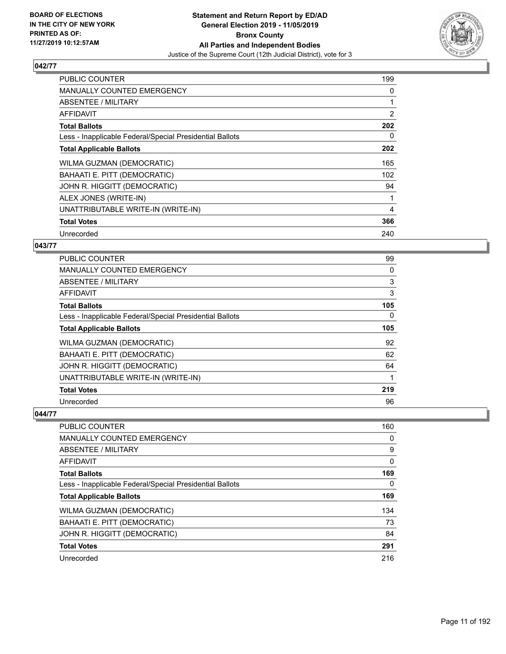

| <b>PUBLIC COUNTER</b>                                    | 199 |
|----------------------------------------------------------|-----|
| <b>MANUALLY COUNTED EMERGENCY</b>                        | 0   |
| ABSENTEE / MILITARY                                      |     |
| AFFIDAVIT                                                | 2   |
| <b>Total Ballots</b>                                     | 202 |
| Less - Inapplicable Federal/Special Presidential Ballots | 0   |
| <b>Total Applicable Ballots</b>                          | 202 |
| WILMA GUZMAN (DEMOCRATIC)                                | 165 |
| BAHAATI E. PITT (DEMOCRATIC)                             | 102 |
| JOHN R. HIGGITT (DEMOCRATIC)                             | 94  |
| ALEX JONES (WRITE-IN)                                    |     |
| UNATTRIBUTABLE WRITE-IN (WRITE-IN)                       | 4   |
| <b>Total Votes</b>                                       | 366 |
| Unrecorded                                               | 240 |

## **043/77**

| PUBLIC COUNTER                                           | 99       |
|----------------------------------------------------------|----------|
| MANUALLY COUNTED EMERGENCY                               | 0        |
| ABSENTEE / MILITARY                                      | 3        |
| AFFIDAVIT                                                | 3        |
| <b>Total Ballots</b>                                     | 105      |
| Less - Inapplicable Federal/Special Presidential Ballots | $\Omega$ |
| <b>Total Applicable Ballots</b>                          | 105      |
| WILMA GUZMAN (DEMOCRATIC)                                | 92       |
| BAHAATI E. PITT (DEMOCRATIC)                             | 62       |
| JOHN R. HIGGITT (DEMOCRATIC)                             | 64       |
| UNATTRIBUTABLE WRITE-IN (WRITE-IN)                       |          |
| <b>Total Votes</b>                                       | 219      |
| Unrecorded                                               | 96       |

| PUBLIC COUNTER                                           | 160      |
|----------------------------------------------------------|----------|
| <b>MANUALLY COUNTED EMERGENCY</b>                        | 0        |
| ABSENTEE / MILITARY                                      | 9        |
| AFFIDAVIT                                                | $\Omega$ |
| <b>Total Ballots</b>                                     | 169      |
| Less - Inapplicable Federal/Special Presidential Ballots | $\Omega$ |
| <b>Total Applicable Ballots</b>                          | 169      |
| <b>WILMA GUZMAN (DEMOCRATIC)</b>                         | 134      |
| BAHAATI E. PITT (DEMOCRATIC)                             | 73       |
| JOHN R. HIGGITT (DEMOCRATIC)                             | 84       |
| <b>Total Votes</b>                                       | 291      |
| Unrecorded                                               | 216      |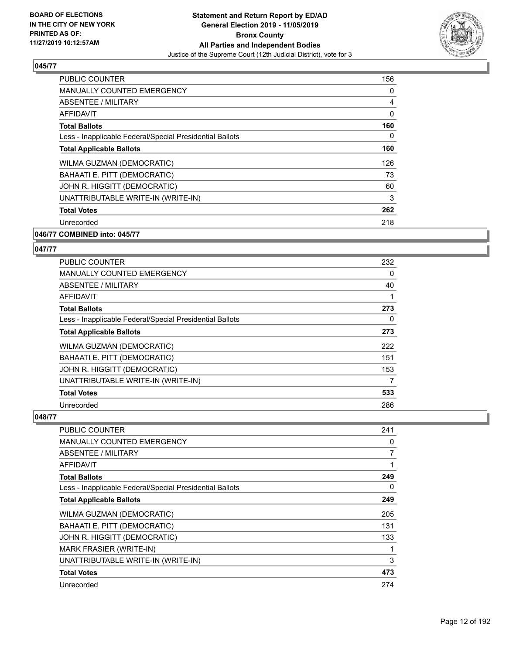

| PUBLIC COUNTER                                           | 156 |
|----------------------------------------------------------|-----|
| MANUALLY COUNTED EMERGENCY                               | 0   |
| ABSENTEE / MILITARY                                      | 4   |
| AFFIDAVIT                                                | 0   |
| <b>Total Ballots</b>                                     | 160 |
| Less - Inapplicable Federal/Special Presidential Ballots | 0   |
| <b>Total Applicable Ballots</b>                          | 160 |
| WILMA GUZMAN (DEMOCRATIC)                                | 126 |
| BAHAATI E. PITT (DEMOCRATIC)                             | 73  |
| JOHN R. HIGGITT (DEMOCRATIC)                             | 60  |
| UNATTRIBUTABLE WRITE-IN (WRITE-IN)                       | 3   |
| <b>Total Votes</b>                                       | 262 |
| Unrecorded                                               | 218 |
| 046/77 COMBINED into: 045/77                             |     |

# **047/77**

| PUBLIC COUNTER                                           | 232      |
|----------------------------------------------------------|----------|
| <b>MANUALLY COUNTED EMERGENCY</b>                        | $\Omega$ |
| ABSENTEE / MILITARY                                      | 40       |
| AFFIDAVIT                                                | 1        |
| <b>Total Ballots</b>                                     | 273      |
| Less - Inapplicable Federal/Special Presidential Ballots | 0        |
| <b>Total Applicable Ballots</b>                          | 273      |
| WILMA GUZMAN (DEMOCRATIC)                                | 222      |
| BAHAATI E. PITT (DEMOCRATIC)                             | 151      |
| JOHN R. HIGGITT (DEMOCRATIC)                             | 153      |
| UNATTRIBUTABLE WRITE-IN (WRITE-IN)                       | 7        |
| <b>Total Votes</b>                                       | 533      |
| Unrecorded                                               | 286      |

| PUBLIC COUNTER                                           | 241 |
|----------------------------------------------------------|-----|
| <b>MANUALLY COUNTED EMERGENCY</b>                        | 0   |
| ABSENTEE / MILITARY                                      | 7   |
| AFFIDAVIT                                                | 1   |
| <b>Total Ballots</b>                                     | 249 |
| Less - Inapplicable Federal/Special Presidential Ballots | 0   |
| <b>Total Applicable Ballots</b>                          | 249 |
| WILMA GUZMAN (DEMOCRATIC)                                | 205 |
| BAHAATI E. PITT (DEMOCRATIC)                             | 131 |
| JOHN R. HIGGITT (DEMOCRATIC)                             | 133 |
| <b>MARK FRASIER (WRITE-IN)</b>                           | 1   |
| UNATTRIBUTABLE WRITE-IN (WRITE-IN)                       | 3   |
| <b>Total Votes</b>                                       | 473 |
| Unrecorded                                               | 274 |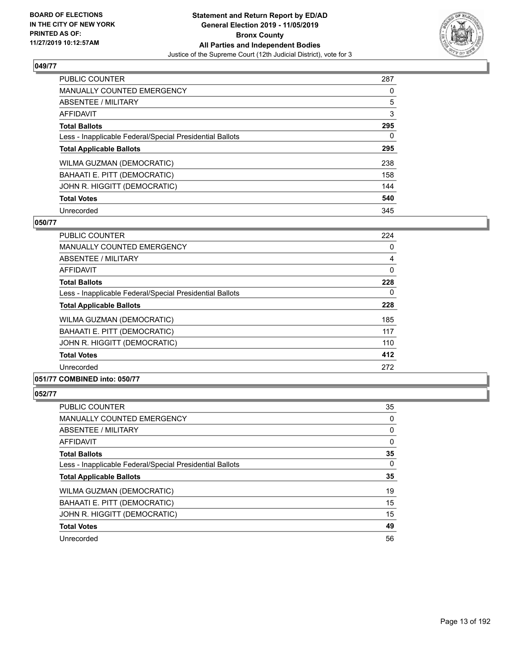

| <b>PUBLIC COUNTER</b>                                    | 287 |
|----------------------------------------------------------|-----|
| <b>MANUALLY COUNTED EMERGENCY</b>                        | 0   |
| ABSENTEE / MILITARY                                      | 5   |
| <b>AFFIDAVIT</b>                                         | 3   |
| <b>Total Ballots</b>                                     | 295 |
| Less - Inapplicable Federal/Special Presidential Ballots | 0   |
| <b>Total Applicable Ballots</b>                          | 295 |
| WILMA GUZMAN (DEMOCRATIC)                                | 238 |
| BAHAATI E. PITT (DEMOCRATIC)                             | 158 |
| JOHN R. HIGGITT (DEMOCRATIC)                             | 144 |
| <b>Total Votes</b>                                       | 540 |
| Unrecorded                                               | 345 |

#### **050/77**

| <b>PUBLIC COUNTER</b>                                    | 224      |
|----------------------------------------------------------|----------|
| <b>MANUALLY COUNTED EMERGENCY</b>                        | 0        |
| ABSENTEE / MILITARY                                      | 4        |
| AFFIDAVIT                                                | $\Omega$ |
| <b>Total Ballots</b>                                     | 228      |
| Less - Inapplicable Federal/Special Presidential Ballots | 0        |
| <b>Total Applicable Ballots</b>                          | 228      |
| WILMA GUZMAN (DEMOCRATIC)                                | 185      |
| BAHAATI E. PITT (DEMOCRATIC)                             | 117      |
| JOHN R. HIGGITT (DEMOCRATIC)                             | 110      |
| <b>Total Votes</b>                                       | 412      |
| Unrecorded                                               | 272      |
|                                                          |          |

## **051/77 COMBINED into: 050/77**

| PUBLIC COUNTER                                           | 35 |
|----------------------------------------------------------|----|
| <b>MANUALLY COUNTED EMERGENCY</b>                        | 0  |
| ABSENTEE / MILITARY                                      | 0  |
| AFFIDAVIT                                                | 0  |
| <b>Total Ballots</b>                                     | 35 |
| Less - Inapplicable Federal/Special Presidential Ballots | 0  |
| <b>Total Applicable Ballots</b>                          | 35 |
| <b>WILMA GUZMAN (DEMOCRATIC)</b>                         | 19 |
| BAHAATI E. PITT (DEMOCRATIC)                             | 15 |
| JOHN R. HIGGITT (DEMOCRATIC)                             | 15 |
| <b>Total Votes</b>                                       | 49 |
| Unrecorded                                               | 56 |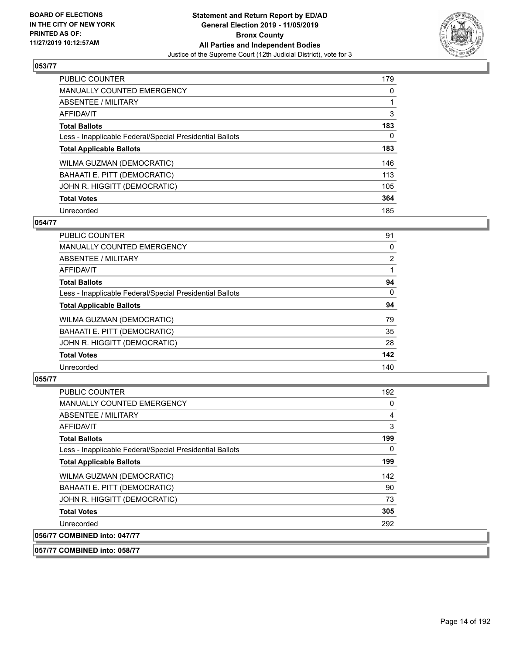

| <b>PUBLIC COUNTER</b>                                    | 179      |
|----------------------------------------------------------|----------|
| <b>MANUALLY COUNTED EMERGENCY</b>                        | $\Omega$ |
| ABSENTEE / MILITARY                                      |          |
| <b>AFFIDAVIT</b>                                         | 3        |
| <b>Total Ballots</b>                                     | 183      |
| Less - Inapplicable Federal/Special Presidential Ballots | 0        |
| <b>Total Applicable Ballots</b>                          | 183      |
| WILMA GUZMAN (DEMOCRATIC)                                | 146      |
| BAHAATI E. PITT (DEMOCRATIC)                             | 113      |
| JOHN R. HIGGITT (DEMOCRATIC)                             | 105      |
| <b>Total Votes</b>                                       | 364      |
| Unrecorded                                               | 185      |

#### **054/77**

| <b>PUBLIC COUNTER</b>                                    | 91             |
|----------------------------------------------------------|----------------|
| MANUALLY COUNTED EMERGENCY                               | 0              |
| ABSENTEE / MILITARY                                      | $\overline{2}$ |
| <b>AFFIDAVIT</b>                                         |                |
| <b>Total Ballots</b>                                     | 94             |
| Less - Inapplicable Federal/Special Presidential Ballots | $\Omega$       |
| <b>Total Applicable Ballots</b>                          | 94             |
| WILMA GUZMAN (DEMOCRATIC)                                | 79             |
| BAHAATI E. PITT (DEMOCRATIC)                             | 35             |
| JOHN R. HIGGITT (DEMOCRATIC)                             | 28             |
| <b>Total Votes</b>                                       | 142            |
| Unrecorded                                               | 140            |

## **055/77**

| PUBLIC COUNTER                                           | 192 |
|----------------------------------------------------------|-----|
| <b>MANUALLY COUNTED EMERGENCY</b>                        | 0   |
| ABSENTEE / MILITARY                                      | 4   |
| <b>AFFIDAVIT</b>                                         | 3   |
| <b>Total Ballots</b>                                     | 199 |
| Less - Inapplicable Federal/Special Presidential Ballots | 0   |
| <b>Total Applicable Ballots</b>                          | 199 |
| WILMA GUZMAN (DEMOCRATIC)                                | 142 |
| BAHAATI E. PITT (DEMOCRATIC)                             | 90  |
| JOHN R. HIGGITT (DEMOCRATIC)                             | 73  |
| <b>Total Votes</b>                                       | 305 |
| Unrecorded                                               | 292 |
| 056/77 COMBINED into: 047/77                             |     |

**057/77 COMBINED into: 058/77**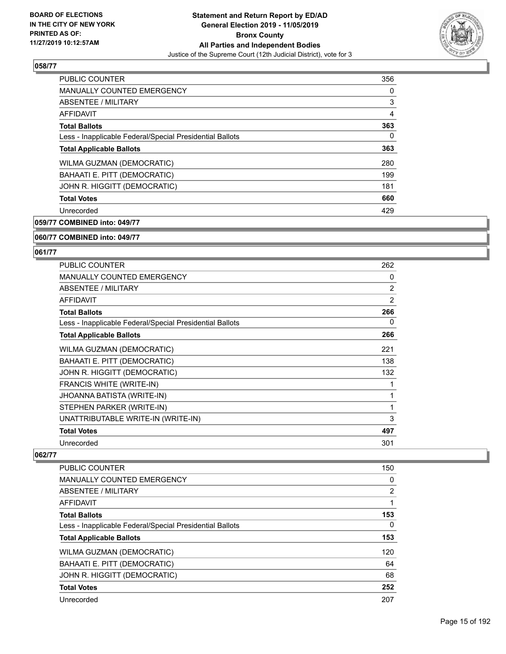

| <b>PUBLIC COUNTER</b>                                    | 356 |
|----------------------------------------------------------|-----|
| <b>MANUALLY COUNTED EMERGENCY</b>                        | 0   |
| <b>ABSENTEE / MILITARY</b>                               | 3   |
| <b>AFFIDAVIT</b>                                         | 4   |
| <b>Total Ballots</b>                                     | 363 |
| Less - Inapplicable Federal/Special Presidential Ballots | 0   |
| <b>Total Applicable Ballots</b>                          | 363 |
| WILMA GUZMAN (DEMOCRATIC)                                | 280 |
| BAHAATI E. PITT (DEMOCRATIC)                             | 199 |
| JOHN R. HIGGITT (DEMOCRATIC)                             | 181 |
| <b>Total Votes</b>                                       | 660 |
| Unrecorded                                               | 429 |

**059/77 COMBINED into: 049/77**

#### **060/77 COMBINED into: 049/77**

#### **061/77**

| <b>PUBLIC COUNTER</b>                                    | 262 |
|----------------------------------------------------------|-----|
| <b>MANUALLY COUNTED EMERGENCY</b>                        | 0   |
| ABSENTEE / MILITARY                                      | 2   |
| <b>AFFIDAVIT</b>                                         | 2   |
| <b>Total Ballots</b>                                     | 266 |
| Less - Inapplicable Federal/Special Presidential Ballots | 0   |
| <b>Total Applicable Ballots</b>                          | 266 |
| WILMA GUZMAN (DEMOCRATIC)                                | 221 |
| BAHAATI E. PITT (DEMOCRATIC)                             | 138 |
| JOHN R. HIGGITT (DEMOCRATIC)                             | 132 |
| <b>FRANCIS WHITE (WRITE-IN)</b>                          | 1   |
| <b>JHOANNA BATISTA (WRITE-IN)</b>                        | 1   |
| STEPHEN PARKER (WRITE-IN)                                | 1   |
| UNATTRIBUTABLE WRITE-IN (WRITE-IN)                       | 3   |
| <b>Total Votes</b>                                       | 497 |
| Unrecorded                                               | 301 |

| <b>PUBLIC COUNTER</b>                                    | 150 |
|----------------------------------------------------------|-----|
| <b>MANUALLY COUNTED EMERGENCY</b>                        | 0   |
| ABSENTEE / MILITARY                                      | 2   |
| AFFIDAVIT                                                |     |
| <b>Total Ballots</b>                                     | 153 |
| Less - Inapplicable Federal/Special Presidential Ballots | 0   |
| <b>Total Applicable Ballots</b>                          | 153 |
| <b>WILMA GUZMAN (DEMOCRATIC)</b>                         | 120 |
| BAHAATI E. PITT (DEMOCRATIC)                             | 64  |
| JOHN R. HIGGITT (DEMOCRATIC)                             | 68  |
| <b>Total Votes</b>                                       | 252 |
| Unrecorded                                               | 207 |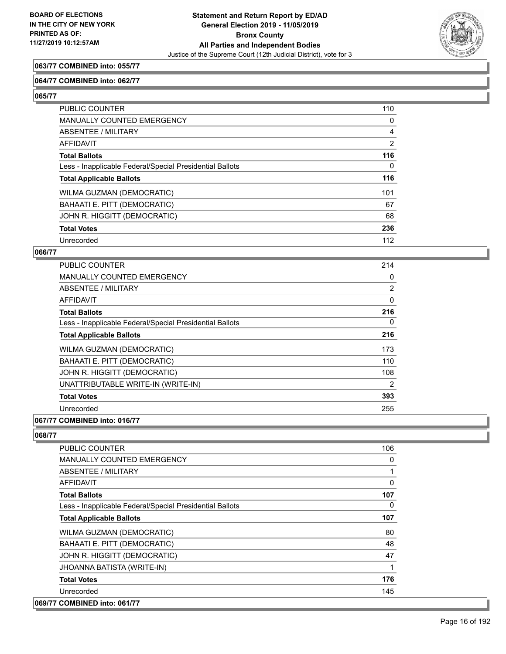

## **063/77 COMBINED into: 055/77**

#### **064/77 COMBINED into: 062/77**

**065/77** 

| PUBLIC COUNTER                                           | 110            |
|----------------------------------------------------------|----------------|
| MANUALLY COUNTED EMERGENCY                               | 0              |
| <b>ABSENTEE / MILITARY</b>                               | 4              |
| AFFIDAVIT                                                | $\overline{2}$ |
| <b>Total Ballots</b>                                     | 116            |
| Less - Inapplicable Federal/Special Presidential Ballots | 0              |
| <b>Total Applicable Ballots</b>                          | 116            |
| WILMA GUZMAN (DEMOCRATIC)                                | 101            |
| BAHAATI E. PITT (DEMOCRATIC)                             | 67             |
| JOHN R. HIGGITT (DEMOCRATIC)                             | 68             |
| <b>Total Votes</b>                                       | 236            |
| Unrecorded                                               | 112            |

#### **066/77**

| <b>PUBLIC COUNTER</b>                                    | 214            |
|----------------------------------------------------------|----------------|
| MANUALLY COUNTED EMERGENCY                               | 0              |
| ABSENTEE / MILITARY                                      | $\overline{2}$ |
| AFFIDAVIT                                                | $\Omega$       |
| <b>Total Ballots</b>                                     | 216            |
| Less - Inapplicable Federal/Special Presidential Ballots | 0              |
| <b>Total Applicable Ballots</b>                          | 216            |
| <b>WILMA GUZMAN (DEMOCRATIC)</b>                         | 173            |
| BAHAATI E. PITT (DEMOCRATIC)                             | 110            |
| JOHN R. HIGGITT (DEMOCRATIC)                             | 108            |
| UNATTRIBUTABLE WRITE-IN (WRITE-IN)                       | $\overline{2}$ |
| <b>Total Votes</b>                                       | 393            |
| Unrecorded                                               | 255            |
| A                                                        |                |

## **067/77 COMBINED into: 016/77**

| <b>PUBLIC COUNTER</b>                                    | 106 |
|----------------------------------------------------------|-----|
| MANUALLY COUNTED EMERGENCY                               | 0   |
| ABSENTEE / MILITARY                                      | 1   |
| AFFIDAVIT                                                | 0   |
| <b>Total Ballots</b>                                     | 107 |
| Less - Inapplicable Federal/Special Presidential Ballots | 0   |
| <b>Total Applicable Ballots</b>                          | 107 |
| WILMA GUZMAN (DEMOCRATIC)                                | 80  |
| BAHAATI E. PITT (DEMOCRATIC)                             | 48  |
| JOHN R. HIGGITT (DEMOCRATIC)                             | 47  |
| JHOANNA BATISTA (WRITE-IN)                               | 1   |
| <b>Total Votes</b>                                       | 176 |
| Unrecorded                                               | 145 |
| 069/77 COMBINED into: 061/77                             |     |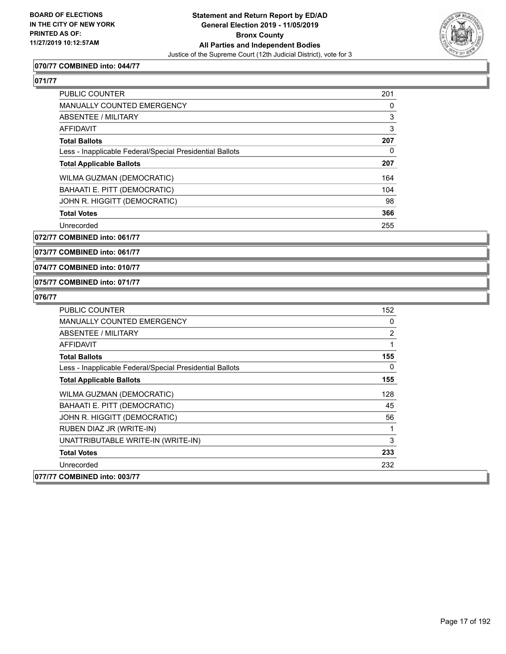

## **070/77 COMBINED into: 044/77**

## **071/77**

| <b>PUBLIC COUNTER</b>                                    | 201 |
|----------------------------------------------------------|-----|
| <b>MANUALLY COUNTED EMERGENCY</b>                        | 0   |
| ABSENTEE / MILITARY                                      | 3   |
| <b>AFFIDAVIT</b>                                         | 3   |
| <b>Total Ballots</b>                                     | 207 |
| Less - Inapplicable Federal/Special Presidential Ballots | 0   |
| <b>Total Applicable Ballots</b>                          | 207 |
| WILMA GUZMAN (DEMOCRATIC)                                | 164 |
| BAHAATI E. PITT (DEMOCRATIC)                             | 104 |
| JOHN R. HIGGITT (DEMOCRATIC)                             | 98  |
| <b>Total Votes</b>                                       | 366 |
| Unrecorded                                               | 255 |

**072/77 COMBINED into: 061/77**

**073/77 COMBINED into: 061/77**

#### **074/77 COMBINED into: 010/77**

#### **075/77 COMBINED into: 071/77**

| <b>PUBLIC COUNTER</b>                                    | 152 |
|----------------------------------------------------------|-----|
| <b>MANUALLY COUNTED EMERGENCY</b>                        | 0   |
| ABSENTEE / MILITARY                                      | 2   |
| AFFIDAVIT                                                |     |
| <b>Total Ballots</b>                                     | 155 |
| Less - Inapplicable Federal/Special Presidential Ballots | 0   |
| <b>Total Applicable Ballots</b>                          | 155 |
| WILMA GUZMAN (DEMOCRATIC)                                | 128 |
| BAHAATI E. PITT (DEMOCRATIC)                             | 45  |
| JOHN R. HIGGITT (DEMOCRATIC)                             | 56  |
| RUBEN DIAZ JR (WRITE-IN)                                 |     |
| UNATTRIBUTABLE WRITE-IN (WRITE-IN)                       | 3   |
| <b>Total Votes</b>                                       | 233 |
| Unrecorded                                               | 232 |
| 077/77 COMBINED into: 003/77                             |     |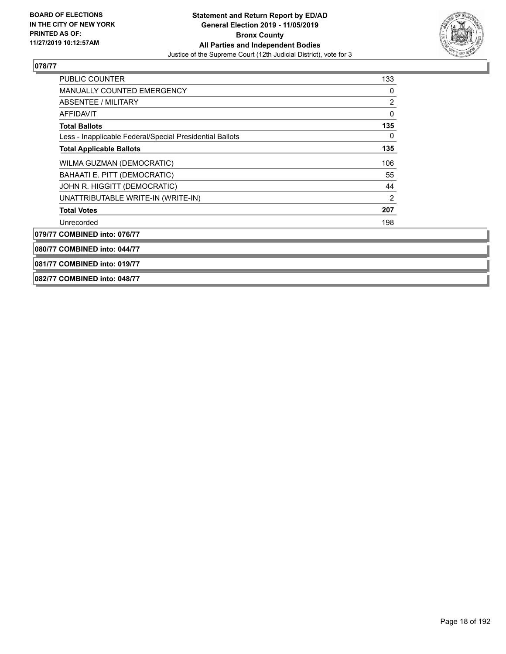

| 081/77 COMBINED into: 019/77                             |     |
|----------------------------------------------------------|-----|
| 080/77 COMBINED into: 044/77                             |     |
| 079/77 COMBINED into: 076/77                             |     |
| Unrecorded                                               | 198 |
| <b>Total Votes</b>                                       | 207 |
| UNATTRIBUTABLE WRITE-IN (WRITE-IN)                       | 2   |
| JOHN R. HIGGITT (DEMOCRATIC)                             | 44  |
| BAHAATI E. PITT (DEMOCRATIC)                             | 55  |
| WILMA GUZMAN (DEMOCRATIC)                                | 106 |
| <b>Total Applicable Ballots</b>                          | 135 |
| Less - Inapplicable Federal/Special Presidential Ballots | 0   |
| <b>Total Ballots</b>                                     | 135 |
| <b>AFFIDAVIT</b>                                         | 0   |
| <b>ABSENTEE / MILITARY</b>                               | 2   |
| <b>MANUALLY COUNTED EMERGENCY</b>                        | 0   |
| <b>PUBLIC COUNTER</b>                                    | 133 |

#### **082/77 COMBINED into: 048/77**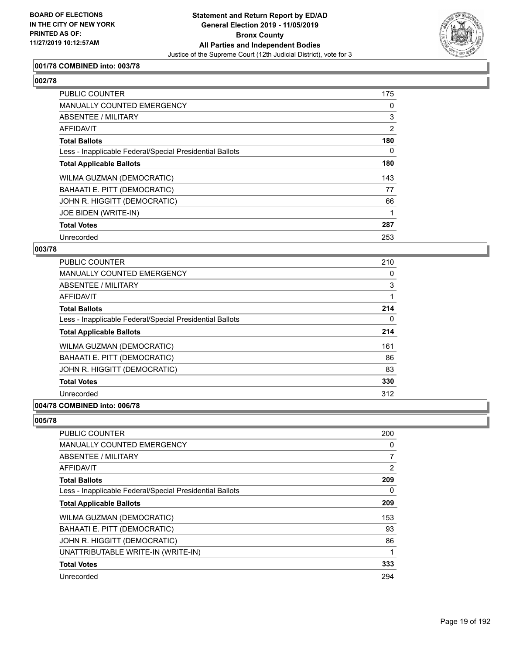

## **001/78 COMBINED into: 003/78**

# **002/78**

| PUBLIC COUNTER                                           | 175 |
|----------------------------------------------------------|-----|
| MANUALLY COUNTED EMERGENCY                               | 0   |
| ABSENTEE / MILITARY                                      | 3   |
| AFFIDAVIT                                                | 2   |
| <b>Total Ballots</b>                                     | 180 |
| Less - Inapplicable Federal/Special Presidential Ballots | 0   |
| <b>Total Applicable Ballots</b>                          | 180 |
| <b>WILMA GUZMAN (DEMOCRATIC)</b>                         | 143 |
| BAHAATI E. PITT (DEMOCRATIC)                             | 77  |
| JOHN R. HIGGITT (DEMOCRATIC)                             | 66  |
| JOE BIDEN (WRITE-IN)                                     |     |
| <b>Total Votes</b>                                       | 287 |
| Unrecorded                                               | 253 |

#### **003/78**

| <b>PUBLIC COUNTER</b>                                    | 210 |
|----------------------------------------------------------|-----|
| MANUALLY COUNTED EMERGENCY                               | 0   |
| ABSENTEE / MILITARY                                      | 3   |
| AFFIDAVIT                                                |     |
| <b>Total Ballots</b>                                     | 214 |
| Less - Inapplicable Federal/Special Presidential Ballots | 0   |
| <b>Total Applicable Ballots</b>                          | 214 |
| <b>WILMA GUZMAN (DEMOCRATIC)</b>                         | 161 |
| BAHAATI E. PITT (DEMOCRATIC)                             | 86  |
| JOHN R. HIGGITT (DEMOCRATIC)                             | 83  |
| <b>Total Votes</b>                                       | 330 |
| Unrecorded                                               | 312 |
|                                                          |     |

## **004/78 COMBINED into: 006/78**

| <b>PUBLIC COUNTER</b>                                    | 200 |
|----------------------------------------------------------|-----|
| <b>MANUALLY COUNTED EMERGENCY</b>                        | 0   |
| ABSENTEE / MILITARY                                      | 7   |
| AFFIDAVIT                                                | 2   |
| <b>Total Ballots</b>                                     | 209 |
| Less - Inapplicable Federal/Special Presidential Ballots | 0   |
| <b>Total Applicable Ballots</b>                          | 209 |
| WILMA GUZMAN (DEMOCRATIC)                                | 153 |
| BAHAATI E. PITT (DEMOCRATIC)                             | 93  |
| JOHN R. HIGGITT (DEMOCRATIC)                             | 86  |
| UNATTRIBUTABLE WRITE-IN (WRITE-IN)                       | 1   |
| <b>Total Votes</b>                                       | 333 |
| Unrecorded                                               | 294 |
|                                                          |     |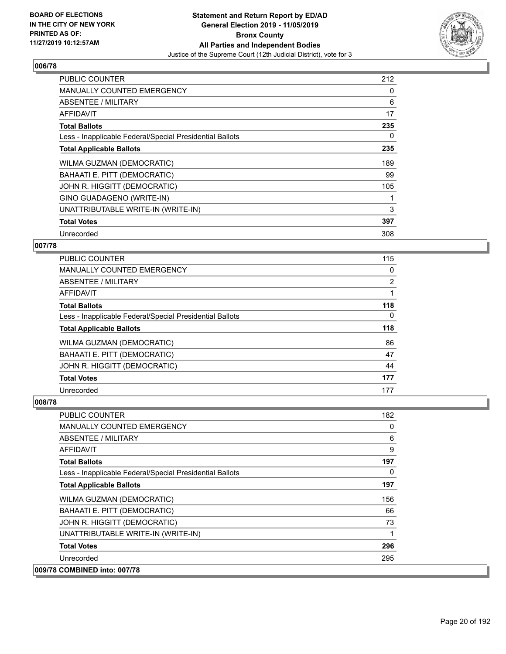

| <b>PUBLIC COUNTER</b>                                    | 212 |
|----------------------------------------------------------|-----|
| MANUALLY COUNTED EMERGENCY                               | 0   |
| <b>ABSENTEE / MILITARY</b>                               | 6   |
| AFFIDAVIT                                                | 17  |
| <b>Total Ballots</b>                                     | 235 |
| Less - Inapplicable Federal/Special Presidential Ballots | 0   |
| <b>Total Applicable Ballots</b>                          | 235 |
| WILMA GUZMAN (DEMOCRATIC)                                | 189 |
| BAHAATI E. PITT (DEMOCRATIC)                             | 99  |
| JOHN R. HIGGITT (DEMOCRATIC)                             | 105 |
| GINO GUADAGENO (WRITE-IN)                                |     |
| UNATTRIBUTABLE WRITE-IN (WRITE-IN)                       | 3   |
| <b>Total Votes</b>                                       | 397 |
| Unrecorded                                               | 308 |

## **007/78**

| <b>PUBLIC COUNTER</b>                                    | 115            |
|----------------------------------------------------------|----------------|
| MANUALLY COUNTED EMERGENCY                               | $\Omega$       |
| ABSENTEE / MILITARY                                      | $\overline{2}$ |
| AFFIDAVIT                                                |                |
| <b>Total Ballots</b>                                     | 118            |
| Less - Inapplicable Federal/Special Presidential Ballots | $\Omega$       |
| <b>Total Applicable Ballots</b>                          | 118            |
| WILMA GUZMAN (DEMOCRATIC)                                | 86             |
| BAHAATI E. PITT (DEMOCRATIC)                             | 47             |
| JOHN R. HIGGITT (DEMOCRATIC)                             | 44             |
| <b>Total Votes</b>                                       | 177            |
| Unrecorded                                               | 177            |

| <b>PUBLIC COUNTER</b>                                    | 182      |
|----------------------------------------------------------|----------|
| <b>MANUALLY COUNTED EMERGENCY</b>                        | 0        |
| ABSENTEE / MILITARY                                      | 6        |
| AFFIDAVIT                                                | 9        |
| <b>Total Ballots</b>                                     | 197      |
| Less - Inapplicable Federal/Special Presidential Ballots | $\Omega$ |
| <b>Total Applicable Ballots</b>                          | 197      |
| WILMA GUZMAN (DEMOCRATIC)                                | 156      |
| BAHAATI E. PITT (DEMOCRATIC)                             | 66       |
| JOHN R. HIGGITT (DEMOCRATIC)                             | 73       |
| UNATTRIBUTABLE WRITE-IN (WRITE-IN)                       | 1        |
| <b>Total Votes</b>                                       | 296      |
| Unrecorded                                               | 295      |
| 009/78 COMBINED into: 007/78                             |          |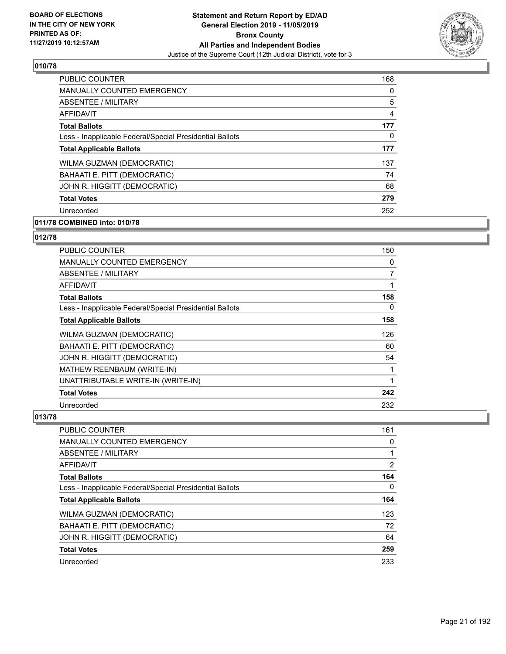

| <b>PUBLIC COUNTER</b>                                    | 168            |
|----------------------------------------------------------|----------------|
| <b>MANUALLY COUNTED EMERGENCY</b>                        | 0              |
| ABSENTEE / MILITARY                                      | 5              |
| AFFIDAVIT                                                | $\overline{4}$ |
| <b>Total Ballots</b>                                     | 177            |
| Less - Inapplicable Federal/Special Presidential Ballots | 0              |
| <b>Total Applicable Ballots</b>                          | 177            |
| WILMA GUZMAN (DEMOCRATIC)                                | 137            |
| BAHAATI E. PITT (DEMOCRATIC)                             | 74             |
| JOHN R. HIGGITT (DEMOCRATIC)                             | 68             |
| <b>Total Votes</b>                                       | 279            |
| Unrecorded                                               | 252            |

# **011/78 COMBINED into: 010/78**

# **012/78**

| <b>PUBLIC COUNTER</b>                                    | 150 |
|----------------------------------------------------------|-----|
| <b>MANUALLY COUNTED EMERGENCY</b>                        | 0   |
| <b>ABSENTEE / MILITARY</b>                               | 7   |
| <b>AFFIDAVIT</b>                                         |     |
| <b>Total Ballots</b>                                     | 158 |
| Less - Inapplicable Federal/Special Presidential Ballots | 0   |
| <b>Total Applicable Ballots</b>                          | 158 |
| WILMA GUZMAN (DEMOCRATIC)                                | 126 |
| BAHAATI E. PITT (DEMOCRATIC)                             | 60  |
| JOHN R. HIGGITT (DEMOCRATIC)                             | 54  |
| MATHEW REENBAUM (WRITE-IN)                               | 1   |
| UNATTRIBUTABLE WRITE-IN (WRITE-IN)                       | 1   |
| <b>Total Votes</b>                                       | 242 |
| Unrecorded                                               | 232 |

| <b>PUBLIC COUNTER</b>                                    | 161            |
|----------------------------------------------------------|----------------|
| MANUALLY COUNTED EMERGENCY                               | 0              |
| <b>ABSENTEE / MILITARY</b>                               |                |
| AFFIDAVIT                                                | $\overline{2}$ |
| <b>Total Ballots</b>                                     | 164            |
| Less - Inapplicable Federal/Special Presidential Ballots | 0              |
| <b>Total Applicable Ballots</b>                          | 164            |
| WILMA GUZMAN (DEMOCRATIC)                                | 123            |
| BAHAATI E. PITT (DEMOCRATIC)                             | 72             |
| JOHN R. HIGGITT (DEMOCRATIC)                             | 64             |
| <b>Total Votes</b>                                       | 259            |
| Unrecorded                                               | 233            |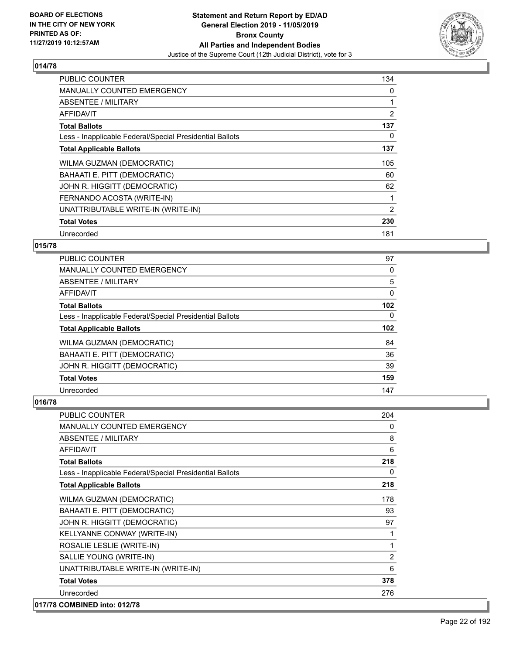

| <b>PUBLIC COUNTER</b>                                    | 134            |
|----------------------------------------------------------|----------------|
| <b>MANUALLY COUNTED EMERGENCY</b>                        | 0              |
| ABSENTEE / MILITARY                                      |                |
| AFFIDAVIT                                                | $\overline{2}$ |
| <b>Total Ballots</b>                                     | 137            |
| Less - Inapplicable Federal/Special Presidential Ballots | 0              |
| <b>Total Applicable Ballots</b>                          | 137            |
| WILMA GUZMAN (DEMOCRATIC)                                | 105            |
| BAHAATI E. PITT (DEMOCRATIC)                             | 60             |
| JOHN R. HIGGITT (DEMOCRATIC)                             | 62             |
| FERNANDO ACOSTA (WRITE-IN)                               | 1              |
| UNATTRIBUTABLE WRITE-IN (WRITE-IN)                       | 2              |
| <b>Total Votes</b>                                       | 230            |
| Unrecorded                                               | 181            |

## **015/78**

| PUBLIC COUNTER                                           | 97       |
|----------------------------------------------------------|----------|
| MANUALLY COUNTED EMERGENCY                               | $\Omega$ |
| ABSENTEE / MILITARY                                      | 5        |
| AFFIDAVIT                                                | 0        |
| <b>Total Ballots</b>                                     | 102      |
| Less - Inapplicable Federal/Special Presidential Ballots | $\Omega$ |
| <b>Total Applicable Ballots</b>                          | 102      |
| <b>WILMA GUZMAN (DEMOCRATIC)</b>                         | 84       |
| BAHAATI E. PITT (DEMOCRATIC)                             | 36       |
| JOHN R. HIGGITT (DEMOCRATIC)                             | 39       |
| <b>Total Votes</b>                                       | 159      |
| Unrecorded                                               | 147      |

| <b>PUBLIC COUNTER</b>                                    | 204 |
|----------------------------------------------------------|-----|
| MANUALLY COUNTED EMERGENCY                               | 0   |
| ABSENTEE / MILITARY                                      | 8   |
| <b>AFFIDAVIT</b>                                         | 6   |
| <b>Total Ballots</b>                                     | 218 |
| Less - Inapplicable Federal/Special Presidential Ballots | 0   |
| <b>Total Applicable Ballots</b>                          | 218 |
| WILMA GUZMAN (DEMOCRATIC)                                | 178 |
| BAHAATI E. PITT (DEMOCRATIC)                             | 93  |
| JOHN R. HIGGITT (DEMOCRATIC)                             | 97  |
| KELLYANNE CONWAY (WRITE-IN)                              | 1   |
| ROSALIE LESLIE (WRITE-IN)                                | 1   |
| SALLIE YOUNG (WRITE-IN)                                  | 2   |
| UNATTRIBUTABLE WRITE-IN (WRITE-IN)                       | 6   |
| <b>Total Votes</b>                                       | 378 |
| Unrecorded                                               | 276 |
| 017/78 COMBINED into: 012/78                             |     |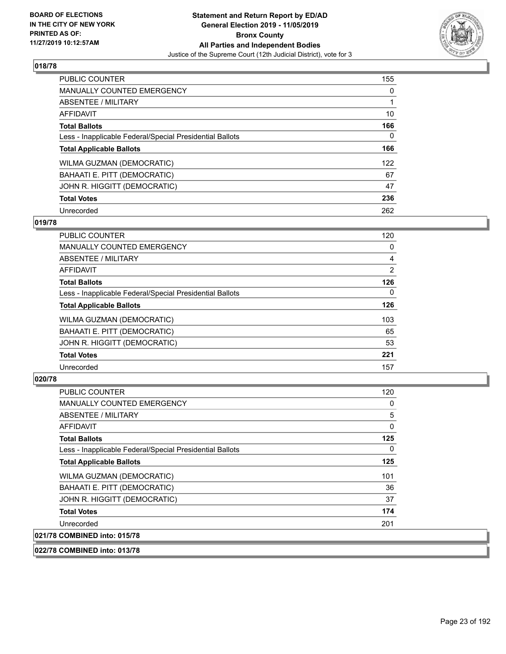

| <b>PUBLIC COUNTER</b>                                    | 155 |
|----------------------------------------------------------|-----|
| <b>MANUALLY COUNTED EMERGENCY</b>                        | 0   |
| ABSENTEE / MILITARY                                      |     |
| AFFIDAVIT                                                | 10  |
| <b>Total Ballots</b>                                     | 166 |
| Less - Inapplicable Federal/Special Presidential Ballots | 0   |
| <b>Total Applicable Ballots</b>                          | 166 |
| WILMA GUZMAN (DEMOCRATIC)                                | 122 |
| BAHAATI E. PITT (DEMOCRATIC)                             | 67  |
| JOHN R. HIGGITT (DEMOCRATIC)                             | 47  |
| <b>Total Votes</b>                                       | 236 |
| Unrecorded                                               | 262 |

#### **019/78**

| <b>PUBLIC COUNTER</b>                                    | 120      |
|----------------------------------------------------------|----------|
| MANUALLY COUNTED EMERGENCY                               | 0        |
| ABSENTEE / MILITARY                                      | 4        |
| <b>AFFIDAVIT</b>                                         | 2        |
| <b>Total Ballots</b>                                     | 126      |
| Less - Inapplicable Federal/Special Presidential Ballots | $\Omega$ |
| <b>Total Applicable Ballots</b>                          | 126      |
| WILMA GUZMAN (DEMOCRATIC)                                | 103      |
| BAHAATI E. PITT (DEMOCRATIC)                             | 65       |
| JOHN R. HIGGITT (DEMOCRATIC)                             | 53       |
| <b>Total Votes</b>                                       | 221      |
| Unrecorded                                               | 157      |

## **020/78**

| <b>PUBLIC COUNTER</b>                                    | 120 |
|----------------------------------------------------------|-----|
| MANUALLY COUNTED EMERGENCY                               | 0   |
| ABSENTEE / MILITARY                                      | 5   |
| <b>AFFIDAVIT</b>                                         | 0   |
| <b>Total Ballots</b>                                     | 125 |
| Less - Inapplicable Federal/Special Presidential Ballots | 0   |
| <b>Total Applicable Ballots</b>                          | 125 |
| <b>WILMA GUZMAN (DEMOCRATIC)</b>                         | 101 |
| BAHAATI E. PITT (DEMOCRATIC)                             | 36  |
| JOHN R. HIGGITT (DEMOCRATIC)                             | 37  |
| <b>Total Votes</b>                                       | 174 |
| Unrecorded                                               | 201 |
| 021/78 COMBINED into: 015/78                             |     |

**022/78 COMBINED into: 013/78**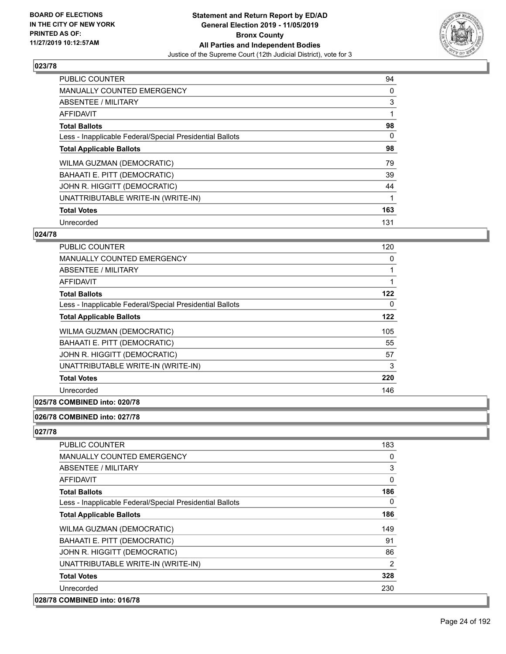

| <b>PUBLIC COUNTER</b>                                    | 94  |
|----------------------------------------------------------|-----|
| <b>MANUALLY COUNTED EMERGENCY</b>                        | 0   |
| ABSENTEE / MILITARY                                      | 3   |
| <b>AFFIDAVIT</b>                                         |     |
| <b>Total Ballots</b>                                     | 98  |
| Less - Inapplicable Federal/Special Presidential Ballots | 0   |
| <b>Total Applicable Ballots</b>                          | 98  |
| WILMA GUZMAN (DEMOCRATIC)                                | 79  |
| BAHAATI E. PITT (DEMOCRATIC)                             | 39  |
| JOHN R. HIGGITT (DEMOCRATIC)                             | 44  |
| UNATTRIBUTABLE WRITE-IN (WRITE-IN)                       |     |
| <b>Total Votes</b>                                       | 163 |
| Unrecorded                                               | 131 |

### **024/78**

| PUBLIC COUNTER                                           | 120 |
|----------------------------------------------------------|-----|
| <b>MANUALLY COUNTED EMERGENCY</b>                        | 0   |
| ABSENTEE / MILITARY                                      | 1   |
| AFFIDAVIT                                                | 1   |
| <b>Total Ballots</b>                                     | 122 |
| Less - Inapplicable Federal/Special Presidential Ballots | 0   |
| <b>Total Applicable Ballots</b>                          | 122 |
| WILMA GUZMAN (DEMOCRATIC)                                | 105 |
| <b>BAHAATI E. PITT (DEMOCRATIC)</b>                      | 55  |
| JOHN R. HIGGITT (DEMOCRATIC)                             | 57  |
| UNATTRIBUTABLE WRITE-IN (WRITE-IN)                       | 3   |
| <b>Total Votes</b>                                       | 220 |
| Unrecorded                                               | 146 |
|                                                          |     |

## **025/78 COMBINED into: 020/78**

#### **026/78 COMBINED into: 027/78**

| <b>PUBLIC COUNTER</b>                                    | 183            |
|----------------------------------------------------------|----------------|
| <b>MANUALLY COUNTED EMERGENCY</b>                        | 0              |
| ABSENTEE / MILITARY                                      | 3              |
| AFFIDAVIT                                                | $\Omega$       |
| <b>Total Ballots</b>                                     | 186            |
| Less - Inapplicable Federal/Special Presidential Ballots | $\Omega$       |
| <b>Total Applicable Ballots</b>                          | 186            |
| WILMA GUZMAN (DEMOCRATIC)                                | 149            |
| BAHAATI E. PITT (DEMOCRATIC)                             | 91             |
| JOHN R. HIGGITT (DEMOCRATIC)                             | 86             |
| UNATTRIBUTABLE WRITE-IN (WRITE-IN)                       | $\overline{2}$ |
| <b>Total Votes</b>                                       | 328            |
| Unrecorded                                               | 230            |
| 028/78 COMBINED into: 016/78                             |                |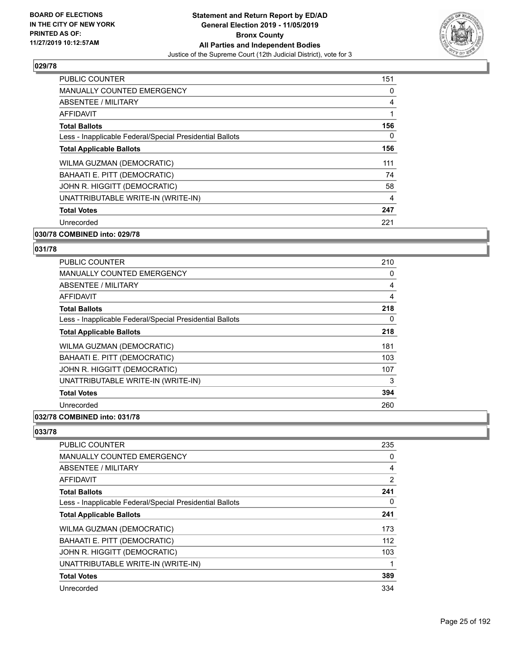

| <b>PUBLIC COUNTER</b>                                    | 151      |
|----------------------------------------------------------|----------|
| <b>MANUALLY COUNTED EMERGENCY</b>                        | 0        |
| ABSENTEE / MILITARY                                      | 4        |
| AFFIDAVIT                                                | 1        |
| <b>Total Ballots</b>                                     | 156      |
| Less - Inapplicable Federal/Special Presidential Ballots | $\Omega$ |
| <b>Total Applicable Ballots</b>                          | 156      |
| WILMA GUZMAN (DEMOCRATIC)                                | 111      |
| BAHAATI E. PITT (DEMOCRATIC)                             | 74       |
| JOHN R. HIGGITT (DEMOCRATIC)                             | 58       |
| UNATTRIBUTABLE WRITE-IN (WRITE-IN)                       | 4        |
| <b>Total Votes</b>                                       | 247      |
| Unrecorded                                               | 221      |
| 030/78 COMBINED into: 029/78                             |          |

# **031/78**

| <b>PUBLIC COUNTER</b>                                    | 210 |
|----------------------------------------------------------|-----|
| <b>MANUALLY COUNTED EMERGENCY</b>                        | 0   |
| ABSENTEE / MILITARY                                      | 4   |
| AFFIDAVIT                                                | 4   |
| <b>Total Ballots</b>                                     | 218 |
| Less - Inapplicable Federal/Special Presidential Ballots | 0   |
| <b>Total Applicable Ballots</b>                          | 218 |
| WILMA GUZMAN (DEMOCRATIC)                                | 181 |
| BAHAATI E. PITT (DEMOCRATIC)                             | 103 |
| JOHN R. HIGGITT (DEMOCRATIC)                             | 107 |
| UNATTRIBUTABLE WRITE-IN (WRITE-IN)                       | 3   |
| <b>Total Votes</b>                                       | 394 |
| Unrecorded                                               | 260 |
|                                                          |     |

#### **032/78 COMBINED into: 031/78**

| <b>PUBLIC COUNTER</b>                                    | 235 |
|----------------------------------------------------------|-----|
| <b>MANUALLY COUNTED EMERGENCY</b>                        | 0   |
| ABSENTEE / MILITARY                                      | 4   |
| AFFIDAVIT                                                | 2   |
| <b>Total Ballots</b>                                     | 241 |
| Less - Inapplicable Federal/Special Presidential Ballots | 0   |
| <b>Total Applicable Ballots</b>                          | 241 |
| WILMA GUZMAN (DEMOCRATIC)                                | 173 |
| BAHAATI E. PITT (DEMOCRATIC)                             | 112 |
| JOHN R. HIGGITT (DEMOCRATIC)                             | 103 |
| UNATTRIBUTABLE WRITE-IN (WRITE-IN)                       | 1   |
| <b>Total Votes</b>                                       | 389 |
| Unrecorded                                               | 334 |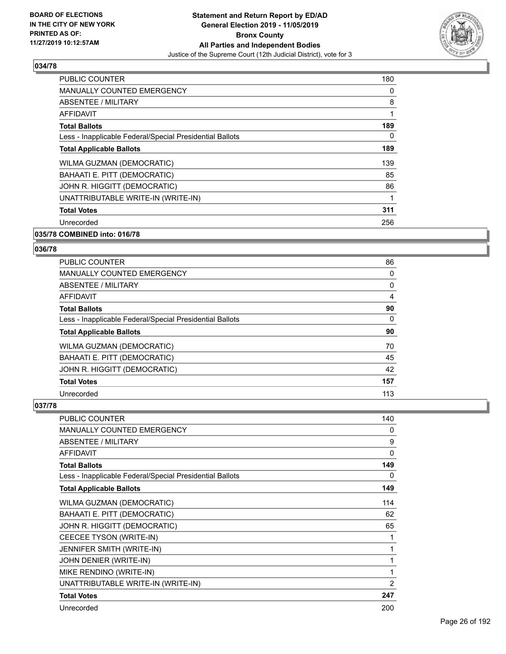

| <b>PUBLIC COUNTER</b>                                    | 180 |
|----------------------------------------------------------|-----|
| <b>MANUALLY COUNTED EMERGENCY</b>                        | 0   |
| ABSENTEE / MILITARY                                      | 8   |
| AFFIDAVIT                                                | 1   |
| <b>Total Ballots</b>                                     | 189 |
| Less - Inapplicable Federal/Special Presidential Ballots | 0   |
| <b>Total Applicable Ballots</b>                          | 189 |
| <b>WILMA GUZMAN (DEMOCRATIC)</b>                         | 139 |
| BAHAATI E. PITT (DEMOCRATIC)                             | 85  |
| JOHN R. HIGGITT (DEMOCRATIC)                             | 86  |
| UNATTRIBUTABLE WRITE-IN (WRITE-IN)                       | 1   |
| <b>Total Votes</b>                                       | 311 |
| Unrecorded                                               | 256 |
|                                                          |     |

## **035/78 COMBINED into: 016/78**

#### **036/78**

| <b>PUBLIC COUNTER</b>                                    | 86  |
|----------------------------------------------------------|-----|
| <b>MANUALLY COUNTED EMERGENCY</b>                        | 0   |
| ABSENTEE / MILITARY                                      | 0   |
| <b>AFFIDAVIT</b>                                         | 4   |
| <b>Total Ballots</b>                                     | 90  |
| Less - Inapplicable Federal/Special Presidential Ballots | 0   |
| <b>Total Applicable Ballots</b>                          | 90  |
| <b>WILMA GUZMAN (DEMOCRATIC)</b>                         | 70  |
| BAHAATI E. PITT (DEMOCRATIC)                             | 45  |
| JOHN R. HIGGITT (DEMOCRATIC)                             | 42  |
| <b>Total Votes</b>                                       | 157 |
| Unrecorded                                               | 113 |

| PUBLIC COUNTER                                           | 140            |
|----------------------------------------------------------|----------------|
| <b>MANUALLY COUNTED EMERGENCY</b>                        | 0              |
| <b>ABSENTEE / MILITARY</b>                               | 9              |
| <b>AFFIDAVIT</b>                                         | 0              |
| <b>Total Ballots</b>                                     | 149            |
| Less - Inapplicable Federal/Special Presidential Ballots | 0              |
| <b>Total Applicable Ballots</b>                          | 149            |
| WILMA GUZMAN (DEMOCRATIC)                                | 114            |
| BAHAATI E. PITT (DEMOCRATIC)                             | 62             |
| JOHN R. HIGGITT (DEMOCRATIC)                             | 65             |
| CEECEE TYSON (WRITE-IN)                                  | 1              |
| JENNIFER SMITH (WRITE-IN)                                | 1              |
| JOHN DENIER (WRITE-IN)                                   | 1              |
| MIKE RENDINO (WRITE-IN)                                  | 1              |
| UNATTRIBUTABLE WRITE-IN (WRITE-IN)                       | $\overline{2}$ |
| <b>Total Votes</b>                                       | 247            |
| Unrecorded                                               | 200            |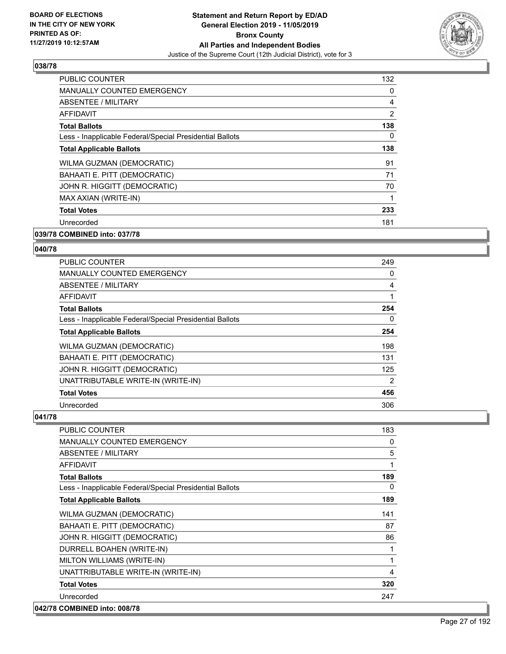

| <b>PUBLIC COUNTER</b>                                    | 132            |
|----------------------------------------------------------|----------------|
| MANUALLY COUNTED EMERGENCY                               | 0              |
| ABSENTEE / MILITARY                                      | 4              |
| AFFIDAVIT                                                | $\overline{2}$ |
| <b>Total Ballots</b>                                     | 138            |
| Less - Inapplicable Federal/Special Presidential Ballots | 0              |
| <b>Total Applicable Ballots</b>                          | 138            |
| WILMA GUZMAN (DEMOCRATIC)                                | 91             |
| BAHAATI E. PITT (DEMOCRATIC)                             | 71             |
| JOHN R. HIGGITT (DEMOCRATIC)                             | 70             |
| MAX AXIAN (WRITE-IN)                                     |                |
| <b>Total Votes</b>                                       | 233            |
| Unrecorded                                               | 181            |
|                                                          |                |

#### **039/78 COMBINED into: 037/78**

#### **040/78**

| <b>PUBLIC COUNTER</b>                                    | 249 |
|----------------------------------------------------------|-----|
| <b>MANUALLY COUNTED EMERGENCY</b>                        | 0   |
| ABSENTEE / MILITARY                                      | 4   |
| <b>AFFIDAVIT</b>                                         | 1   |
| <b>Total Ballots</b>                                     | 254 |
| Less - Inapplicable Federal/Special Presidential Ballots | 0   |
| <b>Total Applicable Ballots</b>                          | 254 |
| WILMA GUZMAN (DEMOCRATIC)                                | 198 |
| BAHAATI E. PITT (DEMOCRATIC)                             | 131 |
| JOHN R. HIGGITT (DEMOCRATIC)                             | 125 |
| UNATTRIBUTABLE WRITE-IN (WRITE-IN)                       | 2   |
| <b>Total Votes</b>                                       | 456 |
| Unrecorded                                               | 306 |

| <b>PUBLIC COUNTER</b>                                    | 183 |
|----------------------------------------------------------|-----|
| <b>MANUALLY COUNTED EMERGENCY</b>                        | 0   |
| <b>ABSENTEE / MILITARY</b>                               | 5   |
| <b>AFFIDAVIT</b>                                         | 1   |
| <b>Total Ballots</b>                                     | 189 |
| Less - Inapplicable Federal/Special Presidential Ballots | 0   |
| <b>Total Applicable Ballots</b>                          | 189 |
| WILMA GUZMAN (DEMOCRATIC)                                | 141 |
| BAHAATI E. PITT (DEMOCRATIC)                             | 87  |
| JOHN R. HIGGITT (DEMOCRATIC)                             | 86  |
| DURRELL BOAHEN (WRITE-IN)                                | 1   |
| MILTON WILLIAMS (WRITE-IN)                               | 1   |
| UNATTRIBUTABLE WRITE-IN (WRITE-IN)                       | 4   |
| <b>Total Votes</b>                                       | 320 |
| Unrecorded                                               | 247 |
| 042/78 COMBINED into: 008/78                             |     |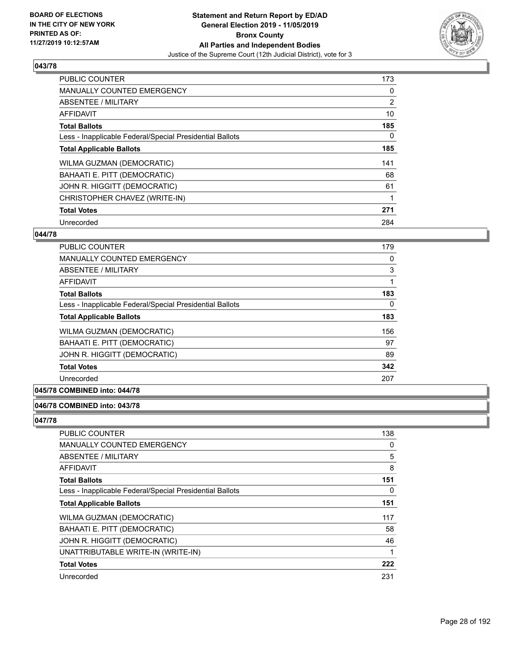

| <b>PUBLIC COUNTER</b>                                    | 173      |
|----------------------------------------------------------|----------|
| <b>MANUALLY COUNTED EMERGENCY</b>                        | 0        |
| ABSENTEE / MILITARY                                      | 2        |
| <b>AFFIDAVIT</b>                                         | 10       |
| <b>Total Ballots</b>                                     | 185      |
| Less - Inapplicable Federal/Special Presidential Ballots | $\Omega$ |
| <b>Total Applicable Ballots</b>                          | 185      |
| WILMA GUZMAN (DEMOCRATIC)                                | 141      |
| BAHAATI E. PITT (DEMOCRATIC)                             | 68       |
| JOHN R. HIGGITT (DEMOCRATIC)                             | 61       |
| CHRISTOPHER CHAVEZ (WRITE-IN)                            |          |
| <b>Total Votes</b>                                       | 271      |
| Unrecorded                                               | 284      |

### **044/78**

| <b>PUBLIC COUNTER</b>                                    | 179 |
|----------------------------------------------------------|-----|
| <b>MANUALLY COUNTED EMERGENCY</b>                        | 0   |
| ABSENTEE / MILITARY                                      | 3   |
| <b>AFFIDAVIT</b>                                         |     |
| <b>Total Ballots</b>                                     | 183 |
| Less - Inapplicable Federal/Special Presidential Ballots | 0   |
| <b>Total Applicable Ballots</b>                          | 183 |
| WILMA GUZMAN (DEMOCRATIC)                                | 156 |
| BAHAATI E. PITT (DEMOCRATIC)                             | 97  |
| JOHN R. HIGGITT (DEMOCRATIC)                             | 89  |
| <b>Total Votes</b>                                       | 342 |
| Unrecorded                                               | 207 |

## **045/78 COMBINED into: 044/78**

#### **046/78 COMBINED into: 043/78**

| <b>PUBLIC COUNTER</b>                                    | 138 |
|----------------------------------------------------------|-----|
| MANUALLY COUNTED EMERGENCY                               | 0   |
| <b>ABSENTEE / MILITARY</b>                               | 5   |
| <b>AFFIDAVIT</b>                                         | 8   |
| <b>Total Ballots</b>                                     | 151 |
| Less - Inapplicable Federal/Special Presidential Ballots | 0   |
| <b>Total Applicable Ballots</b>                          | 151 |
| WILMA GUZMAN (DEMOCRATIC)                                | 117 |
| BAHAATI E. PITT (DEMOCRATIC)                             | 58  |
| JOHN R. HIGGITT (DEMOCRATIC)                             | 46  |
| UNATTRIBUTABLE WRITE-IN (WRITE-IN)                       | 1   |
| <b>Total Votes</b>                                       | 222 |
| Unrecorded                                               | 231 |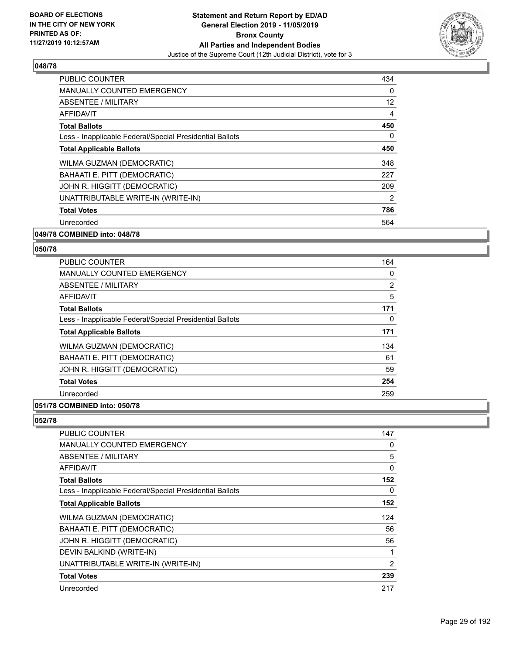

| <b>PUBLIC COUNTER</b>                                    | 434            |
|----------------------------------------------------------|----------------|
| <b>MANUALLY COUNTED EMERGENCY</b>                        | 0              |
| ABSENTEE / MILITARY                                      | 12             |
| AFFIDAVIT                                                | 4              |
| <b>Total Ballots</b>                                     | 450            |
| Less - Inapplicable Federal/Special Presidential Ballots | 0              |
| <b>Total Applicable Ballots</b>                          | 450            |
| WILMA GUZMAN (DEMOCRATIC)                                | 348            |
| BAHAATI E. PITT (DEMOCRATIC)                             | 227            |
| JOHN R. HIGGITT (DEMOCRATIC)                             | 209            |
| UNATTRIBUTABLE WRITE-IN (WRITE-IN)                       | $\overline{2}$ |
| <b>Total Votes</b>                                       | 786            |
| Unrecorded                                               | 564            |
|                                                          |                |

#### **049/78 COMBINED into: 048/78**

#### **050/78**

| <b>PUBLIC COUNTER</b>                                    | 164 |
|----------------------------------------------------------|-----|
| <b>MANUALLY COUNTED EMERGENCY</b>                        | 0   |
| ABSENTEE / MILITARY                                      | 2   |
| <b>AFFIDAVIT</b>                                         | 5   |
| <b>Total Ballots</b>                                     | 171 |
| Less - Inapplicable Federal/Special Presidential Ballots | 0   |
| <b>Total Applicable Ballots</b>                          | 171 |
| WILMA GUZMAN (DEMOCRATIC)                                | 134 |
| BAHAATI E. PITT (DEMOCRATIC)                             | 61  |
| JOHN R. HIGGITT (DEMOCRATIC)                             | 59  |
| <b>Total Votes</b>                                       | 254 |
| Unrecorded                                               | 259 |
|                                                          |     |

# **051/78 COMBINED into: 050/78**

| <b>PUBLIC COUNTER</b>                                    | 147 |
|----------------------------------------------------------|-----|
| <b>MANUALLY COUNTED EMERGENCY</b>                        | 0   |
| ABSENTEE / MILITARY                                      | 5   |
| AFFIDAVIT                                                | 0   |
| <b>Total Ballots</b>                                     | 152 |
| Less - Inapplicable Federal/Special Presidential Ballots | 0   |
| <b>Total Applicable Ballots</b>                          | 152 |
| WILMA GUZMAN (DEMOCRATIC)                                | 124 |
| BAHAATI E. PITT (DEMOCRATIC)                             | 56  |
| JOHN R. HIGGITT (DEMOCRATIC)                             | 56  |
| DEVIN BALKIND (WRITE-IN)                                 | 1   |
| UNATTRIBUTABLE WRITE-IN (WRITE-IN)                       | 2   |
| <b>Total Votes</b>                                       | 239 |
| Unrecorded                                               | 217 |
|                                                          |     |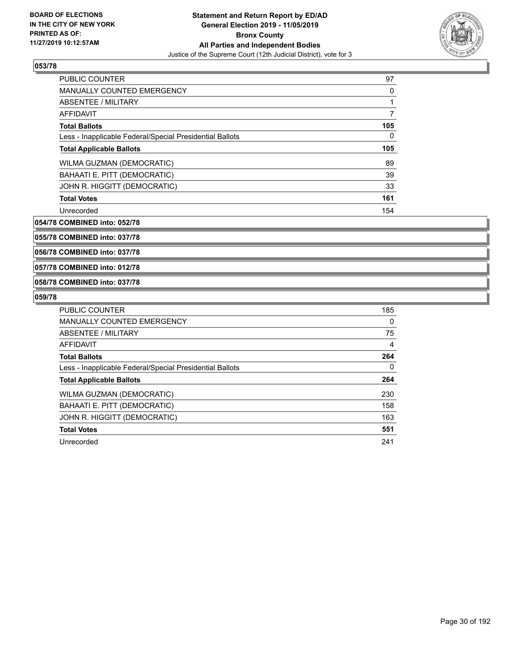

| <b>PUBLIC COUNTER</b>                                    | 97       |
|----------------------------------------------------------|----------|
| <b>MANUALLY COUNTED EMERGENCY</b>                        | $\Omega$ |
| ABSENTEE / MILITARY                                      |          |
| <b>AFFIDAVIT</b>                                         |          |
| <b>Total Ballots</b>                                     | 105      |
| Less - Inapplicable Federal/Special Presidential Ballots | $\Omega$ |
| <b>Total Applicable Ballots</b>                          | 105      |
| WILMA GUZMAN (DEMOCRATIC)                                | 89       |
| BAHAATI E. PITT (DEMOCRATIC)                             | 39       |
| JOHN R. HIGGITT (DEMOCRATIC)                             | 33       |
| <b>Total Votes</b>                                       | 161      |
| Unrecorded                                               | 154      |

**054/78 COMBINED into: 052/78**

**055/78 COMBINED into: 037/78**

**056/78 COMBINED into: 037/78**

**057/78 COMBINED into: 012/78**

#### **058/78 COMBINED into: 037/78**

| <b>PUBLIC COUNTER</b>                                    | 185 |
|----------------------------------------------------------|-----|
| <b>MANUALLY COUNTED EMERGENCY</b>                        | 0   |
| ABSENTEE / MILITARY                                      | 75  |
| <b>AFFIDAVIT</b>                                         | 4   |
| <b>Total Ballots</b>                                     | 264 |
| Less - Inapplicable Federal/Special Presidential Ballots | 0   |
| <b>Total Applicable Ballots</b>                          | 264 |
| WILMA GUZMAN (DEMOCRATIC)                                | 230 |
| BAHAATI E. PITT (DEMOCRATIC)                             | 158 |
| JOHN R. HIGGITT (DEMOCRATIC)                             | 163 |
| <b>Total Votes</b>                                       | 551 |
| Unrecorded                                               | 241 |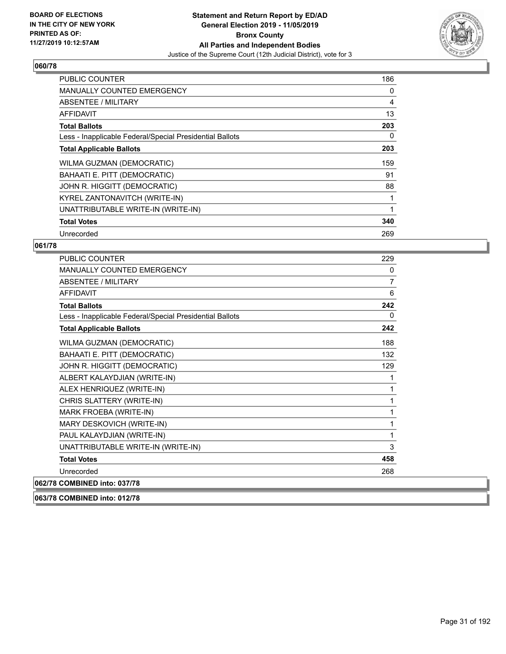

| <b>PUBLIC COUNTER</b>                                    | 186 |
|----------------------------------------------------------|-----|
| <b>MANUALLY COUNTED EMERGENCY</b>                        | 0   |
| <b>ABSENTEE / MILITARY</b>                               | 4   |
| <b>AFFIDAVIT</b>                                         | 13  |
| <b>Total Ballots</b>                                     | 203 |
| Less - Inapplicable Federal/Special Presidential Ballots | 0   |
| <b>Total Applicable Ballots</b>                          | 203 |
| WILMA GUZMAN (DEMOCRATIC)                                | 159 |
| BAHAATI E. PITT (DEMOCRATIC)                             | 91  |
| JOHN R. HIGGITT (DEMOCRATIC)                             | 88  |
| KYREL ZANTONAVITCH (WRITE-IN)                            |     |
| UNATTRIBUTABLE WRITE-IN (WRITE-IN)                       |     |
| <b>Total Votes</b>                                       | 340 |
| Unrecorded                                               | 269 |

## **061/78**

| <b>PUBLIC COUNTER</b>                                    | 229            |
|----------------------------------------------------------|----------------|
| <b>MANUALLY COUNTED EMERGENCY</b>                        | $\mathbf{0}$   |
| <b>ABSENTEE / MILITARY</b>                               | $\overline{7}$ |
| <b>AFFIDAVIT</b>                                         | 6              |
| <b>Total Ballots</b>                                     | 242            |
| Less - Inapplicable Federal/Special Presidential Ballots | $\Omega$       |
| <b>Total Applicable Ballots</b>                          | 242            |
| WILMA GUZMAN (DEMOCRATIC)                                | 188            |
| BAHAATI E. PITT (DEMOCRATIC)                             | 132            |
| JOHN R. HIGGITT (DEMOCRATIC)                             | 129            |
| ALBERT KALAYDJIAN (WRITE-IN)                             |                |
| ALEX HENRIQUEZ (WRITE-IN)                                | 1              |
| CHRIS SLATTERY (WRITE-IN)                                | 1              |
| MARK FROEBA (WRITE-IN)                                   | 1              |
| MARY DESKOVICH (WRITE-IN)                                | 1              |
| PAUL KALAYDJIAN (WRITE-IN)                               | 1              |
| UNATTRIBUTABLE WRITE-IN (WRITE-IN)                       | 3              |
| <b>Total Votes</b>                                       | 458            |
| Unrecorded                                               | 268            |
| 062/78 COMBINED into: 037/78                             |                |

**063/78 COMBINED into: 012/78**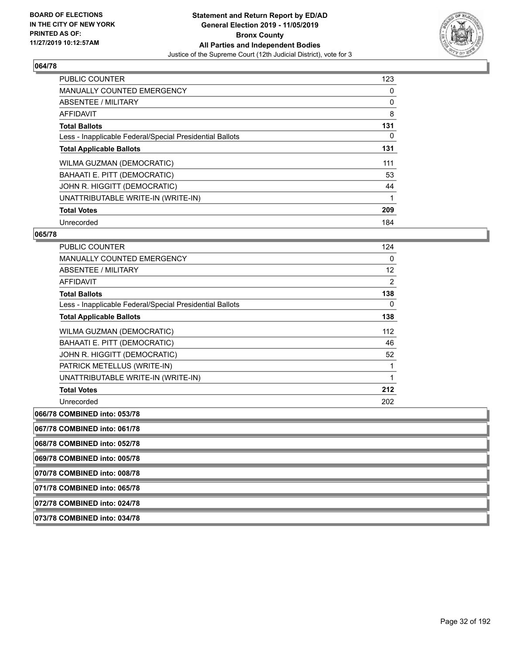

| <b>PUBLIC COUNTER</b>                                    | 123 |
|----------------------------------------------------------|-----|
| <b>MANUALLY COUNTED EMERGENCY</b>                        | 0   |
| ABSENTEE / MILITARY                                      | 0   |
| AFFIDAVIT                                                | 8   |
| <b>Total Ballots</b>                                     | 131 |
| Less - Inapplicable Federal/Special Presidential Ballots | 0   |
| <b>Total Applicable Ballots</b>                          | 131 |
| WILMA GUZMAN (DEMOCRATIC)                                | 111 |
| BAHAATI E. PITT (DEMOCRATIC)                             | 53  |
| JOHN R. HIGGITT (DEMOCRATIC)                             | 44  |
| UNATTRIBUTABLE WRITE-IN (WRITE-IN)                       |     |
| <b>Total Votes</b>                                       | 209 |
| Unrecorded                                               | 184 |

#### **065/78**

| <b>PUBLIC COUNTER</b>                                    | 124 |
|----------------------------------------------------------|-----|
| <b>MANUALLY COUNTED EMERGENCY</b>                        | 0   |
| ABSENTEE / MILITARY                                      | 12  |
| <b>AFFIDAVIT</b>                                         | 2   |
| <b>Total Ballots</b>                                     | 138 |
| Less - Inapplicable Federal/Special Presidential Ballots | 0   |
| <b>Total Applicable Ballots</b>                          | 138 |
| WILMA GUZMAN (DEMOCRATIC)                                | 112 |
| BAHAATI E. PITT (DEMOCRATIC)                             | 46  |
| JOHN R. HIGGITT (DEMOCRATIC)                             | 52  |
| PATRICK METELLUS (WRITE-IN)                              | 1   |
| UNATTRIBUTABLE WRITE-IN (WRITE-IN)                       | 1   |
| <b>Total Votes</b>                                       | 212 |
| Unrecorded                                               | 202 |

**066/78 COMBINED into: 053/78**

**067/78 COMBINED into: 061/78**

**068/78 COMBINED into: 052/78**

**069/78 COMBINED into: 005/78**

**070/78 COMBINED into: 008/78**

**071/78 COMBINED into: 065/78**

**072/78 COMBINED into: 024/78**

**073/78 COMBINED into: 034/78**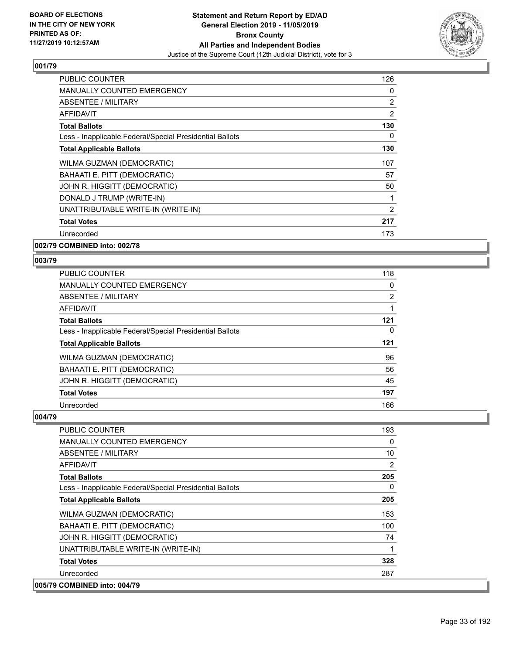

| <b>PUBLIC COUNTER</b>                                    | 126            |
|----------------------------------------------------------|----------------|
| <b>MANUALLY COUNTED EMERGENCY</b>                        | 0              |
| ABSENTEE / MILITARY                                      | $\overline{2}$ |
| AFFIDAVIT                                                | 2              |
| <b>Total Ballots</b>                                     | 130            |
| Less - Inapplicable Federal/Special Presidential Ballots | 0              |
| <b>Total Applicable Ballots</b>                          | 130            |
| WILMA GUZMAN (DEMOCRATIC)                                | 107            |
| BAHAATI E. PITT (DEMOCRATIC)                             | 57             |
| JOHN R. HIGGITT (DEMOCRATIC)                             | 50             |
| DONALD J TRUMP (WRITE-IN)                                |                |
| UNATTRIBUTABLE WRITE-IN (WRITE-IN)                       | 2              |
| <b>Total Votes</b>                                       | 217            |
| Unrecorded                                               | 173            |
| 002/79 COMBINED into: 002/78                             |                |

**003/79** 

| <b>PUBLIC COUNTER</b>                                    | 118            |
|----------------------------------------------------------|----------------|
| MANUALLY COUNTED EMERGENCY                               | 0              |
| ABSENTEE / MILITARY                                      | $\overline{2}$ |
| <b>AFFIDAVIT</b>                                         |                |
| <b>Total Ballots</b>                                     | 121            |
| Less - Inapplicable Federal/Special Presidential Ballots | 0              |
| <b>Total Applicable Ballots</b>                          | 121            |
| WILMA GUZMAN (DEMOCRATIC)                                | 96             |
| BAHAATI E. PITT (DEMOCRATIC)                             | 56             |
| JOHN R. HIGGITT (DEMOCRATIC)                             | 45             |
| <b>Total Votes</b>                                       | 197            |
| Unrecorded                                               | 166            |

| PUBLIC COUNTER                                           | 193            |
|----------------------------------------------------------|----------------|
| <b>MANUALLY COUNTED EMERGENCY</b>                        | 0              |
| <b>ABSENTEE / MILITARY</b>                               | 10             |
| <b>AFFIDAVIT</b>                                         | $\overline{2}$ |
| <b>Total Ballots</b>                                     | 205            |
| Less - Inapplicable Federal/Special Presidential Ballots | $\Omega$       |
| <b>Total Applicable Ballots</b>                          | 205            |
| WILMA GUZMAN (DEMOCRATIC)                                | 153            |
| BAHAATI E. PITT (DEMOCRATIC)                             | 100            |
| JOHN R. HIGGITT (DEMOCRATIC)                             | 74             |
| UNATTRIBUTABLE WRITE-IN (WRITE-IN)                       | 1              |
| <b>Total Votes</b>                                       | 328            |
| Unrecorded                                               | 287            |
| 005/79 COMBINED into: 004/79                             |                |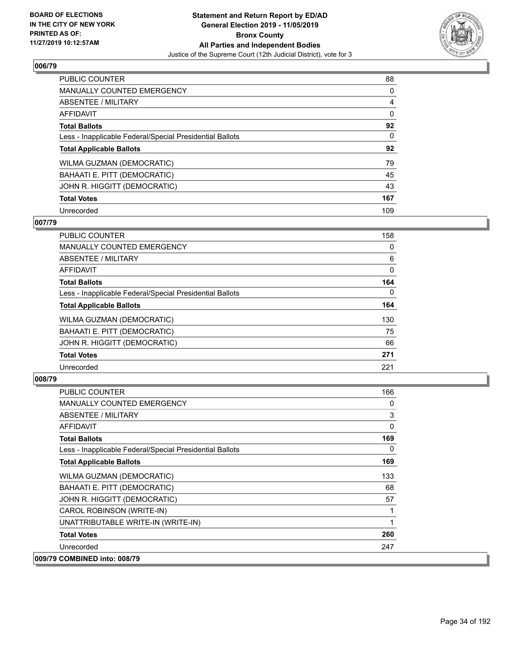

| <b>PUBLIC COUNTER</b>                                    | 88             |
|----------------------------------------------------------|----------------|
| MANUALLY COUNTED EMERGENCY                               | 0              |
| ABSENTEE / MILITARY                                      | $\overline{4}$ |
| <b>AFFIDAVIT</b>                                         | $\Omega$       |
| <b>Total Ballots</b>                                     | 92             |
| Less - Inapplicable Federal/Special Presidential Ballots | $\Omega$       |
| <b>Total Applicable Ballots</b>                          | 92             |
| WILMA GUZMAN (DEMOCRATIC)                                | 79             |
| BAHAATI E. PITT (DEMOCRATIC)                             | 45             |
| JOHN R. HIGGITT (DEMOCRATIC)                             | 43             |
| <b>Total Votes</b>                                       | 167            |
| Unrecorded                                               | 109            |

#### **007/79**

| <b>PUBLIC COUNTER</b>                                    | 158      |
|----------------------------------------------------------|----------|
| MANUALLY COUNTED EMERGENCY                               | 0        |
| ABSENTEE / MILITARY                                      | 6        |
| <b>AFFIDAVIT</b>                                         | $\Omega$ |
| <b>Total Ballots</b>                                     | 164      |
| Less - Inapplicable Federal/Special Presidential Ballots | $\Omega$ |
| <b>Total Applicable Ballots</b>                          | 164      |
| WILMA GUZMAN (DEMOCRATIC)                                | 130      |
| BAHAATI E. PITT (DEMOCRATIC)                             | 75       |
| JOHN R. HIGGITT (DEMOCRATIC)                             | 66       |
| <b>Total Votes</b>                                       | 271      |
| Unrecorded                                               | 221      |

| <b>PUBLIC COUNTER</b>                                    | 166      |
|----------------------------------------------------------|----------|
| <b>MANUALLY COUNTED EMERGENCY</b>                        | 0        |
| ABSENTEE / MILITARY                                      | 3        |
| <b>AFFIDAVIT</b>                                         | 0        |
| <b>Total Ballots</b>                                     | 169      |
| Less - Inapplicable Federal/Special Presidential Ballots | $\Omega$ |
| <b>Total Applicable Ballots</b>                          | 169      |
| WILMA GUZMAN (DEMOCRATIC)                                | 133      |
| BAHAATI E. PITT (DEMOCRATIC)                             | 68       |
| JOHN R. HIGGITT (DEMOCRATIC)                             | 57       |
| CAROL ROBINSON (WRITE-IN)                                |          |
| UNATTRIBUTABLE WRITE-IN (WRITE-IN)                       | 1        |
| <b>Total Votes</b>                                       | 260      |
| Unrecorded                                               | 247      |
| 009/79 COMBINED into: 008/79                             |          |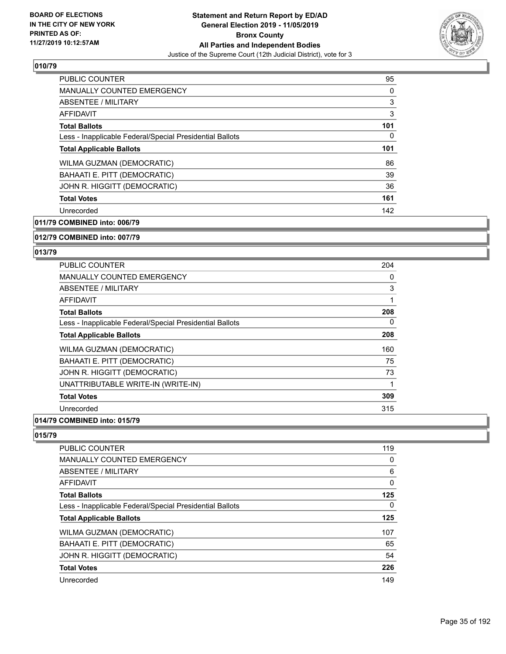

| <b>PUBLIC COUNTER</b>                                    | 95  |
|----------------------------------------------------------|-----|
| <b>MANUALLY COUNTED EMERGENCY</b>                        | 0   |
| <b>ABSENTEE / MILITARY</b>                               | 3   |
| <b>AFFIDAVIT</b>                                         | 3   |
| <b>Total Ballots</b>                                     | 101 |
| Less - Inapplicable Federal/Special Presidential Ballots | 0   |
| <b>Total Applicable Ballots</b>                          | 101 |
| WILMA GUZMAN (DEMOCRATIC)                                | 86  |
| BAHAATI E. PITT (DEMOCRATIC)                             | 39  |
| JOHN R. HIGGITT (DEMOCRATIC)                             | 36  |
| <b>Total Votes</b>                                       | 161 |
| Unrecorded                                               | 142 |

**011/79 COMBINED into: 006/79**

**012/79 COMBINED into: 007/79**

#### **013/79**

| <b>PUBLIC COUNTER</b>                                    | 204 |
|----------------------------------------------------------|-----|
| <b>MANUALLY COUNTED EMERGENCY</b>                        | 0   |
| <b>ABSENTEE / MILITARY</b>                               | 3   |
| AFFIDAVIT                                                | 1   |
| <b>Total Ballots</b>                                     | 208 |
| Less - Inapplicable Federal/Special Presidential Ballots | 0   |
| <b>Total Applicable Ballots</b>                          | 208 |
| WILMA GUZMAN (DEMOCRATIC)                                | 160 |
| BAHAATI E. PITT (DEMOCRATIC)                             | 75  |
| JOHN R. HIGGITT (DEMOCRATIC)                             | 73  |
| UNATTRIBUTABLE WRITE-IN (WRITE-IN)                       | 1   |
| <b>Total Votes</b>                                       | 309 |
| Unrecorded                                               | 315 |
| $\bullet$ $\bullet$ $\bullet$ $\bullet$                  |     |

#### **014/79 COMBINED into: 015/79**

| <b>PUBLIC COUNTER</b>                                    | 119      |
|----------------------------------------------------------|----------|
| MANUALLY COUNTED EMERGENCY                               | 0        |
| <b>ABSENTEE / MILITARY</b>                               | 6        |
| AFFIDAVIT                                                | $\Omega$ |
| <b>Total Ballots</b>                                     | 125      |
| Less - Inapplicable Federal/Special Presidential Ballots | 0        |
| <b>Total Applicable Ballots</b>                          | 125      |
| <b>WILMA GUZMAN (DEMOCRATIC)</b>                         | 107      |
| BAHAATI E. PITT (DEMOCRATIC)                             | 65       |
| JOHN R. HIGGITT (DEMOCRATIC)                             | 54       |
| <b>Total Votes</b>                                       | 226      |
| Unrecorded                                               | 149      |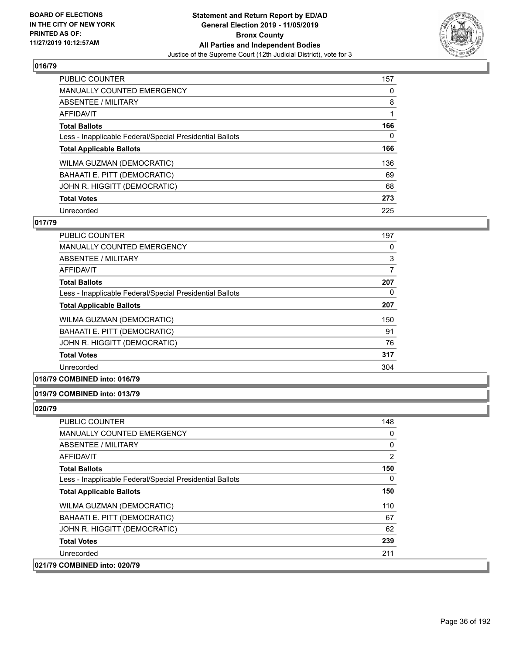

| <b>PUBLIC COUNTER</b>                                    | 157 |
|----------------------------------------------------------|-----|
| <b>MANUALLY COUNTED EMERGENCY</b>                        | 0   |
| <b>ABSENTEE / MILITARY</b>                               | 8   |
| <b>AFFIDAVIT</b>                                         |     |
| <b>Total Ballots</b>                                     | 166 |
| Less - Inapplicable Federal/Special Presidential Ballots | 0   |
| <b>Total Applicable Ballots</b>                          | 166 |
| WILMA GUZMAN (DEMOCRATIC)                                | 136 |
| BAHAATI E. PITT (DEMOCRATIC)                             | 69  |
| JOHN R. HIGGITT (DEMOCRATIC)                             | 68  |
|                                                          |     |
| <b>Total Votes</b>                                       | 273 |

#### **017/79**

| <b>PUBLIC COUNTER</b>                                    | 197 |
|----------------------------------------------------------|-----|
| <b>MANUALLY COUNTED EMERGENCY</b>                        | 0   |
| ABSENTEE / MILITARY                                      | 3   |
| AFFIDAVIT                                                | 7   |
| <b>Total Ballots</b>                                     | 207 |
| Less - Inapplicable Federal/Special Presidential Ballots | 0   |
| <b>Total Applicable Ballots</b>                          | 207 |
| WILMA GUZMAN (DEMOCRATIC)                                | 150 |
| BAHAATI E. PITT (DEMOCRATIC)                             | 91  |
| JOHN R. HIGGITT (DEMOCRATIC)                             | 76  |
| <b>Total Votes</b>                                       | 317 |
| Unrecorded                                               | 304 |

#### **018/79 COMBINED into: 016/79**

## **019/79 COMBINED into: 013/79**

| PUBLIC COUNTER                                           | 148 |
|----------------------------------------------------------|-----|
| <b>MANUALLY COUNTED EMERGENCY</b>                        | 0   |
| ABSENTEE / MILITARY                                      | 0   |
| AFFIDAVIT                                                | 2   |
| <b>Total Ballots</b>                                     | 150 |
| Less - Inapplicable Federal/Special Presidential Ballots | 0   |
| <b>Total Applicable Ballots</b>                          | 150 |
| WILMA GUZMAN (DEMOCRATIC)                                | 110 |
| BAHAATI E. PITT (DEMOCRATIC)                             | 67  |
| JOHN R. HIGGITT (DEMOCRATIC)                             | 62  |
| <b>Total Votes</b>                                       | 239 |
| Unrecorded                                               | 211 |
| 021/79 COMBINED into: 020/79                             |     |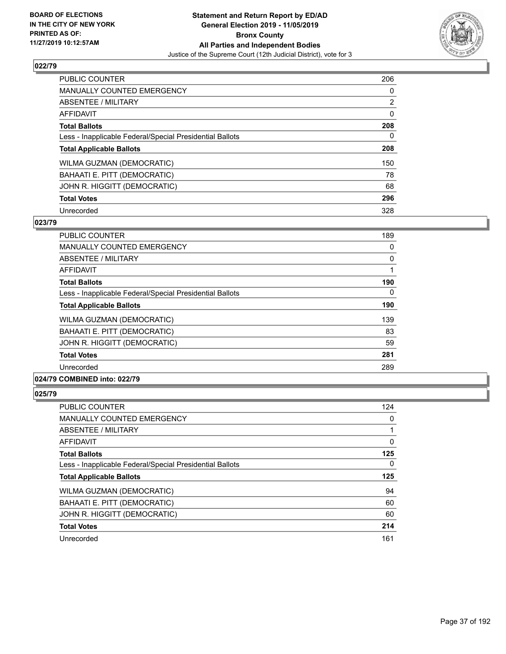

| <b>PUBLIC COUNTER</b>                                    | 206            |
|----------------------------------------------------------|----------------|
| <b>MANUALLY COUNTED EMERGENCY</b>                        | $\Omega$       |
| ABSENTEE / MILITARY                                      | $\overline{2}$ |
| AFFIDAVIT                                                | 0              |
| <b>Total Ballots</b>                                     | 208            |
| Less - Inapplicable Federal/Special Presidential Ballots | 0              |
| <b>Total Applicable Ballots</b>                          | 208            |
| WILMA GUZMAN (DEMOCRATIC)                                | 150            |
| BAHAATI E. PITT (DEMOCRATIC)                             | 78             |
| JOHN R. HIGGITT (DEMOCRATIC)                             | 68             |
| <b>Total Votes</b>                                       | 296            |
| Unrecorded                                               | 328            |

#### **023/79**

| <b>PUBLIC COUNTER</b>                                                                                                                                                                                                                                                                                                                                                                                                  | 189 |
|------------------------------------------------------------------------------------------------------------------------------------------------------------------------------------------------------------------------------------------------------------------------------------------------------------------------------------------------------------------------------------------------------------------------|-----|
| <b>MANUALLY COUNTED EMERGENCY</b>                                                                                                                                                                                                                                                                                                                                                                                      | 0   |
| ABSENTEE / MILITARY                                                                                                                                                                                                                                                                                                                                                                                                    | 0   |
| AFFIDAVIT                                                                                                                                                                                                                                                                                                                                                                                                              |     |
| <b>Total Ballots</b>                                                                                                                                                                                                                                                                                                                                                                                                   | 190 |
| Less - Inapplicable Federal/Special Presidential Ballots                                                                                                                                                                                                                                                                                                                                                               | 0   |
| <b>Total Applicable Ballots</b>                                                                                                                                                                                                                                                                                                                                                                                        | 190 |
| WILMA GUZMAN (DEMOCRATIC)                                                                                                                                                                                                                                                                                                                                                                                              | 139 |
| BAHAATI E. PITT (DEMOCRATIC)                                                                                                                                                                                                                                                                                                                                                                                           | 83  |
| JOHN R. HIGGITT (DEMOCRATIC)                                                                                                                                                                                                                                                                                                                                                                                           | 59  |
| <b>Total Votes</b>                                                                                                                                                                                                                                                                                                                                                                                                     | 281 |
| Unrecorded                                                                                                                                                                                                                                                                                                                                                                                                             | 289 |
| $\mathbf{A} \mathbf{A} \mathbf{B} \mathbf{B} \mathbf{B} \mathbf{B} \mathbf{A} \mathbf{B} \mathbf{A} \mathbf{A} \mathbf{B} \mathbf{A} \mathbf{B} \mathbf{A} \mathbf{B} \mathbf{A} \mathbf{B} \mathbf{A} \mathbf{B} \mathbf{A} \mathbf{B} \mathbf{A} \mathbf{B} \mathbf{A} \mathbf{B} \mathbf{A} \mathbf{B} \mathbf{A} \mathbf{B} \mathbf{A} \mathbf{B} \mathbf{A} \mathbf{B} \mathbf{A} \mathbf{B} \mathbf{A} \mathbf{$ |     |

# **024/79 COMBINED into: 022/79**

| <b>PUBLIC COUNTER</b>                                    | 124      |
|----------------------------------------------------------|----------|
| <b>MANUALLY COUNTED EMERGENCY</b>                        | $\Omega$ |
| ABSENTEE / MILITARY                                      |          |
| AFFIDAVIT                                                | 0        |
| <b>Total Ballots</b>                                     | 125      |
| Less - Inapplicable Federal/Special Presidential Ballots | $\Omega$ |
| <b>Total Applicable Ballots</b>                          | 125      |
| WILMA GUZMAN (DEMOCRATIC)                                | 94       |
| BAHAATI E. PITT (DEMOCRATIC)                             | 60       |
| JOHN R. HIGGITT (DEMOCRATIC)                             | 60       |
| <b>Total Votes</b>                                       | 214      |
| Unrecorded                                               | 161      |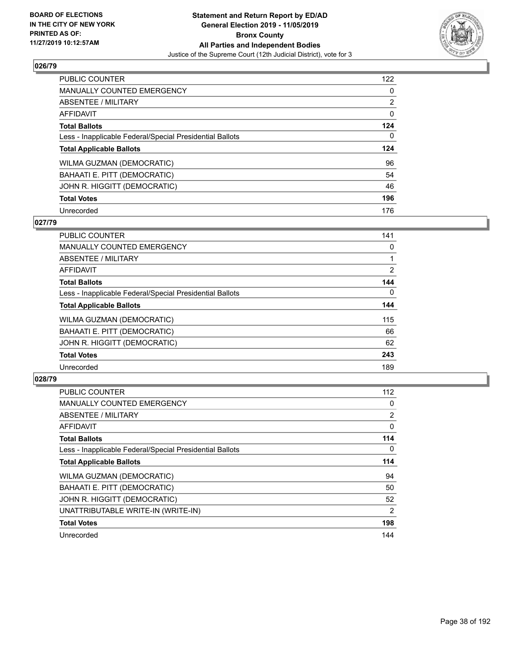

| <b>PUBLIC COUNTER</b>                                    | 122            |
|----------------------------------------------------------|----------------|
| <b>MANUALLY COUNTED EMERGENCY</b>                        | $\Omega$       |
| ABSENTEE / MILITARY                                      | $\overline{2}$ |
| <b>AFFIDAVIT</b>                                         | 0              |
| <b>Total Ballots</b>                                     | 124            |
| Less - Inapplicable Federal/Special Presidential Ballots | 0              |
| <b>Total Applicable Ballots</b>                          | 124            |
|                                                          |                |
| WILMA GUZMAN (DEMOCRATIC)                                | 96             |
| BAHAATI E. PITT (DEMOCRATIC)                             | 54             |
| JOHN R. HIGGITT (DEMOCRATIC)                             | 46             |
| <b>Total Votes</b>                                       | 196            |

#### **027/79**

| <b>PUBLIC COUNTER</b>                                    | 141            |
|----------------------------------------------------------|----------------|
| <b>MANUALLY COUNTED EMERGENCY</b>                        | 0              |
| ABSENTEE / MILITARY                                      |                |
| <b>AFFIDAVIT</b>                                         | $\overline{2}$ |
| <b>Total Ballots</b>                                     | 144            |
| Less - Inapplicable Federal/Special Presidential Ballots | $\Omega$       |
| <b>Total Applicable Ballots</b>                          | 144            |
| WILMA GUZMAN (DEMOCRATIC)                                | 115            |
| BAHAATI E. PITT (DEMOCRATIC)                             | 66             |
| JOHN R. HIGGITT (DEMOCRATIC)                             | 62             |
| <b>Total Votes</b>                                       | 243            |
| Unrecorded                                               | 189            |

| <b>PUBLIC COUNTER</b>                                    | 112            |
|----------------------------------------------------------|----------------|
| <b>MANUALLY COUNTED EMERGENCY</b>                        | 0              |
| ABSENTEE / MILITARY                                      | 2              |
| AFFIDAVIT                                                | 0              |
| <b>Total Ballots</b>                                     | 114            |
| Less - Inapplicable Federal/Special Presidential Ballots | 0              |
| <b>Total Applicable Ballots</b>                          | 114            |
| WILMA GUZMAN (DEMOCRATIC)                                | 94             |
| BAHAATI E. PITT (DEMOCRATIC)                             | 50             |
| JOHN R. HIGGITT (DEMOCRATIC)                             | 52             |
| UNATTRIBUTABLE WRITE-IN (WRITE-IN)                       | $\overline{2}$ |
| <b>Total Votes</b>                                       | 198            |
| Unrecorded                                               | 144            |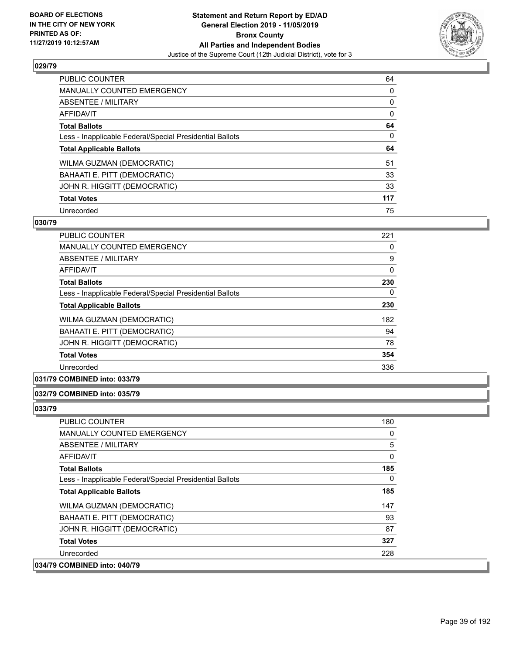

| <b>PUBLIC COUNTER</b>                                    | 64  |
|----------------------------------------------------------|-----|
| <b>MANUALLY COUNTED EMERGENCY</b>                        | 0   |
| ABSENTEE / MILITARY                                      | 0   |
| <b>AFFIDAVIT</b>                                         | 0   |
| <b>Total Ballots</b>                                     | 64  |
| Less - Inapplicable Federal/Special Presidential Ballots | 0   |
| <b>Total Applicable Ballots</b>                          | 64  |
| WILMA GUZMAN (DEMOCRATIC)                                | 51  |
| BAHAATI E. PITT (DEMOCRATIC)                             | 33  |
| JOHN R. HIGGITT (DEMOCRATIC)                             | 33  |
| <b>Total Votes</b>                                       | 117 |
| Unrecorded                                               | 75  |

#### **030/79**

| PUBLIC COUNTER                                           | 221      |
|----------------------------------------------------------|----------|
| <b>MANUALLY COUNTED EMERGENCY</b>                        | 0        |
| ABSENTEE / MILITARY                                      | 9        |
| <b>AFFIDAVIT</b>                                         | $\Omega$ |
| <b>Total Ballots</b>                                     | 230      |
| Less - Inapplicable Federal/Special Presidential Ballots | 0        |
| <b>Total Applicable Ballots</b>                          | 230      |
| <b>WILMA GUZMAN (DEMOCRATIC)</b>                         | 182      |
| BAHAATI E. PITT (DEMOCRATIC)                             | 94       |
| JOHN R. HIGGITT (DEMOCRATIC)                             | 78       |
| <b>Total Votes</b>                                       | 354      |
| Unrecorded                                               | 336      |
|                                                          |          |

## **031/79 COMBINED into: 033/79**

#### **032/79 COMBINED into: 035/79**

| PUBLIC COUNTER                                           | 180 |
|----------------------------------------------------------|-----|
| <b>MANUALLY COUNTED EMERGENCY</b>                        | 0   |
| ABSENTEE / MILITARY                                      | 5   |
| AFFIDAVIT                                                | 0   |
| <b>Total Ballots</b>                                     | 185 |
| Less - Inapplicable Federal/Special Presidential Ballots | 0   |
| <b>Total Applicable Ballots</b>                          | 185 |
| WILMA GUZMAN (DEMOCRATIC)                                | 147 |
| BAHAATI E. PITT (DEMOCRATIC)                             | 93  |
| JOHN R. HIGGITT (DEMOCRATIC)                             | 87  |
| <b>Total Votes</b>                                       | 327 |
| Unrecorded                                               | 228 |
| 034/79 COMBINED into: 040/79                             |     |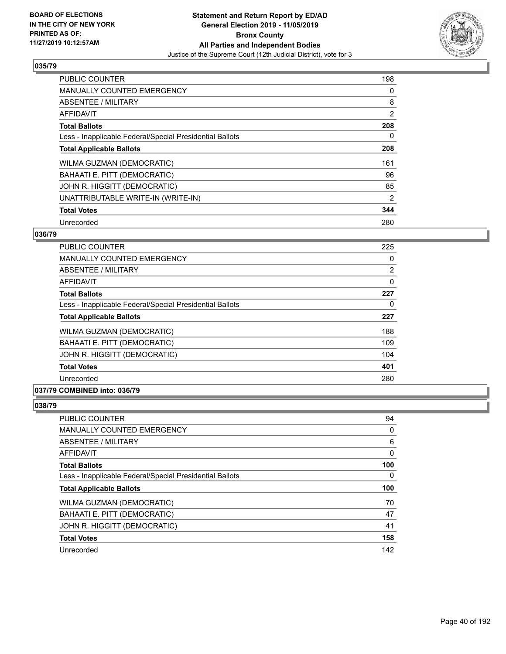

| <b>PUBLIC COUNTER</b>                                    | 198            |
|----------------------------------------------------------|----------------|
| <b>MANUALLY COUNTED EMERGENCY</b>                        | 0              |
| ABSENTEE / MILITARY                                      | 8              |
| <b>AFFIDAVIT</b>                                         | $\overline{2}$ |
| <b>Total Ballots</b>                                     | 208            |
| Less - Inapplicable Federal/Special Presidential Ballots | 0              |
| <b>Total Applicable Ballots</b>                          | 208            |
| WILMA GUZMAN (DEMOCRATIC)                                | 161            |
| BAHAATI E. PITT (DEMOCRATIC)                             | 96             |
| JOHN R. HIGGITT (DEMOCRATIC)                             | 85             |
| UNATTRIBUTABLE WRITE-IN (WRITE-IN)                       | 2              |
| <b>Total Votes</b>                                       | 344            |
| Unrecorded                                               | 280            |

#### **036/79**

| PUBLIC COUNTER                                           | 225      |
|----------------------------------------------------------|----------|
| <b>MANUALLY COUNTED EMERGENCY</b>                        | $\Omega$ |
| ABSENTEE / MILITARY                                      | 2        |
| <b>AFFIDAVIT</b>                                         | 0        |
| <b>Total Ballots</b>                                     | 227      |
| Less - Inapplicable Federal/Special Presidential Ballots | 0        |
| <b>Total Applicable Ballots</b>                          | 227      |
| WILMA GUZMAN (DEMOCRATIC)                                | 188      |
| BAHAATI E. PITT (DEMOCRATIC)                             | 109      |
| JOHN R. HIGGITT (DEMOCRATIC)                             | 104      |
| <b>Total Votes</b>                                       | 401      |
| Unrecorded                                               | 280      |

## **037/79 COMBINED into: 036/79**

| <b>PUBLIC COUNTER</b>                                    | 94  |
|----------------------------------------------------------|-----|
| <b>MANUALLY COUNTED EMERGENCY</b>                        | 0   |
| <b>ABSENTEE / MILITARY</b>                               | 6   |
| AFFIDAVIT                                                | 0   |
| <b>Total Ballots</b>                                     | 100 |
| Less - Inapplicable Federal/Special Presidential Ballots | 0   |
|                                                          |     |
| <b>Total Applicable Ballots</b>                          | 100 |
| WILMA GUZMAN (DEMOCRATIC)                                | 70  |
| BAHAATI E. PITT (DEMOCRATIC)                             | 47  |
| JOHN R. HIGGITT (DEMOCRATIC)                             | 41  |
| <b>Total Votes</b>                                       | 158 |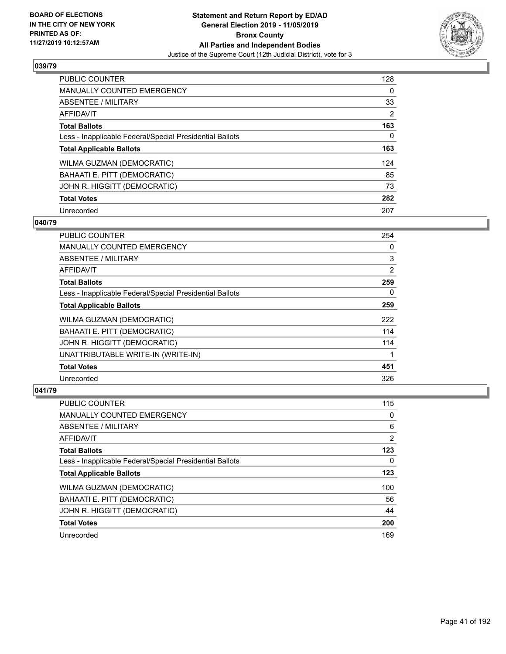

| <b>PUBLIC COUNTER</b>                                    | 128      |
|----------------------------------------------------------|----------|
| <b>MANUALLY COUNTED EMERGENCY</b>                        | $\Omega$ |
| ABSENTEE / MILITARY                                      | 33       |
| <b>AFFIDAVIT</b>                                         | 2        |
| <b>Total Ballots</b>                                     | 163      |
| Less - Inapplicable Federal/Special Presidential Ballots | 0        |
| <b>Total Applicable Ballots</b>                          | 163      |
| WILMA GUZMAN (DEMOCRATIC)                                | 124      |
| BAHAATI E. PITT (DEMOCRATIC)                             | 85       |
| JOHN R. HIGGITT (DEMOCRATIC)                             | 73       |
| <b>Total Votes</b>                                       | 282      |
| Unrecorded                                               | 207      |

#### **040/79**

| PUBLIC COUNTER                                           | 254      |
|----------------------------------------------------------|----------|
| <b>MANUALLY COUNTED EMERGENCY</b>                        | $\Omega$ |
| <b>ABSENTEE / MILITARY</b>                               | 3        |
| <b>AFFIDAVIT</b>                                         | 2        |
| <b>Total Ballots</b>                                     | 259      |
| Less - Inapplicable Federal/Special Presidential Ballots | $\Omega$ |
| <b>Total Applicable Ballots</b>                          | 259      |
| WILMA GUZMAN (DEMOCRATIC)                                | 222      |
| BAHAATI E. PITT (DEMOCRATIC)                             | 114      |
| JOHN R. HIGGITT (DEMOCRATIC)                             | 114      |
| UNATTRIBUTABLE WRITE-IN (WRITE-IN)                       |          |
| <b>Total Votes</b>                                       | 451      |
| Unrecorded                                               | 326      |

| PUBLIC COUNTER                                           | 115      |
|----------------------------------------------------------|----------|
| <b>MANUALLY COUNTED EMERGENCY</b>                        | $\Omega$ |
| ABSENTEE / MILITARY                                      | 6        |
| AFFIDAVIT                                                | 2        |
| <b>Total Ballots</b>                                     | 123      |
| Less - Inapplicable Federal/Special Presidential Ballots | 0        |
| <b>Total Applicable Ballots</b>                          | 123      |
| WILMA GUZMAN (DEMOCRATIC)                                | 100      |
| BAHAATI E. PITT (DEMOCRATIC)                             | 56       |
| JOHN R. HIGGITT (DEMOCRATIC)                             | 44       |
| <b>Total Votes</b>                                       | 200      |
| Unrecorded                                               | 169      |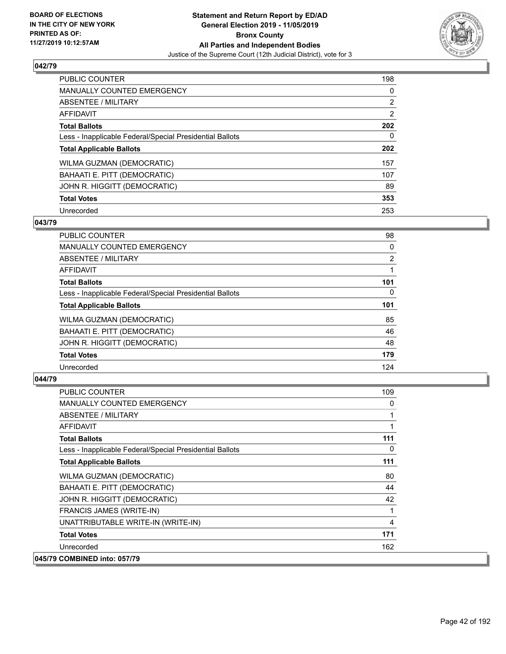

| <b>PUBLIC COUNTER</b>                                    | 198            |
|----------------------------------------------------------|----------------|
| <b>MANUALLY COUNTED EMERGENCY</b>                        | $\Omega$       |
| ABSENTEE / MILITARY                                      | $\overline{2}$ |
| <b>AFFIDAVIT</b>                                         | $\overline{2}$ |
| <b>Total Ballots</b>                                     | 202            |
| Less - Inapplicable Federal/Special Presidential Ballots | 0              |
| <b>Total Applicable Ballots</b>                          | 202            |
| WILMA GUZMAN (DEMOCRATIC)                                | 157            |
| BAHAATI E. PITT (DEMOCRATIC)                             | 107            |
| JOHN R. HIGGITT (DEMOCRATIC)                             | 89             |
| <b>Total Votes</b>                                       | 353            |
| Unrecorded                                               | 253            |

#### **043/79**

| <b>PUBLIC COUNTER</b>                                    | 98       |
|----------------------------------------------------------|----------|
| <b>MANUALLY COUNTED EMERGENCY</b>                        | 0        |
| ABSENTEE / MILITARY                                      | 2        |
| <b>AFFIDAVIT</b>                                         |          |
| <b>Total Ballots</b>                                     | 101      |
| Less - Inapplicable Federal/Special Presidential Ballots | $\Omega$ |
| <b>Total Applicable Ballots</b>                          | 101      |
| WILMA GUZMAN (DEMOCRATIC)                                | 85       |
| BAHAATI E. PITT (DEMOCRATIC)                             | 46       |
| JOHN R. HIGGITT (DEMOCRATIC)                             | 48       |
| <b>Total Votes</b>                                       | 179      |
| Unrecorded                                               | 124      |

| <b>PUBLIC COUNTER</b>                                    | 109 |
|----------------------------------------------------------|-----|
| <b>MANUALLY COUNTED EMERGENCY</b>                        | 0   |
| <b>ABSENTEE / MILITARY</b>                               | 1   |
| AFFIDAVIT                                                |     |
| <b>Total Ballots</b>                                     | 111 |
| Less - Inapplicable Federal/Special Presidential Ballots | 0   |
| <b>Total Applicable Ballots</b>                          | 111 |
| WILMA GUZMAN (DEMOCRATIC)                                | 80  |
| BAHAATI E. PITT (DEMOCRATIC)                             | 44  |
| JOHN R. HIGGITT (DEMOCRATIC)                             | 42  |
| <b>FRANCIS JAMES (WRITE-IN)</b>                          |     |
| UNATTRIBUTABLE WRITE-IN (WRITE-IN)                       | 4   |
| <b>Total Votes</b>                                       | 171 |
| Unrecorded                                               | 162 |
| 045/79 COMBINED into: 057/79                             |     |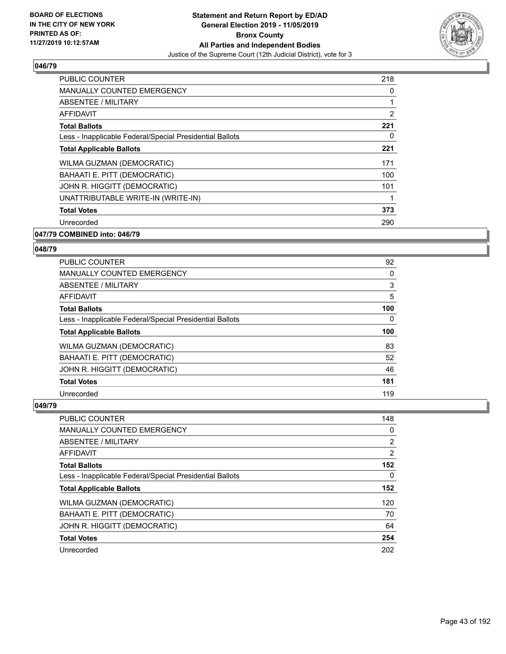

| <b>PUBLIC COUNTER</b>                                    | 218            |
|----------------------------------------------------------|----------------|
| <b>MANUALLY COUNTED EMERGENCY</b>                        | 0              |
| ABSENTEE / MILITARY                                      | 1              |
| AFFIDAVIT                                                | $\overline{2}$ |
| <b>Total Ballots</b>                                     | 221            |
| Less - Inapplicable Federal/Special Presidential Ballots | 0              |
| <b>Total Applicable Ballots</b>                          | 221            |
| WILMA GUZMAN (DEMOCRATIC)                                | 171            |
| BAHAATI E. PITT (DEMOCRATIC)                             | 100            |
| JOHN R. HIGGITT (DEMOCRATIC)                             | 101            |
| UNATTRIBUTABLE WRITE-IN (WRITE-IN)                       | 1              |
| <b>Total Votes</b>                                       | 373            |
| Unrecorded                                               | 290            |
|                                                          |                |

## **047/79 COMBINED into: 046/79**

#### **048/79**

| <b>PUBLIC COUNTER</b>                                    | 92  |
|----------------------------------------------------------|-----|
| <b>MANUALLY COUNTED EMERGENCY</b>                        | 0   |
| ABSENTEE / MILITARY                                      | 3   |
| <b>AFFIDAVIT</b>                                         | 5   |
| <b>Total Ballots</b>                                     | 100 |
| Less - Inapplicable Federal/Special Presidential Ballots | 0   |
| <b>Total Applicable Ballots</b>                          | 100 |
| <b>WILMA GUZMAN (DEMOCRATIC)</b>                         | 83  |
|                                                          |     |
| BAHAATI E. PITT (DEMOCRATIC)                             | 52  |
| JOHN R. HIGGITT (DEMOCRATIC)                             | 46  |
| <b>Total Votes</b>                                       | 181 |

| PUBLIC COUNTER                                           | 148            |
|----------------------------------------------------------|----------------|
| <b>MANUALLY COUNTED EMERGENCY</b>                        | 0              |
| ABSENTEE / MILITARY                                      | $\overline{2}$ |
| AFFIDAVIT                                                | $\overline{2}$ |
| <b>Total Ballots</b>                                     | 152            |
| Less - Inapplicable Federal/Special Presidential Ballots | 0              |
| <b>Total Applicable Ballots</b>                          | 152            |
| <b>WILMA GUZMAN (DEMOCRATIC)</b>                         | 120            |
| BAHAATI E. PITT (DEMOCRATIC)                             | 70             |
| JOHN R. HIGGITT (DEMOCRATIC)                             | 64             |
| <b>Total Votes</b>                                       | 254            |
| Unrecorded                                               | 202            |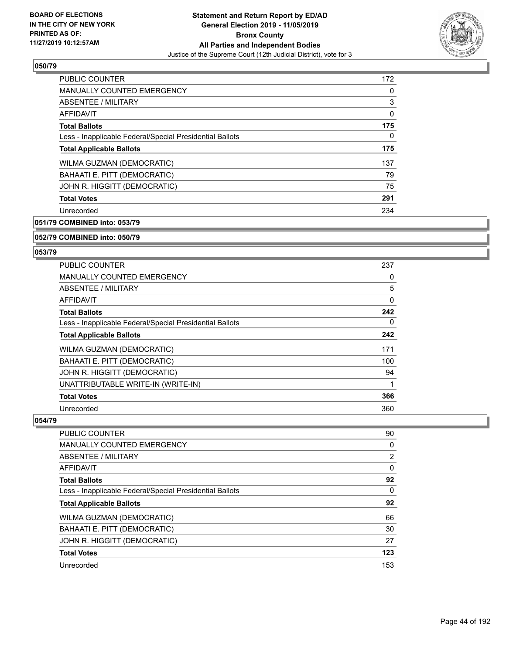

| <b>PUBLIC COUNTER</b>                                    | 172 |
|----------------------------------------------------------|-----|
| <b>MANUALLY COUNTED EMERGENCY</b>                        | 0   |
| ABSENTEE / MILITARY                                      | 3   |
| <b>AFFIDAVIT</b>                                         | 0   |
| <b>Total Ballots</b>                                     | 175 |
| Less - Inapplicable Federal/Special Presidential Ballots | 0   |
| <b>Total Applicable Ballots</b>                          | 175 |
| WILMA GUZMAN (DEMOCRATIC)                                | 137 |
| BAHAATI E. PITT (DEMOCRATIC)                             | 79  |
| JOHN R. HIGGITT (DEMOCRATIC)                             | 75  |
| <b>Total Votes</b>                                       | 291 |
| Unrecorded                                               | 234 |

**051/79 COMBINED into: 053/79**

#### **052/79 COMBINED into: 050/79**

#### **053/79**

| <b>PUBLIC COUNTER</b>                                    | 237      |
|----------------------------------------------------------|----------|
| <b>MANUALLY COUNTED EMERGENCY</b>                        | 0        |
| ABSENTEE / MILITARY                                      | 5        |
| AFFIDAVIT                                                | $\Omega$ |
| <b>Total Ballots</b>                                     | 242      |
| Less - Inapplicable Federal/Special Presidential Ballots | 0        |
| <b>Total Applicable Ballots</b>                          | 242      |
| WILMA GUZMAN (DEMOCRATIC)                                | 171      |
| BAHAATI E. PITT (DEMOCRATIC)                             | 100      |
| JOHN R. HIGGITT (DEMOCRATIC)                             | 94       |
| UNATTRIBUTABLE WRITE-IN (WRITE-IN)                       | 1        |
| <b>Total Votes</b>                                       | 366      |
| Unrecorded                                               | 360      |
|                                                          |          |

| <b>PUBLIC COUNTER</b>                                    | 90       |
|----------------------------------------------------------|----------|
| <b>MANUALLY COUNTED EMERGENCY</b>                        | 0        |
| ABSENTEE / MILITARY                                      | 2        |
| AFFIDAVIT                                                | $\Omega$ |
| <b>Total Ballots</b>                                     | 92       |
| Less - Inapplicable Federal/Special Presidential Ballots | 0        |
| <b>Total Applicable Ballots</b>                          | 92       |
| WILMA GUZMAN (DEMOCRATIC)                                | 66       |
| BAHAATI E. PITT (DEMOCRATIC)                             | 30       |
| JOHN R. HIGGITT (DEMOCRATIC)                             | 27       |
| <b>Total Votes</b>                                       | 123      |
| Unrecorded                                               | 153      |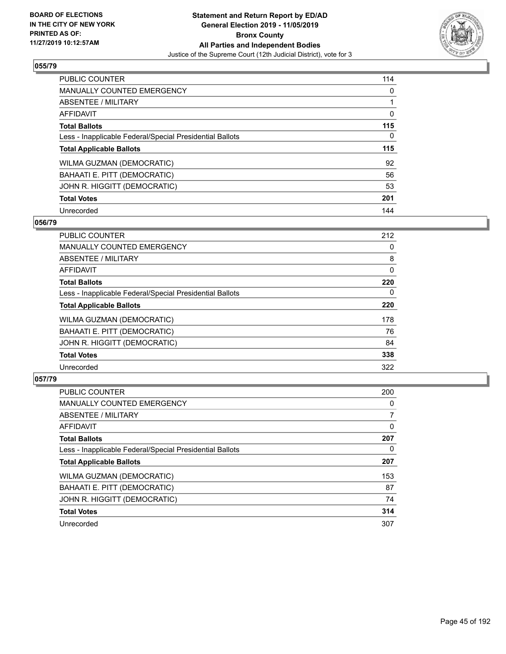

| <b>PUBLIC COUNTER</b>                                    | 114      |
|----------------------------------------------------------|----------|
| <b>MANUALLY COUNTED EMERGENCY</b>                        | $\Omega$ |
| ABSENTEE / MILITARY                                      |          |
| <b>AFFIDAVIT</b>                                         | 0        |
| <b>Total Ballots</b>                                     | 115      |
| Less - Inapplicable Federal/Special Presidential Ballots | $\Omega$ |
| <b>Total Applicable Ballots</b>                          | 115      |
| WILMA GUZMAN (DEMOCRATIC)                                | 92       |
| BAHAATI E. PITT (DEMOCRATIC)                             | 56       |
| JOHN R. HIGGITT (DEMOCRATIC)                             | 53       |
| <b>Total Votes</b>                                       |          |
|                                                          | 201      |

## **056/79**

| <b>PUBLIC COUNTER</b>                                    | 212      |
|----------------------------------------------------------|----------|
| <b>MANUALLY COUNTED EMERGENCY</b>                        | 0        |
| ABSENTEE / MILITARY                                      | 8        |
| <b>AFFIDAVIT</b>                                         | $\Omega$ |
| <b>Total Ballots</b>                                     | 220      |
| Less - Inapplicable Federal/Special Presidential Ballots | $\Omega$ |
| <b>Total Applicable Ballots</b>                          | 220      |
| WILMA GUZMAN (DEMOCRATIC)                                | 178      |
| BAHAATI E. PITT (DEMOCRATIC)                             | 76       |
| JOHN R. HIGGITT (DEMOCRATIC)                             | 84       |
| <b>Total Votes</b>                                       | 338      |
| Unrecorded                                               | 322      |

| <b>PUBLIC COUNTER</b>                                    | 200      |
|----------------------------------------------------------|----------|
| <b>MANUALLY COUNTED EMERGENCY</b>                        | $\Omega$ |
| ABSENTEE / MILITARY                                      |          |
| AFFIDAVIT                                                | 0        |
| <b>Total Ballots</b>                                     | 207      |
| Less - Inapplicable Federal/Special Presidential Ballots | 0        |
| <b>Total Applicable Ballots</b>                          | 207      |
| WILMA GUZMAN (DEMOCRATIC)                                | 153      |
| BAHAATI E. PITT (DEMOCRATIC)                             | 87       |
| JOHN R. HIGGITT (DEMOCRATIC)                             | 74       |
| <b>Total Votes</b>                                       | 314      |
| Unrecorded                                               | 307      |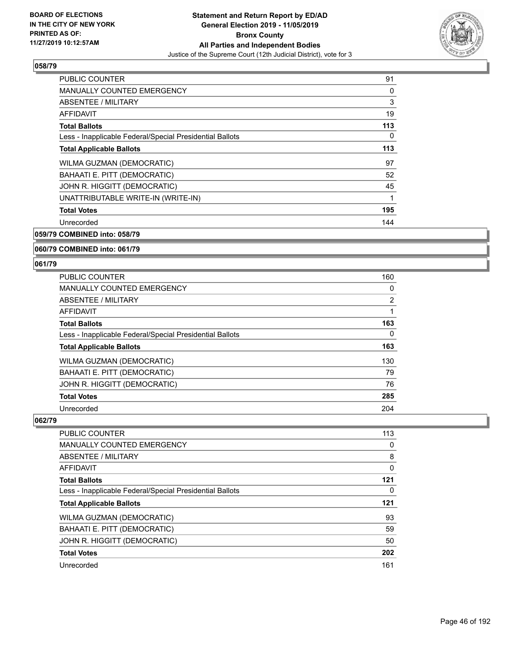

| <b>PUBLIC COUNTER</b>                                    | 91  |
|----------------------------------------------------------|-----|
| <b>MANUALLY COUNTED EMERGENCY</b>                        | 0   |
| ABSENTEE / MILITARY                                      | 3   |
| AFFIDAVIT                                                | 19  |
| <b>Total Ballots</b>                                     | 113 |
| Less - Inapplicable Federal/Special Presidential Ballots | 0   |
| <b>Total Applicable Ballots</b>                          | 113 |
| WILMA GUZMAN (DEMOCRATIC)                                | 97  |
| BAHAATI E. PITT (DEMOCRATIC)                             | 52  |
| JOHN R. HIGGITT (DEMOCRATIC)                             | 45  |
| UNATTRIBUTABLE WRITE-IN (WRITE-IN)                       | 1   |
| <b>Total Votes</b>                                       | 195 |
| Unrecorded                                               | 144 |
|                                                          |     |

**059/79 COMBINED into: 058/79**

#### **060/79 COMBINED into: 061/79**

#### **061/79**

| <b>PUBLIC COUNTER</b>                                    | 160 |
|----------------------------------------------------------|-----|
| <b>MANUALLY COUNTED EMERGENCY</b>                        | 0   |
| ABSENTEE / MILITARY                                      | 2   |
| AFFIDAVIT                                                | 1   |
| <b>Total Ballots</b>                                     | 163 |
| Less - Inapplicable Federal/Special Presidential Ballots | 0   |
| <b>Total Applicable Ballots</b>                          | 163 |
| WILMA GUZMAN (DEMOCRATIC)                                | 130 |
| BAHAATI E. PITT (DEMOCRATIC)                             | 79  |
| JOHN R. HIGGITT (DEMOCRATIC)                             | 76  |
| <b>Total Votes</b>                                       | 285 |
| Unrecorded                                               | 204 |

| <b>PUBLIC COUNTER</b>                                    | 113      |
|----------------------------------------------------------|----------|
| <b>MANUALLY COUNTED EMERGENCY</b>                        | 0        |
| ABSENTEE / MILITARY                                      | 8        |
| <b>AFFIDAVIT</b>                                         | $\Omega$ |
| <b>Total Ballots</b>                                     | 121      |
| Less - Inapplicable Federal/Special Presidential Ballots | 0        |
| <b>Total Applicable Ballots</b>                          | 121      |
| <b>WILMA GUZMAN (DEMOCRATIC)</b>                         | 93       |
| BAHAATI E. PITT (DEMOCRATIC)                             | 59       |
| JOHN R. HIGGITT (DEMOCRATIC)                             | 50       |
| <b>Total Votes</b>                                       | 202      |
| Unrecorded                                               | 161      |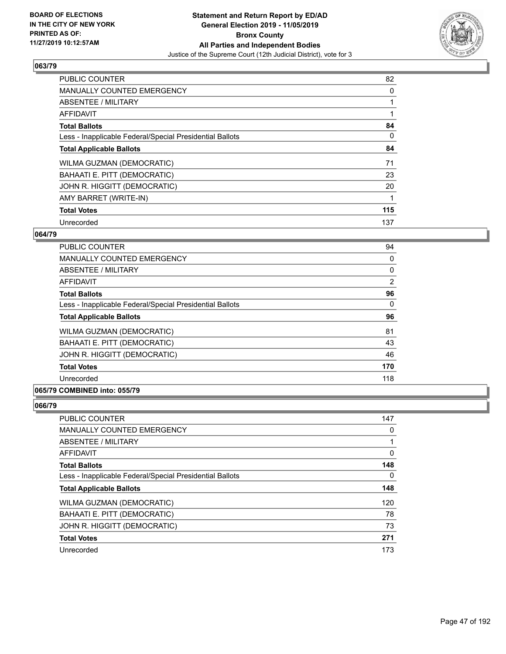

| <b>PUBLIC COUNTER</b>                                    | 82  |
|----------------------------------------------------------|-----|
| <b>MANUALLY COUNTED EMERGENCY</b>                        | 0   |
| ABSENTEE / MILITARY                                      |     |
| AFFIDAVIT                                                |     |
| <b>Total Ballots</b>                                     | 84  |
| Less - Inapplicable Federal/Special Presidential Ballots | 0   |
| <b>Total Applicable Ballots</b>                          | 84  |
| WILMA GUZMAN (DEMOCRATIC)                                | 71  |
| BAHAATI E. PITT (DEMOCRATIC)                             | 23  |
| JOHN R. HIGGITT (DEMOCRATIC)                             | 20  |
| AMY BARRET (WRITE-IN)                                    |     |
| <b>Total Votes</b>                                       | 115 |
| Unrecorded                                               | 137 |

### **064/79**

| <b>PUBLIC COUNTER</b>                                    | 94       |
|----------------------------------------------------------|----------|
| <b>MANUALLY COUNTED EMERGENCY</b>                        | 0        |
| ABSENTEE / MILITARY                                      | 0        |
| <b>AFFIDAVIT</b>                                         | 2        |
| <b>Total Ballots</b>                                     | 96       |
| Less - Inapplicable Federal/Special Presidential Ballots | $\Omega$ |
| <b>Total Applicable Ballots</b>                          | 96       |
| WILMA GUZMAN (DEMOCRATIC)                                | 81       |
| BAHAATI E. PITT (DEMOCRATIC)                             | 43       |
| JOHN R. HIGGITT (DEMOCRATIC)                             | 46       |
| <b>Total Votes</b>                                       | 170      |
| Unrecorded                                               | 118      |

## **065/79 COMBINED into: 055/79**

| <b>PUBLIC COUNTER</b>                                    | 147 |
|----------------------------------------------------------|-----|
| <b>MANUALLY COUNTED EMERGENCY</b>                        | 0   |
| ABSENTEE / MILITARY                                      |     |
| AFFIDAVIT                                                | 0   |
| <b>Total Ballots</b>                                     | 148 |
| Less - Inapplicable Federal/Special Presidential Ballots | 0   |
| <b>Total Applicable Ballots</b>                          | 148 |
| WILMA GUZMAN (DEMOCRATIC)                                | 120 |
| BAHAATI E. PITT (DEMOCRATIC)                             | 78  |
| JOHN R. HIGGITT (DEMOCRATIC)                             | 73  |
| <b>Total Votes</b>                                       | 271 |
| Unrecorded                                               | 173 |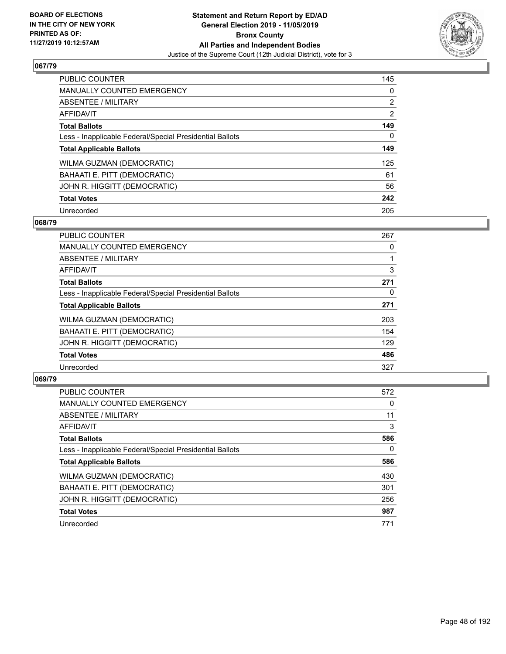

| <b>PUBLIC COUNTER</b>                                    | 145            |
|----------------------------------------------------------|----------------|
| <b>MANUALLY COUNTED EMERGENCY</b>                        | $\Omega$       |
| ABSENTEE / MILITARY                                      | $\overline{2}$ |
| <b>AFFIDAVIT</b>                                         | $\overline{2}$ |
| <b>Total Ballots</b>                                     | 149            |
| Less - Inapplicable Federal/Special Presidential Ballots | 0              |
| <b>Total Applicable Ballots</b>                          | 149            |
| WILMA GUZMAN (DEMOCRATIC)                                | 125            |
| BAHAATI E. PITT (DEMOCRATIC)                             | 61             |
| JOHN R. HIGGITT (DEMOCRATIC)                             | 56             |
| <b>Total Votes</b>                                       | 242            |
| Unrecorded                                               | 205            |

## **068/79**

| <b>PUBLIC COUNTER</b>                                    | 267 |
|----------------------------------------------------------|-----|
| <b>MANUALLY COUNTED EMERGENCY</b>                        | 0   |
| ABSENTEE / MILITARY                                      |     |
| <b>AFFIDAVIT</b>                                         | 3   |
| <b>Total Ballots</b>                                     | 271 |
| Less - Inapplicable Federal/Special Presidential Ballots | 0   |
| <b>Total Applicable Ballots</b>                          | 271 |
| WILMA GUZMAN (DEMOCRATIC)                                | 203 |
| BAHAATI E. PITT (DEMOCRATIC)                             | 154 |
| JOHN R. HIGGITT (DEMOCRATIC)                             | 129 |
| <b>Total Votes</b>                                       | 486 |
| Unrecorded                                               | 327 |

| <b>PUBLIC COUNTER</b>                                    | 572      |
|----------------------------------------------------------|----------|
| MANUALLY COUNTED EMERGENCY                               | 0        |
| ABSENTEE / MILITARY                                      | 11       |
| AFFIDAVIT                                                | 3        |
| <b>Total Ballots</b>                                     | 586      |
| Less - Inapplicable Federal/Special Presidential Ballots | $\Omega$ |
| <b>Total Applicable Ballots</b>                          | 586      |
| WILMA GUZMAN (DEMOCRATIC)                                | 430      |
| BAHAATI E. PITT (DEMOCRATIC)                             | 301      |
| JOHN R. HIGGITT (DEMOCRATIC)                             | 256      |
| <b>Total Votes</b>                                       | 987      |
| Unrecorded                                               | 771      |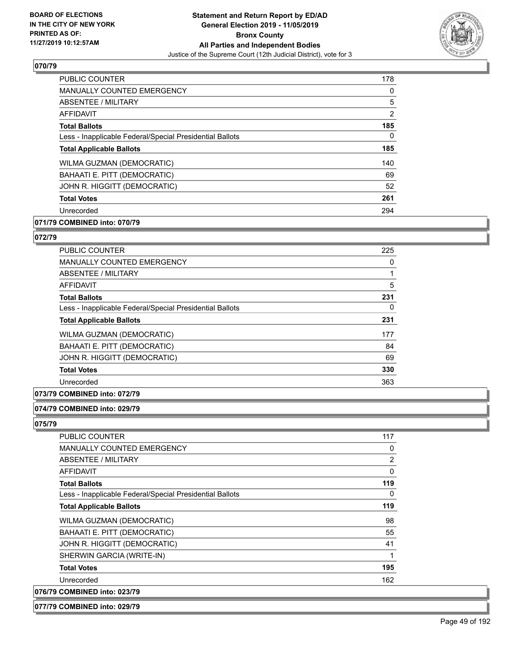

| <b>PUBLIC COUNTER</b>                                    | 178      |
|----------------------------------------------------------|----------|
| <b>MANUALLY COUNTED EMERGENCY</b>                        | $\Omega$ |
| ABSENTEE / MILITARY                                      | 5        |
| AFFIDAVIT                                                | 2        |
| <b>Total Ballots</b>                                     | 185      |
| Less - Inapplicable Federal/Special Presidential Ballots | $\Omega$ |
| <b>Total Applicable Ballots</b>                          | 185      |
| WILMA GUZMAN (DEMOCRATIC)                                | 140      |
| BAHAATI E. PITT (DEMOCRATIC)                             | 69       |
| JOHN R. HIGGITT (DEMOCRATIC)                             | 52       |
| <b>Total Votes</b>                                       | 261      |
| Unrecorded                                               | 294      |

# **071/79 COMBINED into: 070/79**

#### **072/79**

| <b>PUBLIC COUNTER</b>                                    | 225 |
|----------------------------------------------------------|-----|
| <b>MANUALLY COUNTED EMERGENCY</b>                        | 0   |
| ABSENTEE / MILITARY                                      |     |
| <b>AFFIDAVIT</b>                                         | 5   |
| <b>Total Ballots</b>                                     | 231 |
| Less - Inapplicable Federal/Special Presidential Ballots | 0   |
| <b>Total Applicable Ballots</b>                          | 231 |
| WILMA GUZMAN (DEMOCRATIC)                                | 177 |
| BAHAATI E. PITT (DEMOCRATIC)                             | 84  |
| JOHN R. HIGGITT (DEMOCRATIC)                             | 69  |
| <b>Total Votes</b>                                       | 330 |
| Unrecorded                                               | 363 |
|                                                          |     |

## **073/79 COMBINED into: 072/79**

#### **074/79 COMBINED into: 029/79**

**075/79** 

| <b>PUBLIC COUNTER</b>                                    | 117      |
|----------------------------------------------------------|----------|
| <b>MANUALLY COUNTED EMERGENCY</b>                        | 0        |
| ABSENTEE / MILITARY                                      | 2        |
| AFFIDAVIT                                                | $\Omega$ |
| <b>Total Ballots</b>                                     | 119      |
| Less - Inapplicable Federal/Special Presidential Ballots | 0        |
| <b>Total Applicable Ballots</b>                          | 119      |
| WILMA GUZMAN (DEMOCRATIC)                                | 98       |
| BAHAATI E. PITT (DEMOCRATIC)                             | 55       |
| JOHN R. HIGGITT (DEMOCRATIC)                             | 41       |
| SHERWIN GARCIA (WRITE-IN)                                | 1        |
| <b>Total Votes</b>                                       | 195      |
| Unrecorded                                               | 162      |
| 076/79 COMBINED into: 023/79                             |          |

#### **077/79 COMBINED into: 029/79**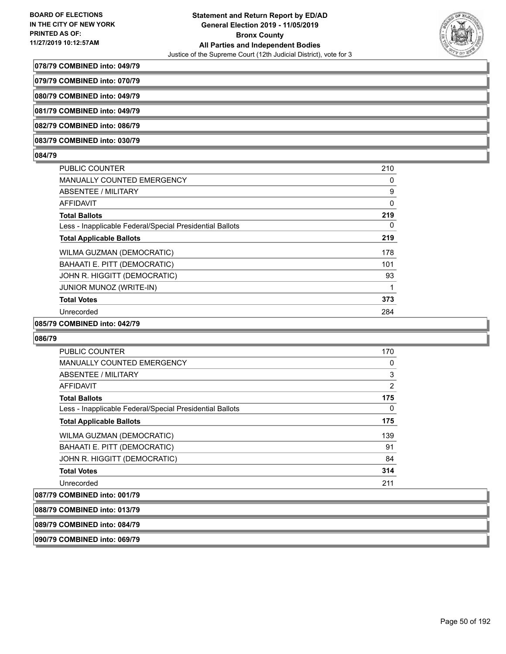

#### **078/79 COMBINED into: 049/79**

**079/79 COMBINED into: 070/79**

**080/79 COMBINED into: 049/79**

**081/79 COMBINED into: 049/79**

**082/79 COMBINED into: 086/79**

**083/79 COMBINED into: 030/79**

#### **084/79**

| <b>PUBLIC COUNTER</b>                                    | 210 |
|----------------------------------------------------------|-----|
| MANUALLY COUNTED EMERGENCY                               | 0   |
| ABSENTEE / MILITARY                                      | 9   |
| AFFIDAVIT                                                | 0   |
| <b>Total Ballots</b>                                     | 219 |
| Less - Inapplicable Federal/Special Presidential Ballots | 0   |
| <b>Total Applicable Ballots</b>                          | 219 |
| WILMA GUZMAN (DEMOCRATIC)                                | 178 |
| BAHAATI E. PITT (DEMOCRATIC)                             | 101 |
| JOHN R. HIGGITT (DEMOCRATIC)                             | 93  |
| JUNIOR MUNOZ (WRITE-IN)                                  |     |
| <b>Total Votes</b>                                       | 373 |
| Unrecorded                                               | 284 |

## **085/79 COMBINED into: 042/79**

#### **086/79**

| <b>PUBLIC COUNTER</b>                                    | 170 |
|----------------------------------------------------------|-----|
| <b>MANUALLY COUNTED EMERGENCY</b>                        | 0   |
| ABSENTEE / MILITARY                                      | 3   |
| <b>AFFIDAVIT</b>                                         | 2   |
| <b>Total Ballots</b>                                     | 175 |
| Less - Inapplicable Federal/Special Presidential Ballots | 0   |
| <b>Total Applicable Ballots</b>                          | 175 |
| WILMA GUZMAN (DEMOCRATIC)                                | 139 |
| BAHAATI E. PITT (DEMOCRATIC)                             | 91  |
| JOHN R. HIGGITT (DEMOCRATIC)                             | 84  |
| <b>Total Votes</b>                                       | 314 |
| Unrecorded                                               | 211 |
| 087/79 COMBINED into: 001/79                             |     |

**088/79 COMBINED into: 013/79**

**089/79 COMBINED into: 084/79**

**090/79 COMBINED into: 069/79**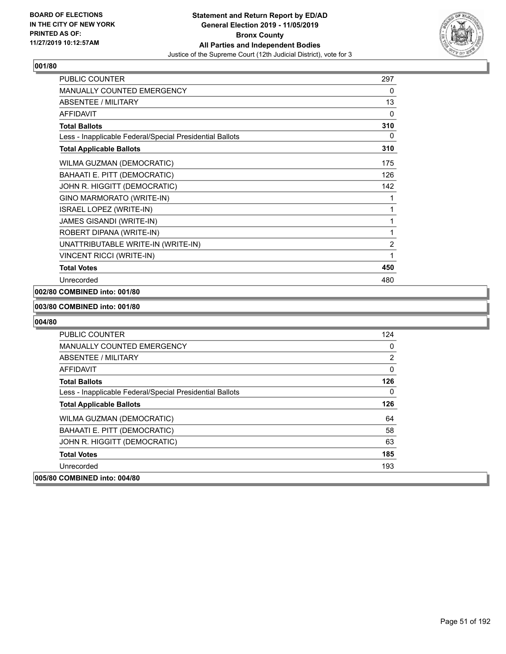

| <b>PUBLIC COUNTER</b>                                    | 297            |
|----------------------------------------------------------|----------------|
| <b>MANUALLY COUNTED EMERGENCY</b>                        | 0              |
| ABSENTEE / MILITARY                                      | 13             |
| <b>AFFIDAVIT</b>                                         | $\Omega$       |
| <b>Total Ballots</b>                                     | 310            |
| Less - Inapplicable Federal/Special Presidential Ballots | 0              |
| <b>Total Applicable Ballots</b>                          | 310            |
| WILMA GUZMAN (DEMOCRATIC)                                | 175            |
| BAHAATI E. PITT (DEMOCRATIC)                             | 126            |
| JOHN R. HIGGITT (DEMOCRATIC)                             | 142            |
| GINO MARMORATO (WRITE-IN)                                | 1              |
| <b>ISRAEL LOPEZ (WRITE-IN)</b>                           | 1              |
| <b>JAMES GISANDI (WRITE-IN)</b>                          | 1              |
| ROBERT DIPANA (WRITE-IN)                                 | 1              |
| UNATTRIBUTABLE WRITE-IN (WRITE-IN)                       | $\overline{2}$ |
| <b>VINCENT RICCI (WRITE-IN)</b>                          | 1              |
| <b>Total Votes</b>                                       | 450            |
| Unrecorded                                               | 480            |

# **002/80 COMBINED into: 001/80**

#### **003/80 COMBINED into: 001/80**

| <b>PUBLIC COUNTER</b>                                    | 124 |
|----------------------------------------------------------|-----|
| <b>MANUALLY COUNTED EMERGENCY</b>                        | 0   |
| ABSENTEE / MILITARY                                      | 2   |
| AFFIDAVIT                                                | 0   |
| <b>Total Ballots</b>                                     | 126 |
| Less - Inapplicable Federal/Special Presidential Ballots | 0   |
| <b>Total Applicable Ballots</b>                          | 126 |
| <b>WILMA GUZMAN (DEMOCRATIC)</b>                         | 64  |
| BAHAATI E. PITT (DEMOCRATIC)                             | 58  |
| JOHN R. HIGGITT (DEMOCRATIC)                             | 63  |
| <b>Total Votes</b>                                       | 185 |
| Unrecorded                                               | 193 |
| 005/80 COMBINED into: 004/80                             |     |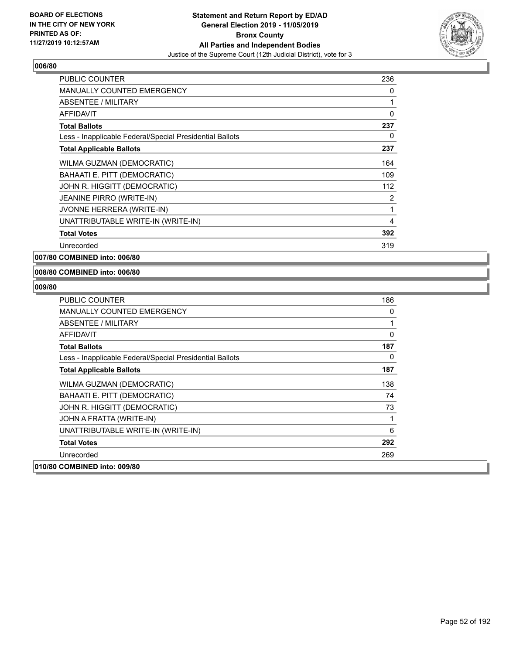

| <b>PUBLIC COUNTER</b>                                    | 236 |
|----------------------------------------------------------|-----|
| <b>MANUALLY COUNTED EMERGENCY</b>                        | 0   |
| <b>ABSENTEE / MILITARY</b>                               | 1   |
| <b>AFFIDAVIT</b>                                         | 0   |
| <b>Total Ballots</b>                                     | 237 |
| Less - Inapplicable Federal/Special Presidential Ballots | 0   |
| <b>Total Applicable Ballots</b>                          | 237 |
| WILMA GUZMAN (DEMOCRATIC)                                | 164 |
| BAHAATI E. PITT (DEMOCRATIC)                             | 109 |
| JOHN R. HIGGITT (DEMOCRATIC)                             | 112 |
| JEANINE PIRRO (WRITE-IN)                                 | 2   |
| <b>JVONNE HERRERA (WRITE-IN)</b>                         | 1   |
| UNATTRIBUTABLE WRITE-IN (WRITE-IN)                       | 4   |
| <b>Total Votes</b>                                       | 392 |
| Unrecorded                                               | 319 |

**007/80 COMBINED into: 006/80**

#### **008/80 COMBINED into: 006/80**

| <b>PUBLIC COUNTER</b>                                    | 186      |
|----------------------------------------------------------|----------|
| MANUALLY COUNTED EMERGENCY                               | 0        |
| ABSENTEE / MILITARY                                      | 1        |
| <b>AFFIDAVIT</b>                                         | $\Omega$ |
| <b>Total Ballots</b>                                     | 187      |
| Less - Inapplicable Federal/Special Presidential Ballots | 0        |
| <b>Total Applicable Ballots</b>                          | 187      |
| WILMA GUZMAN (DEMOCRATIC)                                | 138      |
| BAHAATI E. PITT (DEMOCRATIC)                             | 74       |
| JOHN R. HIGGITT (DEMOCRATIC)                             | 73       |
| JOHN A FRATTA (WRITE-IN)                                 | 1        |
| UNATTRIBUTABLE WRITE-IN (WRITE-IN)                       | 6        |
| <b>Total Votes</b>                                       | 292      |
| Unrecorded                                               | 269      |
| 010/80 COMBINED into: 009/80                             |          |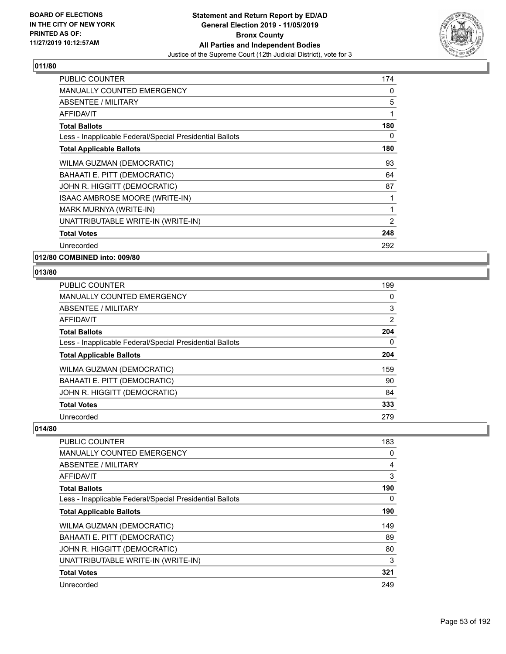

| <b>PUBLIC COUNTER</b>                                    | 174            |
|----------------------------------------------------------|----------------|
| <b>MANUALLY COUNTED EMERGENCY</b>                        | 0              |
| <b>ABSENTEE / MILITARY</b>                               | 5              |
| <b>AFFIDAVIT</b>                                         | 1              |
| <b>Total Ballots</b>                                     | 180            |
| Less - Inapplicable Federal/Special Presidential Ballots | 0              |
| <b>Total Applicable Ballots</b>                          | 180            |
| WILMA GUZMAN (DEMOCRATIC)                                | 93             |
| BAHAATI E. PITT (DEMOCRATIC)                             | 64             |
| JOHN R. HIGGITT (DEMOCRATIC)                             | 87             |
| ISAAC AMBROSE MOORE (WRITE-IN)                           |                |
| MARK MURNYA (WRITE-IN)                                   | 1              |
| UNATTRIBUTABLE WRITE-IN (WRITE-IN)                       | $\overline{2}$ |
| <b>Total Votes</b>                                       | 248            |
| Unrecorded                                               | 292            |

**012/80 COMBINED into: 009/80**

## **013/80**

| <b>PUBLIC COUNTER</b>                                    | 199 |
|----------------------------------------------------------|-----|
| <b>MANUALLY COUNTED EMERGENCY</b>                        | 0   |
| ABSENTEE / MILITARY                                      | 3   |
| AFFIDAVIT                                                | 2   |
| <b>Total Ballots</b>                                     | 204 |
| Less - Inapplicable Federal/Special Presidential Ballots | 0   |
| <b>Total Applicable Ballots</b>                          | 204 |
| WILMA GUZMAN (DEMOCRATIC)                                | 159 |
| BAHAATI E. PITT (DEMOCRATIC)                             | 90  |
| JOHN R. HIGGITT (DEMOCRATIC)                             | 84  |
| <b>Total Votes</b>                                       | 333 |
| Unrecorded                                               | 279 |

| <b>PUBLIC COUNTER</b>                                    | 183      |
|----------------------------------------------------------|----------|
| <b>MANUALLY COUNTED EMERGENCY</b>                        | 0        |
| ABSENTEE / MILITARY                                      | 4        |
| AFFIDAVIT                                                | 3        |
| <b>Total Ballots</b>                                     | 190      |
| Less - Inapplicable Federal/Special Presidential Ballots | $\Omega$ |
| <b>Total Applicable Ballots</b>                          | 190      |
| WILMA GUZMAN (DEMOCRATIC)                                | 149      |
| BAHAATI E. PITT (DEMOCRATIC)                             | 89       |
| JOHN R. HIGGITT (DEMOCRATIC)                             | 80       |
| UNATTRIBUTABLE WRITE-IN (WRITE-IN)                       | 3        |
| <b>Total Votes</b>                                       | 321      |
| Unrecorded                                               | 249      |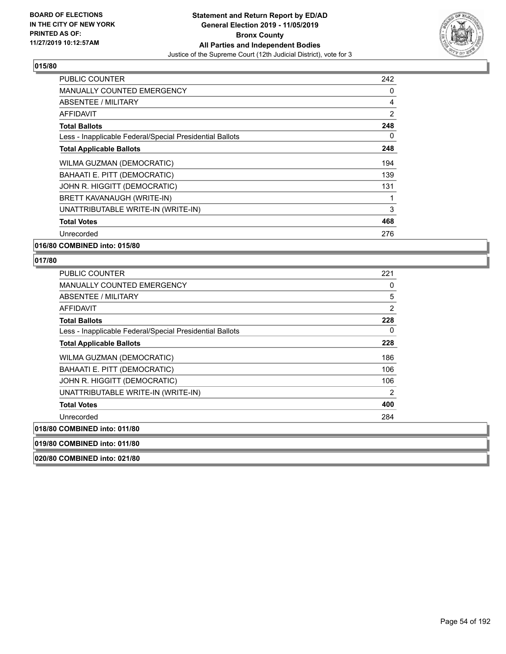

| <b>PUBLIC COUNTER</b>                                    | 242 |
|----------------------------------------------------------|-----|
| <b>MANUALLY COUNTED EMERGENCY</b>                        | 0   |
| ABSENTEE / MILITARY                                      | 4   |
| <b>AFFIDAVIT</b>                                         | 2   |
| <b>Total Ballots</b>                                     | 248 |
| Less - Inapplicable Federal/Special Presidential Ballots | 0   |
| <b>Total Applicable Ballots</b>                          | 248 |
| WILMA GUZMAN (DEMOCRATIC)                                | 194 |
| BAHAATI E. PITT (DEMOCRATIC)                             | 139 |
| JOHN R. HIGGITT (DEMOCRATIC)                             | 131 |
| BRETT KAVANAUGH (WRITE-IN)                               | 1   |
| UNATTRIBUTABLE WRITE-IN (WRITE-IN)                       | 3   |
| <b>Total Votes</b>                                       | 468 |
| Unrecorded                                               | 276 |
|                                                          |     |

**016/80 COMBINED into: 015/80**

#### **017/80**

| <b>PUBLIC COUNTER</b>                                    | 221            |
|----------------------------------------------------------|----------------|
| <b>MANUALLY COUNTED EMERGENCY</b>                        | 0              |
| ABSENTEE / MILITARY                                      | 5              |
| AFFIDAVIT                                                | $\overline{2}$ |
| <b>Total Ballots</b>                                     | 228            |
| Less - Inapplicable Federal/Special Presidential Ballots | 0              |
| <b>Total Applicable Ballots</b>                          | 228            |
| WILMA GUZMAN (DEMOCRATIC)                                | 186            |
| BAHAATI E. PITT (DEMOCRATIC)                             | 106            |
| JOHN R. HIGGITT (DEMOCRATIC)                             | 106            |
| UNATTRIBUTABLE WRITE-IN (WRITE-IN)                       | 2              |
| <b>Total Votes</b>                                       | 400            |
| Unrecorded                                               | 284            |
| 018/80 COMBINED into: 011/80                             |                |
|                                                          |                |

**019/80 COMBINED into: 011/80**

**020/80 COMBINED into: 021/80**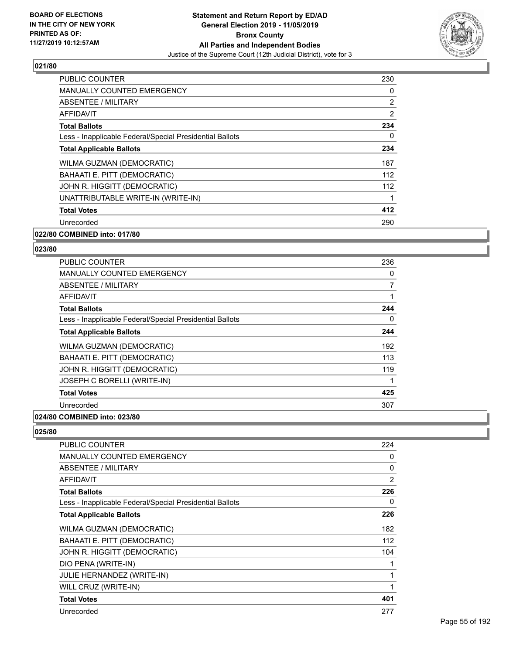

| <b>PUBLIC COUNTER</b>                                    | 230            |
|----------------------------------------------------------|----------------|
| <b>MANUALLY COUNTED EMERGENCY</b>                        | $\Omega$       |
| ABSENTEE / MILITARY                                      | $\overline{2}$ |
| AFFIDAVIT                                                | 2              |
| <b>Total Ballots</b>                                     | 234            |
| Less - Inapplicable Federal/Special Presidential Ballots | $\Omega$       |
| <b>Total Applicable Ballots</b>                          | 234            |
| WILMA GUZMAN (DEMOCRATIC)                                | 187            |
| BAHAATI E. PITT (DEMOCRATIC)                             | 112            |
| JOHN R. HIGGITT (DEMOCRATIC)                             | 112            |
| UNATTRIBUTABLE WRITE-IN (WRITE-IN)                       |                |
| <b>Total Votes</b>                                       | 412            |
| Unrecorded                                               | 290            |
| 022/80 COMBINED into: 017/80                             |                |

# **023/80**

| PUBLIC COUNTER                                           | 236            |
|----------------------------------------------------------|----------------|
| <b>MANUALLY COUNTED EMERGENCY</b>                        | 0              |
| ABSENTEE / MILITARY                                      | $\overline{7}$ |
| <b>AFFIDAVIT</b>                                         |                |
| <b>Total Ballots</b>                                     | 244            |
| Less - Inapplicable Federal/Special Presidential Ballots | 0              |
| <b>Total Applicable Ballots</b>                          | 244            |
| WILMA GUZMAN (DEMOCRATIC)                                | 192            |
| BAHAATI E. PITT (DEMOCRATIC)                             | 113            |
| JOHN R. HIGGITT (DEMOCRATIC)                             | 119            |
| JOSEPH C BORELLI (WRITE-IN)                              |                |
| <b>Total Votes</b>                                       | 425            |
| Unrecorded                                               | 307            |
|                                                          |                |

#### **024/80 COMBINED into: 023/80**

| <b>PUBLIC COUNTER</b>                                    | 224            |
|----------------------------------------------------------|----------------|
| <b>MANUALLY COUNTED EMERGENCY</b>                        | 0              |
| <b>ABSENTEE / MILITARY</b>                               | $\Omega$       |
| AFFIDAVIT                                                | $\overline{2}$ |
| <b>Total Ballots</b>                                     | 226            |
| Less - Inapplicable Federal/Special Presidential Ballots | 0              |
| <b>Total Applicable Ballots</b>                          | 226            |
| WILMA GUZMAN (DEMOCRATIC)                                | 182            |
| BAHAATI E. PITT (DEMOCRATIC)                             | 112            |
| JOHN R. HIGGITT (DEMOCRATIC)                             | 104            |
| DIO PENA (WRITE-IN)                                      |                |
| JULIE HERNANDEZ (WRITE-IN)                               |                |
| WILL CRUZ (WRITE-IN)                                     |                |
| <b>Total Votes</b>                                       | 401            |
| Unrecorded                                               | 277            |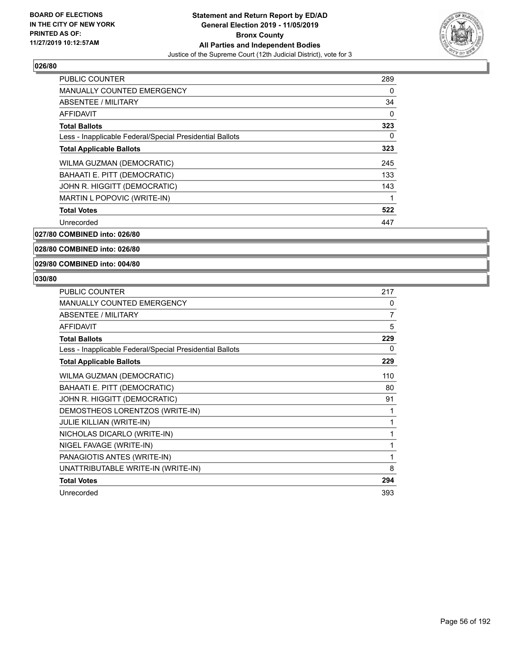

| <b>PUBLIC COUNTER</b>                                    | 289 |
|----------------------------------------------------------|-----|
| <b>MANUALLY COUNTED EMERGENCY</b>                        | 0   |
| ABSENTEE / MILITARY                                      | 34  |
| AFFIDAVIT                                                | 0   |
| <b>Total Ballots</b>                                     | 323 |
| Less - Inapplicable Federal/Special Presidential Ballots | 0   |
| <b>Total Applicable Ballots</b>                          | 323 |
| WILMA GUZMAN (DEMOCRATIC)                                | 245 |
| BAHAATI E. PITT (DEMOCRATIC)                             | 133 |
| JOHN R. HIGGITT (DEMOCRATIC)                             | 143 |
| MARTIN L POPOVIC (WRITE-IN)                              | 1   |
| <b>Total Votes</b>                                       | 522 |
| Unrecorded                                               | 447 |
|                                                          |     |

**027/80 COMBINED into: 026/80**

**028/80 COMBINED into: 026/80**

**029/80 COMBINED into: 004/80**

| <b>PUBLIC COUNTER</b>                                    | 217 |
|----------------------------------------------------------|-----|
| <b>MANUALLY COUNTED EMERGENCY</b>                        | 0   |
| <b>ABSENTEE / MILITARY</b>                               | 7   |
| <b>AFFIDAVIT</b>                                         | 5   |
| <b>Total Ballots</b>                                     | 229 |
| Less - Inapplicable Federal/Special Presidential Ballots | 0   |
| <b>Total Applicable Ballots</b>                          | 229 |
| WILMA GUZMAN (DEMOCRATIC)                                | 110 |
| BAHAATI E. PITT (DEMOCRATIC)                             | 80  |
| JOHN R. HIGGITT (DEMOCRATIC)                             | 91  |
| DEMOSTHEOS LORENTZOS (WRITE-IN)                          | 1   |
| <b>JULIE KILLIAN (WRITE-IN)</b>                          | 1   |
| NICHOLAS DICARLO (WRITE-IN)                              | 1   |
| NIGEL FAVAGE (WRITE-IN)                                  | 1   |
| PANAGIOTIS ANTES (WRITE-IN)                              | 1   |
| UNATTRIBUTABLE WRITE-IN (WRITE-IN)                       | 8   |
| <b>Total Votes</b>                                       | 294 |
| Unrecorded                                               | 393 |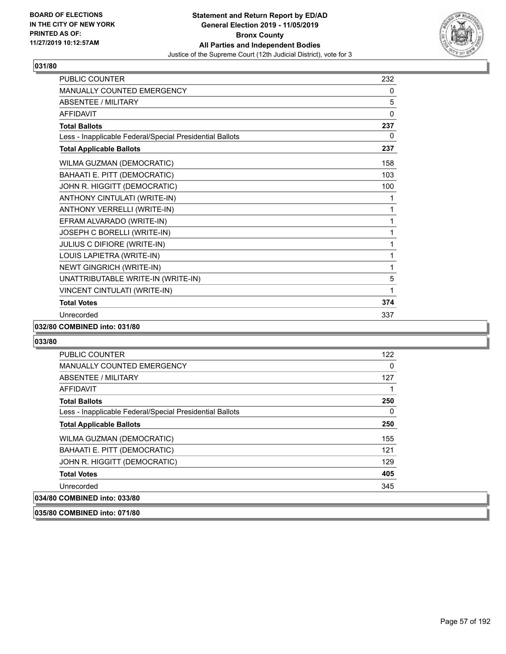

| <b>PUBLIC COUNTER</b>                                    | 232 |
|----------------------------------------------------------|-----|
| <b>MANUALLY COUNTED EMERGENCY</b>                        | 0   |
| <b>ABSENTEE / MILITARY</b>                               | 5   |
| <b>AFFIDAVIT</b>                                         | 0   |
| <b>Total Ballots</b>                                     | 237 |
| Less - Inapplicable Federal/Special Presidential Ballots | 0   |
| <b>Total Applicable Ballots</b>                          | 237 |
| WILMA GUZMAN (DEMOCRATIC)                                | 158 |
| BAHAATI E. PITT (DEMOCRATIC)                             | 103 |
| JOHN R. HIGGITT (DEMOCRATIC)                             | 100 |
| ANTHONY CINTULATI (WRITE-IN)                             | 1   |
| ANTHONY VERRELLI (WRITE-IN)                              | 1   |
| EFRAM ALVARADO (WRITE-IN)                                | 1   |
| JOSEPH C BORELLI (WRITE-IN)                              | 1   |
| JULIUS C DIFIORE (WRITE-IN)                              | 1   |
| LOUIS LAPIETRA (WRITE-IN)                                | 1   |
| NEWT GINGRICH (WRITE-IN)                                 | 1   |
| UNATTRIBUTABLE WRITE-IN (WRITE-IN)                       | 5   |
| VINCENT CINTULATI (WRITE-IN)                             | 1   |
| <b>Total Votes</b>                                       | 374 |
| Unrecorded                                               | 337 |

#### **032/80 COMBINED into: 031/80**

#### **033/80**

| <b>PUBLIC COUNTER</b>                                    | 122      |
|----------------------------------------------------------|----------|
| <b>MANUALLY COUNTED EMERGENCY</b>                        | $\Omega$ |
| <b>ABSENTEE / MILITARY</b>                               | 127      |
| AFFIDAVIT                                                |          |
| <b>Total Ballots</b>                                     | 250      |
| Less - Inapplicable Federal/Special Presidential Ballots | $\Omega$ |
| <b>Total Applicable Ballots</b>                          | 250      |
| <b>WILMA GUZMAN (DEMOCRATIC)</b>                         | 155      |
| BAHAATI E. PITT (DEMOCRATIC)                             | 121      |
| JOHN R. HIGGITT (DEMOCRATIC)                             | 129      |
| <b>Total Votes</b>                                       | 405      |
| Unrecorded                                               | 345      |
| 034/80 COMBINED into: 033/80                             |          |

## **035/80 COMBINED into: 071/80**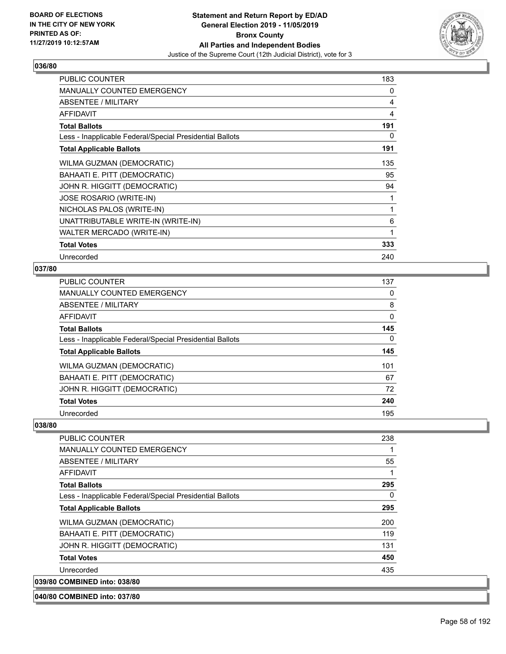

| <b>PUBLIC COUNTER</b>                                    | 183          |
|----------------------------------------------------------|--------------|
| <b>MANUALLY COUNTED EMERGENCY</b>                        | 0            |
| ABSENTEE / MILITARY                                      | 4            |
| <b>AFFIDAVIT</b>                                         | 4            |
| <b>Total Ballots</b>                                     | 191          |
| Less - Inapplicable Federal/Special Presidential Ballots | 0            |
| <b>Total Applicable Ballots</b>                          | 191          |
| WILMA GUZMAN (DEMOCRATIC)                                | 135          |
| BAHAATI E. PITT (DEMOCRATIC)                             | 95           |
| JOHN R. HIGGITT (DEMOCRATIC)                             | 94           |
| <b>JOSE ROSARIO (WRITE-IN)</b>                           |              |
| NICHOLAS PALOS (WRITE-IN)                                | $\mathbf{1}$ |
| UNATTRIBUTABLE WRITE-IN (WRITE-IN)                       | 6            |
| WALTER MERCADO (WRITE-IN)                                | 1            |
| <b>Total Votes</b>                                       | 333          |
| Unrecorded                                               | 240          |

## **037/80**

| <b>PUBLIC COUNTER</b>                                    | 137 |
|----------------------------------------------------------|-----|
| <b>MANUALLY COUNTED EMERGENCY</b>                        | 0   |
| ABSENTEE / MILITARY                                      | 8   |
| AFFIDAVIT                                                | 0   |
| <b>Total Ballots</b>                                     | 145 |
| Less - Inapplicable Federal/Special Presidential Ballots | 0   |
| <b>Total Applicable Ballots</b>                          | 145 |
| WILMA GUZMAN (DEMOCRATIC)                                | 101 |
| BAHAATI E. PITT (DEMOCRATIC)                             | 67  |
| JOHN R. HIGGITT (DEMOCRATIC)                             | 72  |
| <b>Total Votes</b>                                       | 240 |
| Unrecorded                                               | 195 |

| PUBLIC COUNTER                                           | 238      |
|----------------------------------------------------------|----------|
| <b>MANUALLY COUNTED EMERGENCY</b>                        |          |
| ABSENTEE / MILITARY                                      | 55       |
| <b>AFFIDAVIT</b>                                         | 1        |
| <b>Total Ballots</b>                                     | 295      |
| Less - Inapplicable Federal/Special Presidential Ballots | $\Omega$ |
| <b>Total Applicable Ballots</b>                          | 295      |
| <b>WILMA GUZMAN (DEMOCRATIC)</b>                         | 200      |
| BAHAATI E. PITT (DEMOCRATIC)                             | 119      |
| JOHN R. HIGGITT (DEMOCRATIC)                             | 131      |
| <b>Total Votes</b>                                       | 450      |
| Unrecorded                                               | 435      |
| 039/80 COMBINED into: 038/80                             |          |
| 040/80 COMBINED into: 037/80                             |          |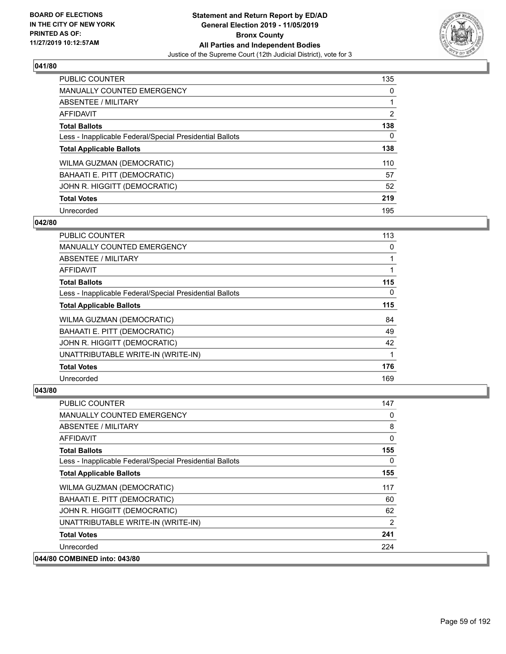

| <b>PUBLIC COUNTER</b>                                    | 135            |
|----------------------------------------------------------|----------------|
| <b>MANUALLY COUNTED EMERGENCY</b>                        | $\Omega$       |
| <b>ABSENTEE / MILITARY</b>                               |                |
| <b>AFFIDAVIT</b>                                         | $\overline{2}$ |
| <b>Total Ballots</b>                                     | 138            |
| Less - Inapplicable Federal/Special Presidential Ballots | 0              |
| <b>Total Applicable Ballots</b>                          | 138            |
| WILMA GUZMAN (DEMOCRATIC)                                | 110            |
| BAHAATI E. PITT (DEMOCRATIC)                             | 57             |
| JOHN R. HIGGITT (DEMOCRATIC)                             | 52             |
| <b>Total Votes</b>                                       | 219            |
| Unrecorded                                               | 195            |

#### **042/80**

| <b>PUBLIC COUNTER</b>                                    | 113      |
|----------------------------------------------------------|----------|
| <b>MANUALLY COUNTED EMERGENCY</b>                        | 0        |
| ABSENTEE / MILITARY                                      |          |
| AFFIDAVIT                                                |          |
| <b>Total Ballots</b>                                     | 115      |
| Less - Inapplicable Federal/Special Presidential Ballots | $\Omega$ |
| <b>Total Applicable Ballots</b>                          | 115      |
| WILMA GUZMAN (DEMOCRATIC)                                | 84       |
| BAHAATI E. PITT (DEMOCRATIC)                             | 49       |
| JOHN R. HIGGITT (DEMOCRATIC)                             | 42       |
| UNATTRIBUTABLE WRITE-IN (WRITE-IN)                       | 1        |
| <b>Total Votes</b>                                       | 176      |
| Unrecorded                                               | 169      |

| <b>PUBLIC COUNTER</b>                                    | 147      |
|----------------------------------------------------------|----------|
| <b>MANUALLY COUNTED EMERGENCY</b>                        | 0        |
| ABSENTEE / MILITARY                                      | 8        |
| <b>AFFIDAVIT</b>                                         | 0        |
| <b>Total Ballots</b>                                     | 155      |
| Less - Inapplicable Federal/Special Presidential Ballots | $\Omega$ |
| <b>Total Applicable Ballots</b>                          | 155      |
| WILMA GUZMAN (DEMOCRATIC)                                | 117      |
| <b>BAHAATI E. PITT (DEMOCRATIC)</b>                      | 60       |
| JOHN R. HIGGITT (DEMOCRATIC)                             | 62       |
| UNATTRIBUTABLE WRITE-IN (WRITE-IN)                       | 2        |
| <b>Total Votes</b>                                       | 241      |
| Unrecorded                                               | 224      |
| 044/80 COMBINED into: 043/80                             |          |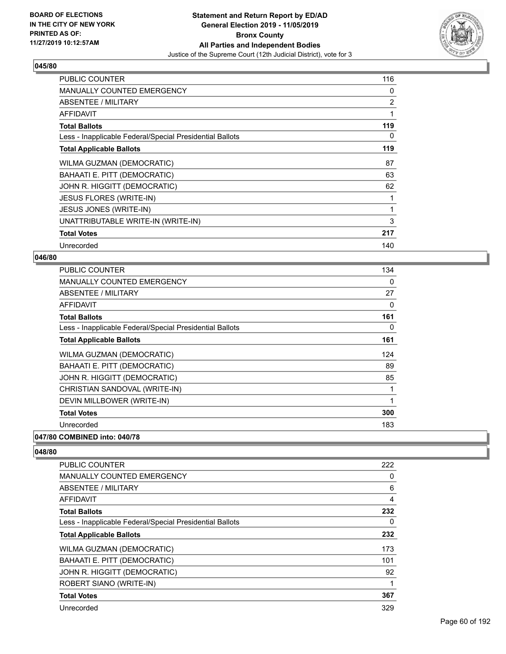

| <b>PUBLIC COUNTER</b>                                    | 116            |
|----------------------------------------------------------|----------------|
| <b>MANUALLY COUNTED EMERGENCY</b>                        | 0              |
| ABSENTEE / MILITARY                                      | $\overline{2}$ |
| AFFIDAVIT                                                | 1              |
| <b>Total Ballots</b>                                     | 119            |
| Less - Inapplicable Federal/Special Presidential Ballots | 0              |
| <b>Total Applicable Ballots</b>                          | 119            |
| WILMA GUZMAN (DEMOCRATIC)                                | 87             |
| BAHAATI E. PITT (DEMOCRATIC)                             | 63             |
| JOHN R. HIGGITT (DEMOCRATIC)                             | 62             |
| <b>JESUS FLORES (WRITE-IN)</b>                           | 1              |
| JESUS JONES (WRITE-IN)                                   | 1              |
| UNATTRIBUTABLE WRITE-IN (WRITE-IN)                       | 3              |
| <b>Total Votes</b>                                       | 217            |
| Unrecorded                                               | 140            |

### **046/80**

| <b>PUBLIC COUNTER</b>                                    | 134      |
|----------------------------------------------------------|----------|
| <b>MANUALLY COUNTED EMERGENCY</b>                        | $\Omega$ |
| ABSENTEE / MILITARY                                      | 27       |
| AFFIDAVIT                                                | 0        |
| <b>Total Ballots</b>                                     | 161      |
| Less - Inapplicable Federal/Special Presidential Ballots | 0        |
| <b>Total Applicable Ballots</b>                          | 161      |
| WILMA GUZMAN (DEMOCRATIC)                                | 124      |
| BAHAATI E. PITT (DEMOCRATIC)                             | 89       |
| JOHN R. HIGGITT (DEMOCRATIC)                             | 85       |
| CHRISTIAN SANDOVAL (WRITE-IN)                            | 1        |
| DEVIN MILLBOWER (WRITE-IN)                               | 1        |
| <b>Total Votes</b>                                       | 300      |
| Unrecorded                                               | 183      |
| A                                                        |          |

# **047/80 COMBINED into: 040/78**

| <b>PUBLIC COUNTER</b>                                    | 222      |
|----------------------------------------------------------|----------|
| <b>MANUALLY COUNTED EMERGENCY</b>                        | 0        |
| ABSENTEE / MILITARY                                      | 6        |
| AFFIDAVIT                                                | 4        |
| <b>Total Ballots</b>                                     | 232      |
| Less - Inapplicable Federal/Special Presidential Ballots | $\Omega$ |
| <b>Total Applicable Ballots</b>                          | 232      |
| WILMA GUZMAN (DEMOCRATIC)                                | 173      |
| BAHAATI E. PITT (DEMOCRATIC)                             | 101      |
| JOHN R. HIGGITT (DEMOCRATIC)                             | 92       |
| ROBERT SIANO (WRITE-IN)                                  | 1        |
| <b>Total Votes</b>                                       | 367      |
| Unrecorded                                               | 329      |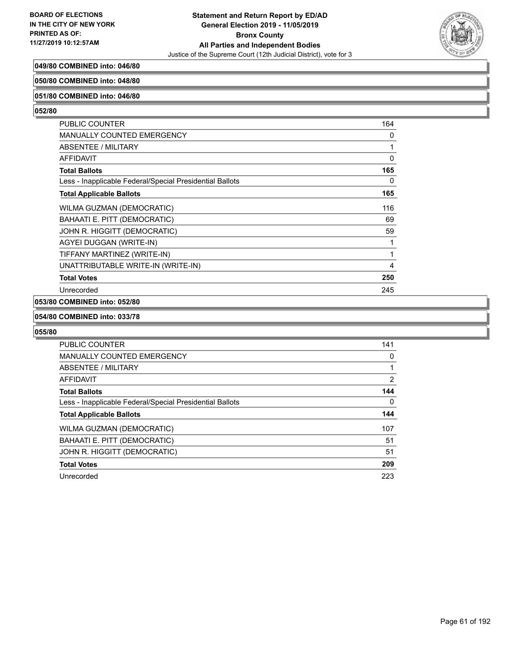

## **049/80 COMBINED into: 046/80**

#### **050/80 COMBINED into: 048/80**

#### **051/80 COMBINED into: 046/80**

#### **052/80**

| <b>PUBLIC COUNTER</b>                                    | 164 |
|----------------------------------------------------------|-----|
| <b>MANUALLY COUNTED EMERGENCY</b>                        | 0   |
| ABSENTEE / MILITARY                                      | 1   |
| <b>AFFIDAVIT</b>                                         | 0   |
| <b>Total Ballots</b>                                     | 165 |
| Less - Inapplicable Federal/Special Presidential Ballots | 0   |
| <b>Total Applicable Ballots</b>                          | 165 |
| WILMA GUZMAN (DEMOCRATIC)                                | 116 |
| BAHAATI E. PITT (DEMOCRATIC)                             | 69  |
| JOHN R. HIGGITT (DEMOCRATIC)                             | 59  |
| AGYEI DUGGAN (WRITE-IN)                                  | 1   |
| TIFFANY MARTINEZ (WRITE-IN)                              | 1   |
| UNATTRIBUTABLE WRITE-IN (WRITE-IN)                       | 4   |
| <b>Total Votes</b>                                       | 250 |
| Unrecorded                                               | 245 |

# **053/80 COMBINED into: 052/80**

#### **054/80 COMBINED into: 033/78**

| <b>PUBLIC COUNTER</b>                                    | 141            |
|----------------------------------------------------------|----------------|
| <b>MANUALLY COUNTED EMERGENCY</b>                        | 0              |
| ABSENTEE / MILITARY                                      |                |
| <b>AFFIDAVIT</b>                                         | $\overline{2}$ |
| <b>Total Ballots</b>                                     | 144            |
| Less - Inapplicable Federal/Special Presidential Ballots | $\Omega$       |
| <b>Total Applicable Ballots</b>                          | 144            |
| WILMA GUZMAN (DEMOCRATIC)                                | 107            |
| BAHAATI E. PITT (DEMOCRATIC)                             | 51             |
| JOHN R. HIGGITT (DEMOCRATIC)                             | 51             |
| <b>Total Votes</b>                                       | 209            |
| Unrecorded                                               | 223            |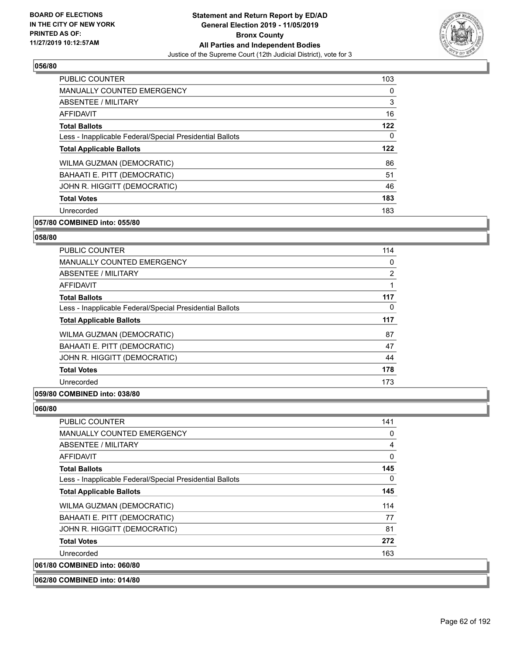

| <b>PUBLIC COUNTER</b>                                    | 103      |
|----------------------------------------------------------|----------|
| <b>MANUALLY COUNTED EMERGENCY</b>                        | 0        |
| <b>ABSENTEE / MILITARY</b>                               | 3        |
| <b>AFFIDAVIT</b>                                         | 16       |
| <b>Total Ballots</b>                                     | 122      |
| Less - Inapplicable Federal/Special Presidential Ballots | $\Omega$ |
| <b>Total Applicable Ballots</b>                          | 122      |
| WILMA GUZMAN (DEMOCRATIC)                                | 86       |
| BAHAATI E. PITT (DEMOCRATIC)                             | 51       |
| JOHN R. HIGGITT (DEMOCRATIC)                             | 46       |
| <b>Total Votes</b>                                       | 183      |
| Unrecorded                                               | 183      |

## **057/80 COMBINED into: 055/80**

## **058/80**

| <b>PUBLIC COUNTER</b>                                    | 114            |
|----------------------------------------------------------|----------------|
| <b>MANUALLY COUNTED EMERGENCY</b>                        | 0              |
| ABSENTEE / MILITARY                                      | $\overline{2}$ |
| <b>AFFIDAVIT</b>                                         |                |
| <b>Total Ballots</b>                                     | 117            |
| Less - Inapplicable Federal/Special Presidential Ballots | 0              |
| <b>Total Applicable Ballots</b>                          | 117            |
| WILMA GUZMAN (DEMOCRATIC)                                | 87             |
| BAHAATI E. PITT (DEMOCRATIC)                             | 47             |
| JOHN R. HIGGITT (DEMOCRATIC)                             | 44             |
| <b>Total Votes</b>                                       | 178            |
| Unrecorded                                               | 173            |
|                                                          |                |

#### **059/80 COMBINED into: 038/80**

| <b>PUBLIC COUNTER</b>                                    | 141            |
|----------------------------------------------------------|----------------|
| <b>MANUALLY COUNTED EMERGENCY</b>                        | 0              |
| <b>ABSENTEE / MILITARY</b>                               | $\overline{4}$ |
| <b>AFFIDAVIT</b>                                         | 0              |
| <b>Total Ballots</b>                                     | 145            |
| Less - Inapplicable Federal/Special Presidential Ballots | 0              |
| <b>Total Applicable Ballots</b>                          | 145            |
| WILMA GUZMAN (DEMOCRATIC)                                | 114            |
| BAHAATI E. PITT (DEMOCRATIC)                             | 77             |
| JOHN R. HIGGITT (DEMOCRATIC)                             | 81             |
| <b>Total Votes</b>                                       | 272            |
| Unrecorded                                               | 163            |
| 061/80 COMBINED into: 060/80                             |                |
| 062/80 COMBINED into: 014/80                             |                |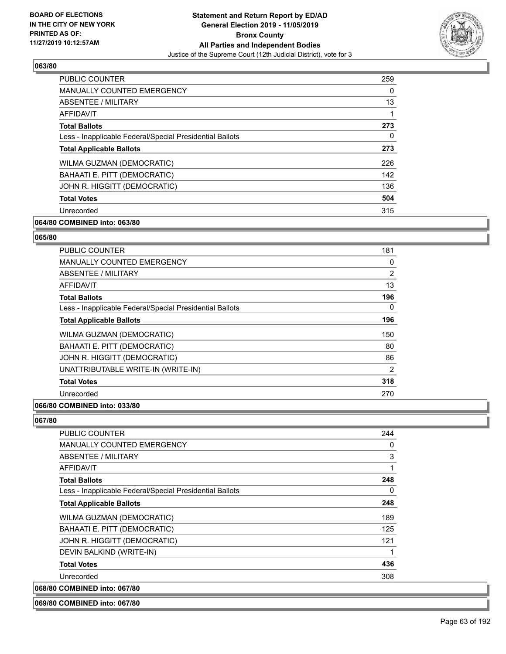

| <b>PUBLIC COUNTER</b>                                    | 259      |
|----------------------------------------------------------|----------|
| <b>MANUALLY COUNTED EMERGENCY</b>                        | $\Omega$ |
| ABSENTEE / MILITARY                                      | 13       |
| AFFIDAVIT                                                |          |
| <b>Total Ballots</b>                                     | 273      |
| Less - Inapplicable Federal/Special Presidential Ballots | 0        |
| <b>Total Applicable Ballots</b>                          | 273      |
| WILMA GUZMAN (DEMOCRATIC)                                | 226      |
| BAHAATI E. PITT (DEMOCRATIC)                             | 142      |
| JOHN R. HIGGITT (DEMOCRATIC)                             | 136      |
| <b>Total Votes</b>                                       | 504      |
| Unrecorded                                               | 315      |

## **064/80 COMBINED into: 063/80**

#### **065/80**

| <b>PUBLIC COUNTER</b>                                    | 181 |
|----------------------------------------------------------|-----|
| <b>MANUALLY COUNTED EMERGENCY</b>                        | 0   |
| ABSENTEE / MILITARY                                      | 2   |
| AFFIDAVIT                                                | 13  |
| <b>Total Ballots</b>                                     | 196 |
| Less - Inapplicable Federal/Special Presidential Ballots | 0   |
| <b>Total Applicable Ballots</b>                          | 196 |
| <b>WILMA GUZMAN (DEMOCRATIC)</b>                         | 150 |
| BAHAATI E. PITT (DEMOCRATIC)                             | 80  |
| JOHN R. HIGGITT (DEMOCRATIC)                             | 86  |
| UNATTRIBUTABLE WRITE-IN (WRITE-IN)                       | 2   |
| <b>Total Votes</b>                                       | 318 |
| Unrecorded                                               | 270 |
| $- - - - -$                                              |     |

# **066/80 COMBINED into: 033/80**

**067/80** 

| <b>PUBLIC COUNTER</b>                                    | 244      |
|----------------------------------------------------------|----------|
| MANUALLY COUNTED EMERGENCY                               | 0        |
| <b>ABSENTEE / MILITARY</b>                               | 3        |
| AFFIDAVIT                                                |          |
| <b>Total Ballots</b>                                     | 248      |
| Less - Inapplicable Federal/Special Presidential Ballots | $\Omega$ |
| <b>Total Applicable Ballots</b>                          | 248      |
| WILMA GUZMAN (DEMOCRATIC)                                | 189      |
| BAHAATI E. PITT (DEMOCRATIC)                             | 125      |
| JOHN R. HIGGITT (DEMOCRATIC)                             | 121      |
| DEVIN BALKIND (WRITE-IN)                                 |          |
| <b>Total Votes</b>                                       | 436      |
| Unrecorded                                               | 308      |
| 068/80 COMBINED into: 067/80                             |          |

#### **069/80 COMBINED into: 067/80**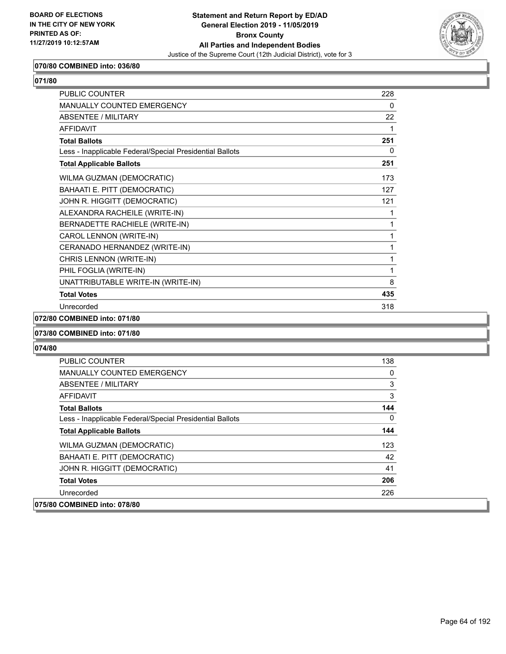

## **070/80 COMBINED into: 036/80**

| <b>PUBLIC COUNTER</b>                                    | 228 |
|----------------------------------------------------------|-----|
| <b>MANUALLY COUNTED EMERGENCY</b>                        | 0   |
| <b>ABSENTEE / MILITARY</b>                               | 22  |
| <b>AFFIDAVIT</b>                                         | 1   |
| <b>Total Ballots</b>                                     | 251 |
| Less - Inapplicable Federal/Special Presidential Ballots | 0   |
| <b>Total Applicable Ballots</b>                          | 251 |
| WILMA GUZMAN (DEMOCRATIC)                                | 173 |
| BAHAATI E. PITT (DEMOCRATIC)                             | 127 |
| JOHN R. HIGGITT (DEMOCRATIC)                             | 121 |
| ALEXANDRA RACHEILE (WRITE-IN)                            | 1   |
| BERNADETTE RACHIELE (WRITE-IN)                           | 1   |
| CAROL LENNON (WRITE-IN)                                  | 1   |
| CERANADO HERNANDEZ (WRITE-IN)                            | 1   |
| CHRIS LENNON (WRITE-IN)                                  | 1   |
| PHIL FOGLIA (WRITE-IN)                                   | 1   |
| UNATTRIBUTABLE WRITE-IN (WRITE-IN)                       | 8   |
| <b>Total Votes</b>                                       | 435 |
| Unrecorded                                               | 318 |
|                                                          |     |

## **072/80 COMBINED into: 071/80**

#### **073/80 COMBINED into: 071/80**

| <b>PUBLIC COUNTER</b>                                    | 138          |
|----------------------------------------------------------|--------------|
| MANUALLY COUNTED EMERGENCY                               | 0            |
| ABSENTEE / MILITARY                                      | 3            |
| <b>AFFIDAVIT</b>                                         | 3            |
| <b>Total Ballots</b>                                     | 144          |
| Less - Inapplicable Federal/Special Presidential Ballots | $\mathbf{0}$ |
| <b>Total Applicable Ballots</b>                          | 144          |
| <b>WILMA GUZMAN (DEMOCRATIC)</b>                         | 123          |
| BAHAATI E. PITT (DEMOCRATIC)                             | 42           |
| JOHN R. HIGGITT (DEMOCRATIC)                             | 41           |
| <b>Total Votes</b>                                       | 206          |
| Unrecorded                                               | 226          |
| 075/80 COMBINED into: 078/80                             |              |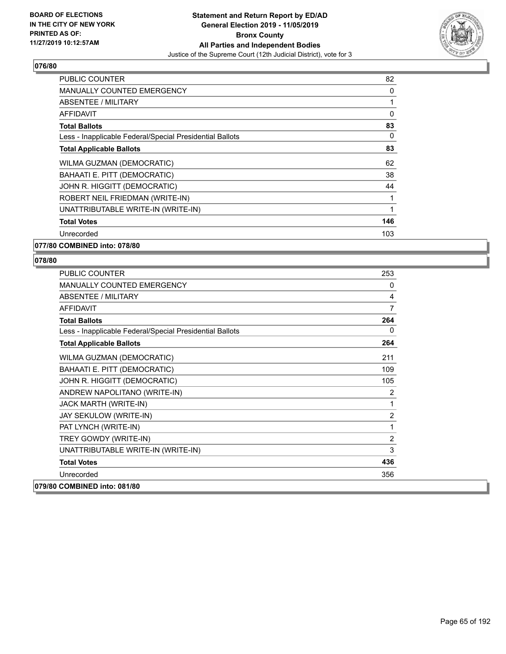

| <b>PUBLIC COUNTER</b>                                    | 82       |
|----------------------------------------------------------|----------|
| <b>MANUALLY COUNTED EMERGENCY</b>                        | 0        |
| ABSENTEE / MILITARY                                      | 1        |
| AFFIDAVIT                                                | 0        |
| <b>Total Ballots</b>                                     | 83       |
| Less - Inapplicable Federal/Special Presidential Ballots | $\Omega$ |
| <b>Total Applicable Ballots</b>                          | 83       |
| WILMA GUZMAN (DEMOCRATIC)                                | 62       |
| BAHAATI E. PITT (DEMOCRATIC)                             | 38       |
| JOHN R. HIGGITT (DEMOCRATIC)                             | 44       |
| ROBERT NEIL FRIEDMAN (WRITE-IN)                          |          |
| UNATTRIBUTABLE WRITE-IN (WRITE-IN)                       | 1        |
| <b>Total Votes</b>                                       | 146      |
| Unrecorded                                               | 103      |
| 077/80 COMBINED into: 078/80                             |          |

| <b>PUBLIC COUNTER</b>                                    | 253            |
|----------------------------------------------------------|----------------|
| <b>MANUALLY COUNTED EMERGENCY</b>                        | $\mathbf{0}$   |
| <b>ABSENTEE / MILITARY</b>                               | 4              |
| <b>AFFIDAVIT</b>                                         | $\overline{7}$ |
| <b>Total Ballots</b>                                     | 264            |
| Less - Inapplicable Federal/Special Presidential Ballots | $\mathbf{0}$   |
| <b>Total Applicable Ballots</b>                          | 264            |
| WILMA GUZMAN (DEMOCRATIC)                                | 211            |
| BAHAATI E. PITT (DEMOCRATIC)                             | 109            |
| JOHN R. HIGGITT (DEMOCRATIC)                             | 105            |
| ANDREW NAPOLITANO (WRITE-IN)                             | 2              |
| JACK MARTH (WRITE-IN)                                    | 1              |
| JAY SEKULOW (WRITE-IN)                                   | $\overline{2}$ |
| PAT LYNCH (WRITE-IN)                                     | 1              |
| TREY GOWDY (WRITE-IN)                                    | $\overline{2}$ |
| UNATTRIBUTABLE WRITE-IN (WRITE-IN)                       | 3              |
| <b>Total Votes</b>                                       | 436            |
| Unrecorded                                               | 356            |
| 079/80 COMBINED into: 081/80                             |                |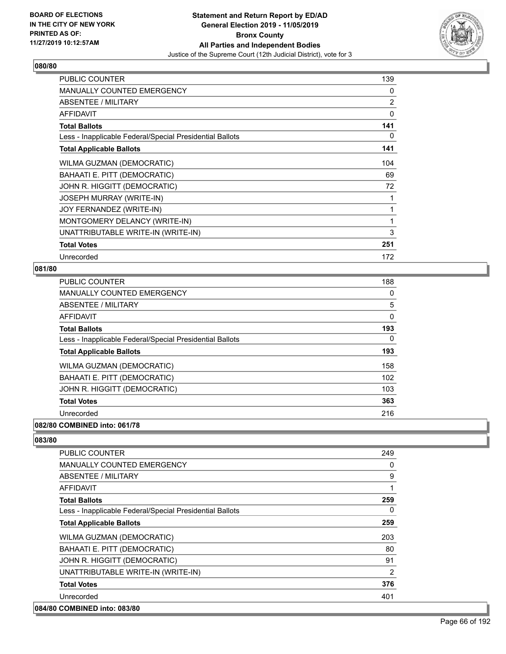

| PUBLIC COUNTER                                           | 139            |
|----------------------------------------------------------|----------------|
| MANUALLY COUNTED EMERGENCY                               | 0              |
| ABSENTEE / MILITARY                                      | $\overline{2}$ |
| AFFIDAVIT                                                | 0              |
| <b>Total Ballots</b>                                     | 141            |
| Less - Inapplicable Federal/Special Presidential Ballots | 0              |
| <b>Total Applicable Ballots</b>                          | 141            |
| WILMA GUZMAN (DEMOCRATIC)                                | 104            |
| BAHAATI E. PITT (DEMOCRATIC)                             | 69             |
| JOHN R. HIGGITT (DEMOCRATIC)                             | 72             |
| <b>JOSEPH MURRAY (WRITE-IN)</b>                          | 1              |
| JOY FERNANDEZ (WRITE-IN)                                 | 1              |
| MONTGOMERY DELANCY (WRITE-IN)                            | 1              |
| UNATTRIBUTABLE WRITE-IN (WRITE-IN)                       | 3              |
| <b>Total Votes</b>                                       | 251            |
| Unrecorded                                               | 172            |

## **081/80**

| <b>PUBLIC COUNTER</b>                                    | 188      |
|----------------------------------------------------------|----------|
| <b>MANUALLY COUNTED EMERGENCY</b>                        | 0        |
| ABSENTEE / MILITARY                                      | 5        |
| AFFIDAVIT                                                | 0        |
| <b>Total Ballots</b>                                     | 193      |
| Less - Inapplicable Federal/Special Presidential Ballots | $\Omega$ |
| <b>Total Applicable Ballots</b>                          | 193      |
| <b>WILMA GUZMAN (DEMOCRATIC)</b>                         | 158      |
| BAHAATI E. PITT (DEMOCRATIC)                             | 102      |
| JOHN R. HIGGITT (DEMOCRATIC)                             | 103      |
| <b>Total Votes</b>                                       | 363      |
| Unrecorded                                               | 216      |
| 082/80 COMBINED into: 061/78                             |          |

| <b>PUBLIC COUNTER</b>                                    | 249 |
|----------------------------------------------------------|-----|
| <b>MANUALLY COUNTED EMERGENCY</b>                        | 0   |
| ABSENTEE / MILITARY                                      | 9   |
| <b>AFFIDAVIT</b>                                         | 1   |
| <b>Total Ballots</b>                                     | 259 |
| Less - Inapplicable Federal/Special Presidential Ballots | 0   |
| <b>Total Applicable Ballots</b>                          | 259 |
| WILMA GUZMAN (DEMOCRATIC)                                | 203 |
| BAHAATI E. PITT (DEMOCRATIC)                             | 80  |
| JOHN R. HIGGITT (DEMOCRATIC)                             | 91  |
| UNATTRIBUTABLE WRITE-IN (WRITE-IN)                       | 2   |
| <b>Total Votes</b>                                       | 376 |
| Unrecorded                                               | 401 |
| 084/80 COMBINED into: 083/80                             |     |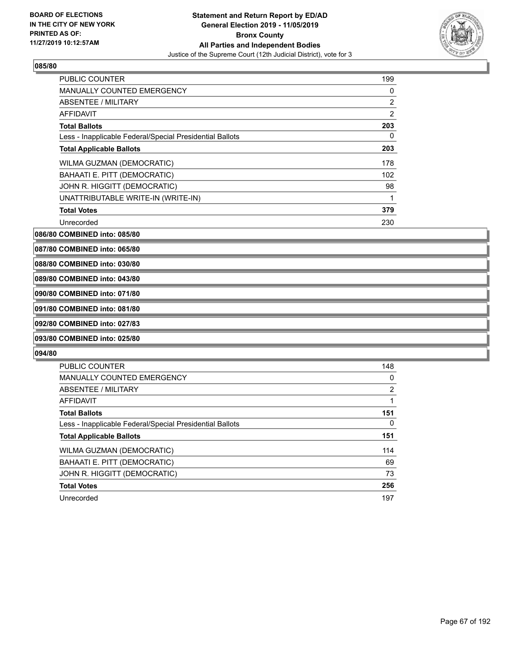

| <b>PUBLIC COUNTER</b>                                    | 199            |
|----------------------------------------------------------|----------------|
| <b>MANUALLY COUNTED EMERGENCY</b>                        | 0              |
| ABSENTEE / MILITARY                                      | 2              |
| <b>AFFIDAVIT</b>                                         | $\overline{2}$ |
| <b>Total Ballots</b>                                     | 203            |
| Less - Inapplicable Federal/Special Presidential Ballots | 0              |
| <b>Total Applicable Ballots</b>                          | 203            |
| WILMA GUZMAN (DEMOCRATIC)                                | 178            |
| BAHAATI E. PITT (DEMOCRATIC)                             | 102            |
| JOHN R. HIGGITT (DEMOCRATIC)                             | 98             |
| UNATTRIBUTABLE WRITE-IN (WRITE-IN)                       | 1              |
| <b>Total Votes</b>                                       | 379            |
| Unrecorded                                               | 230            |

**086/80 COMBINED into: 085/80**

**087/80 COMBINED into: 065/80**

**088/80 COMBINED into: 030/80**

# **089/80 COMBINED into: 043/80**

**090/80 COMBINED into: 071/80**

#### **091/80 COMBINED into: 081/80**

**092/80 COMBINED into: 027/83**

## **093/80 COMBINED into: 025/80**

| PUBLIC COUNTER                                           | 148 |
|----------------------------------------------------------|-----|
| <b>MANUALLY COUNTED EMERGENCY</b>                        | 0   |
| ABSENTEE / MILITARY                                      | 2   |
| AFFIDAVIT                                                |     |
| <b>Total Ballots</b>                                     | 151 |
| Less - Inapplicable Federal/Special Presidential Ballots | 0   |
| <b>Total Applicable Ballots</b>                          | 151 |
| WILMA GUZMAN (DEMOCRATIC)                                | 114 |
| BAHAATI E. PITT (DEMOCRATIC)                             | 69  |
| JOHN R. HIGGITT (DEMOCRATIC)                             | 73  |
|                                                          |     |
| <b>Total Votes</b>                                       | 256 |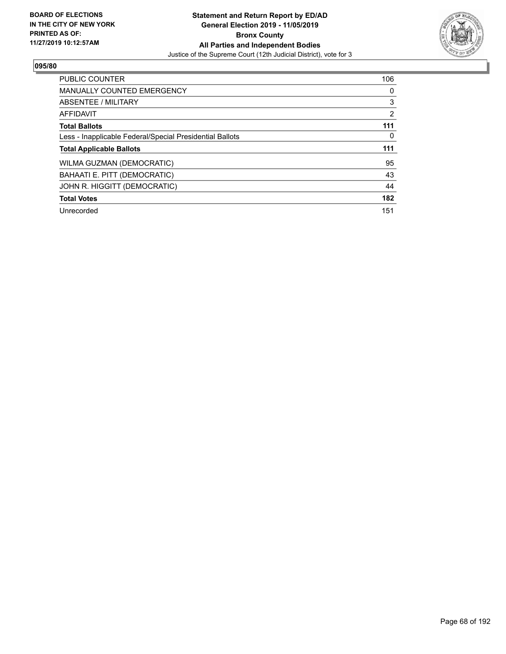

| <b>PUBLIC COUNTER</b>                                    | 106 |
|----------------------------------------------------------|-----|
| <b>MANUALLY COUNTED EMERGENCY</b>                        | 0   |
| ABSENTEE / MILITARY                                      | 3   |
| AFFIDAVIT                                                | 2   |
| <b>Total Ballots</b>                                     | 111 |
| Less - Inapplicable Federal/Special Presidential Ballots | 0   |
| <b>Total Applicable Ballots</b>                          | 111 |
|                                                          |     |
| WILMA GUZMAN (DEMOCRATIC)                                | 95  |
| BAHAATI E. PITT (DEMOCRATIC)                             | 43  |
| JOHN R. HIGGITT (DEMOCRATIC)                             | 44  |
| <b>Total Votes</b>                                       | 182 |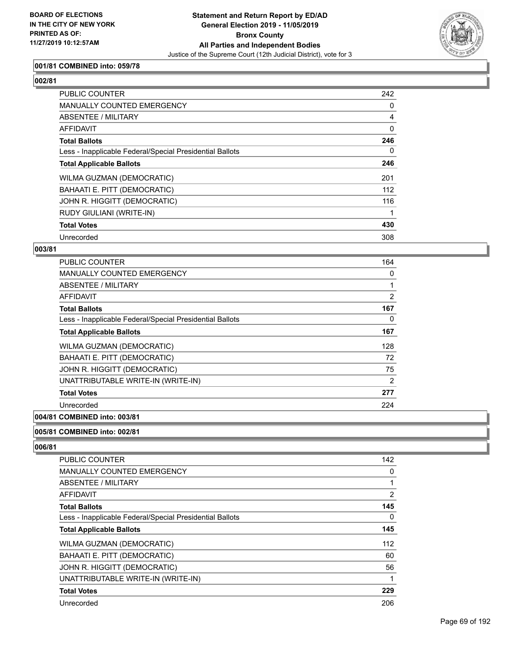

## **001/81 COMBINED into: 059/78**

# **002/81**

| PUBLIC COUNTER                                           | 242      |
|----------------------------------------------------------|----------|
| <b>MANUALLY COUNTED EMERGENCY</b>                        | 0        |
| ABSENTEE / MILITARY                                      | 4        |
| AFFIDAVIT                                                | 0        |
| <b>Total Ballots</b>                                     | 246      |
| Less - Inapplicable Federal/Special Presidential Ballots | $\Omega$ |
| <b>Total Applicable Ballots</b>                          | 246      |
| WILMA GUZMAN (DEMOCRATIC)                                | 201      |
| BAHAATI E. PITT (DEMOCRATIC)                             | 112      |
| JOHN R. HIGGITT (DEMOCRATIC)                             | 116      |
| RUDY GIULIANI (WRITE-IN)                                 |          |
| <b>Total Votes</b>                                       | 430      |
| Unrecorded                                               | 308      |

#### **003/81**

| <b>PUBLIC COUNTER</b>                                    | 164 |
|----------------------------------------------------------|-----|
| <b>MANUALLY COUNTED EMERGENCY</b>                        | 0   |
| ABSENTEE / MILITARY                                      |     |
| AFFIDAVIT                                                | 2   |
| <b>Total Ballots</b>                                     | 167 |
| Less - Inapplicable Federal/Special Presidential Ballots | 0   |
| <b>Total Applicable Ballots</b>                          | 167 |
| WILMA GUZMAN (DEMOCRATIC)                                | 128 |
| BAHAATI E. PITT (DEMOCRATIC)                             | 72  |
| JOHN R. HIGGITT (DEMOCRATIC)                             | 75  |
| UNATTRIBUTABLE WRITE-IN (WRITE-IN)                       | 2   |
| <b>Total Votes</b>                                       | 277 |
| Unrecorded                                               | 224 |
|                                                          |     |

# **004/81 COMBINED into: 003/81**

## **005/81 COMBINED into: 002/81**

| <b>PUBLIC COUNTER</b>                                    | 142 |
|----------------------------------------------------------|-----|
| <b>MANUALLY COUNTED EMERGENCY</b>                        | 0   |
| ABSENTEE / MILITARY                                      |     |
| AFFIDAVIT                                                | 2   |
| <b>Total Ballots</b>                                     | 145 |
| Less - Inapplicable Federal/Special Presidential Ballots | 0   |
| <b>Total Applicable Ballots</b>                          | 145 |
| WILMA GUZMAN (DEMOCRATIC)                                | 112 |
| BAHAATI E. PITT (DEMOCRATIC)                             | 60  |
| JOHN R. HIGGITT (DEMOCRATIC)                             | 56  |
| UNATTRIBUTABLE WRITE-IN (WRITE-IN)                       |     |
| <b>Total Votes</b>                                       | 229 |
| Unrecorded                                               | 206 |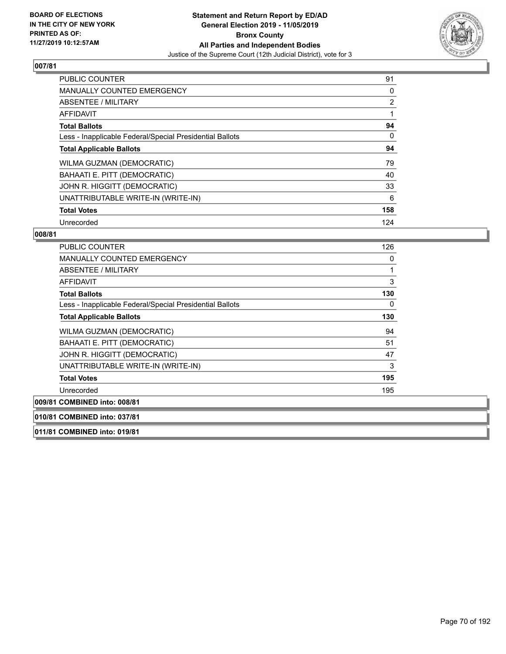

| <b>PUBLIC COUNTER</b>                                    | 91  |
|----------------------------------------------------------|-----|
| <b>MANUALLY COUNTED EMERGENCY</b>                        | 0   |
| ABSENTEE / MILITARY                                      | 2   |
| <b>AFFIDAVIT</b>                                         |     |
| <b>Total Ballots</b>                                     | 94  |
| Less - Inapplicable Federal/Special Presidential Ballots | 0   |
| <b>Total Applicable Ballots</b>                          | 94  |
| WILMA GUZMAN (DEMOCRATIC)                                | 79  |
| BAHAATI E. PITT (DEMOCRATIC)                             | 40  |
| JOHN R. HIGGITT (DEMOCRATIC)                             | 33  |
| UNATTRIBUTABLE WRITE-IN (WRITE-IN)                       | 6   |
| <b>Total Votes</b>                                       | 158 |
| Unrecorded                                               | 124 |

### **008/81**

| <b>PUBLIC COUNTER</b>                                    | 126 |
|----------------------------------------------------------|-----|
| <b>MANUALLY COUNTED EMERGENCY</b>                        | 0   |
| ABSENTEE / MILITARY                                      | 1   |
| AFFIDAVIT                                                | 3   |
| <b>Total Ballots</b>                                     | 130 |
| Less - Inapplicable Federal/Special Presidential Ballots | 0   |
| <b>Total Applicable Ballots</b>                          | 130 |
| WILMA GUZMAN (DEMOCRATIC)                                | 94  |
| BAHAATI E. PITT (DEMOCRATIC)                             | 51  |
| JOHN R. HIGGITT (DEMOCRATIC)                             | 47  |
| UNATTRIBUTABLE WRITE-IN (WRITE-IN)                       | 3   |
| <b>Total Votes</b>                                       | 195 |
| Unrecorded                                               | 195 |
| 009/81 COMBINED into: 008/81                             |     |
| $0.40104$ COMPINIED $1.44$ , $0.27104$                   |     |

**010/81 COMBINED into: 037/81**

**011/81 COMBINED into: 019/81**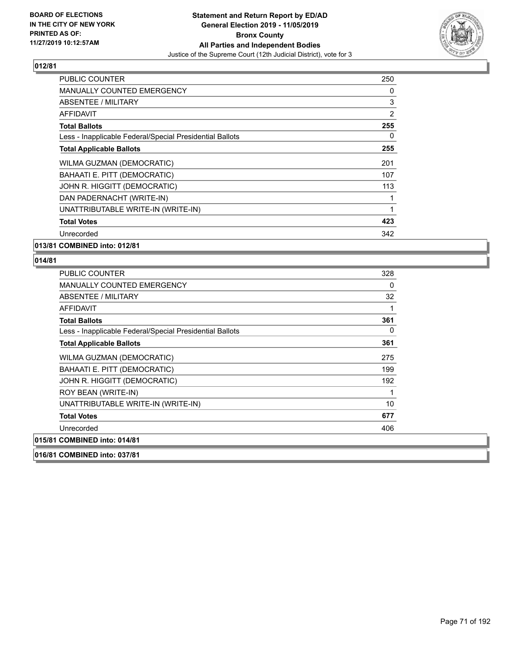

| <b>PUBLIC COUNTER</b>                                    | 250      |
|----------------------------------------------------------|----------|
| <b>MANUALLY COUNTED EMERGENCY</b>                        | 0        |
| <b>ABSENTEE / MILITARY</b>                               | 3        |
| AFFIDAVIT                                                | 2        |
| <b>Total Ballots</b>                                     | 255      |
| Less - Inapplicable Federal/Special Presidential Ballots | $\Omega$ |
| <b>Total Applicable Ballots</b>                          | 255      |
| WILMA GUZMAN (DEMOCRATIC)                                | 201      |
| BAHAATI E. PITT (DEMOCRATIC)                             | 107      |
| JOHN R. HIGGITT (DEMOCRATIC)                             | 113      |
| DAN PADERNACHT (WRITE-IN)                                |          |
| UNATTRIBUTABLE WRITE-IN (WRITE-IN)                       | 1        |
| <b>Total Votes</b>                                       | 423      |
| Unrecorded                                               | 342      |
| 013/81 COMBINED into: 012/81                             |          |

| <b>PUBLIC COUNTER</b>                                    | 328 |
|----------------------------------------------------------|-----|
| MANUALLY COUNTED EMERGENCY                               | 0   |
| ABSENTEE / MILITARY                                      | 32  |
| <b>AFFIDAVIT</b>                                         | 1   |
| <b>Total Ballots</b>                                     | 361 |
| Less - Inapplicable Federal/Special Presidential Ballots | 0   |
| <b>Total Applicable Ballots</b>                          | 361 |
| WILMA GUZMAN (DEMOCRATIC)                                | 275 |
| BAHAATI E. PITT (DEMOCRATIC)                             | 199 |
| JOHN R. HIGGITT (DEMOCRATIC)                             | 192 |
| ROY BEAN (WRITE-IN)                                      | 1   |
| UNATTRIBUTABLE WRITE-IN (WRITE-IN)                       | 10  |
| <b>Total Votes</b>                                       | 677 |
| Unrecorded                                               | 406 |
| 015/81 COMBINED into: 014/81                             |     |
| 016/81 COMBINED into: 037/81                             |     |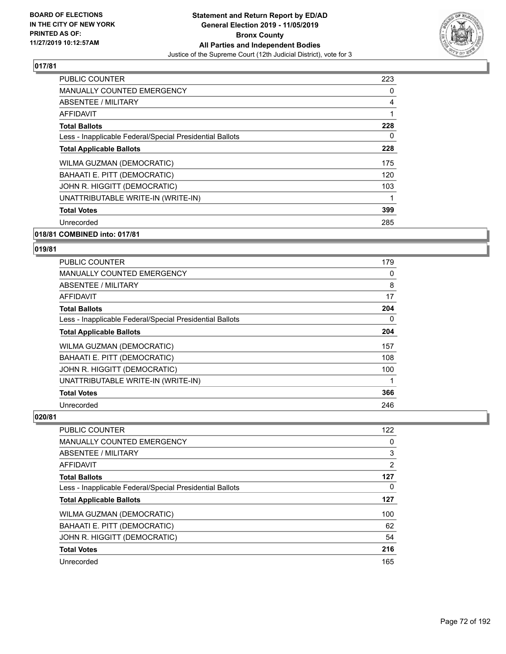

| <b>PUBLIC COUNTER</b>                                    | 223 |
|----------------------------------------------------------|-----|
| <b>MANUALLY COUNTED EMERGENCY</b>                        | 0   |
| ABSENTEE / MILITARY                                      | 4   |
| AFFIDAVIT                                                | 1   |
| <b>Total Ballots</b>                                     | 228 |
| Less - Inapplicable Federal/Special Presidential Ballots | 0   |
| <b>Total Applicable Ballots</b>                          | 228 |
| WILMA GUZMAN (DEMOCRATIC)                                | 175 |
| BAHAATI E. PITT (DEMOCRATIC)                             | 120 |
| JOHN R. HIGGITT (DEMOCRATIC)                             | 103 |
| UNATTRIBUTABLE WRITE-IN (WRITE-IN)                       | 1   |
| <b>Total Votes</b>                                       | 399 |
| Unrecorded                                               | 285 |
|                                                          |     |

## **018/81 COMBINED into: 017/81**

#### **019/81**

| <b>PUBLIC COUNTER</b>                                    | 179 |
|----------------------------------------------------------|-----|
| <b>MANUALLY COUNTED EMERGENCY</b>                        | 0   |
| ABSENTEE / MILITARY                                      | 8   |
| <b>AFFIDAVIT</b>                                         | 17  |
| <b>Total Ballots</b>                                     | 204 |
| Less - Inapplicable Federal/Special Presidential Ballots | 0   |
| <b>Total Applicable Ballots</b>                          | 204 |
| WILMA GUZMAN (DEMOCRATIC)                                | 157 |
| BAHAATI E. PITT (DEMOCRATIC)                             | 108 |
| JOHN R. HIGGITT (DEMOCRATIC)                             | 100 |
| UNATTRIBUTABLE WRITE-IN (WRITE-IN)                       |     |
| <b>Total Votes</b>                                       | 366 |
| Unrecorded                                               | 246 |

| <b>PUBLIC COUNTER</b>                                    | 122            |
|----------------------------------------------------------|----------------|
| <b>MANUALLY COUNTED EMERGENCY</b>                        | 0              |
| ABSENTEE / MILITARY                                      | 3              |
| AFFIDAVIT                                                | $\overline{2}$ |
| <b>Total Ballots</b>                                     | 127            |
| Less - Inapplicable Federal/Special Presidential Ballots | 0              |
| <b>Total Applicable Ballots</b>                          | 127            |
| WILMA GUZMAN (DEMOCRATIC)                                | 100            |
| BAHAATI E. PITT (DEMOCRATIC)                             | 62             |
| JOHN R. HIGGITT (DEMOCRATIC)                             | 54             |
| <b>Total Votes</b>                                       | 216            |
| Unrecorded                                               | 165            |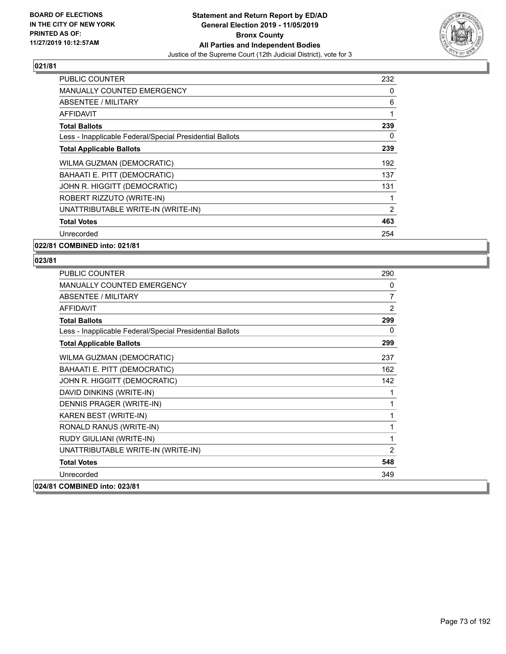

| <b>PUBLIC COUNTER</b>                                    | 232 |
|----------------------------------------------------------|-----|
| <b>MANUALLY COUNTED EMERGENCY</b>                        | 0   |
| ABSENTEE / MILITARY                                      | 6   |
| AFFIDAVIT                                                |     |
| <b>Total Ballots</b>                                     | 239 |
| Less - Inapplicable Federal/Special Presidential Ballots | 0   |
| <b>Total Applicable Ballots</b>                          | 239 |
| WILMA GUZMAN (DEMOCRATIC)                                | 192 |
| BAHAATI E. PITT (DEMOCRATIC)                             | 137 |
| JOHN R. HIGGITT (DEMOCRATIC)                             | 131 |
| ROBERT RIZZUTO (WRITE-IN)                                |     |
| UNATTRIBUTABLE WRITE-IN (WRITE-IN)                       | 2   |
| <b>Total Votes</b>                                       | 463 |
| Unrecorded                                               | 254 |
| 022/81 COMBINED into: 021/81                             |     |

| <b>PUBLIC COUNTER</b>                                    | 290            |
|----------------------------------------------------------|----------------|
| <b>MANUALLY COUNTED EMERGENCY</b>                        | 0              |
| <b>ABSENTEE / MILITARY</b>                               | $\overline{7}$ |
| <b>AFFIDAVIT</b>                                         | 2              |
| <b>Total Ballots</b>                                     | 299            |
| Less - Inapplicable Federal/Special Presidential Ballots | 0              |
| <b>Total Applicable Ballots</b>                          | 299            |
| WILMA GUZMAN (DEMOCRATIC)                                | 237            |
| BAHAATI E. PITT (DEMOCRATIC)                             | 162            |
| JOHN R. HIGGITT (DEMOCRATIC)                             | 142            |
| DAVID DINKINS (WRITE-IN)                                 | 1              |
| DENNIS PRAGER (WRITE-IN)                                 | 1              |
| KAREN BEST (WRITE-IN)                                    | 1              |
| RONALD RANUS (WRITE-IN)                                  | 1              |
| RUDY GIULIANI (WRITE-IN)                                 | 1              |
| UNATTRIBUTABLE WRITE-IN (WRITE-IN)                       | $\overline{2}$ |
| <b>Total Votes</b>                                       | 548            |
| Unrecorded                                               | 349            |
| 024/81 COMBINED into: 023/81                             |                |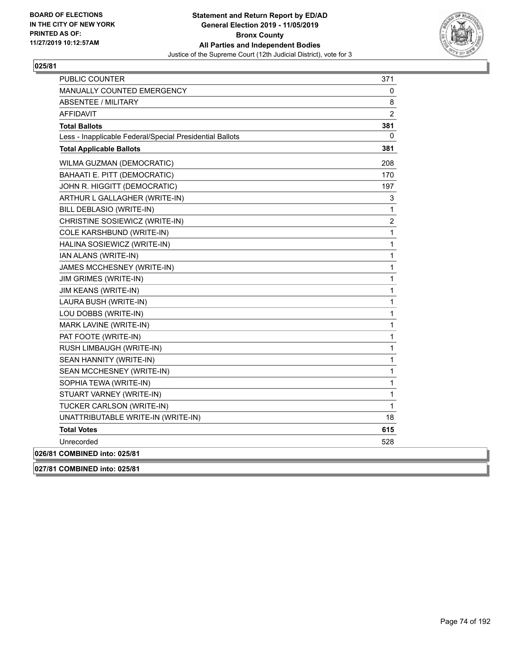

| <b>PUBLIC COUNTER</b>                                    | 371            |
|----------------------------------------------------------|----------------|
| <b>MANUALLY COUNTED EMERGENCY</b>                        | 0              |
| <b>ABSENTEE / MILITARY</b>                               | 8              |
| <b>AFFIDAVIT</b>                                         | $\overline{2}$ |
| <b>Total Ballots</b>                                     | 381            |
| Less - Inapplicable Federal/Special Presidential Ballots | 0              |
| <b>Total Applicable Ballots</b>                          | 381            |
| WILMA GUZMAN (DEMOCRATIC)                                | 208            |
| BAHAATI E. PITT (DEMOCRATIC)                             | 170            |
| JOHN R. HIGGITT (DEMOCRATIC)                             | 197            |
| ARTHUR L GALLAGHER (WRITE-IN)                            | 3              |
| BILL DEBLASIO (WRITE-IN)                                 | 1              |
| CHRISTINE SOSIEWICZ (WRITE-IN)                           | $\overline{c}$ |
| COLE KARSHBUND (WRITE-IN)                                | 1              |
| HALINA SOSIEWICZ (WRITE-IN)                              | 1              |
| IAN ALANS (WRITE-IN)                                     | 1              |
| JAMES MCCHESNEY (WRITE-IN)                               | $\mathbf{1}$   |
| JIM GRIMES (WRITE-IN)                                    | 1              |
| JIM KEANS (WRITE-IN)                                     | 1              |
| LAURA BUSH (WRITE-IN)                                    | 1              |
| LOU DOBBS (WRITE-IN)                                     | 1              |
| MARK LAVINE (WRITE-IN)                                   | 1              |
| PAT FOOTE (WRITE-IN)                                     | 1              |
| RUSH LIMBAUGH (WRITE-IN)                                 | 1              |
| SEAN HANNITY (WRITE-IN)                                  | 1              |
| SEAN MCCHESNEY (WRITE-IN)                                | 1              |
| SOPHIA TEWA (WRITE-IN)                                   | 1              |
| STUART VARNEY (WRITE-IN)                                 | 1              |
| TUCKER CARLSON (WRITE-IN)                                | 1              |
| UNATTRIBUTABLE WRITE-IN (WRITE-IN)                       | 18             |
| <b>Total Votes</b>                                       | 615            |
| Unrecorded                                               | 528            |
| 026/81 COMBINED into: 025/81                             |                |
| 027/81 COMBINED into: 025/81                             |                |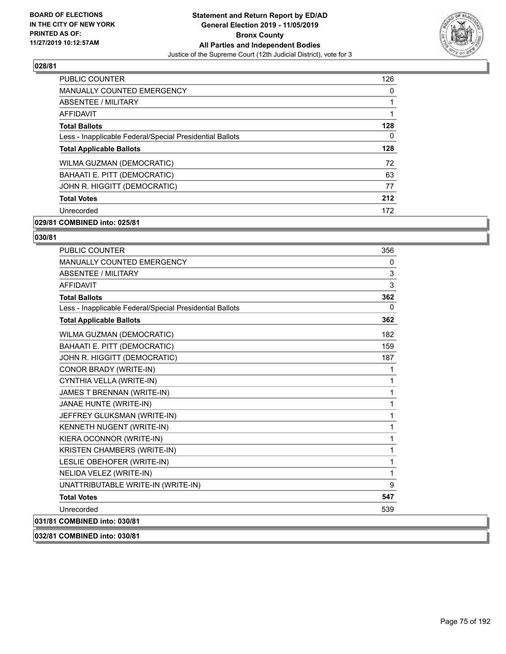

| PUBLIC COUNTER                                           | 126 |
|----------------------------------------------------------|-----|
| <b>MANUALLY COUNTED EMERGENCY</b>                        | 0   |
| ABSENTEE / MILITARY                                      |     |
| AFFIDAVIT                                                |     |
| <b>Total Ballots</b>                                     | 128 |
| Less - Inapplicable Federal/Special Presidential Ballots | 0   |
| <b>Total Applicable Ballots</b>                          | 128 |
| <b>WILMA GUZMAN (DEMOCRATIC)</b>                         | 72  |
| <b>BAHAATI E. PITT (DEMOCRATIC)</b>                      | 63  |
| JOHN R. HIGGITT (DEMOCRATIC)                             | 77  |
| <b>Total Votes</b>                                       | 212 |
| Unrecorded                                               | 172 |

# **029/81 COMBINED into: 025/81**

# **030/81**

| <b>PUBLIC COUNTER</b>                                    | 356      |
|----------------------------------------------------------|----------|
| MANUALLY COUNTED EMERGENCY                               | 0        |
| ABSENTEE / MILITARY                                      | 3        |
| <b>AFFIDAVIT</b>                                         | 3        |
| <b>Total Ballots</b>                                     | 362      |
| Less - Inapplicable Federal/Special Presidential Ballots | $\Omega$ |
| <b>Total Applicable Ballots</b>                          | 362      |
| WILMA GUZMAN (DEMOCRATIC)                                | 182      |
| BAHAATI E. PITT (DEMOCRATIC)                             | 159      |
| JOHN R. HIGGITT (DEMOCRATIC)                             | 187      |
| CONOR BRADY (WRITE-IN)                                   | 1        |
| CYNTHIA VELLA (WRITE-IN)                                 | 1        |
| JAMES T BRENNAN (WRITE-IN)                               | 1        |
| JANAE HUNTE (WRITE-IN)                                   | 1        |
| JEFFREY GLUKSMAN (WRITE-IN)                              | 1        |
| KENNETH NUGENT (WRITE-IN)                                | 1        |
| KIERA OCONNOR (WRITE-IN)                                 | 1        |
| KRISTEN CHAMBERS (WRITE-IN)                              | 1        |
| LESLIE OBEHOFER (WRITE-IN)                               | 1        |
| NELIDA VELEZ (WRITE-IN)                                  | 1        |
| UNATTRIBUTABLE WRITE-IN (WRITE-IN)                       | 9        |
| <b>Total Votes</b>                                       | 547      |
| Unrecorded                                               | 539      |
| 031/81 COMBINED into: 030/81                             |          |

**032/81 COMBINED into: 030/81**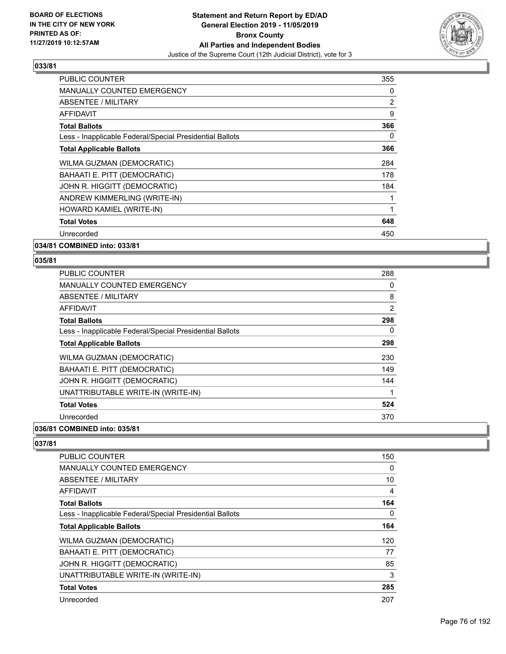

| <b>PUBLIC COUNTER</b>                                    | 355 |
|----------------------------------------------------------|-----|
| <b>MANUALLY COUNTED EMERGENCY</b>                        | 0   |
| ABSENTEE / MILITARY                                      | 2   |
| <b>AFFIDAVIT</b>                                         | 9   |
| <b>Total Ballots</b>                                     | 366 |
| Less - Inapplicable Federal/Special Presidential Ballots | 0   |
| <b>Total Applicable Ballots</b>                          | 366 |
| <b>WILMA GUZMAN (DEMOCRATIC)</b>                         | 284 |
| BAHAATI E. PITT (DEMOCRATIC)                             | 178 |
| JOHN R. HIGGITT (DEMOCRATIC)                             | 184 |
| ANDREW KIMMERLING (WRITE-IN)                             |     |
| HOWARD KAMIEL (WRITE-IN)                                 | 1   |
| <b>Total Votes</b>                                       | 648 |
| Unrecorded                                               | 450 |
|                                                          |     |

**034/81 COMBINED into: 033/81**

#### **035/81**

| <b>PUBLIC COUNTER</b>                                    | 288            |
|----------------------------------------------------------|----------------|
| <b>MANUALLY COUNTED EMERGENCY</b>                        | 0              |
| ABSENTEE / MILITARY                                      | 8              |
| AFFIDAVIT                                                | $\overline{2}$ |
| <b>Total Ballots</b>                                     | 298            |
| Less - Inapplicable Federal/Special Presidential Ballots | 0              |
| <b>Total Applicable Ballots</b>                          | 298            |
| WILMA GUZMAN (DEMOCRATIC)                                | 230            |
| <b>BAHAATI E. PITT (DEMOCRATIC)</b>                      | 149            |
| JOHN R. HIGGITT (DEMOCRATIC)                             | 144            |
| UNATTRIBUTABLE WRITE-IN (WRITE-IN)                       | 1              |
| <b>Total Votes</b>                                       | 524            |
| Unrecorded                                               | 370            |
|                                                          |                |

#### **036/81 COMBINED into: 035/81**

| <b>PUBLIC COUNTER</b>                                    | 150 |
|----------------------------------------------------------|-----|
| <b>MANUALLY COUNTED EMERGENCY</b>                        | 0   |
| ABSENTEE / MILITARY                                      | 10  |
| AFFIDAVIT                                                | 4   |
| <b>Total Ballots</b>                                     | 164 |
| Less - Inapplicable Federal/Special Presidential Ballots | 0   |
| <b>Total Applicable Ballots</b>                          | 164 |
| WILMA GUZMAN (DEMOCRATIC)                                | 120 |
| BAHAATI E. PITT (DEMOCRATIC)                             | 77  |
| JOHN R. HIGGITT (DEMOCRATIC)                             | 85  |
| UNATTRIBUTABLE WRITE-IN (WRITE-IN)                       | 3   |
| <b>Total Votes</b>                                       | 285 |
| Unrecorded                                               | 207 |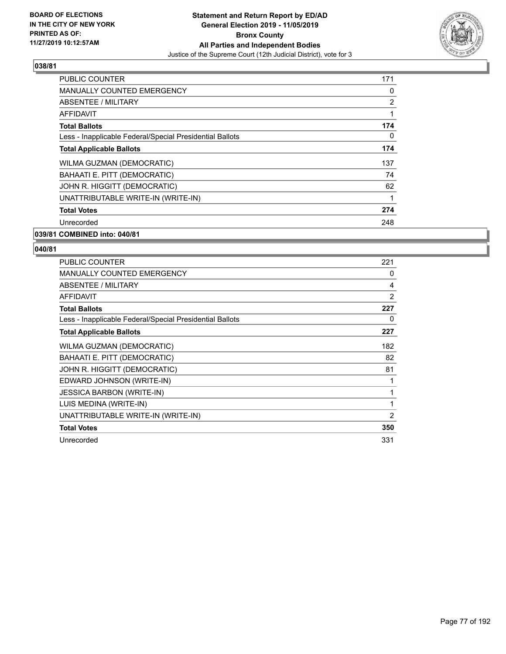

| <b>PUBLIC COUNTER</b>                                    | 171            |
|----------------------------------------------------------|----------------|
| <b>MANUALLY COUNTED EMERGENCY</b>                        | 0              |
| ABSENTEE / MILITARY                                      | $\overline{2}$ |
| AFFIDAVIT                                                |                |
| <b>Total Ballots</b>                                     | 174            |
| Less - Inapplicable Federal/Special Presidential Ballots | $\Omega$       |
| <b>Total Applicable Ballots</b>                          | 174            |
| WILMA GUZMAN (DEMOCRATIC)                                | 137            |
| BAHAATI E. PITT (DEMOCRATIC)                             | 74             |
| JOHN R. HIGGITT (DEMOCRATIC)                             | 62             |
| UNATTRIBUTABLE WRITE-IN (WRITE-IN)                       |                |
| <b>Total Votes</b>                                       | 274            |
| Unrecorded                                               | 248            |
| 039/81 COMBINED into: 040/81                             |                |

| <b>PUBLIC COUNTER</b>                                    | 221            |
|----------------------------------------------------------|----------------|
| <b>MANUALLY COUNTED EMERGENCY</b>                        | 0              |
| ABSENTEE / MILITARY                                      | 4              |
| <b>AFFIDAVIT</b>                                         | 2              |
| <b>Total Ballots</b>                                     | 227            |
| Less - Inapplicable Federal/Special Presidential Ballots | 0              |
| <b>Total Applicable Ballots</b>                          | 227            |
| WILMA GUZMAN (DEMOCRATIC)                                | 182            |
| BAHAATI E. PITT (DEMOCRATIC)                             | 82             |
| JOHN R. HIGGITT (DEMOCRATIC)                             | 81             |
| EDWARD JOHNSON (WRITE-IN)                                |                |
| <b>JESSICA BARBON (WRITE-IN)</b>                         | 1              |
| LUIS MEDINA (WRITE-IN)                                   | 1              |
| UNATTRIBUTABLE WRITE-IN (WRITE-IN)                       | $\overline{2}$ |
| <b>Total Votes</b>                                       | 350            |
| Unrecorded                                               | 331            |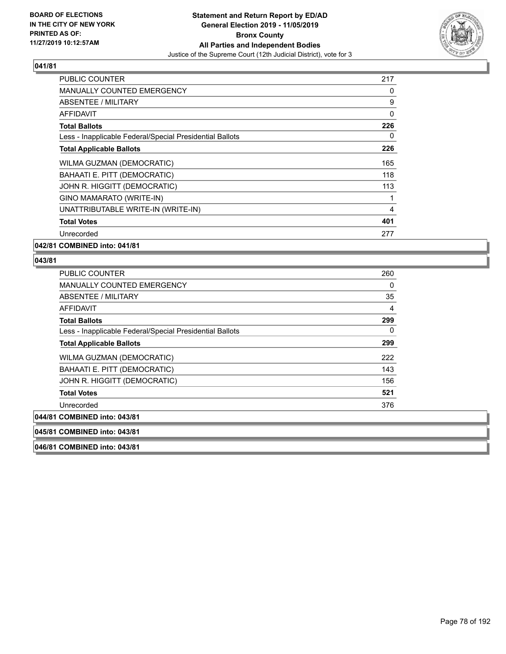

| <b>PUBLIC COUNTER</b>                                    | 217      |
|----------------------------------------------------------|----------|
| <b>MANUALLY COUNTED EMERGENCY</b>                        | 0        |
| <b>ABSENTEE / MILITARY</b>                               | 9        |
| AFFIDAVIT                                                | 0        |
| <b>Total Ballots</b>                                     | 226      |
| Less - Inapplicable Federal/Special Presidential Ballots | $\Omega$ |
| <b>Total Applicable Ballots</b>                          | 226      |
| WILMA GUZMAN (DEMOCRATIC)                                | 165      |
| BAHAATI E. PITT (DEMOCRATIC)                             | 118      |
| JOHN R. HIGGITT (DEMOCRATIC)                             | 113      |
| GINO MAMARATO (WRITE-IN)                                 |          |
| UNATTRIBUTABLE WRITE-IN (WRITE-IN)                       | 4        |
| <b>Total Votes</b>                                       | 401      |
| Unrecorded                                               | 277      |
| 042/81 COMBINED into: 041/81                             |          |

# **043/81**

| <b>PUBLIC COUNTER</b>                                                                                                                                                                                                                                                                                                                                                                | 260 |
|--------------------------------------------------------------------------------------------------------------------------------------------------------------------------------------------------------------------------------------------------------------------------------------------------------------------------------------------------------------------------------------|-----|
| <b>MANUALLY COUNTED EMERGENCY</b>                                                                                                                                                                                                                                                                                                                                                    | 0   |
| ABSENTEE / MILITARY                                                                                                                                                                                                                                                                                                                                                                  | 35  |
| <b>AFFIDAVIT</b>                                                                                                                                                                                                                                                                                                                                                                     | 4   |
| <b>Total Ballots</b>                                                                                                                                                                                                                                                                                                                                                                 | 299 |
| Less - Inapplicable Federal/Special Presidential Ballots                                                                                                                                                                                                                                                                                                                             | 0   |
| <b>Total Applicable Ballots</b>                                                                                                                                                                                                                                                                                                                                                      | 299 |
| WILMA GUZMAN (DEMOCRATIC)                                                                                                                                                                                                                                                                                                                                                            | 222 |
| BAHAATI E. PITT (DEMOCRATIC)                                                                                                                                                                                                                                                                                                                                                         | 143 |
| JOHN R. HIGGITT (DEMOCRATIC)                                                                                                                                                                                                                                                                                                                                                         | 156 |
| <b>Total Votes</b>                                                                                                                                                                                                                                                                                                                                                                   | 521 |
| Unrecorded                                                                                                                                                                                                                                                                                                                                                                           | 376 |
| 1 COMBINED into: 043/81                                                                                                                                                                                                                                                                                                                                                              |     |
| $\overline{1}$ $\overline{0}$ $\overline{0}$ $\overline{1}$ $\overline{1}$ $\overline{1}$ $\overline{1}$ $\overline{1}$ $\overline{1}$ $\overline{1}$ $\overline{1}$ $\overline{1}$ $\overline{1}$ $\overline{1}$ $\overline{1}$ $\overline{1}$ $\overline{1}$ $\overline{1}$ $\overline{1}$ $\overline{1}$ $\overline{1}$ $\overline{1}$ $\overline{1}$ $\overline{1}$ $\overline{$ |     |

 $|044/8^{\cdot}$ 

**045/81 COMBINED into: 043/81**

**046/81 COMBINED into: 043/81**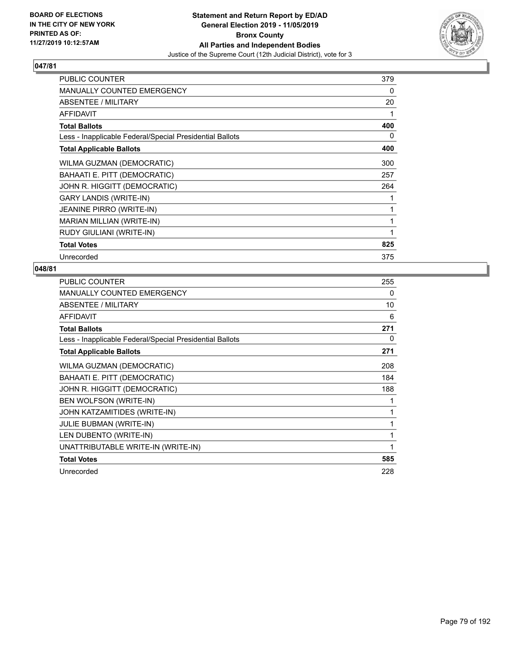

| <b>PUBLIC COUNTER</b>                                    | 379 |
|----------------------------------------------------------|-----|
| <b>MANUALLY COUNTED EMERGENCY</b>                        | 0   |
| ABSENTEE / MILITARY                                      | 20  |
| <b>AFFIDAVIT</b>                                         | 1   |
| <b>Total Ballots</b>                                     | 400 |
| Less - Inapplicable Federal/Special Presidential Ballots | 0   |
| <b>Total Applicable Ballots</b>                          | 400 |
| WILMA GUZMAN (DEMOCRATIC)                                | 300 |
| BAHAATI E. PITT (DEMOCRATIC)                             | 257 |
| JOHN R. HIGGITT (DEMOCRATIC)                             | 264 |
| <b>GARY LANDIS (WRITE-IN)</b>                            |     |
| <b>JEANINE PIRRO (WRITE-IN)</b>                          | 1   |
| MARIAN MILLIAN (WRITE-IN)                                | 1   |
| RUDY GIULIANI (WRITE-IN)                                 | 1   |
| <b>Total Votes</b>                                       | 825 |
| Unrecorded                                               | 375 |

| <b>PUBLIC COUNTER</b>                                    | 255 |
|----------------------------------------------------------|-----|
| <b>MANUALLY COUNTED EMERGENCY</b>                        | 0   |
| ABSENTEE / MILITARY                                      | 10  |
| AFFIDAVIT                                                | 6   |
| <b>Total Ballots</b>                                     | 271 |
| Less - Inapplicable Federal/Special Presidential Ballots | 0   |
| <b>Total Applicable Ballots</b>                          | 271 |
| WILMA GUZMAN (DEMOCRATIC)                                | 208 |
| BAHAATI E. PITT (DEMOCRATIC)                             | 184 |
| JOHN R. HIGGITT (DEMOCRATIC)                             | 188 |
| BEN WOLFSON (WRITE-IN)                                   | 1   |
| JOHN KATZAMITIDES (WRITE-IN)                             | 1   |
| <b>JULIE BUBMAN (WRITE-IN)</b>                           | 1   |
| LEN DUBENTO (WRITE-IN)                                   | 1   |
| UNATTRIBUTABLE WRITE-IN (WRITE-IN)                       | 1   |
| <b>Total Votes</b>                                       | 585 |
| Unrecorded                                               | 228 |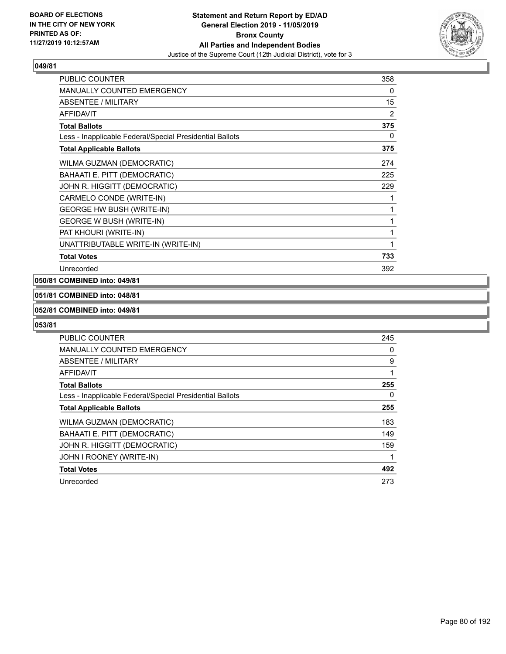

| PUBLIC COUNTER                                           | 358            |
|----------------------------------------------------------|----------------|
| <b>MANUALLY COUNTED EMERGENCY</b>                        | 0              |
| ABSENTEE / MILITARY                                      | 15             |
| <b>AFFIDAVIT</b>                                         | $\overline{2}$ |
| <b>Total Ballots</b>                                     | 375            |
| Less - Inapplicable Federal/Special Presidential Ballots | 0              |
| <b>Total Applicable Ballots</b>                          | 375            |
| WILMA GUZMAN (DEMOCRATIC)                                | 274            |
| BAHAATI E. PITT (DEMOCRATIC)                             | 225            |
| JOHN R. HIGGITT (DEMOCRATIC)                             | 229            |
| CARMELO CONDE (WRITE-IN)                                 | 1              |
| <b>GEORGE HW BUSH (WRITE-IN)</b>                         | 1              |
| <b>GEORGE W BUSH (WRITE-IN)</b>                          | 1              |
| PAT KHOURI (WRITE-IN)                                    | 1              |
| UNATTRIBUTABLE WRITE-IN (WRITE-IN)                       | 1              |
| <b>Total Votes</b>                                       | 733            |
| Unrecorded                                               | 392            |

#### **050/81 COMBINED into: 049/81**

# **051/81 COMBINED into: 048/81**

#### **052/81 COMBINED into: 049/81**

| PUBLIC COUNTER                                           | 245      |
|----------------------------------------------------------|----------|
| <b>MANUALLY COUNTED EMERGENCY</b>                        | $\Omega$ |
| ABSENTEE / MILITARY                                      | 9        |
| AFFIDAVIT                                                | 1        |
| <b>Total Ballots</b>                                     | 255      |
| Less - Inapplicable Federal/Special Presidential Ballots | $\Omega$ |
| <b>Total Applicable Ballots</b>                          | 255      |
| WILMA GUZMAN (DEMOCRATIC)                                | 183      |
| BAHAATI E. PITT (DEMOCRATIC)                             | 149      |
| JOHN R. HIGGITT (DEMOCRATIC)                             | 159      |
| JOHN I ROONEY (WRITE-IN)                                 |          |
| <b>Total Votes</b>                                       | 492      |
| Unrecorded                                               | 273      |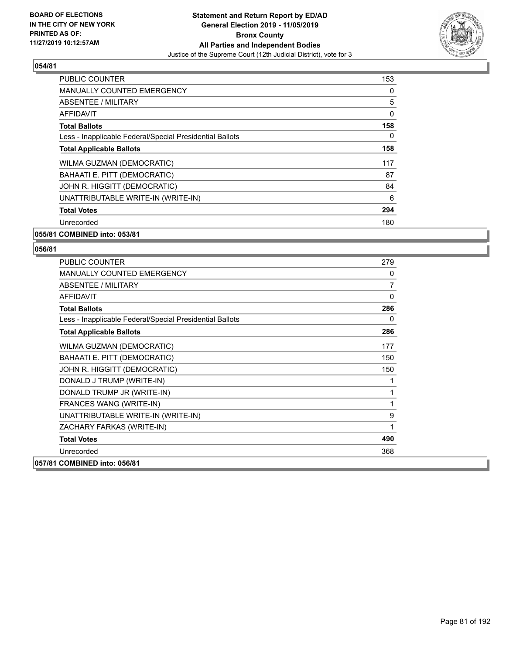

| <b>PUBLIC COUNTER</b>                                    | 153      |
|----------------------------------------------------------|----------|
| <b>MANUALLY COUNTED EMERGENCY</b>                        | 0        |
| ABSENTEE / MILITARY                                      | 5        |
| AFFIDAVIT                                                | $\Omega$ |
| <b>Total Ballots</b>                                     | 158      |
| Less - Inapplicable Federal/Special Presidential Ballots | 0        |
| <b>Total Applicable Ballots</b>                          | 158      |
| WILMA GUZMAN (DEMOCRATIC)                                | 117      |
| BAHAATI E. PITT (DEMOCRATIC)                             | 87       |
| JOHN R. HIGGITT (DEMOCRATIC)                             | 84       |
| UNATTRIBUTABLE WRITE-IN (WRITE-IN)                       | 6        |
| <b>Total Votes</b>                                       | 294      |
| Unrecorded                                               | 180      |
|                                                          |          |

#### **055/81 COMBINED into: 053/81**

| <b>PUBLIC COUNTER</b>                                    | 279          |
|----------------------------------------------------------|--------------|
| <b>MANUALLY COUNTED EMERGENCY</b>                        | 0            |
| ABSENTEE / MILITARY                                      | 7            |
| <b>AFFIDAVIT</b>                                         | $\mathbf{0}$ |
| <b>Total Ballots</b>                                     | 286          |
| Less - Inapplicable Federal/Special Presidential Ballots | 0            |
| <b>Total Applicable Ballots</b>                          | 286          |
| WILMA GUZMAN (DEMOCRATIC)                                | 177          |
| BAHAATI E. PITT (DEMOCRATIC)                             | 150          |
| JOHN R. HIGGITT (DEMOCRATIC)                             | 150          |
| DONALD J TRUMP (WRITE-IN)                                | 1            |
| DONALD TRUMP JR (WRITE-IN)                               | 1            |
| FRANCES WANG (WRITE-IN)                                  | 1            |
| UNATTRIBUTABLE WRITE-IN (WRITE-IN)                       | 9            |
| ZACHARY FARKAS (WRITE-IN)                                | 1            |
| <b>Total Votes</b>                                       | 490          |
| Unrecorded                                               | 368          |
| 057/81 COMBINED into: 056/81                             |              |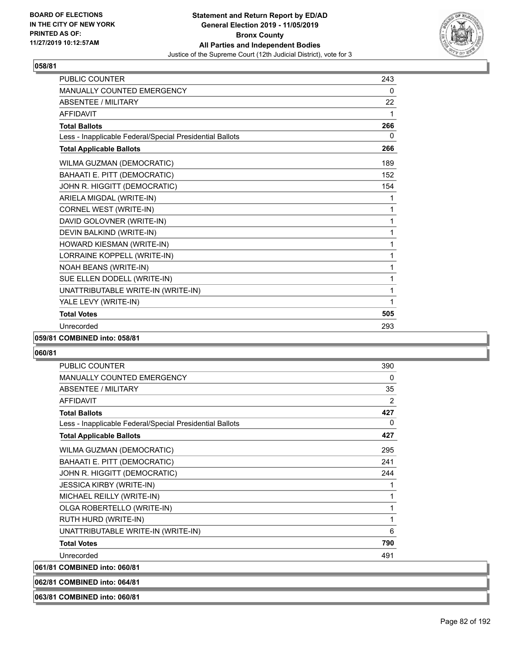

| PUBLIC COUNTER                                           | 243 |
|----------------------------------------------------------|-----|
| <b>MANUALLY COUNTED EMERGENCY</b>                        | 0   |
| <b>ABSENTEE / MILITARY</b>                               | 22  |
| <b>AFFIDAVIT</b>                                         | 1   |
| <b>Total Ballots</b>                                     | 266 |
| Less - Inapplicable Federal/Special Presidential Ballots | 0   |
| <b>Total Applicable Ballots</b>                          | 266 |
| WILMA GUZMAN (DEMOCRATIC)                                | 189 |
| BAHAATI E. PITT (DEMOCRATIC)                             | 152 |
| JOHN R. HIGGITT (DEMOCRATIC)                             | 154 |
| ARIELA MIGDAL (WRITE-IN)                                 | 1   |
| CORNEL WEST (WRITE-IN)                                   | 1   |
| DAVID GOLOVNER (WRITE-IN)                                | 1   |
| DEVIN BALKIND (WRITE-IN)                                 | 1   |
| HOWARD KIESMAN (WRITE-IN)                                | 1   |
| LORRAINE KOPPELL (WRITE-IN)                              | 1   |
| NOAH BEANS (WRITE-IN)                                    | 1   |
| SUE ELLEN DODELL (WRITE-IN)                              | 1   |
| UNATTRIBUTABLE WRITE-IN (WRITE-IN)                       | 1   |
| YALE LEVY (WRITE-IN)                                     | 1   |
| <b>Total Votes</b>                                       | 505 |
| Unrecorded                                               | 293 |

# **059/81 COMBINED into: 058/81**

#### **060/81**

| PUBLIC COUNTER                                           | 390            |
|----------------------------------------------------------|----------------|
| MANUALLY COUNTED EMERGENCY                               | 0              |
| ABSENTEE / MILITARY                                      | 35             |
| <b>AFFIDAVIT</b>                                         | $\overline{2}$ |
| <b>Total Ballots</b>                                     | 427            |
| Less - Inapplicable Federal/Special Presidential Ballots | 0              |
| <b>Total Applicable Ballots</b>                          | 427            |
| WILMA GUZMAN (DEMOCRATIC)                                | 295            |
| BAHAATI E. PITT (DEMOCRATIC)                             | 241            |
| JOHN R. HIGGITT (DEMOCRATIC)                             | 244            |
| <b>JESSICA KIRBY (WRITE-IN)</b>                          | 1              |
| MICHAEL REILLY (WRITE-IN)                                | 1              |
| OLGA ROBERTELLO (WRITE-IN)                               | 1              |
| RUTH HURD (WRITE-IN)                                     | 1              |
| UNATTRIBUTABLE WRITE-IN (WRITE-IN)                       | 6              |
| <b>Total Votes</b>                                       | 790            |
| Unrecorded                                               | 491            |
| 061/81 COMBINED into: 060/81                             |                |
|                                                          |                |

**062/81 COMBINED into: 064/81**

**063/81 COMBINED into: 060/81**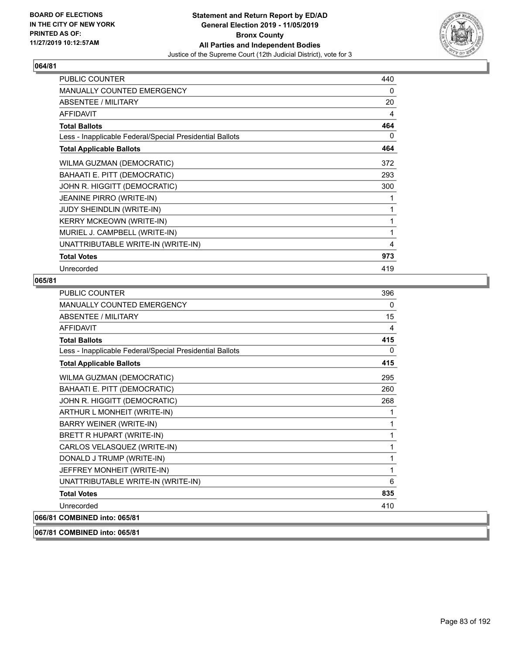

| <b>PUBLIC COUNTER</b>                                    | 440            |
|----------------------------------------------------------|----------------|
| <b>MANUALLY COUNTED EMERGENCY</b>                        | 0              |
| <b>ABSENTEE / MILITARY</b>                               | 20             |
| <b>AFFIDAVIT</b>                                         | 4              |
| <b>Total Ballots</b>                                     | 464            |
| Less - Inapplicable Federal/Special Presidential Ballots | 0              |
| <b>Total Applicable Ballots</b>                          | 464            |
| WILMA GUZMAN (DEMOCRATIC)                                | 372            |
| BAHAATI E. PITT (DEMOCRATIC)                             | 293            |
| JOHN R. HIGGITT (DEMOCRATIC)                             | 300            |
| JEANINE PIRRO (WRITE-IN)                                 | 1              |
| <b>JUDY SHEINDLIN (WRITE-IN)</b>                         | 1              |
| <b>KERRY MCKEOWN (WRITE-IN)</b>                          | 1              |
| MURIEL J. CAMPBELL (WRITE-IN)                            | 1              |
| UNATTRIBUTABLE WRITE-IN (WRITE-IN)                       | $\overline{4}$ |
| <b>Total Votes</b>                                       | 973            |
| Unrecorded                                               | 419            |

# **065/81**

| <b>PUBLIC COUNTER</b>                                    | 396          |
|----------------------------------------------------------|--------------|
| <b>MANUALLY COUNTED EMERGENCY</b>                        | $\mathbf{0}$ |
| ABSENTEE / MILITARY                                      | 15           |
| <b>AFFIDAVIT</b>                                         | 4            |
| <b>Total Ballots</b>                                     | 415          |
| Less - Inapplicable Federal/Special Presidential Ballots | 0            |
| <b>Total Applicable Ballots</b>                          | 415          |
| WILMA GUZMAN (DEMOCRATIC)                                | 295          |
| BAHAATI E. PITT (DEMOCRATIC)                             | 260          |
| JOHN R. HIGGITT (DEMOCRATIC)                             | 268          |
| ARTHUR L MONHEIT (WRITE-IN)                              | 1            |
| BARRY WEINER (WRITE-IN)                                  | 1            |
| BRETT R HUPART (WRITE-IN)                                | 1            |
| CARLOS VELASQUEZ (WRITE-IN)                              | 1            |
| DONALD J TRUMP (WRITE-IN)                                | 1            |
| JEFFREY MONHEIT (WRITE-IN)                               | 1            |
| UNATTRIBUTABLE WRITE-IN (WRITE-IN)                       | 6            |
| <b>Total Votes</b>                                       | 835          |
| Unrecorded                                               | 410          |
| 066/81 COMBINED into: 065/81                             |              |

**067/81 COMBINED into: 065/81**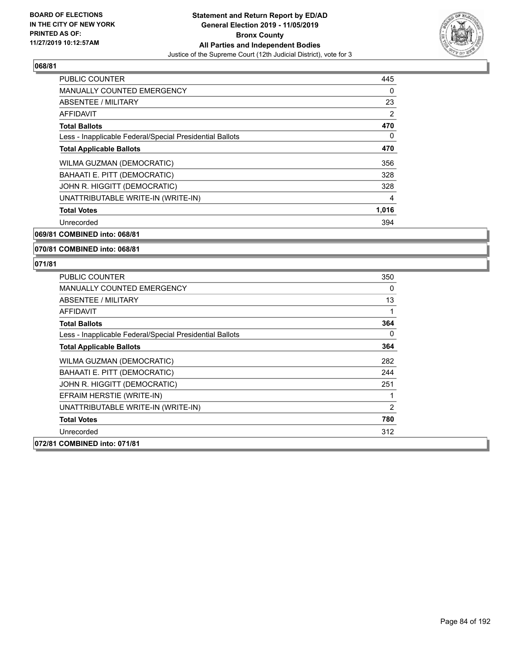

| <b>PUBLIC COUNTER</b>                                    | 445            |
|----------------------------------------------------------|----------------|
| <b>MANUALLY COUNTED EMERGENCY</b>                        | 0              |
| ABSENTEE / MILITARY                                      | 23             |
| AFFIDAVIT                                                | $\overline{2}$ |
| <b>Total Ballots</b>                                     | 470            |
| Less - Inapplicable Federal/Special Presidential Ballots | 0              |
| <b>Total Applicable Ballots</b>                          | 470            |
| WILMA GUZMAN (DEMOCRATIC)                                | 356            |
| BAHAATI E. PITT (DEMOCRATIC)                             | 328            |
| JOHN R. HIGGITT (DEMOCRATIC)                             | 328            |
| UNATTRIBUTABLE WRITE-IN (WRITE-IN)                       | 4              |
| <b>Total Votes</b>                                       | 1,016          |
| Unrecorded                                               | 394            |

**069/81 COMBINED into: 068/81**

#### **070/81 COMBINED into: 068/81**

| PUBLIC COUNTER                                           | 350            |
|----------------------------------------------------------|----------------|
| <b>MANUALLY COUNTED EMERGENCY</b>                        | 0              |
| ABSENTEE / MILITARY                                      | 13             |
| AFFIDAVIT                                                | 1              |
| <b>Total Ballots</b>                                     | 364            |
| Less - Inapplicable Federal/Special Presidential Ballots | 0              |
| <b>Total Applicable Ballots</b>                          | 364            |
| WILMA GUZMAN (DEMOCRATIC)                                | 282            |
| BAHAATI E. PITT (DEMOCRATIC)                             | 244            |
| JOHN R. HIGGITT (DEMOCRATIC)                             | 251            |
| EFRAIM HERSTIE (WRITE-IN)                                | 1              |
| UNATTRIBUTABLE WRITE-IN (WRITE-IN)                       | $\overline{2}$ |
| <b>Total Votes</b>                                       | 780            |
| Unrecorded                                               | 312            |
| 072/81 COMBINED into: 071/81                             |                |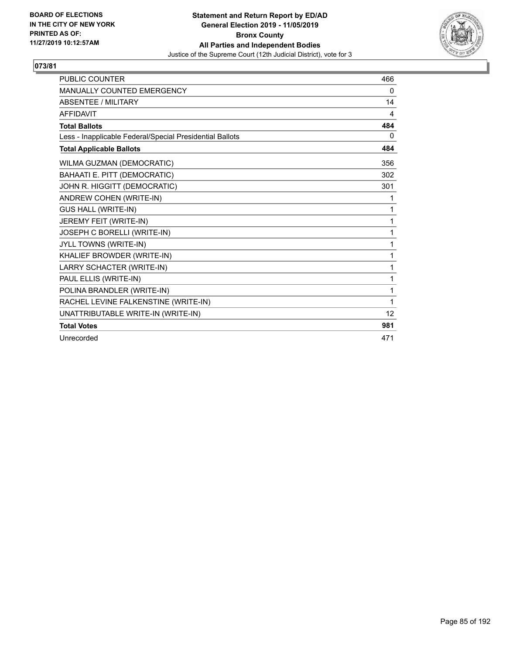

| <b>PUBLIC COUNTER</b>                                    | 466      |
|----------------------------------------------------------|----------|
| <b>MANUALLY COUNTED EMERGENCY</b>                        | 0        |
| <b>ABSENTEE / MILITARY</b>                               | 14       |
| <b>AFFIDAVIT</b>                                         | 4        |
| <b>Total Ballots</b>                                     | 484      |
| Less - Inapplicable Federal/Special Presidential Ballots | $\Omega$ |
| <b>Total Applicable Ballots</b>                          | 484      |
| WILMA GUZMAN (DEMOCRATIC)                                | 356      |
| BAHAATI E. PITT (DEMOCRATIC)                             | 302      |
| JOHN R. HIGGITT (DEMOCRATIC)                             | 301      |
| ANDREW COHEN (WRITE-IN)                                  | 1        |
| <b>GUS HALL (WRITE-IN)</b>                               | 1        |
| JEREMY FEIT (WRITE-IN)                                   | 1        |
| JOSEPH C BORELLI (WRITE-IN)                              | 1        |
| JYLL TOWNS (WRITE-IN)                                    | 1        |
| KHALIEF BROWDER (WRITE-IN)                               | 1        |
| LARRY SCHACTER (WRITE-IN)                                | 1        |
| PAUL ELLIS (WRITE-IN)                                    | 1        |
| POLINA BRANDLER (WRITE-IN)                               | 1        |
| RACHEL LEVINE FALKENSTINE (WRITE-IN)                     | 1        |
| UNATTRIBUTABLE WRITE-IN (WRITE-IN)                       | 12       |
| <b>Total Votes</b>                                       | 981      |
| Unrecorded                                               | 471      |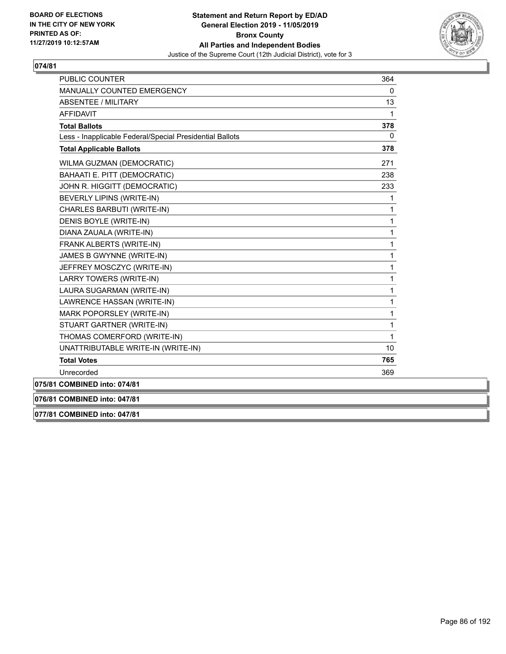

| <b>PUBLIC COUNTER</b>                                    | 364          |
|----------------------------------------------------------|--------------|
| MANUALLY COUNTED EMERGENCY                               | 0            |
| <b>ABSENTEE / MILITARY</b>                               | 13           |
| <b>AFFIDAVIT</b>                                         | 1            |
| <b>Total Ballots</b>                                     | 378          |
| Less - Inapplicable Federal/Special Presidential Ballots | $\mathbf{0}$ |
| <b>Total Applicable Ballots</b>                          | 378          |
| WILMA GUZMAN (DEMOCRATIC)                                | 271          |
| BAHAATI E. PITT (DEMOCRATIC)                             | 238          |
| JOHN R. HIGGITT (DEMOCRATIC)                             | 233          |
| BEVERLY LIPINS (WRITE-IN)                                | 1            |
| CHARLES BARBUTI (WRITE-IN)                               | 1            |
| DENIS BOYLE (WRITE-IN)                                   | $\mathbf{1}$ |
| DIANA ZAUALA (WRITE-IN)                                  | 1            |
| FRANK ALBERTS (WRITE-IN)                                 | 1            |
| JAMES B GWYNNE (WRITE-IN)                                | 1            |
| JEFFREY MOSCZYC (WRITE-IN)                               | 1            |
| LARRY TOWERS (WRITE-IN)                                  | 1            |
| LAURA SUGARMAN (WRITE-IN)                                | 1            |
| LAWRENCE HASSAN (WRITE-IN)                               | 1            |
| MARK POPORSLEY (WRITE-IN)                                | 1            |
| STUART GARTNER (WRITE-IN)                                | 1            |
| THOMAS COMERFORD (WRITE-IN)                              | 1            |
| UNATTRIBUTABLE WRITE-IN (WRITE-IN)                       | 10           |
| <b>Total Votes</b>                                       | 765          |
| Unrecorded                                               | 369          |
| 075/81 COMBINED into: 074/81                             |              |

**076/81 COMBINED into: 047/81**

**077/81 COMBINED into: 047/81**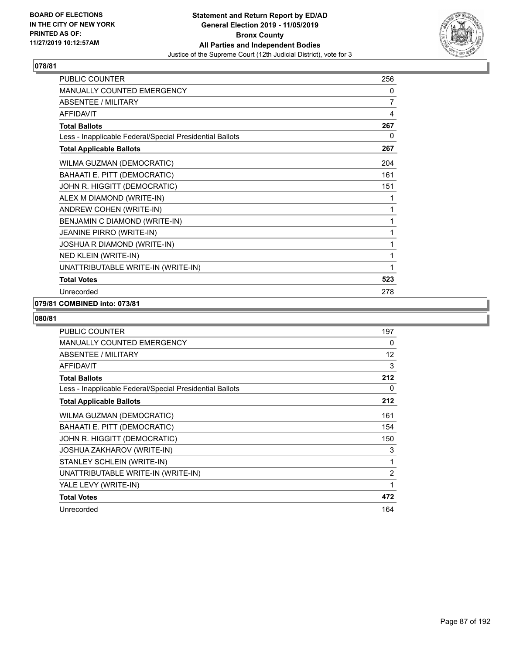

| <b>PUBLIC COUNTER</b>                                    | 256 |
|----------------------------------------------------------|-----|
| <b>MANUALLY COUNTED EMERGENCY</b>                        | 0   |
| <b>ABSENTEE / MILITARY</b>                               | 7   |
| <b>AFFIDAVIT</b>                                         | 4   |
| <b>Total Ballots</b>                                     | 267 |
| Less - Inapplicable Federal/Special Presidential Ballots | 0   |
| <b>Total Applicable Ballots</b>                          | 267 |
| WILMA GUZMAN (DEMOCRATIC)                                | 204 |
| BAHAATI E. PITT (DEMOCRATIC)                             | 161 |
| JOHN R. HIGGITT (DEMOCRATIC)                             | 151 |
| ALEX M DIAMOND (WRITE-IN)                                | 1   |
| ANDREW COHEN (WRITE-IN)                                  | 1   |
| BENJAMIN C DIAMOND (WRITE-IN)                            | 1   |
| JEANINE PIRRO (WRITE-IN)                                 | 1   |
| JOSHUA R DIAMOND (WRITE-IN)                              | 1   |
| <b>NED KLEIN (WRITE-IN)</b>                              | 1   |
| UNATTRIBUTABLE WRITE-IN (WRITE-IN)                       | 1   |
| <b>Total Votes</b>                                       | 523 |
| Unrecorded                                               | 278 |

#### **079/81 COMBINED into: 073/81**

| <b>PUBLIC COUNTER</b>                                    | 197 |
|----------------------------------------------------------|-----|
| <b>MANUALLY COUNTED EMERGENCY</b>                        | 0   |
| ABSENTEE / MILITARY                                      | 12  |
| <b>AFFIDAVIT</b>                                         | 3   |
| <b>Total Ballots</b>                                     | 212 |
| Less - Inapplicable Federal/Special Presidential Ballots | 0   |
| <b>Total Applicable Ballots</b>                          | 212 |
| WILMA GUZMAN (DEMOCRATIC)                                | 161 |
| BAHAATI E. PITT (DEMOCRATIC)                             | 154 |
| JOHN R. HIGGITT (DEMOCRATIC)                             | 150 |
| <b>JOSHUA ZAKHAROV (WRITE-IN)</b>                        | 3   |
| STANLEY SCHLEIN (WRITE-IN)                               | 1   |
| UNATTRIBUTABLE WRITE-IN (WRITE-IN)                       | 2   |
| YALE LEVY (WRITE-IN)                                     | 1   |
| <b>Total Votes</b>                                       | 472 |
| Unrecorded                                               | 164 |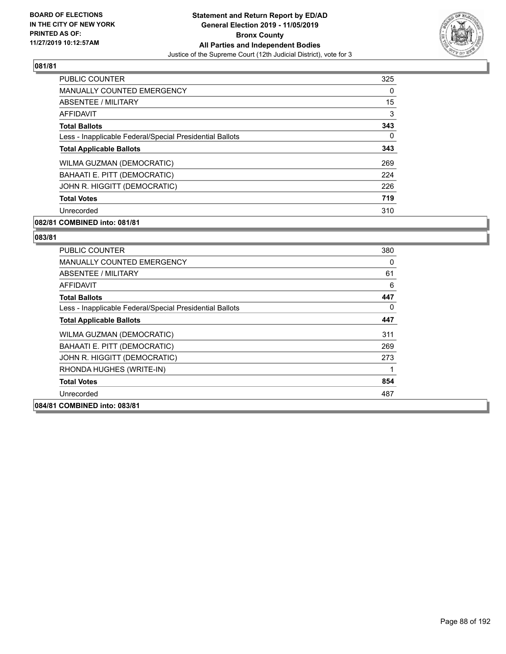

| PUBLIC COUNTER                                           | 325      |
|----------------------------------------------------------|----------|
| <b>MANUALLY COUNTED EMERGENCY</b>                        | $\Omega$ |
| ABSENTEE / MILITARY                                      | 15       |
| AFFIDAVIT                                                | 3        |
| <b>Total Ballots</b>                                     | 343      |
| Less - Inapplicable Federal/Special Presidential Ballots | $\Omega$ |
| <b>Total Applicable Ballots</b>                          | 343      |
| WILMA GUZMAN (DEMOCRATIC)                                | 269      |
| BAHAATI E. PITT (DEMOCRATIC)                             | 224      |
| JOHN R. HIGGITT (DEMOCRATIC)                             | 226      |
| <b>Total Votes</b>                                       | 719      |
| Unrecorded                                               | 310      |

# **082/81 COMBINED into: 081/81**

| <b>PUBLIC COUNTER</b>                                    | 380 |
|----------------------------------------------------------|-----|
| <b>MANUALLY COUNTED EMERGENCY</b>                        | 0   |
| ABSENTEE / MILITARY                                      | 61  |
| AFFIDAVIT                                                | 6   |
| <b>Total Ballots</b>                                     | 447 |
| Less - Inapplicable Federal/Special Presidential Ballots | 0   |
| <b>Total Applicable Ballots</b>                          | 447 |
| WILMA GUZMAN (DEMOCRATIC)                                | 311 |
| <b>BAHAATI E. PITT (DEMOCRATIC)</b>                      | 269 |
| JOHN R. HIGGITT (DEMOCRATIC)                             | 273 |
| RHONDA HUGHES (WRITE-IN)                                 | 1   |
| <b>Total Votes</b>                                       | 854 |
| Unrecorded                                               | 487 |
| 084/81 COMBINED into: 083/81                             |     |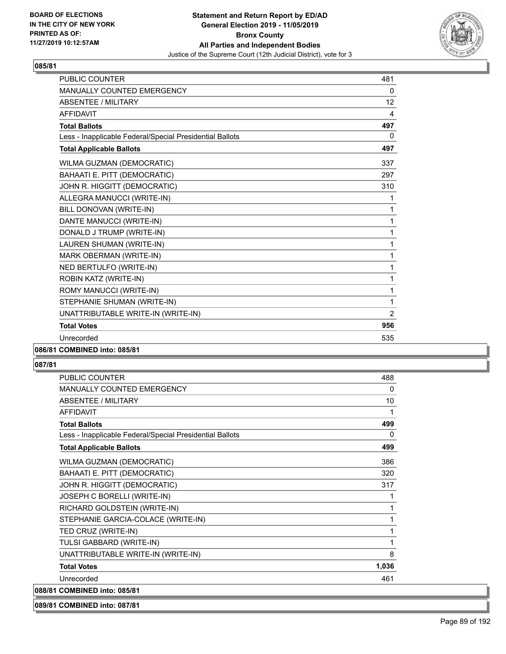

| <b>PUBLIC COUNTER</b>                                    | 481            |
|----------------------------------------------------------|----------------|
| <b>MANUALLY COUNTED EMERGENCY</b>                        | 0              |
| <b>ABSENTEE / MILITARY</b>                               | 12             |
| <b>AFFIDAVIT</b>                                         | 4              |
| <b>Total Ballots</b>                                     | 497            |
| Less - Inapplicable Federal/Special Presidential Ballots | $\mathbf{0}$   |
| <b>Total Applicable Ballots</b>                          | 497            |
| WILMA GUZMAN (DEMOCRATIC)                                | 337            |
| BAHAATI E. PITT (DEMOCRATIC)                             | 297            |
| JOHN R. HIGGITT (DEMOCRATIC)                             | 310            |
| ALLEGRA MANUCCI (WRITE-IN)                               | 1              |
| BILL DONOVAN (WRITE-IN)                                  | 1              |
| DANTE MANUCCI (WRITE-IN)                                 | 1              |
| DONALD J TRUMP (WRITE-IN)                                | 1              |
| LAUREN SHUMAN (WRITE-IN)                                 | 1              |
| MARK OBERMAN (WRITE-IN)                                  | 1              |
| NED BERTULFO (WRITE-IN)                                  | 1              |
| ROBIN KATZ (WRITE-IN)                                    | 1              |
| ROMY MANUCCI (WRITE-IN)                                  | 1              |
| STEPHANIE SHUMAN (WRITE-IN)                              | 1              |
| UNATTRIBUTABLE WRITE-IN (WRITE-IN)                       | $\overline{2}$ |
| <b>Total Votes</b>                                       | 956            |
| Unrecorded                                               | 535            |
|                                                          |                |

# **086/81 COMBINED into: 085/81**

# **087/81**

| <b>PUBLIC COUNTER</b>                                    | 488          |
|----------------------------------------------------------|--------------|
| <b>MANUALLY COUNTED EMERGENCY</b>                        | $\mathbf{0}$ |
| <b>ABSENTEE / MILITARY</b>                               | 10           |
| <b>AFFIDAVIT</b>                                         | 1            |
| <b>Total Ballots</b>                                     | 499          |
| Less - Inapplicable Federal/Special Presidential Ballots | $\Omega$     |
| <b>Total Applicable Ballots</b>                          | 499          |
| WILMA GUZMAN (DEMOCRATIC)                                | 386          |
| BAHAATI E. PITT (DEMOCRATIC)                             | 320          |
| JOHN R. HIGGITT (DEMOCRATIC)                             | 317          |
| JOSEPH C BORELLI (WRITE-IN)                              | 1            |
| RICHARD GOLDSTEIN (WRITE-IN)                             | 1            |
| STEPHANIE GARCIA-COLACE (WRITE-IN)                       | 1            |
| TED CRUZ (WRITE-IN)                                      | 1            |
| TULSI GABBARD (WRITE-IN)                                 | 1            |
| UNATTRIBUTABLE WRITE-IN (WRITE-IN)                       | 8            |
| <b>Total Votes</b>                                       | 1,036        |
| Unrecorded                                               | 461          |
| 088/81 COMBINED into: 085/81                             |              |

# **089/81 COMBINED into: 087/81**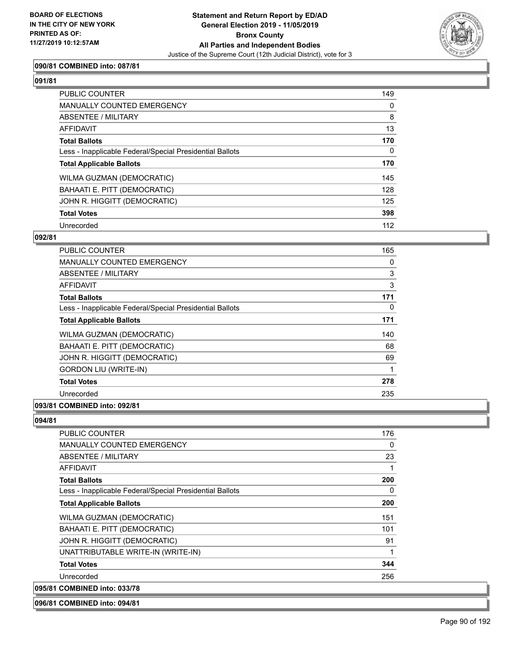

# **090/81 COMBINED into: 087/81**

# **091/81**

| <b>PUBLIC COUNTER</b>                                    | 149 |
|----------------------------------------------------------|-----|
| <b>MANUALLY COUNTED EMERGENCY</b>                        | 0   |
| ABSENTEE / MILITARY                                      | 8   |
| AFFIDAVIT                                                | 13  |
| <b>Total Ballots</b>                                     | 170 |
| Less - Inapplicable Federal/Special Presidential Ballots | 0   |
| <b>Total Applicable Ballots</b>                          | 170 |
| <b>WILMA GUZMAN (DEMOCRATIC)</b>                         | 145 |
| BAHAATI E. PITT (DEMOCRATIC)                             | 128 |
| JOHN R. HIGGITT (DEMOCRATIC)                             | 125 |
| <b>Total Votes</b>                                       | 398 |
| Unrecorded                                               | 112 |

#### **092/81**

| <b>PUBLIC COUNTER</b>                                    | 165 |
|----------------------------------------------------------|-----|
| <b>MANUALLY COUNTED EMERGENCY</b>                        | 0   |
| ABSENTEE / MILITARY                                      | 3   |
| <b>AFFIDAVIT</b>                                         | 3   |
| <b>Total Ballots</b>                                     | 171 |
| Less - Inapplicable Federal/Special Presidential Ballots | 0   |
| <b>Total Applicable Ballots</b>                          | 171 |
| WILMA GUZMAN (DEMOCRATIC)                                | 140 |
| BAHAATI E. PITT (DEMOCRATIC)                             | 68  |
| JOHN R. HIGGITT (DEMOCRATIC)                             | 69  |
| <b>GORDON LIU (WRITE-IN)</b>                             |     |
| <b>Total Votes</b>                                       | 278 |
| Unrecorded                                               | 235 |
| 093/81 COMBINED into: 092/81                             |     |

# **094/81**

| PUBLIC COUNTER                                           | 176 |
|----------------------------------------------------------|-----|
| MANUALLY COUNTED EMERGENCY                               | 0   |
| ABSENTEE / MILITARY                                      | 23  |
| AFFIDAVIT                                                | 1   |
| <b>Total Ballots</b>                                     | 200 |
| Less - Inapplicable Federal/Special Presidential Ballots | 0   |
| <b>Total Applicable Ballots</b>                          | 200 |
| WILMA GUZMAN (DEMOCRATIC)                                | 151 |
| BAHAATI E. PITT (DEMOCRATIC)                             | 101 |
| JOHN R. HIGGITT (DEMOCRATIC)                             | 91  |
| UNATTRIBUTABLE WRITE-IN (WRITE-IN)                       | 1   |
| <b>Total Votes</b>                                       | 344 |
| Unrecorded                                               | 256 |
| 095/81 COMBINED into: 033/78                             |     |

#### **096/81 COMBINED into: 094/81**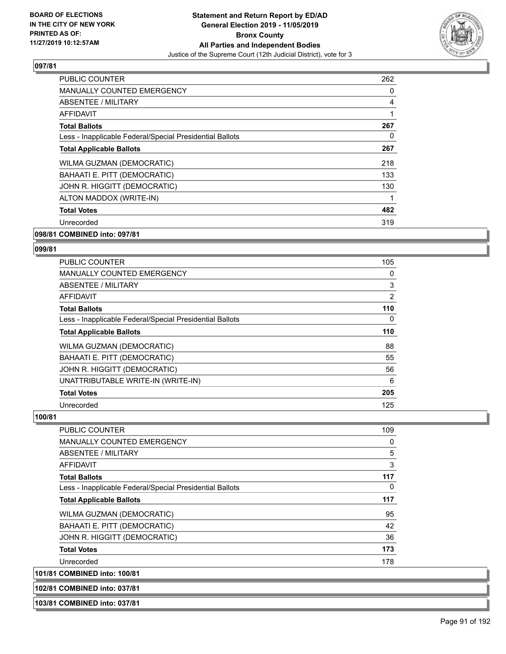

| <b>PUBLIC COUNTER</b>                                    | 262 |
|----------------------------------------------------------|-----|
| MANUALLY COUNTED EMERGENCY                               | 0   |
| ABSENTEE / MILITARY                                      | 4   |
| <b>AFFIDAVIT</b>                                         | 1   |
| <b>Total Ballots</b>                                     | 267 |
| Less - Inapplicable Federal/Special Presidential Ballots | 0   |
| <b>Total Applicable Ballots</b>                          | 267 |
| WILMA GUZMAN (DEMOCRATIC)                                | 218 |
| BAHAATI E. PITT (DEMOCRATIC)                             | 133 |
| JOHN R. HIGGITT (DEMOCRATIC)                             | 130 |
| ALTON MADDOX (WRITE-IN)                                  | 1   |
| <b>Total Votes</b>                                       | 482 |
| Unrecorded                                               | 319 |
| 098/81 COMBINED into: 097/81                             |     |

# **099/81**

| <b>PUBLIC COUNTER</b>                                    | 105      |
|----------------------------------------------------------|----------|
| <b>MANUALLY COUNTED EMERGENCY</b>                        | 0        |
| ABSENTEE / MILITARY                                      | 3        |
| AFFIDAVIT                                                | 2        |
| <b>Total Ballots</b>                                     | 110      |
| Less - Inapplicable Federal/Special Presidential Ballots | $\Omega$ |
| <b>Total Applicable Ballots</b>                          | 110      |
| WILMA GUZMAN (DEMOCRATIC)                                | 88       |
| BAHAATI E. PITT (DEMOCRATIC)                             | 55       |
| JOHN R. HIGGITT (DEMOCRATIC)                             | 56       |
| UNATTRIBUTABLE WRITE-IN (WRITE-IN)                       | 6        |
| <b>Total Votes</b>                                       | 205      |
| Unrecorded                                               | 125      |

#### **100/81**

| <b>PUBLIC COUNTER</b>                                    | 109 |
|----------------------------------------------------------|-----|
| <b>MANUALLY COUNTED EMERGENCY</b>                        | 0   |
| ABSENTEE / MILITARY                                      | 5   |
| AFFIDAVIT                                                | 3   |
| <b>Total Ballots</b>                                     | 117 |
| Less - Inapplicable Federal/Special Presidential Ballots | 0   |
| <b>Total Applicable Ballots</b>                          | 117 |
| WILMA GUZMAN (DEMOCRATIC)                                | 95  |
| BAHAATI E. PITT (DEMOCRATIC)                             | 42  |
| JOHN R. HIGGITT (DEMOCRATIC)                             | 36  |
| <b>Total Votes</b>                                       | 173 |
| Unrecorded                                               | 178 |
| 101/81 COMBINED into: 100/81                             |     |

#### **102/81 COMBINED into: 037/81**

**103/81 COMBINED into: 037/81**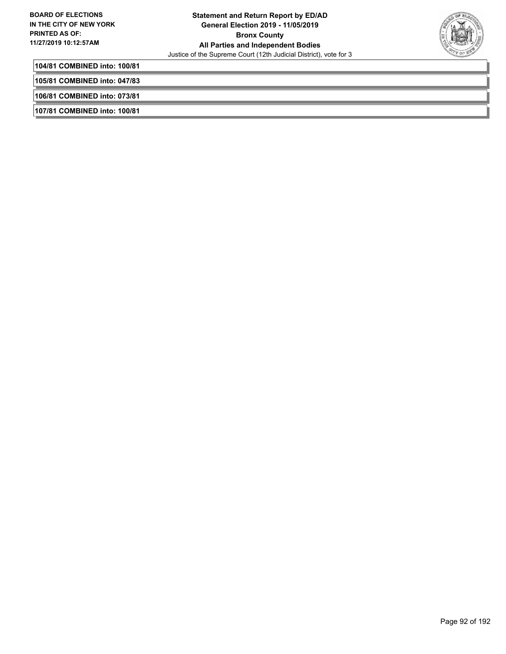

**104/81 COMBINED into: 100/81**

**105/81 COMBINED into: 047/83**

**106/81 COMBINED into: 073/81**

**107/81 COMBINED into: 100/81**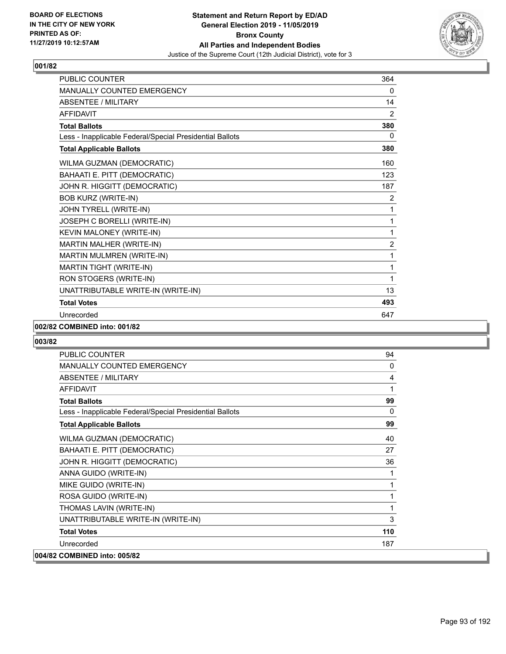

| <b>PUBLIC COUNTER</b>                                    | 364            |
|----------------------------------------------------------|----------------|
| MANUALLY COUNTED EMERGENCY                               | 0              |
| <b>ABSENTEE / MILITARY</b>                               | 14             |
| <b>AFFIDAVIT</b>                                         | 2              |
| <b>Total Ballots</b>                                     | 380            |
| Less - Inapplicable Federal/Special Presidential Ballots | 0              |
| <b>Total Applicable Ballots</b>                          | 380            |
| WILMA GUZMAN (DEMOCRATIC)                                | 160            |
| BAHAATI E. PITT (DEMOCRATIC)                             | 123            |
| JOHN R. HIGGITT (DEMOCRATIC)                             | 187            |
| <b>BOB KURZ (WRITE-IN)</b>                               | $\overline{2}$ |
| JOHN TYRELL (WRITE-IN)                                   | 1              |
| JOSEPH C BORELLI (WRITE-IN)                              | 1              |
| KEVIN MALONEY (WRITE-IN)                                 | 1              |
| MARTIN MALHER (WRITE-IN)                                 | $\overline{2}$ |
| MARTIN MULMREN (WRITE-IN)                                | 1              |
| MARTIN TIGHT (WRITE-IN)                                  | 1              |
| RON STOGERS (WRITE-IN)                                   | 1              |
| UNATTRIBUTABLE WRITE-IN (WRITE-IN)                       | 13             |
| <b>Total Votes</b>                                       | 493            |
| Unrecorded                                               | 647            |

#### **002/82 COMBINED into: 001/82**

| <b>PUBLIC COUNTER</b>                                    | 94           |
|----------------------------------------------------------|--------------|
| MANUALLY COUNTED EMERGENCY                               | $\mathbf{0}$ |
| ABSENTEE / MILITARY                                      | 4            |
| <b>AFFIDAVIT</b>                                         | 1            |
| <b>Total Ballots</b>                                     | 99           |
| Less - Inapplicable Federal/Special Presidential Ballots | 0            |
| <b>Total Applicable Ballots</b>                          | 99           |
| WILMA GUZMAN (DEMOCRATIC)                                | 40           |
| BAHAATI E. PITT (DEMOCRATIC)                             | 27           |
| JOHN R. HIGGITT (DEMOCRATIC)                             | 36           |
| ANNA GUIDO (WRITE-IN)                                    | 1            |
| MIKE GUIDO (WRITE-IN)                                    | 1            |
| ROSA GUIDO (WRITE-IN)                                    | 1            |
| THOMAS LAVIN (WRITE-IN)                                  | 1            |
| UNATTRIBUTABLE WRITE-IN (WRITE-IN)                       | 3            |
| <b>Total Votes</b>                                       | 110          |
| Unrecorded                                               | 187          |
| 004/82 COMBINED into: 005/82                             |              |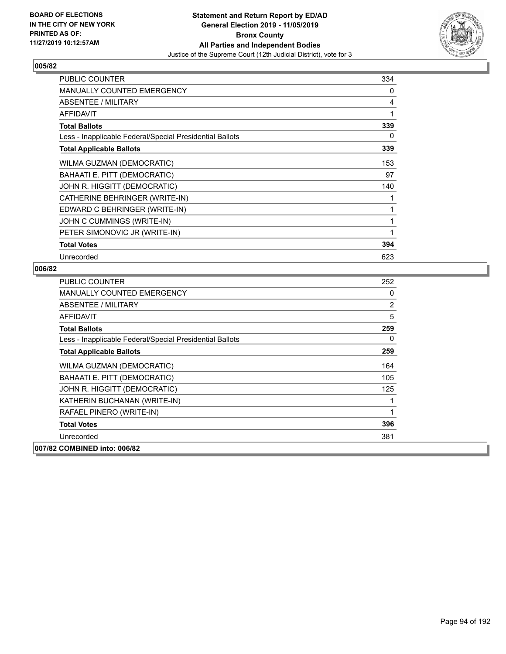

| <b>PUBLIC COUNTER</b>                                    | 334 |
|----------------------------------------------------------|-----|
| <b>MANUALLY COUNTED EMERGENCY</b>                        | 0   |
| ABSENTEE / MILITARY                                      | 4   |
| <b>AFFIDAVIT</b>                                         | 1   |
| <b>Total Ballots</b>                                     | 339 |
| Less - Inapplicable Federal/Special Presidential Ballots | 0   |
| <b>Total Applicable Ballots</b>                          | 339 |
| WILMA GUZMAN (DEMOCRATIC)                                | 153 |
| BAHAATI E. PITT (DEMOCRATIC)                             | 97  |
| JOHN R. HIGGITT (DEMOCRATIC)                             | 140 |
| CATHERINE BEHRINGER (WRITE-IN)                           |     |
| EDWARD C BEHRINGER (WRITE-IN)                            | 1   |
| JOHN C CUMMINGS (WRITE-IN)                               | 1   |
| PETER SIMONOVIC JR (WRITE-IN)                            |     |
| <b>Total Votes</b>                                       | 394 |
| Unrecorded                                               | 623 |

| <b>PUBLIC COUNTER</b>                                    | 252 |
|----------------------------------------------------------|-----|
| <b>MANUALLY COUNTED EMERGENCY</b>                        | 0   |
| ABSENTEE / MILITARY                                      | 2   |
| AFFIDAVIT                                                | 5   |
| <b>Total Ballots</b>                                     | 259 |
| Less - Inapplicable Federal/Special Presidential Ballots | 0   |
| <b>Total Applicable Ballots</b>                          | 259 |
| WILMA GUZMAN (DEMOCRATIC)                                | 164 |
| BAHAATI E. PITT (DEMOCRATIC)                             | 105 |
| JOHN R. HIGGITT (DEMOCRATIC)                             | 125 |
| KATHERIN BUCHANAN (WRITE-IN)                             |     |
| RAFAEL PINERO (WRITE-IN)                                 | 1   |
| <b>Total Votes</b>                                       | 396 |
| Unrecorded                                               | 381 |
| 007/82 COMBINED into: 006/82                             |     |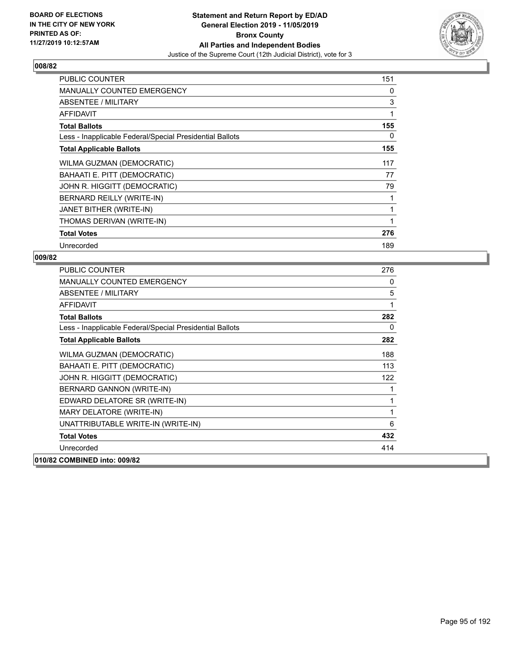

| <b>PUBLIC COUNTER</b>                                    | 151 |
|----------------------------------------------------------|-----|
| <b>MANUALLY COUNTED EMERGENCY</b>                        | 0   |
| <b>ABSENTEE / MILITARY</b>                               | 3   |
| <b>AFFIDAVIT</b>                                         | 1   |
| <b>Total Ballots</b>                                     | 155 |
| Less - Inapplicable Federal/Special Presidential Ballots | 0   |
| <b>Total Applicable Ballots</b>                          | 155 |
| WILMA GUZMAN (DEMOCRATIC)                                | 117 |
| BAHAATI E. PITT (DEMOCRATIC)                             | 77  |
| JOHN R. HIGGITT (DEMOCRATIC)                             | 79  |
| BERNARD REILLY (WRITE-IN)                                |     |
| JANET BITHER (WRITE-IN)                                  | 1   |
| THOMAS DERIVAN (WRITE-IN)                                | 1   |
| <b>Total Votes</b>                                       | 276 |
| Unrecorded                                               | 189 |

| PUBLIC COUNTER                                           | 276         |
|----------------------------------------------------------|-------------|
| MANUALLY COUNTED EMERGENCY                               | 0           |
| ABSENTEE / MILITARY                                      | 5           |
| <b>AFFIDAVIT</b>                                         | 1           |
| <b>Total Ballots</b>                                     | 282         |
| Less - Inapplicable Federal/Special Presidential Ballots | 0           |
| <b>Total Applicable Ballots</b>                          | 282         |
| WILMA GUZMAN (DEMOCRATIC)                                | 188         |
| BAHAATI E. PITT (DEMOCRATIC)                             | 113         |
| JOHN R. HIGGITT (DEMOCRATIC)                             | 122         |
| BERNARD GANNON (WRITE-IN)                                | 1           |
| EDWARD DELATORE SR (WRITE-IN)                            | $\mathbf 1$ |
| MARY DELATORE (WRITE-IN)                                 | 1           |
| UNATTRIBUTABLE WRITE-IN (WRITE-IN)                       | 6           |
| <b>Total Votes</b>                                       | 432         |
| Unrecorded                                               | 414         |
| 010/82 COMBINED into: 009/82                             |             |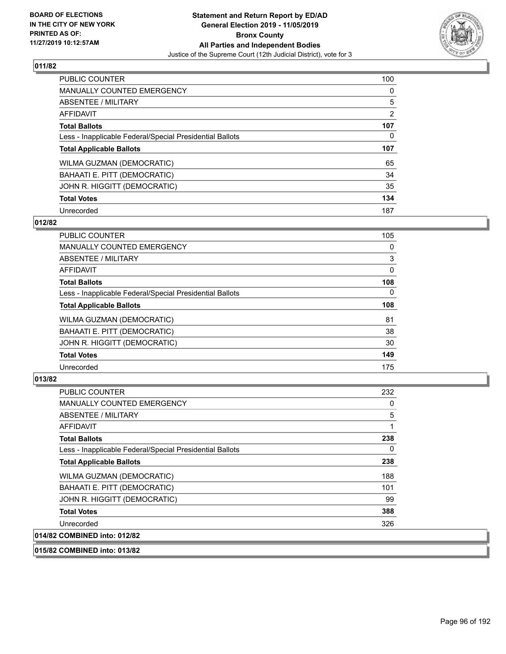

| <b>PUBLIC COUNTER</b>                                    | 100      |
|----------------------------------------------------------|----------|
| <b>MANUALLY COUNTED EMERGENCY</b>                        | $\Omega$ |
| ABSENTEE / MILITARY                                      | 5        |
| <b>AFFIDAVIT</b>                                         | 2        |
| <b>Total Ballots</b>                                     | 107      |
| Less - Inapplicable Federal/Special Presidential Ballots | 0        |
| <b>Total Applicable Ballots</b>                          | 107      |
| WILMA GUZMAN (DEMOCRATIC)                                | 65       |
| BAHAATI E. PITT (DEMOCRATIC)                             | 34       |
| JOHN R. HIGGITT (DEMOCRATIC)                             | 35       |
| <b>Total Votes</b>                                       | 134      |
| Unrecorded                                               | 187      |

#### **012/82**

| <b>PUBLIC COUNTER</b>                                    | 105      |
|----------------------------------------------------------|----------|
| <b>MANUALLY COUNTED EMERGENCY</b>                        | 0        |
| ABSENTEE / MILITARY                                      | 3        |
| <b>AFFIDAVIT</b>                                         | 0        |
| <b>Total Ballots</b>                                     | 108      |
| Less - Inapplicable Federal/Special Presidential Ballots | $\Omega$ |
| <b>Total Applicable Ballots</b>                          | 108      |
| WILMA GUZMAN (DEMOCRATIC)                                | 81       |
| BAHAATI E. PITT (DEMOCRATIC)                             | 38       |
| JOHN R. HIGGITT (DEMOCRATIC)                             | 30       |
| <b>Total Votes</b>                                       | 149      |
| Unrecorded                                               | 175      |

# **013/82**

| <b>PUBLIC COUNTER</b>                                    | 232      |
|----------------------------------------------------------|----------|
| <b>MANUALLY COUNTED EMERGENCY</b>                        | 0        |
| ABSENTEE / MILITARY                                      | 5        |
| <b>AFFIDAVIT</b>                                         |          |
| <b>Total Ballots</b>                                     | 238      |
| Less - Inapplicable Federal/Special Presidential Ballots | $\Omega$ |
| <b>Total Applicable Ballots</b>                          | 238      |
| WILMA GUZMAN (DEMOCRATIC)                                | 188      |
| <b>BAHAATI E. PITT (DEMOCRATIC)</b>                      | 101      |
| JOHN R. HIGGITT (DEMOCRATIC)                             | 99       |
| <b>Total Votes</b>                                       | 388      |
| Unrecorded                                               | 326      |
| 014/82 COMBINED into: 012/82                             |          |

# **015/82 COMBINED into: 013/82**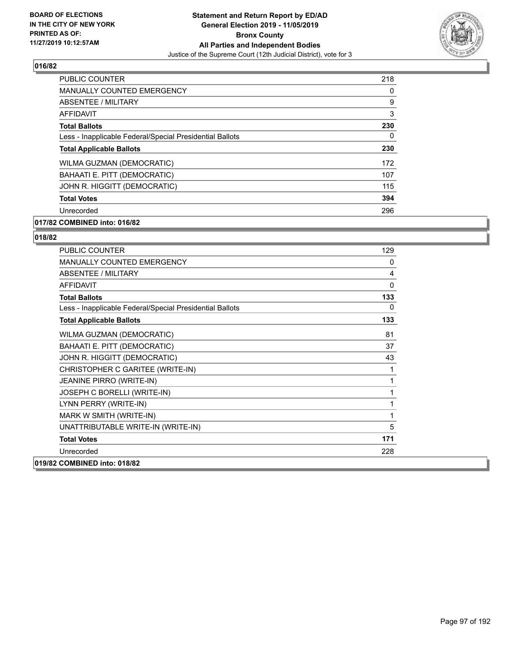

| PUBLIC COUNTER                                           | 218      |
|----------------------------------------------------------|----------|
| <b>MANUALLY COUNTED EMERGENCY</b>                        | $\Omega$ |
| ABSENTEE / MILITARY                                      | 9        |
| AFFIDAVIT                                                | 3        |
| <b>Total Ballots</b>                                     | 230      |
| Less - Inapplicable Federal/Special Presidential Ballots | $\Omega$ |
| <b>Total Applicable Ballots</b>                          | 230      |
| WILMA GUZMAN (DEMOCRATIC)                                | 172      |
| BAHAATI E. PITT (DEMOCRATIC)                             | 107      |
| JOHN R. HIGGITT (DEMOCRATIC)                             | 115      |
| <b>Total Votes</b>                                       | 394      |
| Unrecorded                                               | 296      |

# **017/82 COMBINED into: 016/82**

| PUBLIC COUNTER                                           | 129      |
|----------------------------------------------------------|----------|
| <b>MANUALLY COUNTED EMERGENCY</b>                        | 0        |
| ABSENTEE / MILITARY                                      | 4        |
| <b>AFFIDAVIT</b>                                         | $\Omega$ |
| <b>Total Ballots</b>                                     | 133      |
| Less - Inapplicable Federal/Special Presidential Ballots | 0        |
| <b>Total Applicable Ballots</b>                          | 133      |
| WILMA GUZMAN (DEMOCRATIC)                                | 81       |
| BAHAATI E. PITT (DEMOCRATIC)                             | 37       |
| JOHN R. HIGGITT (DEMOCRATIC)                             | 43       |
| CHRISTOPHER C GARITEE (WRITE-IN)                         | 1        |
| JEANINE PIRRO (WRITE-IN)                                 | 1        |
| JOSEPH C BORELLI (WRITE-IN)                              | 1        |
| LYNN PERRY (WRITE-IN)                                    | 1        |
| MARK W SMITH (WRITE-IN)                                  | 1        |
| UNATTRIBUTABLE WRITE-IN (WRITE-IN)                       | 5        |
| <b>Total Votes</b>                                       | 171      |
| Unrecorded                                               | 228      |
| 019/82 COMBINED into: 018/82                             |          |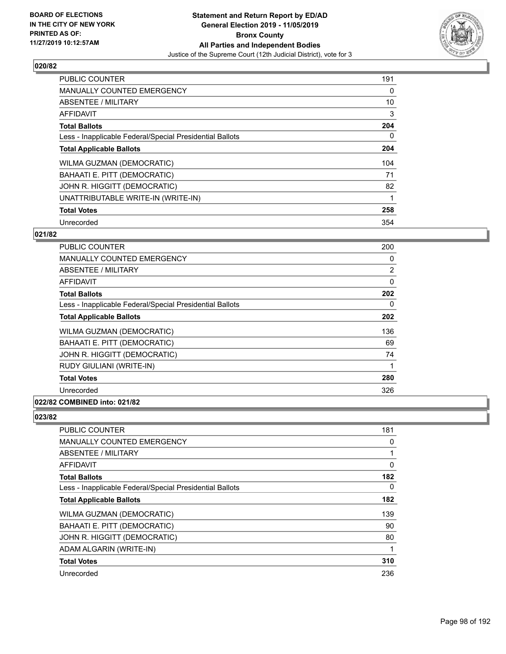

| <b>PUBLIC COUNTER</b>                                    | 191 |
|----------------------------------------------------------|-----|
| <b>MANUALLY COUNTED EMERGENCY</b>                        | 0   |
| ABSENTEE / MILITARY                                      | 10  |
| <b>AFFIDAVIT</b>                                         | 3   |
| <b>Total Ballots</b>                                     | 204 |
| Less - Inapplicable Federal/Special Presidential Ballots | 0   |
| <b>Total Applicable Ballots</b>                          | 204 |
| WILMA GUZMAN (DEMOCRATIC)                                | 104 |
| BAHAATI E. PITT (DEMOCRATIC)                             | 71  |
| JOHN R. HIGGITT (DEMOCRATIC)                             | 82  |
| UNATTRIBUTABLE WRITE-IN (WRITE-IN)                       |     |
| <b>Total Votes</b>                                       | 258 |
| Unrecorded                                               | 354 |

# **021/82**

| <b>PUBLIC COUNTER</b>                                    | 200            |
|----------------------------------------------------------|----------------|
| MANUALLY COUNTED EMERGENCY                               | 0              |
| ABSENTEE / MILITARY                                      | $\overline{2}$ |
| AFFIDAVIT                                                | 0              |
| <b>Total Ballots</b>                                     | 202            |
| Less - Inapplicable Federal/Special Presidential Ballots | $\Omega$       |
| <b>Total Applicable Ballots</b>                          | 202            |
| WILMA GUZMAN (DEMOCRATIC)                                | 136            |
| BAHAATI E. PITT (DEMOCRATIC)                             | 69             |
| JOHN R. HIGGITT (DEMOCRATIC)                             | 74             |
| RUDY GIULIANI (WRITE-IN)                                 |                |
| <b>Total Votes</b>                                       | 280            |
| Unrecorded                                               | 326            |
| 022/82 COMBINED into: 021/82                             |                |

| PUBLIC COUNTER                                           | 181      |
|----------------------------------------------------------|----------|
| <b>MANUALLY COUNTED EMERGENCY</b>                        | 0        |
| ABSENTEE / MILITARY                                      |          |
| AFFIDAVIT                                                | 0        |
| <b>Total Ballots</b>                                     | 182      |
| Less - Inapplicable Federal/Special Presidential Ballots | $\Omega$ |
| <b>Total Applicable Ballots</b>                          | 182      |
| WILMA GUZMAN (DEMOCRATIC)                                | 139      |
| BAHAATI E. PITT (DEMOCRATIC)                             | 90       |
| JOHN R. HIGGITT (DEMOCRATIC)                             | 80       |
| ADAM ALGARIN (WRITE-IN)                                  | 1        |
| <b>Total Votes</b>                                       | 310      |
| Unrecorded                                               | 236      |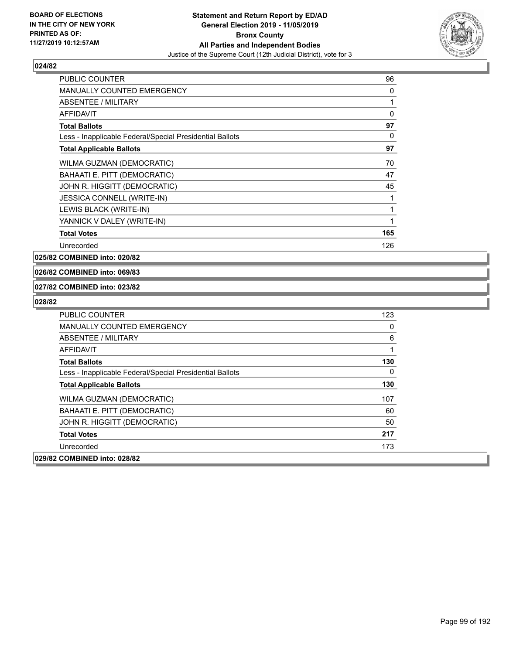

| PUBLIC COUNTER                                           | 96  |
|----------------------------------------------------------|-----|
| MANUALLY COUNTED EMERGENCY                               | 0   |
| ABSENTEE / MILITARY                                      | 1   |
| <b>AFFIDAVIT</b>                                         | 0   |
| <b>Total Ballots</b>                                     | 97  |
| Less - Inapplicable Federal/Special Presidential Ballots | 0   |
| <b>Total Applicable Ballots</b>                          | 97  |
| WILMA GUZMAN (DEMOCRATIC)                                | 70  |
| BAHAATI E. PITT (DEMOCRATIC)                             | 47  |
| JOHN R. HIGGITT (DEMOCRATIC)                             | 45  |
| JESSICA CONNELL (WRITE-IN)                               | 1   |
| LEWIS BLACK (WRITE-IN)                                   | 1   |
| YANNICK V DALEY (WRITE-IN)                               | 1   |
| <b>Total Votes</b>                                       | 165 |
| Unrecorded                                               | 126 |

**025/82 COMBINED into: 020/82**

# **026/82 COMBINED into: 069/83**

#### **027/82 COMBINED into: 023/82**

| <b>PUBLIC COUNTER</b>                                    | 123          |
|----------------------------------------------------------|--------------|
| <b>MANUALLY COUNTED EMERGENCY</b>                        | $\Omega$     |
| ABSENTEE / MILITARY                                      | 6            |
| AFFIDAVIT                                                | 1            |
| <b>Total Ballots</b>                                     | 130          |
| Less - Inapplicable Federal/Special Presidential Ballots | $\mathbf{0}$ |
| <b>Total Applicable Ballots</b>                          | 130          |
| WILMA GUZMAN (DEMOCRATIC)                                | 107          |
| BAHAATI E. PITT (DEMOCRATIC)                             | 60           |
| JOHN R. HIGGITT (DEMOCRATIC)                             | 50           |
| <b>Total Votes</b>                                       | 217          |
| Unrecorded                                               | 173          |
| 029/82 COMBINED into: 028/82                             |              |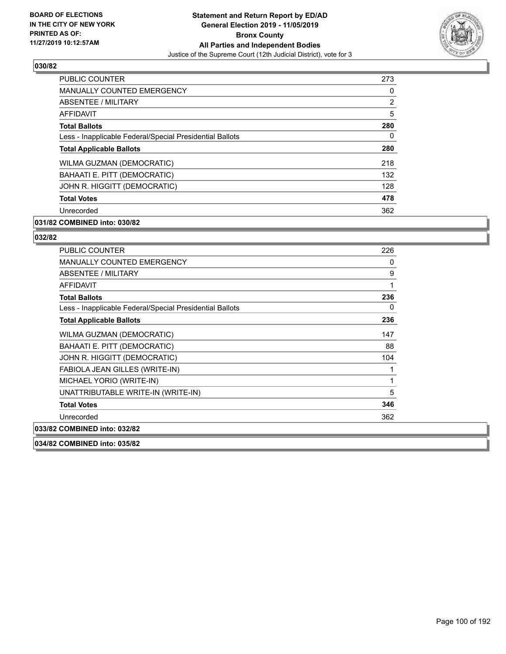

| PUBLIC COUNTER                                           | 273 |
|----------------------------------------------------------|-----|
| <b>MANUALLY COUNTED EMERGENCY</b>                        | 0   |
| ABSENTEE / MILITARY                                      | 2   |
| AFFIDAVIT                                                | 5   |
| <b>Total Ballots</b>                                     | 280 |
| Less - Inapplicable Federal/Special Presidential Ballots | 0   |
| <b>Total Applicable Ballots</b>                          | 280 |
| WILMA GUZMAN (DEMOCRATIC)                                | 218 |
| BAHAATI E. PITT (DEMOCRATIC)                             | 132 |
| JOHN R. HIGGITT (DEMOCRATIC)                             | 128 |
| <b>Total Votes</b>                                       | 478 |
| Unrecorded                                               | 362 |

# **031/82 COMBINED into: 030/82**

# **032/82**

| 226 |
|-----|
| 0   |
| 9   |
| 1   |
| 236 |
| 0   |
| 236 |
| 147 |
| 88  |
| 104 |
| 1   |
| 1   |
| 5   |
| 346 |
| 362 |
|     |
|     |

**034/82 COMBINED into: 035/82**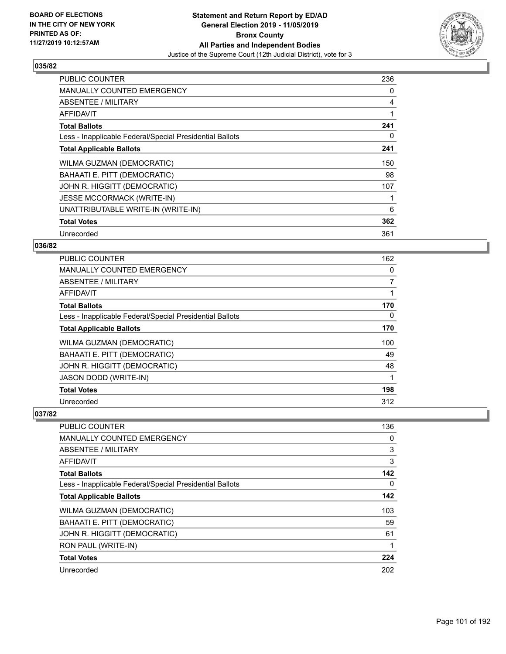

| <b>PUBLIC COUNTER</b>                                    | 236 |
|----------------------------------------------------------|-----|
| <b>MANUALLY COUNTED EMERGENCY</b>                        | 0   |
| ABSENTEE / MILITARY                                      | 4   |
| AFFIDAVIT                                                | 1   |
| <b>Total Ballots</b>                                     | 241 |
| Less - Inapplicable Federal/Special Presidential Ballots | 0   |
| <b>Total Applicable Ballots</b>                          | 241 |
| WILMA GUZMAN (DEMOCRATIC)                                | 150 |
| BAHAATI E. PITT (DEMOCRATIC)                             | 98  |
| JOHN R. HIGGITT (DEMOCRATIC)                             | 107 |
| <b>JESSE MCCORMACK (WRITE-IN)</b>                        |     |
| UNATTRIBUTABLE WRITE-IN (WRITE-IN)                       | 6   |
| <b>Total Votes</b>                                       | 362 |
| Unrecorded                                               | 361 |

# **036/82**

| <b>PUBLIC COUNTER</b>                                    | 162            |
|----------------------------------------------------------|----------------|
| <b>MANUALLY COUNTED EMERGENCY</b>                        | 0              |
| ABSENTEE / MILITARY                                      | $\overline{7}$ |
| <b>AFFIDAVIT</b>                                         |                |
| <b>Total Ballots</b>                                     | 170            |
| Less - Inapplicable Federal/Special Presidential Ballots | $\Omega$       |
| <b>Total Applicable Ballots</b>                          | 170            |
| WILMA GUZMAN (DEMOCRATIC)                                | 100            |
| BAHAATI E. PITT (DEMOCRATIC)                             | 49             |
| JOHN R. HIGGITT (DEMOCRATIC)                             | 48             |
| <b>JASON DODD (WRITE-IN)</b>                             |                |
| <b>Total Votes</b>                                       | 198            |
| Unrecorded                                               | 312            |

| PUBLIC COUNTER                                           | 136 |
|----------------------------------------------------------|-----|
| <b>MANUALLY COUNTED EMERGENCY</b>                        | 0   |
| ABSENTEE / MILITARY                                      | 3   |
| AFFIDAVIT                                                | 3   |
| <b>Total Ballots</b>                                     | 142 |
| Less - Inapplicable Federal/Special Presidential Ballots | 0   |
| <b>Total Applicable Ballots</b>                          | 142 |
| WILMA GUZMAN (DEMOCRATIC)                                | 103 |
| BAHAATI E. PITT (DEMOCRATIC)                             | 59  |
| JOHN R. HIGGITT (DEMOCRATIC)                             | 61  |
| RON PAUL (WRITE-IN)                                      |     |
| <b>Total Votes</b>                                       | 224 |
| Unrecorded                                               | 202 |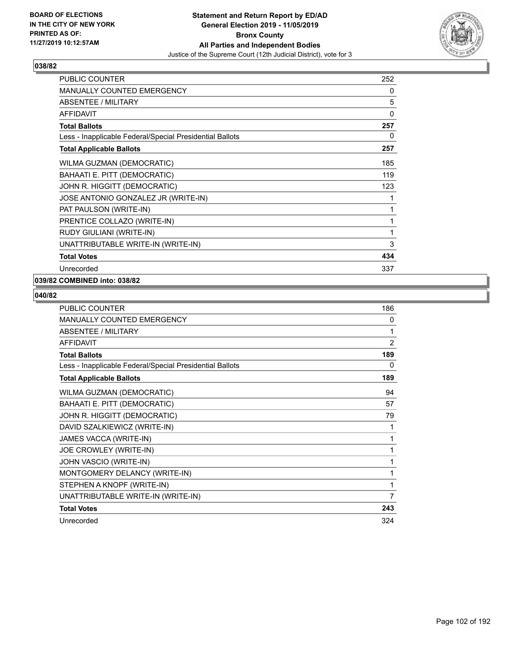

| <b>PUBLIC COUNTER</b>                                    | 252 |
|----------------------------------------------------------|-----|
| MANUALLY COUNTED EMERGENCY                               | 0   |
| <b>ABSENTEE / MILITARY</b>                               | 5   |
| <b>AFFIDAVIT</b>                                         | 0   |
| <b>Total Ballots</b>                                     | 257 |
| Less - Inapplicable Federal/Special Presidential Ballots | 0   |
| <b>Total Applicable Ballots</b>                          | 257 |
| WILMA GUZMAN (DEMOCRATIC)                                | 185 |
| BAHAATI E. PITT (DEMOCRATIC)                             | 119 |
| JOHN R. HIGGITT (DEMOCRATIC)                             | 123 |
| JOSE ANTONIO GONZALEZ JR (WRITE-IN)                      | 1   |
| PAT PAULSON (WRITE-IN)                                   | 1   |
| PRENTICE COLLAZO (WRITE-IN)                              | 1   |
| RUDY GIULIANI (WRITE-IN)                                 | 1   |
| UNATTRIBUTABLE WRITE-IN (WRITE-IN)                       | 3   |
| <b>Total Votes</b>                                       | 434 |
| Unrecorded                                               | 337 |

# **039/82 COMBINED into: 038/82**

| <b>PUBLIC COUNTER</b>                                    | 186            |
|----------------------------------------------------------|----------------|
| <b>MANUALLY COUNTED EMERGENCY</b>                        | 0              |
| ABSENTEE / MILITARY                                      | 1              |
| <b>AFFIDAVIT</b>                                         | $\overline{2}$ |
| <b>Total Ballots</b>                                     | 189            |
| Less - Inapplicable Federal/Special Presidential Ballots | 0              |
| <b>Total Applicable Ballots</b>                          | 189            |
| WILMA GUZMAN (DEMOCRATIC)                                | 94             |
| BAHAATI E. PITT (DEMOCRATIC)                             | 57             |
| JOHN R. HIGGITT (DEMOCRATIC)                             | 79             |
| DAVID SZALKIEWICZ (WRITE-IN)                             | 1              |
| JAMES VACCA (WRITE-IN)                                   | 1              |
| JOE CROWLEY (WRITE-IN)                                   | 1              |
| JOHN VASCIO (WRITE-IN)                                   | 1              |
| MONTGOMERY DELANCY (WRITE-IN)                            | 1              |
| STEPHEN A KNOPF (WRITE-IN)                               | 1              |
| UNATTRIBUTABLE WRITE-IN (WRITE-IN)                       | 7              |
| <b>Total Votes</b>                                       | 243            |
| Unrecorded                                               | 324            |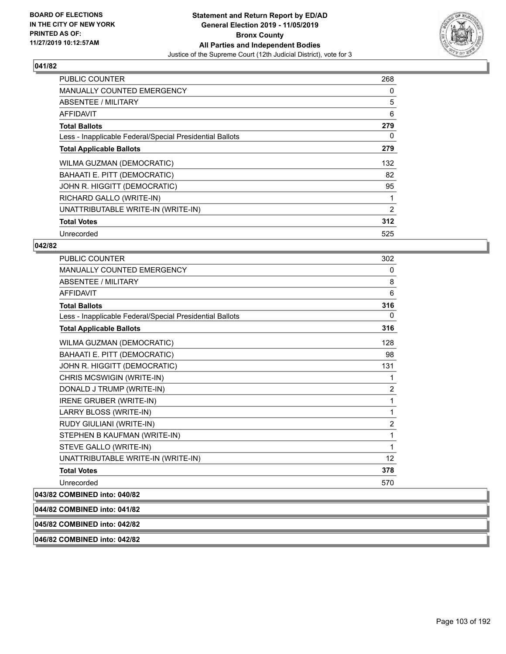

| <b>PUBLIC COUNTER</b>                                    | 268 |
|----------------------------------------------------------|-----|
| <b>MANUALLY COUNTED EMERGENCY</b>                        | 0   |
| <b>ABSENTEE / MILITARY</b>                               | 5   |
| AFFIDAVIT                                                | 6   |
| <b>Total Ballots</b>                                     | 279 |
| Less - Inapplicable Federal/Special Presidential Ballots | 0   |
| <b>Total Applicable Ballots</b>                          | 279 |
| WILMA GUZMAN (DEMOCRATIC)                                | 132 |
| BAHAATI E. PITT (DEMOCRATIC)                             | 82  |
| JOHN R. HIGGITT (DEMOCRATIC)                             | 95  |
| RICHARD GALLO (WRITE-IN)                                 | 1   |
| UNATTRIBUTABLE WRITE-IN (WRITE-IN)                       | 2   |
| <b>Total Votes</b>                                       | 312 |
| Unrecorded                                               | 525 |

# **042/82**

| <b>PUBLIC COUNTER</b>                                    | 302            |
|----------------------------------------------------------|----------------|
| <b>MANUALLY COUNTED EMERGENCY</b>                        | 0              |
| ABSENTEE / MILITARY                                      | 8              |
| <b>AFFIDAVIT</b>                                         | 6              |
| <b>Total Ballots</b>                                     | 316            |
| Less - Inapplicable Federal/Special Presidential Ballots | 0              |
| <b>Total Applicable Ballots</b>                          | 316            |
| WILMA GUZMAN (DEMOCRATIC)                                | 128            |
| BAHAATI E. PITT (DEMOCRATIC)                             | 98             |
| JOHN R. HIGGITT (DEMOCRATIC)                             | 131            |
| CHRIS MCSWIGIN (WRITE-IN)                                | 1              |
| DONALD J TRUMP (WRITE-IN)                                | $\overline{2}$ |
| IRENE GRUBER (WRITE-IN)                                  | 1              |
| LARRY BLOSS (WRITE-IN)                                   | 1              |
| RUDY GIULIANI (WRITE-IN)                                 | $\overline{2}$ |
| STEPHEN B KAUFMAN (WRITE-IN)                             | 1              |
| STEVE GALLO (WRITE-IN)                                   | 1              |
| UNATTRIBUTABLE WRITE-IN (WRITE-IN)                       | 12             |
| <b>Total Votes</b>                                       | 378            |
| Unrecorded                                               | 570            |
|                                                          |                |

# **043/82 COMBINED into: 040/82 044/82 COMBINED into: 041/82 045/82 COMBINED into: 042/82 046/82 COMBINED into: 042/82**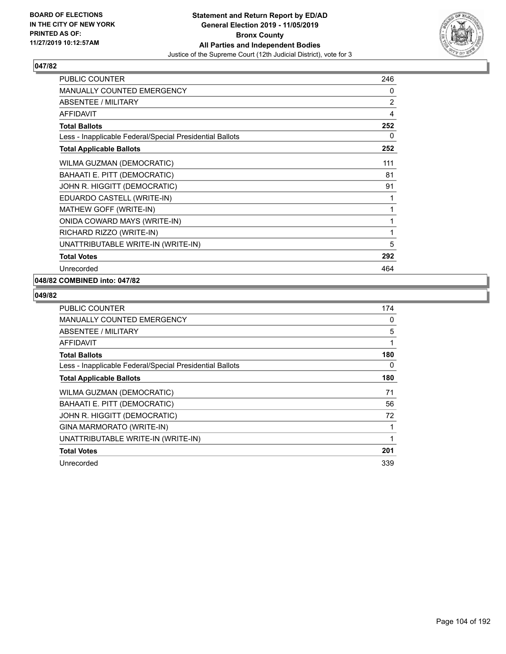

| PUBLIC COUNTER                                           | 246 |
|----------------------------------------------------------|-----|
| MANUALLY COUNTED EMERGENCY                               | 0   |
| ABSENTEE / MILITARY                                      | 2   |
| <b>AFFIDAVIT</b>                                         | 4   |
| <b>Total Ballots</b>                                     | 252 |
| Less - Inapplicable Federal/Special Presidential Ballots | 0   |
| <b>Total Applicable Ballots</b>                          | 252 |
| WILMA GUZMAN (DEMOCRATIC)                                | 111 |
| BAHAATI E. PITT (DEMOCRATIC)                             | 81  |
| JOHN R. HIGGITT (DEMOCRATIC)                             | 91  |
| EDUARDO CASTELL (WRITE-IN)                               | 1   |
| MATHEW GOFF (WRITE-IN)                                   | 1   |
| ONIDA COWARD MAYS (WRITE-IN)                             | 1   |
| RICHARD RIZZO (WRITE-IN)                                 | 1   |
| UNATTRIBUTABLE WRITE-IN (WRITE-IN)                       | 5   |
| <b>Total Votes</b>                                       | 292 |
| Unrecorded                                               | 464 |

# **048/82 COMBINED into: 047/82**

| PUBLIC COUNTER                                           | 174 |
|----------------------------------------------------------|-----|
| <b>MANUALLY COUNTED EMERGENCY</b>                        | 0   |
| ABSENTEE / MILITARY                                      | 5   |
| AFFIDAVIT                                                |     |
| <b>Total Ballots</b>                                     | 180 |
| Less - Inapplicable Federal/Special Presidential Ballots | 0   |
| <b>Total Applicable Ballots</b>                          | 180 |
| WILMA GUZMAN (DEMOCRATIC)                                | 71  |
| BAHAATI E. PITT (DEMOCRATIC)                             | 56  |
| JOHN R. HIGGITT (DEMOCRATIC)                             | 72  |
| GINA MARMORATO (WRITE-IN)                                |     |
| UNATTRIBUTABLE WRITE-IN (WRITE-IN)                       |     |
| <b>Total Votes</b>                                       | 201 |
| Unrecorded                                               | 339 |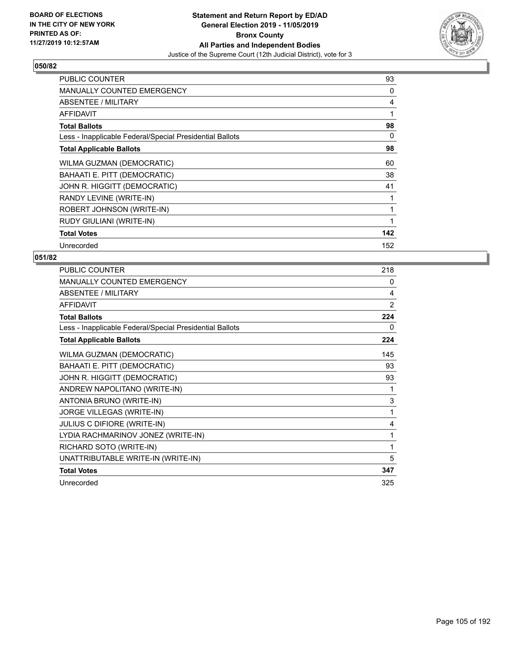

| PUBLIC COUNTER                                           | 93  |
|----------------------------------------------------------|-----|
| <b>MANUALLY COUNTED EMERGENCY</b>                        | 0   |
| <b>ABSENTEE / MILITARY</b>                               | 4   |
| <b>AFFIDAVIT</b>                                         | 1   |
| <b>Total Ballots</b>                                     | 98  |
| Less - Inapplicable Federal/Special Presidential Ballots | 0   |
| <b>Total Applicable Ballots</b>                          | 98  |
| WILMA GUZMAN (DEMOCRATIC)                                | 60  |
| BAHAATI E. PITT (DEMOCRATIC)                             | 38  |
| JOHN R. HIGGITT (DEMOCRATIC)                             | 41  |
| RANDY LEVINE (WRITE-IN)                                  |     |
| ROBERT JOHNSON (WRITE-IN)                                |     |
| RUDY GIULIANI (WRITE-IN)                                 | 1   |
| <b>Total Votes</b>                                       | 142 |
| Unrecorded                                               | 152 |

| PUBLIC COUNTER                                           | 218            |
|----------------------------------------------------------|----------------|
| <b>MANUALLY COUNTED EMERGENCY</b>                        | 0              |
| ABSENTEE / MILITARY                                      | 4              |
| <b>AFFIDAVIT</b>                                         | $\overline{2}$ |
| <b>Total Ballots</b>                                     | 224            |
| Less - Inapplicable Federal/Special Presidential Ballots | 0              |
| <b>Total Applicable Ballots</b>                          | 224            |
| WILMA GUZMAN (DEMOCRATIC)                                | 145            |
| BAHAATI E. PITT (DEMOCRATIC)                             | 93             |
| JOHN R. HIGGITT (DEMOCRATIC)                             | 93             |
| ANDREW NAPOLITANO (WRITE-IN)                             | 1              |
| ANTONIA BRUNO (WRITE-IN)                                 | 3              |
| JORGE VILLEGAS (WRITE-IN)                                | 1              |
| JULIUS C DIFIORE (WRITE-IN)                              | 4              |
| LYDIA RACHMARINOV JONEZ (WRITE-IN)                       | 1              |
| RICHARD SOTO (WRITE-IN)                                  | 1              |
| UNATTRIBUTABLE WRITE-IN (WRITE-IN)                       | 5              |
| <b>Total Votes</b>                                       | 347            |
| Unrecorded                                               | 325            |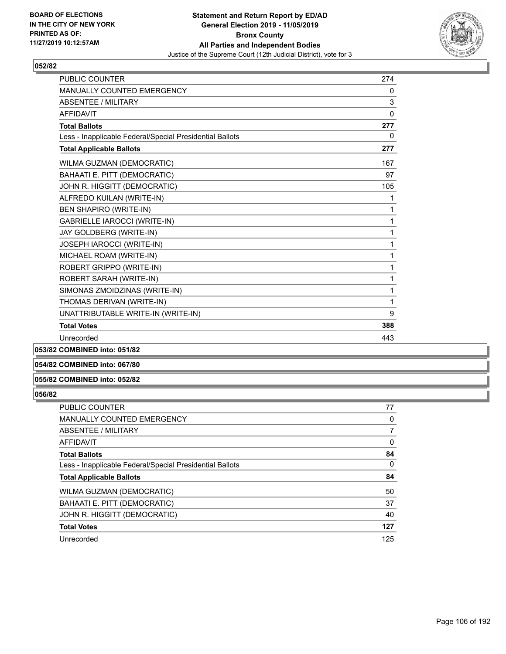

| <b>PUBLIC COUNTER</b>                                    | 274          |
|----------------------------------------------------------|--------------|
| <b>MANUALLY COUNTED EMERGENCY</b>                        | 0            |
| <b>ABSENTEE / MILITARY</b>                               | 3            |
| <b>AFFIDAVIT</b>                                         | $\mathbf{0}$ |
| <b>Total Ballots</b>                                     | 277          |
| Less - Inapplicable Federal/Special Presidential Ballots | 0            |
| <b>Total Applicable Ballots</b>                          | 277          |
| WILMA GUZMAN (DEMOCRATIC)                                | 167          |
| BAHAATI E. PITT (DEMOCRATIC)                             | 97           |
| JOHN R. HIGGITT (DEMOCRATIC)                             | 105          |
| ALFREDO KUILAN (WRITE-IN)                                | 1            |
| <b>BEN SHAPIRO (WRITE-IN)</b>                            | 1            |
| <b>GABRIELLE IAROCCI (WRITE-IN)</b>                      | 1            |
| JAY GOLDBERG (WRITE-IN)                                  | 1            |
| JOSEPH IAROCCI (WRITE-IN)                                | 1            |
| MICHAEL ROAM (WRITE-IN)                                  | 1            |
| ROBERT GRIPPO (WRITE-IN)                                 | 1            |
| ROBERT SARAH (WRITE-IN)                                  | 1            |
| SIMONAS ZMOIDZINAS (WRITE-IN)                            | 1            |
| THOMAS DERIVAN (WRITE-IN)                                | 1            |
| UNATTRIBUTABLE WRITE-IN (WRITE-IN)                       | 9            |
| <b>Total Votes</b>                                       | 388          |
| Unrecorded                                               | 443          |
|                                                          |              |

# **053/82 COMBINED into: 051/82**

**054/82 COMBINED into: 067/80**

# **055/82 COMBINED into: 052/82**

| <b>PUBLIC COUNTER</b>                                    | 77  |
|----------------------------------------------------------|-----|
| MANUALLY COUNTED EMERGENCY                               | 0   |
| ABSENTEE / MILITARY                                      | 7   |
| AFFIDAVIT                                                | 0   |
| <b>Total Ballots</b>                                     | 84  |
| Less - Inapplicable Federal/Special Presidential Ballots | 0   |
| <b>Total Applicable Ballots</b>                          | 84  |
| WILMA GUZMAN (DEMOCRATIC)                                | 50  |
| BAHAATI E. PITT (DEMOCRATIC)                             | 37  |
| JOHN R. HIGGITT (DEMOCRATIC)                             | 40  |
| <b>Total Votes</b>                                       | 127 |
| Unrecorded                                               | 125 |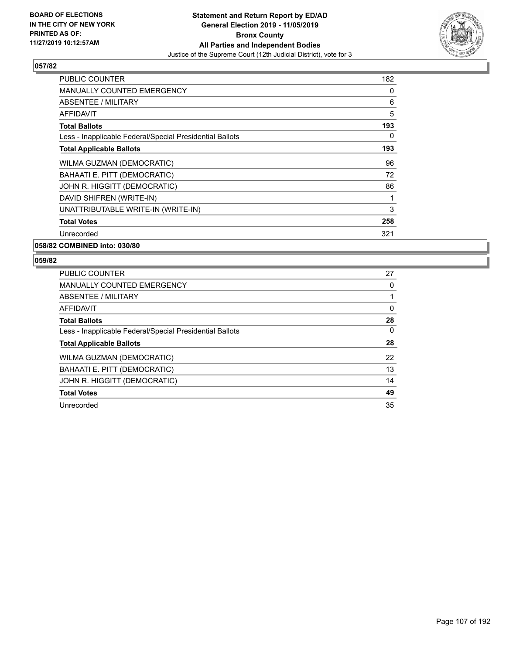

| <b>PUBLIC COUNTER</b>                                    | 182 |
|----------------------------------------------------------|-----|
| <b>MANUALLY COUNTED EMERGENCY</b>                        | 0   |
| ABSENTEE / MILITARY                                      | 6   |
| AFFIDAVIT                                                | 5   |
| <b>Total Ballots</b>                                     | 193 |
| Less - Inapplicable Federal/Special Presidential Ballots | 0   |
| <b>Total Applicable Ballots</b>                          | 193 |
| WILMA GUZMAN (DEMOCRATIC)                                | 96  |
| BAHAATI E. PITT (DEMOCRATIC)                             | 72  |
| JOHN R. HIGGITT (DEMOCRATIC)                             | 86  |
| DAVID SHIFREN (WRITE-IN)                                 | 1   |
| UNATTRIBUTABLE WRITE-IN (WRITE-IN)                       | 3   |
| <b>Total Votes</b>                                       | 258 |
| Unrecorded                                               | 321 |
|                                                          |     |

**058/82 COMBINED into: 030/80**

| <b>PUBLIC COUNTER</b>                                    | 27       |
|----------------------------------------------------------|----------|
| <b>MANUALLY COUNTED EMERGENCY</b>                        | 0        |
| ABSENTEE / MILITARY                                      |          |
| AFFIDAVIT                                                | $\Omega$ |
| <b>Total Ballots</b>                                     | 28       |
| Less - Inapplicable Federal/Special Presidential Ballots | 0        |
| <b>Total Applicable Ballots</b>                          | 28       |
| WILMA GUZMAN (DEMOCRATIC)                                | 22       |
| BAHAATI E. PITT (DEMOCRATIC)                             | 13       |
| JOHN R. HIGGITT (DEMOCRATIC)                             | 14       |
| <b>Total Votes</b>                                       | 49       |
| Unrecorded                                               | 35       |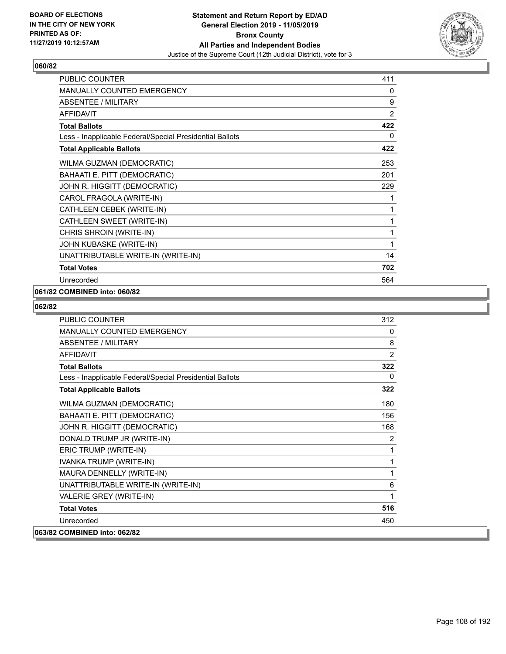

| <b>PUBLIC COUNTER</b>                                    | 411            |
|----------------------------------------------------------|----------------|
| <b>MANUALLY COUNTED EMERGENCY</b>                        | 0              |
| ABSENTEE / MILITARY                                      | 9              |
| <b>AFFIDAVIT</b>                                         | $\overline{2}$ |
| <b>Total Ballots</b>                                     | 422            |
| Less - Inapplicable Federal/Special Presidential Ballots | 0              |
| <b>Total Applicable Ballots</b>                          | 422            |
| WILMA GUZMAN (DEMOCRATIC)                                | 253            |
| BAHAATI E. PITT (DEMOCRATIC)                             | 201            |
| JOHN R. HIGGITT (DEMOCRATIC)                             | 229            |
| CAROL FRAGOLA (WRITE-IN)                                 | 1              |
| CATHLEEN CEBEK (WRITE-IN)                                | 1              |
| CATHLEEN SWEET (WRITE-IN)                                | 1              |
| CHRIS SHROIN (WRITE-IN)                                  | 1              |
| JOHN KUBASKE (WRITE-IN)                                  | 1              |
| UNATTRIBUTABLE WRITE-IN (WRITE-IN)                       | 14             |
| <b>Total Votes</b>                                       | 702            |
| Unrecorded                                               | 564            |

# **061/82 COMBINED into: 060/82**

| <b>PUBLIC COUNTER</b>                                    | 312            |
|----------------------------------------------------------|----------------|
| <b>MANUALLY COUNTED EMERGENCY</b>                        | 0              |
| <b>ABSENTEE / MILITARY</b>                               | 8              |
| <b>AFFIDAVIT</b>                                         | $\overline{2}$ |
| <b>Total Ballots</b>                                     | 322            |
| Less - Inapplicable Federal/Special Presidential Ballots | $\Omega$       |
| <b>Total Applicable Ballots</b>                          | 322            |
| WILMA GUZMAN (DEMOCRATIC)                                | 180            |
| BAHAATI E. PITT (DEMOCRATIC)                             | 156            |
| JOHN R. HIGGITT (DEMOCRATIC)                             | 168            |
| DONALD TRUMP JR (WRITE-IN)                               | 2              |
| ERIC TRUMP (WRITE-IN)                                    | 1              |
| IVANKA TRUMP (WRITE-IN)                                  | 1              |
| MAURA DENNELLY (WRITE-IN)                                | 1              |
| UNATTRIBUTABLE WRITE-IN (WRITE-IN)                       | 6              |
| VALERIE GREY (WRITE-IN)                                  | 1              |
| <b>Total Votes</b>                                       | 516            |
| Unrecorded                                               | 450            |
| 063/82 COMBINED into: 062/82                             |                |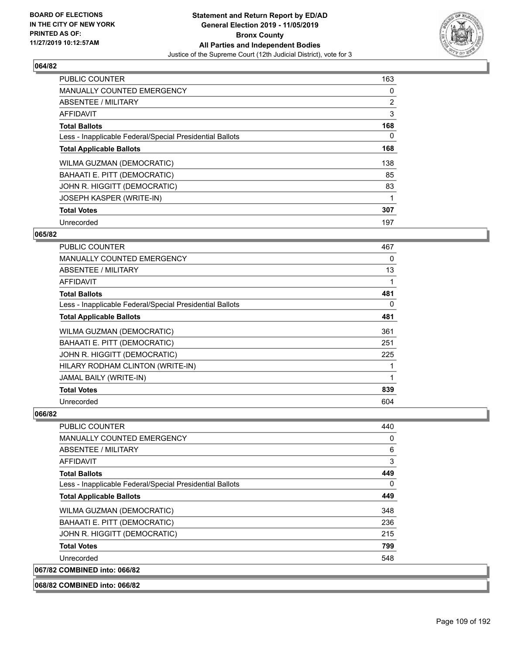

| <b>PUBLIC COUNTER</b>                                    | 163 |
|----------------------------------------------------------|-----|
| <b>MANUALLY COUNTED EMERGENCY</b>                        | 0   |
| ABSENTEE / MILITARY                                      | 2   |
| <b>AFFIDAVIT</b>                                         | 3   |
| <b>Total Ballots</b>                                     | 168 |
| Less - Inapplicable Federal/Special Presidential Ballots | 0   |
| <b>Total Applicable Ballots</b>                          | 168 |
| WILMA GUZMAN (DEMOCRATIC)                                | 138 |
| BAHAATI E. PITT (DEMOCRATIC)                             | 85  |
| JOHN R. HIGGITT (DEMOCRATIC)                             | 83  |
| JOSEPH KASPER (WRITE-IN)                                 |     |
| <b>Total Votes</b>                                       | 307 |
| Unrecorded                                               | 197 |

## **065/82**

| PUBLIC COUNTER                                           | 467 |
|----------------------------------------------------------|-----|
| <b>MANUALLY COUNTED EMERGENCY</b>                        | 0   |
| ABSENTEE / MILITARY                                      | 13  |
| <b>AFFIDAVIT</b>                                         | 1   |
| <b>Total Ballots</b>                                     | 481 |
| Less - Inapplicable Federal/Special Presidential Ballots | 0   |
| <b>Total Applicable Ballots</b>                          | 481 |
| WILMA GUZMAN (DEMOCRATIC)                                | 361 |
| BAHAATI E. PITT (DEMOCRATIC)                             | 251 |
| JOHN R. HIGGITT (DEMOCRATIC)                             | 225 |
| HILARY RODHAM CLINTON (WRITE-IN)                         | 1   |
| JAMAL BAILY (WRITE-IN)                                   | 1   |
| <b>Total Votes</b>                                       | 839 |
| Unrecorded                                               | 604 |

| PUBLIC COUNTER                                           | 440 |
|----------------------------------------------------------|-----|
| MANUALLY COUNTED EMERGENCY                               | 0   |
| ABSENTEE / MILITARY                                      | 6   |
| <b>AFFIDAVIT</b>                                         | 3   |
| <b>Total Ballots</b>                                     | 449 |
| Less - Inapplicable Federal/Special Presidential Ballots | 0   |
| <b>Total Applicable Ballots</b>                          | 449 |
| WILMA GUZMAN (DEMOCRATIC)                                | 348 |
| BAHAATI E. PITT (DEMOCRATIC)                             | 236 |
| JOHN R. HIGGITT (DEMOCRATIC)                             | 215 |
| <b>Total Votes</b>                                       | 799 |
| Unrecorded                                               | 548 |
| 067/82 COMBINED into: 066/82                             |     |
| 068/82 COMBINED into: 066/82                             |     |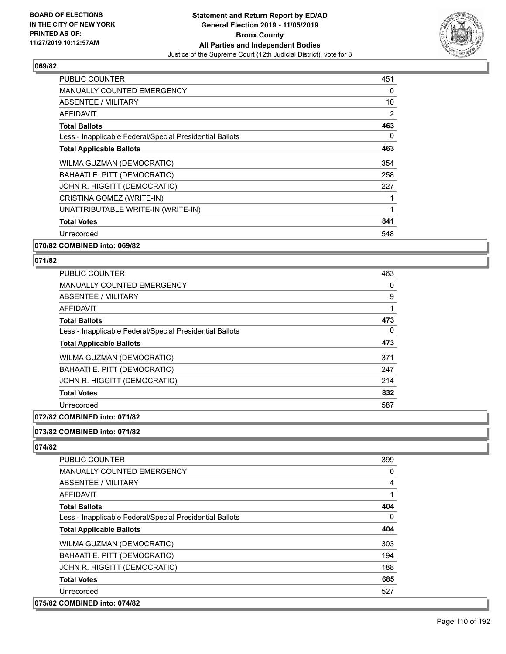

| <b>PUBLIC COUNTER</b>                                    | 451      |
|----------------------------------------------------------|----------|
| <b>MANUALLY COUNTED EMERGENCY</b>                        | $\Omega$ |
| ABSENTEE / MILITARY                                      | 10       |
| AFFIDAVIT                                                | 2        |
| <b>Total Ballots</b>                                     | 463      |
| Less - Inapplicable Federal/Special Presidential Ballots | $\Omega$ |
| <b>Total Applicable Ballots</b>                          | 463      |
| WILMA GUZMAN (DEMOCRATIC)                                | 354      |
| BAHAATI E. PITT (DEMOCRATIC)                             | 258      |
| JOHN R. HIGGITT (DEMOCRATIC)                             | 227      |
| CRISTINA GOMEZ (WRITE-IN)                                |          |
| UNATTRIBUTABLE WRITE-IN (WRITE-IN)                       | 1        |
| <b>Total Votes</b>                                       | 841      |
| Unrecorded                                               | 548      |
| 070/82 COMBINED into: 069/82                             |          |

## **071/82**

| <b>PUBLIC COUNTER</b>                                    | 463 |
|----------------------------------------------------------|-----|
| <b>MANUALLY COUNTED EMERGENCY</b>                        | 0   |
| ABSENTEE / MILITARY                                      | 9   |
| AFFIDAVIT                                                |     |
| <b>Total Ballots</b>                                     | 473 |
| Less - Inapplicable Federal/Special Presidential Ballots | 0   |
| <b>Total Applicable Ballots</b>                          | 473 |
| WILMA GUZMAN (DEMOCRATIC)                                | 371 |
| BAHAATI E. PITT (DEMOCRATIC)                             | 247 |
| JOHN R. HIGGITT (DEMOCRATIC)                             | 214 |
| <b>Total Votes</b>                                       | 832 |
| Unrecorded                                               | 587 |
|                                                          |     |

# **072/82 COMBINED into: 071/82**

#### **073/82 COMBINED into: 071/82**

| PUBLIC COUNTER                                           | 399      |
|----------------------------------------------------------|----------|
| <b>MANUALLY COUNTED EMERGENCY</b>                        | $\Omega$ |
| ABSENTEE / MILITARY                                      | 4        |
| AFFIDAVIT                                                | 1        |
| <b>Total Ballots</b>                                     | 404      |
| Less - Inapplicable Federal/Special Presidential Ballots | $\Omega$ |
| <b>Total Applicable Ballots</b>                          | 404      |
| <b>WILMA GUZMAN (DEMOCRATIC)</b>                         | 303      |
| BAHAATI E. PITT (DEMOCRATIC)                             | 194      |
| JOHN R. HIGGITT (DEMOCRATIC)                             | 188      |
| <b>Total Votes</b>                                       | 685      |
| Unrecorded                                               | 527      |
| 075/82 COMBINED into: 074/82                             |          |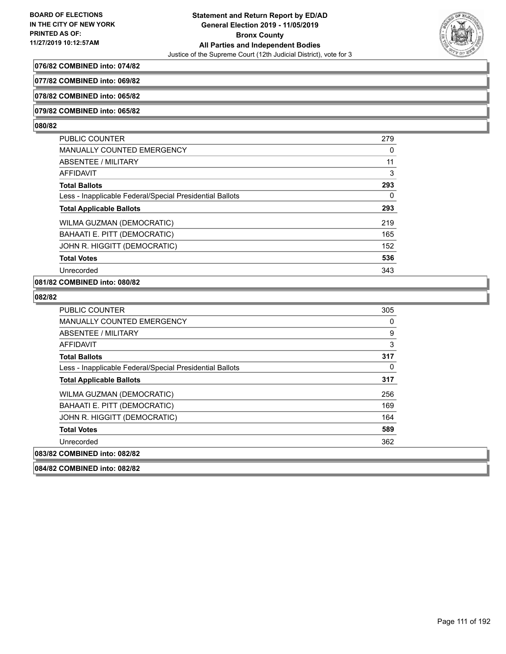

## **076/82 COMBINED into: 074/82**

**077/82 COMBINED into: 069/82**

#### **078/82 COMBINED into: 065/82**

#### **079/82 COMBINED into: 065/82**

#### **080/82**

| <b>PUBLIC COUNTER</b>                                    | 279 |
|----------------------------------------------------------|-----|
| <b>MANUALLY COUNTED EMERGENCY</b>                        | 0   |
| ABSENTEE / MILITARY                                      | 11  |
| AFFIDAVIT                                                | 3   |
| <b>Total Ballots</b>                                     | 293 |
| Less - Inapplicable Federal/Special Presidential Ballots | 0   |
| <b>Total Applicable Ballots</b>                          | 293 |
| <b>WILMA GUZMAN (DEMOCRATIC)</b>                         | 219 |
| BAHAATI E. PITT (DEMOCRATIC)                             | 165 |
| JOHN R. HIGGITT (DEMOCRATIC)                             | 152 |
| <b>Total Votes</b>                                       | 536 |
| Unrecorded                                               | 343 |
|                                                          |     |

# **081/82 COMBINED into: 080/82**

| PUBLIC COUNTER                                           | 305 |
|----------------------------------------------------------|-----|
| <b>MANUALLY COUNTED EMERGENCY</b>                        | 0   |
| ABSENTEE / MILITARY                                      | 9   |
| AFFIDAVIT                                                | 3   |
| <b>Total Ballots</b>                                     | 317 |
| Less - Inapplicable Federal/Special Presidential Ballots | 0   |
| <b>Total Applicable Ballots</b>                          | 317 |
| WILMA GUZMAN (DEMOCRATIC)                                | 256 |
| BAHAATI E. PITT (DEMOCRATIC)                             | 169 |
| JOHN R. HIGGITT (DEMOCRATIC)                             | 164 |
| <b>Total Votes</b>                                       | 589 |
| Unrecorded                                               | 362 |
| 083/82 COMBINED into: 082/82                             |     |
| 084/82 COMBINED into: 082/82                             |     |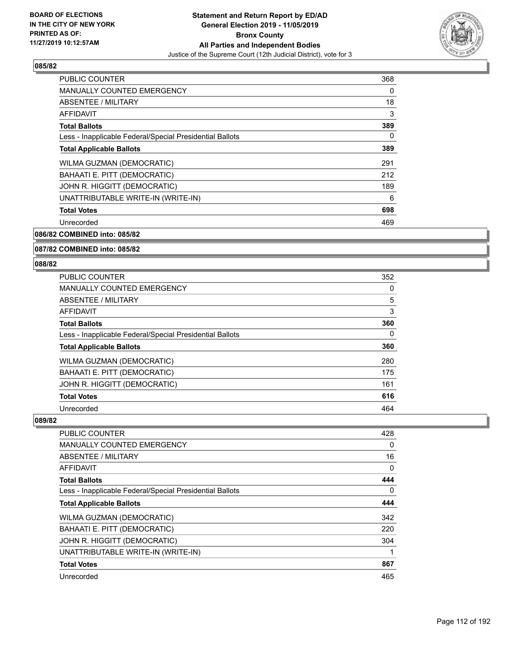

| <b>PUBLIC COUNTER</b>                                    | 368 |
|----------------------------------------------------------|-----|
| <b>MANUALLY COUNTED EMERGENCY</b>                        | 0   |
| ABSENTEE / MILITARY                                      | 18  |
| AFFIDAVIT                                                | 3   |
| <b>Total Ballots</b>                                     | 389 |
| Less - Inapplicable Federal/Special Presidential Ballots | 0   |
| <b>Total Applicable Ballots</b>                          | 389 |
| WILMA GUZMAN (DEMOCRATIC)                                | 291 |
| BAHAATI E. PITT (DEMOCRATIC)                             | 212 |
| JOHN R. HIGGITT (DEMOCRATIC)                             | 189 |
| UNATTRIBUTABLE WRITE-IN (WRITE-IN)                       | 6   |
| <b>Total Votes</b>                                       | 698 |
| Unrecorded                                               | 469 |
|                                                          |     |

**086/82 COMBINED into: 085/82**

#### **087/82 COMBINED into: 085/82**

#### **088/82**

| 352 |
|-----|
| 0   |
| 5   |
| 3   |
| 360 |
| 0   |
| 360 |
| 280 |
| 175 |
| 161 |
| 616 |
| 464 |
|     |

| PUBLIC COUNTER                                           | 428      |
|----------------------------------------------------------|----------|
| <b>MANUALLY COUNTED EMERGENCY</b>                        | $\Omega$ |
| ABSENTEE / MILITARY                                      | 16       |
| <b>AFFIDAVIT</b>                                         | 0        |
| <b>Total Ballots</b>                                     | 444      |
| Less - Inapplicable Federal/Special Presidential Ballots | $\Omega$ |
| <b>Total Applicable Ballots</b>                          | 444      |
| WILMA GUZMAN (DEMOCRATIC)                                | 342      |
| BAHAATI E. PITT (DEMOCRATIC)                             | 220      |
| JOHN R. HIGGITT (DEMOCRATIC)                             | 304      |
| UNATTRIBUTABLE WRITE-IN (WRITE-IN)                       |          |
| <b>Total Votes</b>                                       | 867      |
| Unrecorded                                               | 465      |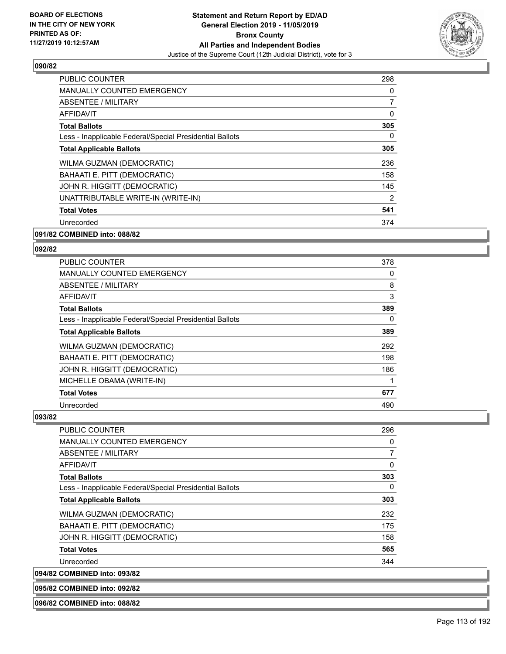

| <b>PUBLIC COUNTER</b>                                    | 298            |
|----------------------------------------------------------|----------------|
| <b>MANUALLY COUNTED EMERGENCY</b>                        | 0              |
| ABSENTEE / MILITARY                                      | $\overline{7}$ |
| AFFIDAVIT                                                | 0              |
| <b>Total Ballots</b>                                     | 305            |
| Less - Inapplicable Federal/Special Presidential Ballots | $\Omega$       |
| <b>Total Applicable Ballots</b>                          | 305            |
| WILMA GUZMAN (DEMOCRATIC)                                | 236            |
| BAHAATI E. PITT (DEMOCRATIC)                             | 158            |
| JOHN R. HIGGITT (DEMOCRATIC)                             | 145            |
| UNATTRIBUTABLE WRITE-IN (WRITE-IN)                       | $\overline{2}$ |
| <b>Total Votes</b>                                       | 541            |
| Unrecorded                                               | 374            |
| 091/82 COMBINED into: 088/82                             |                |

## **092/82**

| PUBLIC COUNTER                                           | 378 |
|----------------------------------------------------------|-----|
| <b>MANUALLY COUNTED EMERGENCY</b>                        | 0   |
| ABSENTEE / MILITARY                                      | 8   |
| <b>AFFIDAVIT</b>                                         | 3   |
| <b>Total Ballots</b>                                     | 389 |
| Less - Inapplicable Federal/Special Presidential Ballots | 0   |
| <b>Total Applicable Ballots</b>                          | 389 |
| WILMA GUZMAN (DEMOCRATIC)                                | 292 |
| BAHAATI E. PITT (DEMOCRATIC)                             | 198 |
| JOHN R. HIGGITT (DEMOCRATIC)                             | 186 |
| MICHELLE OBAMA (WRITE-IN)                                | 1   |
| <b>Total Votes</b>                                       | 677 |
| Unrecorded                                               | 490 |

#### **093/82**

| <b>PUBLIC COUNTER</b>                                    | 296            |
|----------------------------------------------------------|----------------|
| <b>MANUALLY COUNTED EMERGENCY</b>                        | 0              |
| ABSENTEE / MILITARY                                      | $\overline{7}$ |
| AFFIDAVIT                                                | 0              |
| <b>Total Ballots</b>                                     | 303            |
| Less - Inapplicable Federal/Special Presidential Ballots | $\Omega$       |
| <b>Total Applicable Ballots</b>                          | 303            |
| WILMA GUZMAN (DEMOCRATIC)                                | 232            |
| BAHAATI E. PITT (DEMOCRATIC)                             | 175            |
| JOHN R. HIGGITT (DEMOCRATIC)                             | 158            |
| <b>Total Votes</b>                                       | 565            |
| Unrecorded                                               | 344            |
| 094/82 COMBINED into: 093/82                             |                |

**095/82 COMBINED into: 092/82**

**096/82 COMBINED into: 088/82**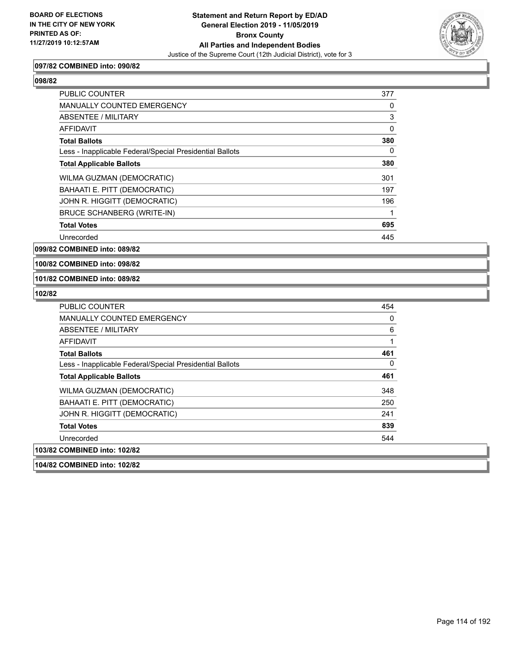

#### **097/82 COMBINED into: 090/82**

| <b>PUBLIC COUNTER</b>                                    | 377      |
|----------------------------------------------------------|----------|
| <b>MANUALLY COUNTED EMERGENCY</b>                        | 0        |
| ABSENTEE / MILITARY                                      | 3        |
| <b>AFFIDAVIT</b>                                         | $\Omega$ |
| <b>Total Ballots</b>                                     | 380      |
| Less - Inapplicable Federal/Special Presidential Ballots | 0        |
| <b>Total Applicable Ballots</b>                          | 380      |
| WILMA GUZMAN (DEMOCRATIC)                                | 301      |
| BAHAATI E. PITT (DEMOCRATIC)                             | 197      |
| JOHN R. HIGGITT (DEMOCRATIC)                             | 196      |
| <b>BRUCE SCHANBERG (WRITE-IN)</b>                        | 1        |
| <b>Total Votes</b>                                       | 695      |
| Unrecorded                                               | 445      |

**099/82 COMBINED into: 089/82**

**100/82 COMBINED into: 098/82**

#### **101/82 COMBINED into: 089/82**

| PUBLIC COUNTER                                           | 454 |
|----------------------------------------------------------|-----|
| <b>MANUALLY COUNTED EMERGENCY</b>                        | 0   |
| ABSENTEE / MILITARY                                      | 6   |
| AFFIDAVIT                                                | 1   |
| <b>Total Ballots</b>                                     | 461 |
| Less - Inapplicable Federal/Special Presidential Ballots | 0   |
| <b>Total Applicable Ballots</b>                          | 461 |
| WILMA GUZMAN (DEMOCRATIC)                                | 348 |
| BAHAATI E. PITT (DEMOCRATIC)                             | 250 |
| JOHN R. HIGGITT (DEMOCRATIC)                             | 241 |
| <b>Total Votes</b>                                       | 839 |
| Unrecorded                                               | 544 |
| 103/82 COMBINED into: 102/82                             |     |
| 104/82 COMBINED into: 102/82                             |     |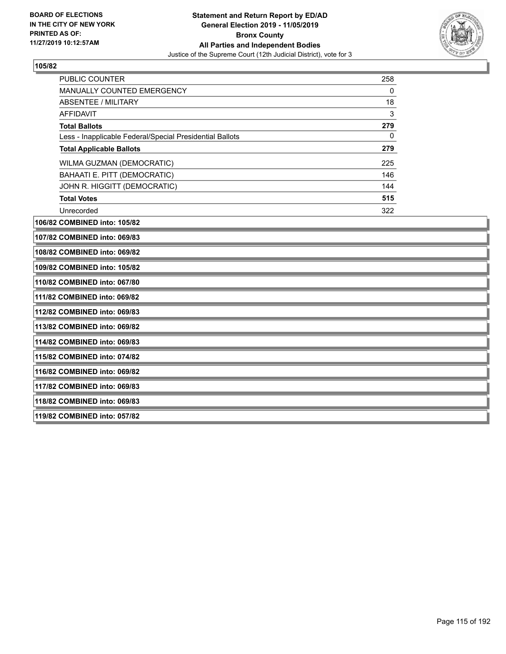**118/82 COMBINED into: 069/83**

**119/82 COMBINED into: 057/82**



| <b>PUBLIC COUNTER</b>                                    | 258          |  |
|----------------------------------------------------------|--------------|--|
| <b>MANUALLY COUNTED EMERGENCY</b>                        | 0            |  |
| ABSENTEE / MILITARY                                      | 18           |  |
| <b>AFFIDAVIT</b>                                         | 3            |  |
| <b>Total Ballots</b>                                     | 279          |  |
| Less - Inapplicable Federal/Special Presidential Ballots | $\mathbf{0}$ |  |
| <b>Total Applicable Ballots</b>                          | 279          |  |
| WILMA GUZMAN (DEMOCRATIC)                                | 225          |  |
| BAHAATI E. PITT (DEMOCRATIC)                             | 146          |  |
| JOHN R. HIGGITT (DEMOCRATIC)                             | 144          |  |
| <b>Total Votes</b>                                       | 515          |  |
| Unrecorded                                               | 322          |  |
| 106/82 COMBINED into: 105/82                             |              |  |
| 107/82 COMBINED into: 069/83                             |              |  |
| 108/82 COMBINED into: 069/82                             |              |  |
| 109/82 COMBINED into: 105/82                             |              |  |
| 110/82 COMBINED into: 067/80                             |              |  |
| 111/82 COMBINED into: 069/82                             |              |  |
| 112/82 COMBINED into: 069/83                             |              |  |
| 113/82 COMBINED into: 069/82                             |              |  |
| 114/82 COMBINED into: 069/83                             |              |  |
| 115/82 COMBINED into: 074/82                             |              |  |
| 116/82 COMBINED into: 069/82                             |              |  |
| 117/82 COMBINED into: 069/83                             |              |  |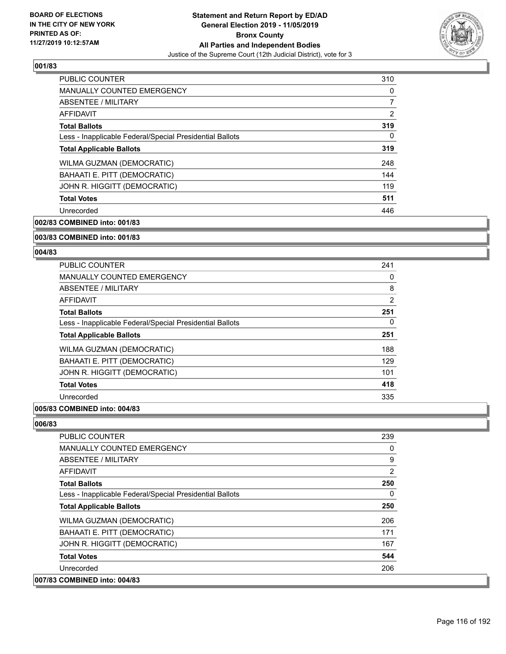

| <b>PUBLIC COUNTER</b>                                    | 310      |
|----------------------------------------------------------|----------|
| <b>MANUALLY COUNTED EMERGENCY</b>                        | 0        |
| ABSENTEE / MILITARY                                      |          |
| <b>AFFIDAVIT</b>                                         | 2        |
| <b>Total Ballots</b>                                     | 319      |
| Less - Inapplicable Federal/Special Presidential Ballots | $\Omega$ |
| <b>Total Applicable Ballots</b>                          | 319      |
| WILMA GUZMAN (DEMOCRATIC)                                | 248      |
| BAHAATI E. PITT (DEMOCRATIC)                             | 144      |
| JOHN R. HIGGITT (DEMOCRATIC)                             | 119      |
| <b>Total Votes</b>                                       | 511      |
| Unrecorded                                               | 446      |

**002/83 COMBINED into: 001/83**

#### **003/83 COMBINED into: 001/83**

#### **004/83**

| <b>PUBLIC COUNTER</b>                                    | 241 |
|----------------------------------------------------------|-----|
| <b>MANUALLY COUNTED EMERGENCY</b>                        | 0   |
| ABSENTEE / MILITARY                                      | 8   |
| AFFIDAVIT                                                | 2   |
| <b>Total Ballots</b>                                     | 251 |
| Less - Inapplicable Federal/Special Presidential Ballots | 0   |
| <b>Total Applicable Ballots</b>                          | 251 |
| WILMA GUZMAN (DEMOCRATIC)                                | 188 |
| BAHAATI E. PITT (DEMOCRATIC)                             | 129 |
| JOHN R. HIGGITT (DEMOCRATIC)                             | 101 |
| <b>Total Votes</b>                                       | 418 |
| Unrecorded                                               | 335 |
|                                                          |     |

# **005/83 COMBINED into: 004/83**

| <b>PUBLIC COUNTER</b>                                    | 239            |
|----------------------------------------------------------|----------------|
| <b>MANUALLY COUNTED EMERGENCY</b>                        | 0              |
| ABSENTEE / MILITARY                                      | 9              |
| AFFIDAVIT                                                | $\overline{2}$ |
| <b>Total Ballots</b>                                     | 250            |
| Less - Inapplicable Federal/Special Presidential Ballots | 0              |
| <b>Total Applicable Ballots</b>                          | 250            |
| <b>WILMA GUZMAN (DEMOCRATIC)</b>                         | 206            |
| BAHAATI E. PITT (DEMOCRATIC)                             | 171            |
| JOHN R. HIGGITT (DEMOCRATIC)                             | 167            |
| <b>Total Votes</b>                                       | 544            |
| Unrecorded                                               | 206            |
| 007/83 COMBINED into: 004/83                             |                |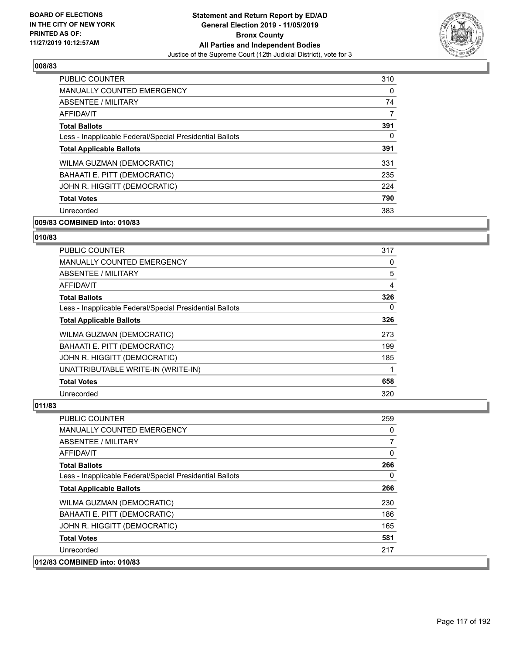

| PUBLIC COUNTER                                           | 310      |
|----------------------------------------------------------|----------|
| <b>MANUALLY COUNTED EMERGENCY</b>                        | $\Omega$ |
| ABSENTEE / MILITARY                                      | 74       |
| AFFIDAVIT                                                | 7        |
| <b>Total Ballots</b>                                     | 391      |
| Less - Inapplicable Federal/Special Presidential Ballots | 0        |
| <b>Total Applicable Ballots</b>                          | 391      |
| WILMA GUZMAN (DEMOCRATIC)                                | 331      |
| BAHAATI E. PITT (DEMOCRATIC)                             | 235      |
| JOHN R. HIGGITT (DEMOCRATIC)                             | 224      |
| <b>Total Votes</b>                                       | 790      |
| Unrecorded                                               | 383      |

# **009/83 COMBINED into: 010/83**

# **010/83**

| <b>PUBLIC COUNTER</b>                                    | 317 |
|----------------------------------------------------------|-----|
| <b>MANUALLY COUNTED EMERGENCY</b>                        | 0   |
| ABSENTEE / MILITARY                                      | 5   |
| <b>AFFIDAVIT</b>                                         | 4   |
| <b>Total Ballots</b>                                     | 326 |
| Less - Inapplicable Federal/Special Presidential Ballots | 0   |
| <b>Total Applicable Ballots</b>                          | 326 |
| <b>WILMA GUZMAN (DEMOCRATIC)</b>                         | 273 |
| BAHAATI E. PITT (DEMOCRATIC)                             | 199 |
| JOHN R. HIGGITT (DEMOCRATIC)                             | 185 |
| UNATTRIBUTABLE WRITE-IN (WRITE-IN)                       |     |
| <b>Total Votes</b>                                       | 658 |
| Unrecorded                                               | 320 |

| <b>PUBLIC COUNTER</b>                                    | 259            |
|----------------------------------------------------------|----------------|
| <b>MANUALLY COUNTED EMERGENCY</b>                        | 0              |
| ABSENTEE / MILITARY                                      | $\overline{7}$ |
| <b>AFFIDAVIT</b>                                         | 0              |
| <b>Total Ballots</b>                                     | 266            |
| Less - Inapplicable Federal/Special Presidential Ballots | $\Omega$       |
| <b>Total Applicable Ballots</b>                          | 266            |
| WILMA GUZMAN (DEMOCRATIC)                                | 230            |
| BAHAATI E. PITT (DEMOCRATIC)                             | 186            |
| JOHN R. HIGGITT (DEMOCRATIC)                             | 165            |
| <b>Total Votes</b>                                       | 581            |
| Unrecorded                                               | 217            |
| 012/83 COMBINED into: 010/83                             |                |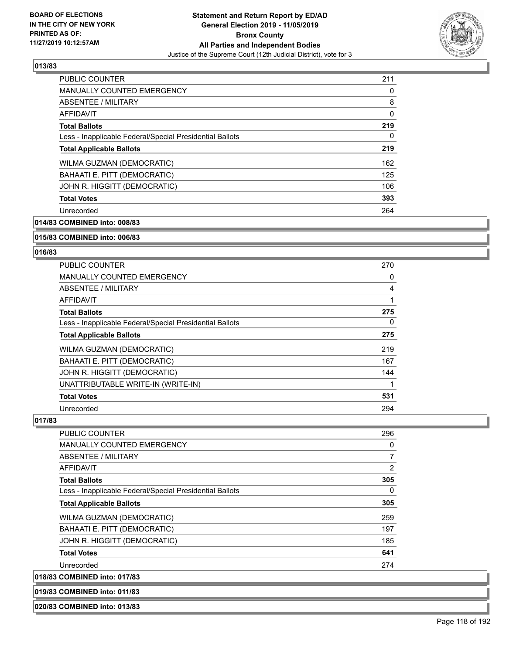

| <b>PUBLIC COUNTER</b>                                    | 211      |
|----------------------------------------------------------|----------|
| <b>MANUALLY COUNTED EMERGENCY</b>                        | 0        |
| <b>ABSENTEE / MILITARY</b>                               | 8        |
| <b>AFFIDAVIT</b>                                         | $\Omega$ |
| <b>Total Ballots</b>                                     | 219      |
| Less - Inapplicable Federal/Special Presidential Ballots | 0        |
| <b>Total Applicable Ballots</b>                          | 219      |
| WILMA GUZMAN (DEMOCRATIC)                                | 162      |
| BAHAATI E. PITT (DEMOCRATIC)                             | 125      |
| JOHN R. HIGGITT (DEMOCRATIC)                             | 106      |
| <b>Total Votes</b>                                       | 393      |
| Unrecorded                                               | 264      |

**014/83 COMBINED into: 008/83**

#### **015/83 COMBINED into: 006/83**

#### **016/83**

| <b>PUBLIC COUNTER</b>                                    | 270 |
|----------------------------------------------------------|-----|
| <b>MANUALLY COUNTED EMERGENCY</b>                        | 0   |
| ABSENTEE / MILITARY                                      | 4   |
| AFFIDAVIT                                                |     |
| <b>Total Ballots</b>                                     | 275 |
| Less - Inapplicable Federal/Special Presidential Ballots | 0   |
| <b>Total Applicable Ballots</b>                          | 275 |
| WILMA GUZMAN (DEMOCRATIC)                                | 219 |
| BAHAATI E. PITT (DEMOCRATIC)                             | 167 |
| JOHN R. HIGGITT (DEMOCRATIC)                             | 144 |
| UNATTRIBUTABLE WRITE-IN (WRITE-IN)                       |     |
| <b>Total Votes</b>                                       | 531 |
| Unrecorded                                               | 294 |

## **017/83**

| <b>PUBLIC COUNTER</b>                                    | 296            |
|----------------------------------------------------------|----------------|
| <b>MANUALLY COUNTED EMERGENCY</b>                        | 0              |
| ABSENTEE / MILITARY                                      | $\overline{7}$ |
| AFFIDAVIT                                                | $\overline{2}$ |
| <b>Total Ballots</b>                                     | 305            |
| Less - Inapplicable Federal/Special Presidential Ballots | $\Omega$       |
| <b>Total Applicable Ballots</b>                          | 305            |
| WILMA GUZMAN (DEMOCRATIC)                                | 259            |
| BAHAATI E. PITT (DEMOCRATIC)                             | 197            |
| JOHN R. HIGGITT (DEMOCRATIC)                             | 185            |
| <b>Total Votes</b>                                       | 641            |
| Unrecorded                                               | 274            |
| 018/83 COMBINED into: 017/83                             |                |

**019/83 COMBINED into: 011/83**

#### **020/83 COMBINED into: 013/83**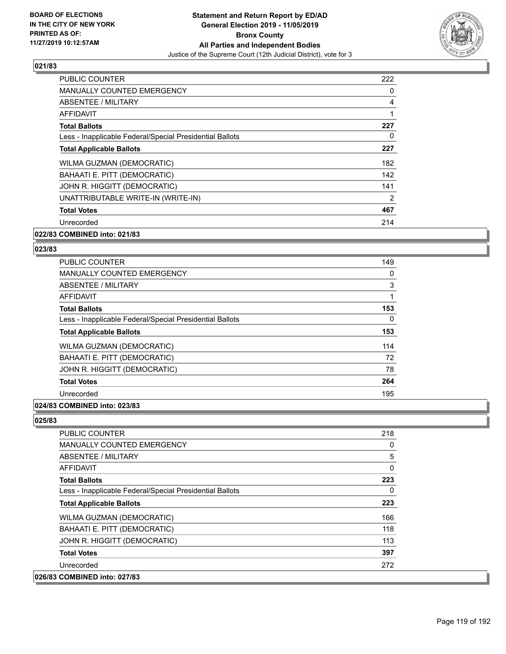

| <b>PUBLIC COUNTER</b>                                    | 222 |
|----------------------------------------------------------|-----|
| <b>MANUALLY COUNTED EMERGENCY</b>                        | 0   |
| ABSENTEE / MILITARY                                      | 4   |
| AFFIDAVIT                                                |     |
| <b>Total Ballots</b>                                     | 227 |
| Less - Inapplicable Federal/Special Presidential Ballots | 0   |
| <b>Total Applicable Ballots</b>                          | 227 |
| WILMA GUZMAN (DEMOCRATIC)                                | 182 |
| BAHAATI E. PITT (DEMOCRATIC)                             | 142 |
| JOHN R. HIGGITT (DEMOCRATIC)                             | 141 |
| UNATTRIBUTABLE WRITE-IN (WRITE-IN)                       | 2   |
| <b>Total Votes</b>                                       | 467 |
| Unrecorded                                               | 214 |
| 022/83 COMBINED into: 021/83                             |     |

# **023/83**

| <b>PUBLIC COUNTER</b>                                    | 149 |
|----------------------------------------------------------|-----|
| <b>MANUALLY COUNTED EMERGENCY</b>                        | 0   |
| ABSENTEE / MILITARY                                      | 3   |
| <b>AFFIDAVIT</b>                                         |     |
| <b>Total Ballots</b>                                     | 153 |
| Less - Inapplicable Federal/Special Presidential Ballots | 0   |
| <b>Total Applicable Ballots</b>                          | 153 |
| WILMA GUZMAN (DEMOCRATIC)                                | 114 |
| BAHAATI E. PITT (DEMOCRATIC)                             | 72  |
| JOHN R. HIGGITT (DEMOCRATIC)                             | 78  |
| <b>Total Votes</b>                                       | 264 |
| Unrecorded                                               | 195 |
|                                                          |     |

## **024/83 COMBINED into: 023/83**

| <b>PUBLIC COUNTER</b>                                    | 218      |
|----------------------------------------------------------|----------|
| <b>MANUALLY COUNTED EMERGENCY</b>                        | 0        |
| ABSENTEE / MILITARY                                      | 5        |
| <b>AFFIDAVIT</b>                                         | $\Omega$ |
| <b>Total Ballots</b>                                     | 223      |
| Less - Inapplicable Federal/Special Presidential Ballots | $\Omega$ |
| <b>Total Applicable Ballots</b>                          | 223      |
| WILMA GUZMAN (DEMOCRATIC)                                | 166      |
| BAHAATI E. PITT (DEMOCRATIC)                             | 118      |
| JOHN R. HIGGITT (DEMOCRATIC)                             | 113      |
| <b>Total Votes</b>                                       | 397      |
| Unrecorded                                               | 272      |
| 026/83 COMBINED into: 027/83                             |          |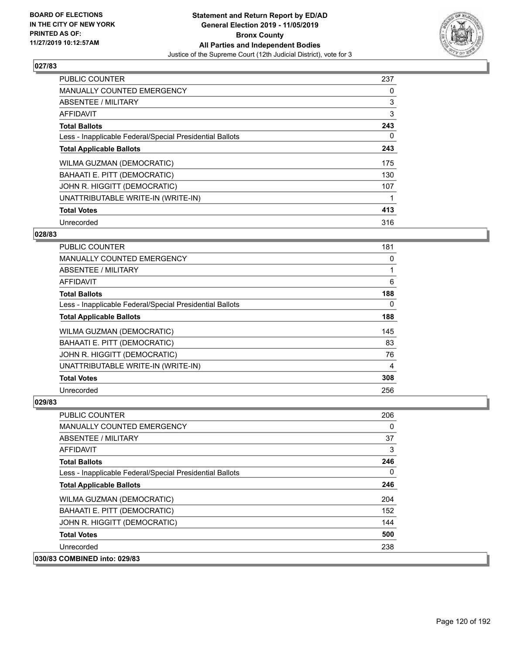

| <b>PUBLIC COUNTER</b>                                    | 237 |
|----------------------------------------------------------|-----|
| <b>MANUALLY COUNTED EMERGENCY</b>                        | 0   |
| ABSENTEE / MILITARY                                      | 3   |
| <b>AFFIDAVIT</b>                                         | 3   |
| <b>Total Ballots</b>                                     | 243 |
| Less - Inapplicable Federal/Special Presidential Ballots | 0   |
| <b>Total Applicable Ballots</b>                          | 243 |
| WILMA GUZMAN (DEMOCRATIC)                                | 175 |
| BAHAATI E. PITT (DEMOCRATIC)                             | 130 |
| JOHN R. HIGGITT (DEMOCRATIC)                             | 107 |
| UNATTRIBUTABLE WRITE-IN (WRITE-IN)                       |     |
| <b>Total Votes</b>                                       | 413 |
| Unrecorded                                               | 316 |

## **028/83**

| <b>PUBLIC COUNTER</b>                                    | 181 |
|----------------------------------------------------------|-----|
| <b>MANUALLY COUNTED EMERGENCY</b>                        | 0   |
| ABSENTEE / MILITARY                                      |     |
| <b>AFFIDAVIT</b>                                         | 6   |
| <b>Total Ballots</b>                                     | 188 |
| Less - Inapplicable Federal/Special Presidential Ballots | 0   |
| <b>Total Applicable Ballots</b>                          | 188 |
| WILMA GUZMAN (DEMOCRATIC)                                | 145 |
| BAHAATI E. PITT (DEMOCRATIC)                             | 83  |
| JOHN R. HIGGITT (DEMOCRATIC)                             | 76  |
| UNATTRIBUTABLE WRITE-IN (WRITE-IN)                       | 4   |
| <b>Total Votes</b>                                       | 308 |
| Unrecorded                                               | 256 |

| <b>PUBLIC COUNTER</b>                                    | 206      |
|----------------------------------------------------------|----------|
| <b>MANUALLY COUNTED EMERGENCY</b>                        | $\Omega$ |
| ABSENTEE / MILITARY                                      | 37       |
| <b>AFFIDAVIT</b>                                         | 3        |
| <b>Total Ballots</b>                                     | 246      |
| Less - Inapplicable Federal/Special Presidential Ballots | $\Omega$ |
| <b>Total Applicable Ballots</b>                          | 246      |
| <b>WILMA GUZMAN (DEMOCRATIC)</b>                         | 204      |
| BAHAATI E. PITT (DEMOCRATIC)                             | 152      |
| JOHN R. HIGGITT (DEMOCRATIC)                             | 144      |
| <b>Total Votes</b>                                       | 500      |
| Unrecorded                                               | 238      |
| 030/83 COMBINED into: 029/83                             |          |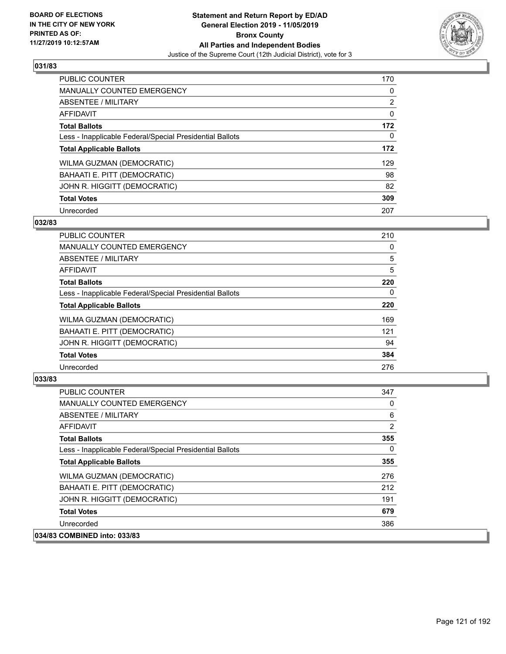

| <b>PUBLIC COUNTER</b>                                    | 170            |
|----------------------------------------------------------|----------------|
| <b>MANUALLY COUNTED EMERGENCY</b>                        | $\Omega$       |
| ABSENTEE / MILITARY                                      | $\overline{2}$ |
| <b>AFFIDAVIT</b>                                         | 0              |
| <b>Total Ballots</b>                                     | 172            |
| Less - Inapplicable Federal/Special Presidential Ballots | $\Omega$       |
| <b>Total Applicable Ballots</b>                          | 172            |
| WILMA GUZMAN (DEMOCRATIC)                                | 129            |
| BAHAATI E. PITT (DEMOCRATIC)                             | 98             |
| JOHN R. HIGGITT (DEMOCRATIC)                             | 82             |
| <b>Total Votes</b>                                       | 309            |
| Unrecorded                                               | 207            |

#### **032/83**

| PUBLIC COUNTER                                           | 210      |
|----------------------------------------------------------|----------|
| <b>MANUALLY COUNTED EMERGENCY</b>                        | 0        |
| ABSENTEE / MILITARY                                      | 5        |
| AFFIDAVIT                                                | 5        |
| <b>Total Ballots</b>                                     | 220      |
| Less - Inapplicable Federal/Special Presidential Ballots | $\Omega$ |
| <b>Total Applicable Ballots</b>                          | 220      |
| WILMA GUZMAN (DEMOCRATIC)                                | 169      |
| BAHAATI E. PITT (DEMOCRATIC)                             | 121      |
| JOHN R. HIGGITT (DEMOCRATIC)                             | 94       |
| <b>Total Votes</b>                                       | 384      |
| Unrecorded                                               | 276      |

| <b>PUBLIC COUNTER</b>                                    | 347      |
|----------------------------------------------------------|----------|
| MANUALLY COUNTED EMERGENCY                               | 0        |
| ABSENTEE / MILITARY                                      | 6        |
| AFFIDAVIT                                                | 2        |
| <b>Total Ballots</b>                                     | 355      |
| Less - Inapplicable Federal/Special Presidential Ballots | $\Omega$ |
| <b>Total Applicable Ballots</b>                          | 355      |
| <b>WILMA GUZMAN (DEMOCRATIC)</b>                         | 276      |
| BAHAATI E. PITT (DEMOCRATIC)                             | 212      |
| JOHN R. HIGGITT (DEMOCRATIC)                             | 191      |
| <b>Total Votes</b>                                       | 679      |
| Unrecorded                                               | 386      |
| 034/83 COMBINED into: 033/83                             |          |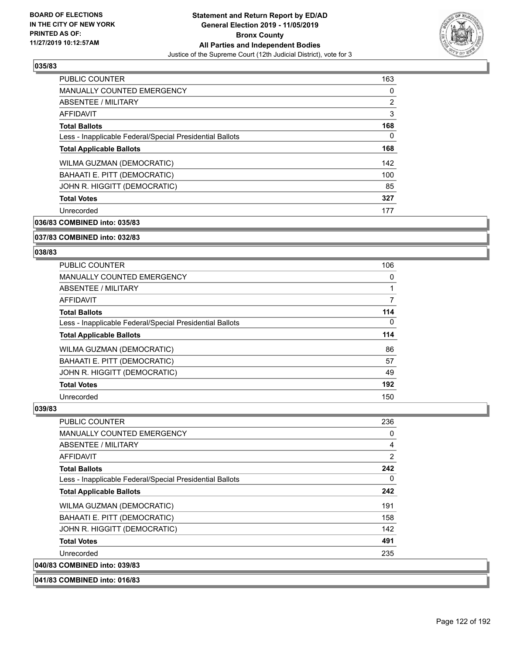

| <b>PUBLIC COUNTER</b>                                    | 163            |
|----------------------------------------------------------|----------------|
| MANUALLY COUNTED EMERGENCY                               | 0              |
| ABSENTEE / MILITARY                                      | $\overline{2}$ |
| <b>AFFIDAVIT</b>                                         | 3              |
| <b>Total Ballots</b>                                     | 168            |
| Less - Inapplicable Federal/Special Presidential Ballots | 0              |
| <b>Total Applicable Ballots</b>                          | 168            |
| <b>WILMA GUZMAN (DEMOCRATIC)</b>                         | 142            |
| BAHAATI E. PITT (DEMOCRATIC)                             | 100            |
| JOHN R. HIGGITT (DEMOCRATIC)                             | 85             |
| <b>Total Votes</b>                                       | 327            |
| Unrecorded                                               | 177            |

**036/83 COMBINED into: 035/83**

#### **037/83 COMBINED into: 032/83**

#### **038/83**

| PUBLIC COUNTER                                           | 106 |
|----------------------------------------------------------|-----|
| <b>MANUALLY COUNTED EMERGENCY</b>                        | 0   |
| ABSENTEE / MILITARY                                      | 1   |
| <b>AFFIDAVIT</b>                                         | 7   |
| <b>Total Ballots</b>                                     | 114 |
| Less - Inapplicable Federal/Special Presidential Ballots | 0   |
| <b>Total Applicable Ballots</b>                          | 114 |
| WILMA GUZMAN (DEMOCRATIC)                                | 86  |
| BAHAATI E. PITT (DEMOCRATIC)                             | 57  |
| JOHN R. HIGGITT (DEMOCRATIC)                             | 49  |
| <b>Total Votes</b>                                       | 192 |
| Unrecorded                                               | 150 |

| PUBLIC COUNTER                                           | 236 |
|----------------------------------------------------------|-----|
| <b>MANUALLY COUNTED EMERGENCY</b>                        | 0   |
| ABSENTEE / MILITARY                                      | 4   |
| AFFIDAVIT                                                | 2   |
| <b>Total Ballots</b>                                     | 242 |
| Less - Inapplicable Federal/Special Presidential Ballots | 0   |
| <b>Total Applicable Ballots</b>                          | 242 |
| WILMA GUZMAN (DEMOCRATIC)                                | 191 |
| BAHAATI E. PITT (DEMOCRATIC)                             | 158 |
| JOHN R. HIGGITT (DEMOCRATIC)                             | 142 |
| <b>Total Votes</b>                                       | 491 |
| Unrecorded                                               | 235 |
| 040/83 COMBINED into: 039/83                             |     |
| 041/83 COMBINED into: 016/83                             |     |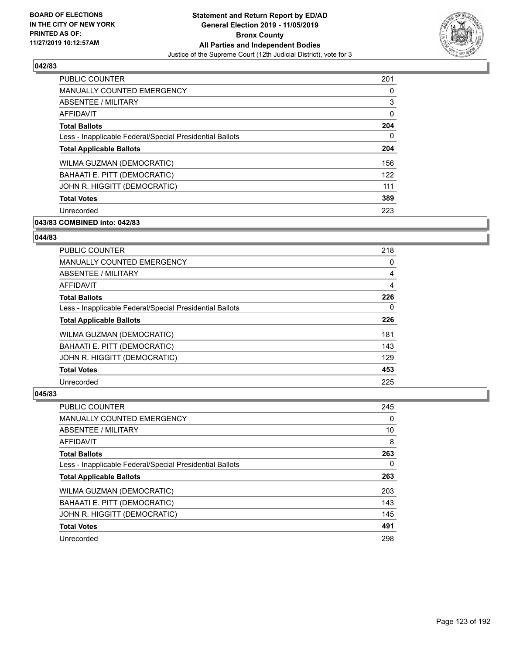

| <b>PUBLIC COUNTER</b>                                    | 201          |
|----------------------------------------------------------|--------------|
| <b>MANUALLY COUNTED EMERGENCY</b>                        | 0            |
| ABSENTEE / MILITARY                                      | 3            |
| AFFIDAVIT                                                | $\mathbf{0}$ |
| <b>Total Ballots</b>                                     | 204          |
| Less - Inapplicable Federal/Special Presidential Ballots | 0            |
| <b>Total Applicable Ballots</b>                          | 204          |
| WILMA GUZMAN (DEMOCRATIC)                                | 156          |
| BAHAATI E. PITT (DEMOCRATIC)                             | 122          |
| JOHN R. HIGGITT (DEMOCRATIC)                             | 111          |
| <b>Total Votes</b>                                       | 389          |
| Unrecorded                                               | 223          |

# **043/83 COMBINED into: 042/83**

#### **044/83**

| <b>PUBLIC COUNTER</b>                                    | 218      |
|----------------------------------------------------------|----------|
| <b>MANUALLY COUNTED EMERGENCY</b>                        | 0        |
| ABSENTEE / MILITARY                                      | 4        |
| <b>AFFIDAVIT</b>                                         | 4        |
| <b>Total Ballots</b>                                     | 226      |
| Less - Inapplicable Federal/Special Presidential Ballots | $\Omega$ |
| <b>Total Applicable Ballots</b>                          | 226      |
| WILMA GUZMAN (DEMOCRATIC)                                | 181      |
| BAHAATI E. PITT (DEMOCRATIC)                             | 143      |
| JOHN R. HIGGITT (DEMOCRATIC)                             | 129      |
| <b>Total Votes</b>                                       | 453      |
| Unrecorded                                               | 225      |

| <b>PUBLIC COUNTER</b>                                    | 245      |
|----------------------------------------------------------|----------|
| <b>MANUALLY COUNTED EMERGENCY</b>                        | $\Omega$ |
| ABSENTEE / MILITARY                                      | 10       |
| <b>AFFIDAVIT</b>                                         | 8        |
| <b>Total Ballots</b>                                     | 263      |
| Less - Inapplicable Federal/Special Presidential Ballots | 0        |
| <b>Total Applicable Ballots</b>                          | 263      |
| WILMA GUZMAN (DEMOCRATIC)                                | 203      |
| BAHAATI E. PITT (DEMOCRATIC)                             | 143      |
| JOHN R. HIGGITT (DEMOCRATIC)                             | 145      |
| <b>Total Votes</b>                                       | 491      |
| Unrecorded                                               | 298      |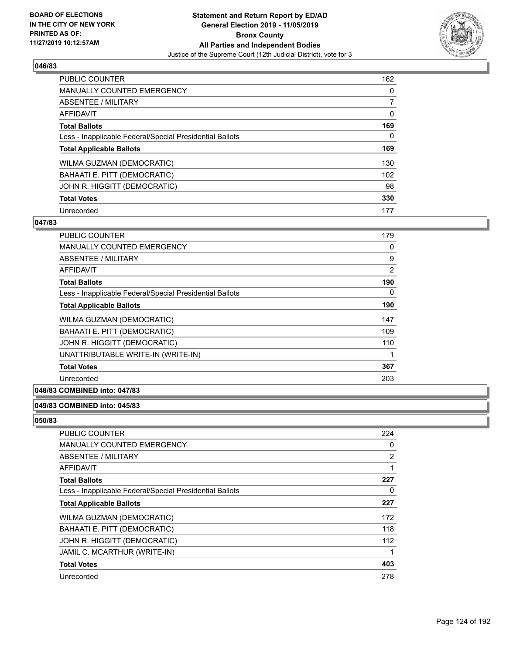

| <b>PUBLIC COUNTER</b>                                    | 162      |
|----------------------------------------------------------|----------|
| <b>MANUALLY COUNTED EMERGENCY</b>                        | $\Omega$ |
| ABSENTEE / MILITARY                                      |          |
| <b>AFFIDAVIT</b>                                         | 0        |
| <b>Total Ballots</b>                                     | 169      |
| Less - Inapplicable Federal/Special Presidential Ballots | 0        |
| <b>Total Applicable Ballots</b>                          | 169      |
| WILMA GUZMAN (DEMOCRATIC)                                | 130      |
| BAHAATI E. PITT (DEMOCRATIC)                             | 102      |
| JOHN R. HIGGITT (DEMOCRATIC)                             | 98       |
| <b>Total Votes</b>                                       | 330      |
| Unrecorded                                               | 177      |

#### **047/83**

| PUBLIC COUNTER                                           | 179      |
|----------------------------------------------------------|----------|
| <b>MANUALLY COUNTED EMERGENCY</b>                        | 0        |
| ABSENTEE / MILITARY                                      | 9        |
| AFFIDAVIT                                                | 2        |
| <b>Total Ballots</b>                                     | 190      |
| Less - Inapplicable Federal/Special Presidential Ballots | $\Omega$ |
| <b>Total Applicable Ballots</b>                          | 190      |
| WILMA GUZMAN (DEMOCRATIC)                                | 147      |
| BAHAATI E. PITT (DEMOCRATIC)                             | 109      |
| JOHN R. HIGGITT (DEMOCRATIC)                             | 110      |
| UNATTRIBUTABLE WRITE-IN (WRITE-IN)                       |          |
| <b>Total Votes</b>                                       | 367      |
| Unrecorded                                               | 203      |

# **048/83 COMBINED into: 047/83**

#### **049/83 COMBINED into: 045/83**

| PUBLIC COUNTER                                           | 224 |
|----------------------------------------------------------|-----|
| <b>MANUALLY COUNTED EMERGENCY</b>                        | 0   |
| <b>ABSENTEE / MILITARY</b>                               | 2   |
| <b>AFFIDAVIT</b>                                         | 1   |
| <b>Total Ballots</b>                                     | 227 |
| Less - Inapplicable Federal/Special Presidential Ballots | 0   |
| <b>Total Applicable Ballots</b>                          | 227 |
| WILMA GUZMAN (DEMOCRATIC)                                | 172 |
| BAHAATI E. PITT (DEMOCRATIC)                             | 118 |
| JOHN R. HIGGITT (DEMOCRATIC)                             | 112 |
| JAMIL C. MCARTHUR (WRITE-IN)                             | 1   |
| <b>Total Votes</b>                                       | 403 |
| Unrecorded                                               | 278 |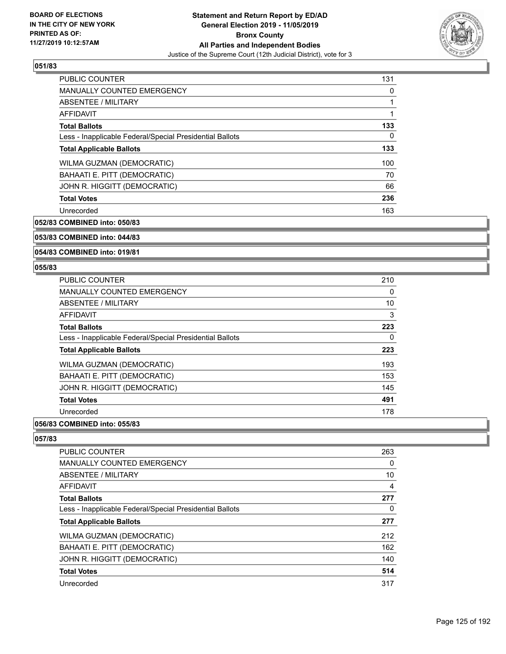

| PUBLIC COUNTER                                           | 131 |
|----------------------------------------------------------|-----|
| MANUALLY COUNTED EMERGENCY                               | 0   |
| ABSENTEE / MILITARY                                      | 1   |
| <b>AFFIDAVIT</b>                                         | 1   |
| <b>Total Ballots</b>                                     | 133 |
| Less - Inapplicable Federal/Special Presidential Ballots | 0   |
| <b>Total Applicable Ballots</b>                          | 133 |
| WILMA GUZMAN (DEMOCRATIC)                                | 100 |
| BAHAATI E. PITT (DEMOCRATIC)                             | 70  |
| JOHN R. HIGGITT (DEMOCRATIC)                             | 66  |
| <b>Total Votes</b>                                       | 236 |
| Unrecorded                                               | 163 |

**052/83 COMBINED into: 050/83**

## **053/83 COMBINED into: 044/83**

**054/83 COMBINED into: 019/81**

#### **055/83**

| <b>PUBLIC COUNTER</b>                                    | 210 |
|----------------------------------------------------------|-----|
| <b>MANUALLY COUNTED EMERGENCY</b>                        | 0   |
| ABSENTEE / MILITARY                                      | 10  |
| AFFIDAVIT                                                | 3   |
| <b>Total Ballots</b>                                     | 223 |
| Less - Inapplicable Federal/Special Presidential Ballots | 0   |
| <b>Total Applicable Ballots</b>                          | 223 |
| WILMA GUZMAN (DEMOCRATIC)                                | 193 |
| BAHAATI E. PITT (DEMOCRATIC)                             | 153 |
| JOHN R. HIGGITT (DEMOCRATIC)                             | 145 |
| <b>Total Votes</b>                                       | 491 |
| Unrecorded                                               | 178 |
|                                                          |     |

## **056/83 COMBINED into: 055/83**

| PUBLIC COUNTER                                           | 263 |
|----------------------------------------------------------|-----|
| <b>MANUALLY COUNTED EMERGENCY</b>                        | 0   |
| ABSENTEE / MILITARY                                      | 10  |
| <b>AFFIDAVIT</b>                                         | 4   |
| <b>Total Ballots</b>                                     | 277 |
| Less - Inapplicable Federal/Special Presidential Ballots | 0   |
| <b>Total Applicable Ballots</b>                          | 277 |
| WILMA GUZMAN (DEMOCRATIC)                                | 212 |
| BAHAATI E. PITT (DEMOCRATIC)                             | 162 |
| JOHN R. HIGGITT (DEMOCRATIC)                             | 140 |
| <b>Total Votes</b>                                       | 514 |
| Unrecorded                                               | 317 |
|                                                          |     |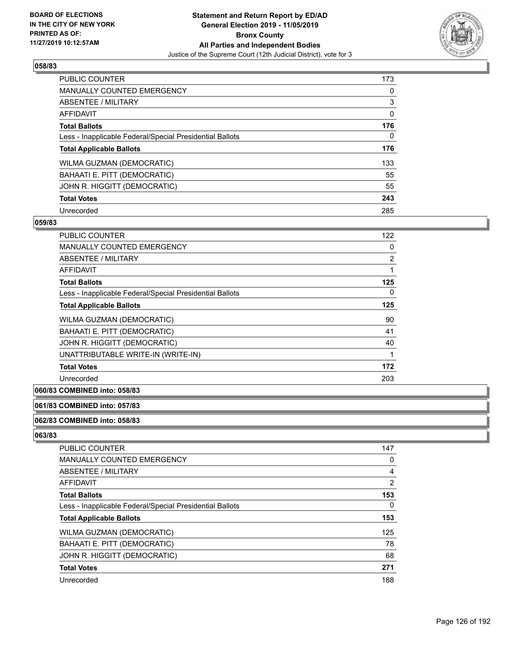

| <b>PUBLIC COUNTER</b>                                    | 173      |
|----------------------------------------------------------|----------|
| <b>MANUALLY COUNTED EMERGENCY</b>                        | $\Omega$ |
| ABSENTEE / MILITARY                                      | 3        |
| <b>AFFIDAVIT</b>                                         | 0        |
| <b>Total Ballots</b>                                     | 176      |
| Less - Inapplicable Federal/Special Presidential Ballots | $\Omega$ |
| <b>Total Applicable Ballots</b>                          | 176      |
| WILMA GUZMAN (DEMOCRATIC)                                | 133      |
| BAHAATI E. PITT (DEMOCRATIC)                             | 55       |
| JOHN R. HIGGITT (DEMOCRATIC)                             | 55       |
| <b>Total Votes</b>                                       | 243      |
| Unrecorded                                               | 285      |

#### **059/83**

| <b>PUBLIC COUNTER</b>                                    | 122 |
|----------------------------------------------------------|-----|
| <b>MANUALLY COUNTED EMERGENCY</b>                        | 0   |
| ABSENTEE / MILITARY                                      | 2   |
| AFFIDAVIT                                                | 1   |
| <b>Total Ballots</b>                                     | 125 |
| Less - Inapplicable Federal/Special Presidential Ballots | 0   |
| <b>Total Applicable Ballots</b>                          | 125 |
| WILMA GUZMAN (DEMOCRATIC)                                | 90  |
| BAHAATI E. PITT (DEMOCRATIC)                             | 41  |
| JOHN R. HIGGITT (DEMOCRATIC)                             | 40  |
| UNATTRIBUTABLE WRITE-IN (WRITE-IN)                       | 1   |
| <b>Total Votes</b>                                       | 172 |
| Unrecorded                                               | 203 |

# **060/83 COMBINED into: 058/83**

## **061/83 COMBINED into: 057/83**

#### **062/83 COMBINED into: 058/83**

| PUBLIC COUNTER                                           | 147            |
|----------------------------------------------------------|----------------|
| <b>MANUALLY COUNTED EMERGENCY</b>                        | 0              |
| ABSENTEE / MILITARY                                      | 4              |
| <b>AFFIDAVIT</b>                                         | $\overline{2}$ |
| <b>Total Ballots</b>                                     | 153            |
| Less - Inapplicable Federal/Special Presidential Ballots | 0              |
| <b>Total Applicable Ballots</b>                          | 153            |
| WILMA GUZMAN (DEMOCRATIC)                                | 125            |
| BAHAATI E. PITT (DEMOCRATIC)                             | 78             |
| JOHN R. HIGGITT (DEMOCRATIC)                             | 68             |
| <b>Total Votes</b>                                       | 271            |
| Unrecorded                                               | 188            |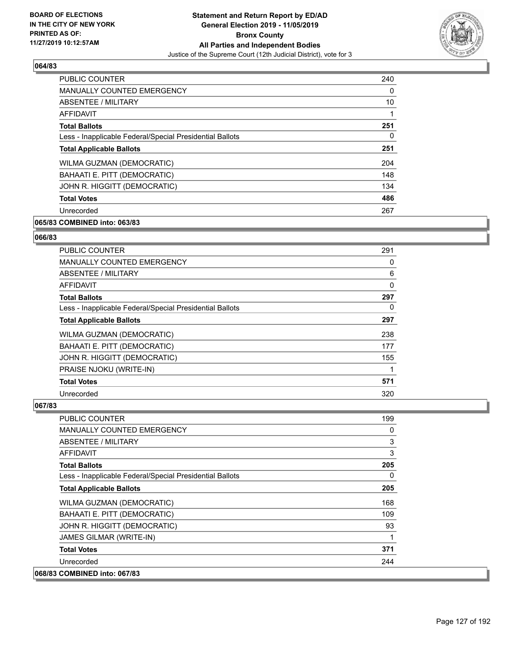

| <b>PUBLIC COUNTER</b>                                    | 240      |
|----------------------------------------------------------|----------|
| <b>MANUALLY COUNTED EMERGENCY</b>                        | $\Omega$ |
| <b>ABSENTEE / MILITARY</b>                               | 10       |
| AFFIDAVIT                                                |          |
| <b>Total Ballots</b>                                     | 251      |
| Less - Inapplicable Federal/Special Presidential Ballots | 0        |
| <b>Total Applicable Ballots</b>                          | 251      |
| WILMA GUZMAN (DEMOCRATIC)                                | 204      |
| BAHAATI E. PITT (DEMOCRATIC)                             | 148      |
| JOHN R. HIGGITT (DEMOCRATIC)                             | 134      |
| <b>Total Votes</b>                                       | 486      |
| Unrecorded                                               | 267      |

# **065/83 COMBINED into: 063/83**

#### **066/83**

| <b>PUBLIC COUNTER</b>                                    | 291 |
|----------------------------------------------------------|-----|
| <b>MANUALLY COUNTED EMERGENCY</b>                        | 0   |
| ABSENTEE / MILITARY                                      | 6   |
| AFFIDAVIT                                                | 0   |
| <b>Total Ballots</b>                                     | 297 |
| Less - Inapplicable Federal/Special Presidential Ballots | 0   |
| <b>Total Applicable Ballots</b>                          | 297 |
| <b>WILMA GUZMAN (DEMOCRATIC)</b>                         | 238 |
| BAHAATI E. PITT (DEMOCRATIC)                             | 177 |
| JOHN R. HIGGITT (DEMOCRATIC)                             | 155 |
| PRAISE NJOKU (WRITE-IN)                                  |     |
| <b>Total Votes</b>                                       | 571 |
| Unrecorded                                               | 320 |

| PUBLIC COUNTER                                           | 199      |
|----------------------------------------------------------|----------|
| MANUALLY COUNTED EMERGENCY                               | 0        |
| <b>ABSENTEE / MILITARY</b>                               | 3        |
| <b>AFFIDAVIT</b>                                         | 3        |
| <b>Total Ballots</b>                                     | 205      |
| Less - Inapplicable Federal/Special Presidential Ballots | $\Omega$ |
| <b>Total Applicable Ballots</b>                          | 205      |
| WILMA GUZMAN (DEMOCRATIC)                                | 168      |
| BAHAATI E. PITT (DEMOCRATIC)                             | 109      |
| JOHN R. HIGGITT (DEMOCRATIC)                             | 93       |
| JAMES GILMAR (WRITE-IN)                                  | 1        |
| <b>Total Votes</b>                                       | 371      |
| Unrecorded                                               | 244      |
| 068/83 COMBINED into: 067/83                             |          |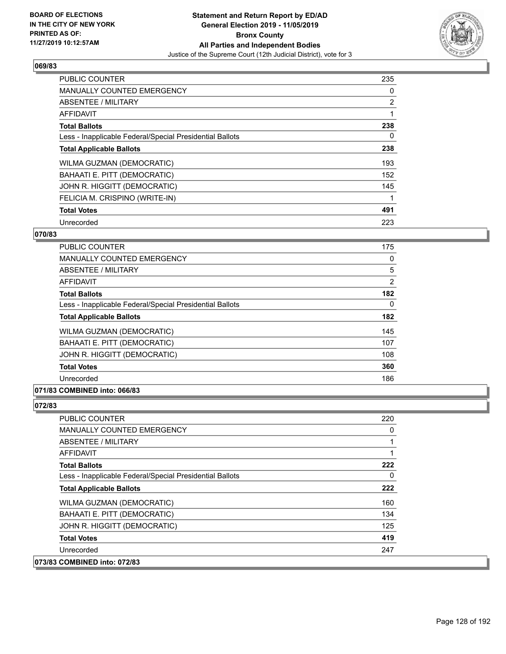

| PUBLIC COUNTER                                           | 235            |
|----------------------------------------------------------|----------------|
| <b>MANUALLY COUNTED EMERGENCY</b>                        | 0              |
| ABSENTEE / MILITARY                                      | $\overline{2}$ |
| <b>AFFIDAVIT</b>                                         |                |
| <b>Total Ballots</b>                                     | 238            |
| Less - Inapplicable Federal/Special Presidential Ballots | 0              |
| <b>Total Applicable Ballots</b>                          | 238            |
| WILMA GUZMAN (DEMOCRATIC)                                | 193            |
| BAHAATI E. PITT (DEMOCRATIC)                             | 152            |
| JOHN R. HIGGITT (DEMOCRATIC)                             | 145            |
| FELICIA M. CRISPINO (WRITE-IN)                           |                |
| <b>Total Votes</b>                                       | 491            |
| Unrecorded                                               | 223            |

## **070/83**

| <b>PUBLIC COUNTER</b>                                    | 175      |
|----------------------------------------------------------|----------|
| <b>MANUALLY COUNTED EMERGENCY</b>                        | $\Omega$ |
| <b>ABSENTEE / MILITARY</b>                               | 5        |
| <b>AFFIDAVIT</b>                                         | 2        |
| <b>Total Ballots</b>                                     | 182      |
| Less - Inapplicable Federal/Special Presidential Ballots | $\Omega$ |
| <b>Total Applicable Ballots</b>                          | 182      |
| WILMA GUZMAN (DEMOCRATIC)                                | 145      |
| BAHAATI E. PITT (DEMOCRATIC)                             | 107      |
| JOHN R. HIGGITT (DEMOCRATIC)                             | 108      |
| <b>Total Votes</b>                                       | 360      |
| Unrecorded                                               | 186      |

## **071/83 COMBINED into: 066/83**

| <b>PUBLIC COUNTER</b>                                    | 220      |
|----------------------------------------------------------|----------|
| <b>MANUALLY COUNTED EMERGENCY</b>                        | $\Omega$ |
| ABSENTEE / MILITARY                                      |          |
| AFFIDAVIT                                                |          |
| <b>Total Ballots</b>                                     | 222      |
| Less - Inapplicable Federal/Special Presidential Ballots | 0        |
| <b>Total Applicable Ballots</b>                          | 222      |
| WILMA GUZMAN (DEMOCRATIC)                                | 160      |
| BAHAATI E. PITT (DEMOCRATIC)                             | 134      |
| JOHN R. HIGGITT (DEMOCRATIC)                             | 125      |
| <b>Total Votes</b>                                       | 419      |
| Unrecorded                                               | 247      |
| 073/83 COMBINED into: 072/83                             |          |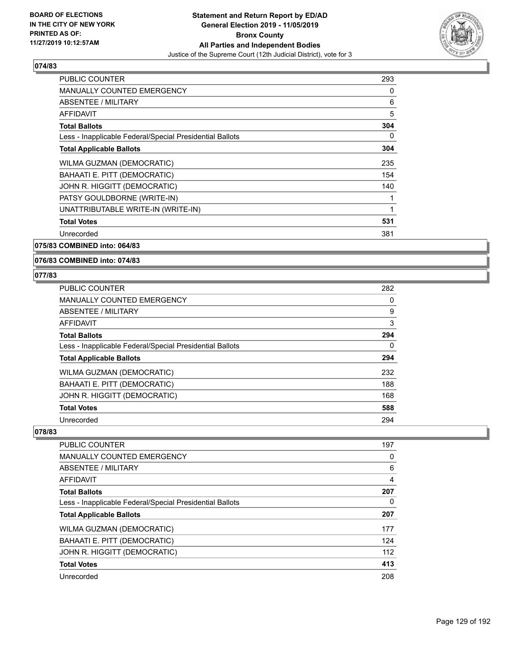

| <b>PUBLIC COUNTER</b>                                    | 293 |
|----------------------------------------------------------|-----|
| <b>MANUALLY COUNTED EMERGENCY</b>                        | 0   |
| <b>ABSENTEE / MILITARY</b>                               | 6   |
| <b>AFFIDAVIT</b>                                         | 5   |
| <b>Total Ballots</b>                                     | 304 |
| Less - Inapplicable Federal/Special Presidential Ballots | 0   |
| <b>Total Applicable Ballots</b>                          | 304 |
| WILMA GUZMAN (DEMOCRATIC)                                | 235 |
| BAHAATI E. PITT (DEMOCRATIC)                             | 154 |
| JOHN R. HIGGITT (DEMOCRATIC)                             | 140 |
| PATSY GOULDBORNE (WRITE-IN)                              | 1   |
| UNATTRIBUTABLE WRITE-IN (WRITE-IN)                       | 1   |
| <b>Total Votes</b>                                       | 531 |
| Unrecorded                                               | 381 |
|                                                          |     |

**075/83 COMBINED into: 064/83**

**076/83 COMBINED into: 074/83**

#### **077/83**

| <b>PUBLIC COUNTER</b>                                    | 282 |
|----------------------------------------------------------|-----|
| <b>MANUALLY COUNTED EMERGENCY</b>                        | 0   |
| ABSENTEE / MILITARY                                      | 9   |
| AFFIDAVIT                                                | 3   |
| <b>Total Ballots</b>                                     | 294 |
| Less - Inapplicable Federal/Special Presidential Ballots | 0   |
| <b>Total Applicable Ballots</b>                          | 294 |
| WILMA GUZMAN (DEMOCRATIC)                                | 232 |
| BAHAATI E. PITT (DEMOCRATIC)                             | 188 |
| JOHN R. HIGGITT (DEMOCRATIC)                             | 168 |
| <b>Total Votes</b>                                       | 588 |
| Unrecorded                                               | 294 |

| PUBLIC COUNTER                                           | 197 |
|----------------------------------------------------------|-----|
| <b>MANUALLY COUNTED EMERGENCY</b>                        | 0   |
| ABSENTEE / MILITARY                                      | 6   |
| AFFIDAVIT                                                | 4   |
| <b>Total Ballots</b>                                     | 207 |
| Less - Inapplicable Federal/Special Presidential Ballots | 0   |
| <b>Total Applicable Ballots</b>                          | 207 |
| WILMA GUZMAN (DEMOCRATIC)                                | 177 |
| BAHAATI E. PITT (DEMOCRATIC)                             | 124 |
| JOHN R. HIGGITT (DEMOCRATIC)                             | 112 |
| <b>Total Votes</b>                                       | 413 |
| Unrecorded                                               | 208 |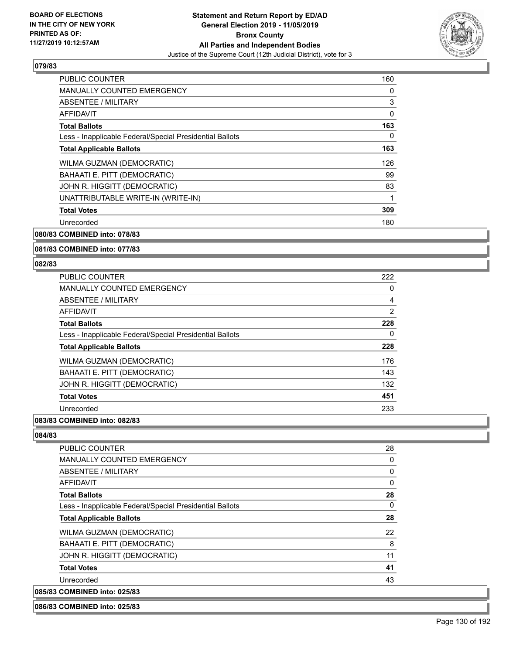

| <b>PUBLIC COUNTER</b>                                    | 160 |
|----------------------------------------------------------|-----|
| <b>MANUALLY COUNTED EMERGENCY</b>                        | 0   |
| ABSENTEE / MILITARY                                      | 3   |
| AFFIDAVIT                                                | 0   |
| <b>Total Ballots</b>                                     | 163 |
| Less - Inapplicable Federal/Special Presidential Ballots | 0   |
| <b>Total Applicable Ballots</b>                          | 163 |
| WILMA GUZMAN (DEMOCRATIC)                                | 126 |
| BAHAATI E. PITT (DEMOCRATIC)                             | 99  |
| JOHN R. HIGGITT (DEMOCRATIC)                             | 83  |
| UNATTRIBUTABLE WRITE-IN (WRITE-IN)                       |     |
| <b>Total Votes</b>                                       | 309 |
| Unrecorded                                               | 180 |
|                                                          |     |

**080/83 COMBINED into: 078/83**

#### **081/83 COMBINED into: 077/83**

#### **082/83**

| PUBLIC COUNTER                                           | 222 |
|----------------------------------------------------------|-----|
| <b>MANUALLY COUNTED EMERGENCY</b>                        | 0   |
| ABSENTEE / MILITARY                                      | 4   |
| AFFIDAVIT                                                | 2   |
| <b>Total Ballots</b>                                     | 228 |
| Less - Inapplicable Federal/Special Presidential Ballots | 0   |
| <b>Total Applicable Ballots</b>                          | 228 |
| WILMA GUZMAN (DEMOCRATIC)                                | 176 |
| BAHAATI E. PITT (DEMOCRATIC)                             | 143 |
| JOHN R. HIGGITT (DEMOCRATIC)                             | 132 |
| <b>Total Votes</b>                                       | 451 |
| Unrecorded                                               | 233 |
|                                                          |     |

## **083/83 COMBINED into: 082/83**

**084/83** 

| <b>PUBLIC COUNTER</b>                                    | 28       |
|----------------------------------------------------------|----------|
| <b>MANUALLY COUNTED EMERGENCY</b>                        | 0        |
| ABSENTEE / MILITARY                                      | 0        |
| AFFIDAVIT                                                | $\Omega$ |
| <b>Total Ballots</b>                                     | 28       |
| Less - Inapplicable Federal/Special Presidential Ballots | 0        |
| <b>Total Applicable Ballots</b>                          | 28       |
| WILMA GUZMAN (DEMOCRATIC)                                | 22       |
| BAHAATI E. PITT (DEMOCRATIC)                             | 8        |
| JOHN R. HIGGITT (DEMOCRATIC)                             | 11       |
| <b>Total Votes</b>                                       | 41       |
| Unrecorded                                               | 43       |
| 085/83 COMBINED into: 025/83                             |          |

## **086/83 COMBINED into: 025/83**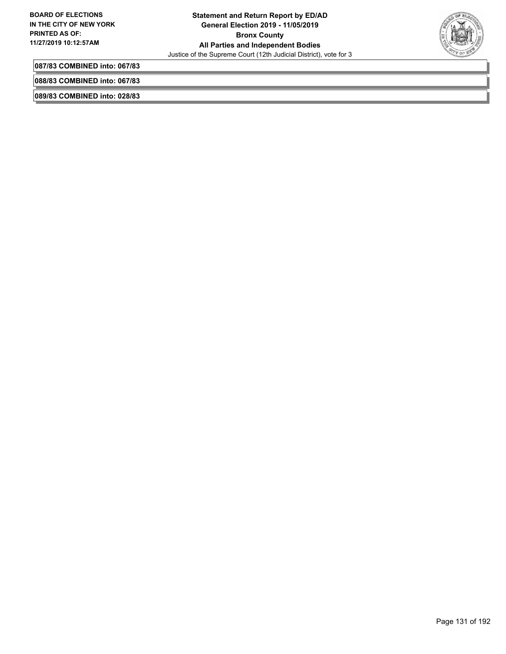

**087/83 COMBINED into: 067/83**

**088/83 COMBINED into: 067/83**

**089/83 COMBINED into: 028/83**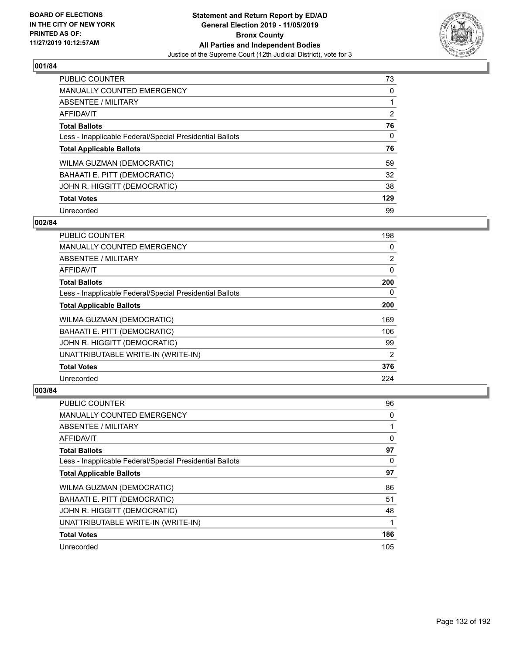

| <b>PUBLIC COUNTER</b>                                    | 73             |
|----------------------------------------------------------|----------------|
| <b>MANUALLY COUNTED EMERGENCY</b>                        | $\Omega$       |
| <b>ABSENTEE / MILITARY</b>                               |                |
| <b>AFFIDAVIT</b>                                         | $\overline{2}$ |
| <b>Total Ballots</b>                                     | 76             |
| Less - Inapplicable Federal/Special Presidential Ballots | 0              |
| <b>Total Applicable Ballots</b>                          | 76             |
| WILMA GUZMAN (DEMOCRATIC)                                | 59             |
| BAHAATI E. PITT (DEMOCRATIC)                             | 32             |
| JOHN R. HIGGITT (DEMOCRATIC)                             | 38             |
| <b>Total Votes</b>                                       | 129            |
| Unrecorded                                               | 99             |

## **002/84**

| PUBLIC COUNTER                                           | 198            |
|----------------------------------------------------------|----------------|
| <b>MANUALLY COUNTED EMERGENCY</b>                        | $\Omega$       |
| ABSENTEE / MILITARY                                      | $\overline{2}$ |
| AFFIDAVIT                                                | 0              |
| <b>Total Ballots</b>                                     | 200            |
| Less - Inapplicable Federal/Special Presidential Ballots | $\Omega$       |
| <b>Total Applicable Ballots</b>                          | 200            |
| WILMA GUZMAN (DEMOCRATIC)                                | 169            |
| BAHAATI E. PITT (DEMOCRATIC)                             | 106            |
| JOHN R. HIGGITT (DEMOCRATIC)                             | 99             |
| UNATTRIBUTABLE WRITE-IN (WRITE-IN)                       | $\overline{2}$ |
| <b>Total Votes</b>                                       | 376            |
| Unrecorded                                               | 224            |

| PUBLIC COUNTER                                           | 96       |
|----------------------------------------------------------|----------|
| <b>MANUALLY COUNTED EMERGENCY</b>                        | 0        |
| ABSENTEE / MILITARY                                      | 1        |
| AFFIDAVIT                                                | 0        |
| <b>Total Ballots</b>                                     | 97       |
| Less - Inapplicable Federal/Special Presidential Ballots | $\Omega$ |
| <b>Total Applicable Ballots</b>                          | 97       |
| WILMA GUZMAN (DEMOCRATIC)                                | 86       |
| BAHAATI E. PITT (DEMOCRATIC)                             | 51       |
| JOHN R. HIGGITT (DEMOCRATIC)                             | 48       |
| UNATTRIBUTABLE WRITE-IN (WRITE-IN)                       | 1        |
| <b>Total Votes</b>                                       | 186      |
| Unrecorded                                               | 105      |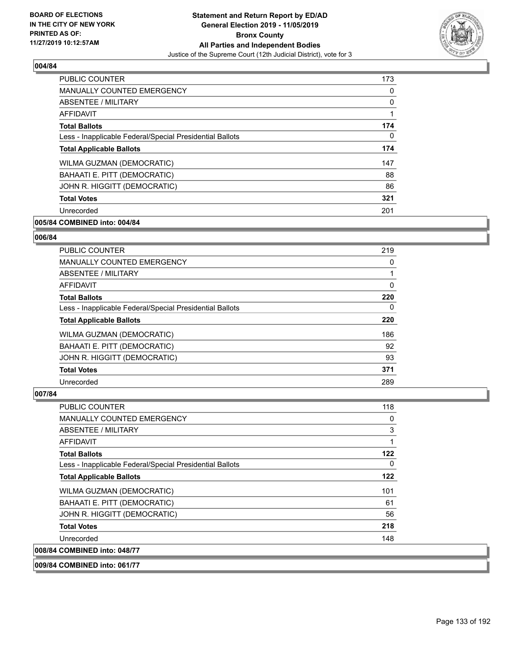

| <b>PUBLIC COUNTER</b>                                    | 173      |
|----------------------------------------------------------|----------|
| <b>MANUALLY COUNTED EMERGENCY</b>                        | $\Omega$ |
| ABSENTEE / MILITARY                                      | 0        |
| AFFIDAVIT                                                | 1        |
| <b>Total Ballots</b>                                     | 174      |
| Less - Inapplicable Federal/Special Presidential Ballots | 0        |
| <b>Total Applicable Ballots</b>                          | 174      |
| WILMA GUZMAN (DEMOCRATIC)                                | 147      |
| BAHAATI E. PITT (DEMOCRATIC)                             | 88       |
| JOHN R. HIGGITT (DEMOCRATIC)                             | 86       |
| <b>Total Votes</b>                                       | 321      |
| Unrecorded                                               | 201      |

# **005/84 COMBINED into: 004/84**

#### **006/84**

| PUBLIC COUNTER                                           | 219      |
|----------------------------------------------------------|----------|
| <b>MANUALLY COUNTED EMERGENCY</b>                        | 0        |
| ABSENTEE / MILITARY                                      |          |
| <b>AFFIDAVIT</b>                                         | $\Omega$ |
| <b>Total Ballots</b>                                     | 220      |
| Less - Inapplicable Federal/Special Presidential Ballots | 0        |
| <b>Total Applicable Ballots</b>                          | 220      |
| WILMA GUZMAN (DEMOCRATIC)                                | 186      |
| BAHAATI E. PITT (DEMOCRATIC)                             | 92       |
| JOHN R. HIGGITT (DEMOCRATIC)                             | 93       |
| <b>Total Votes</b>                                       | 371      |
| Unrecorded                                               | 289      |

| <b>PUBLIC COUNTER</b>                                    | 118 |
|----------------------------------------------------------|-----|
| <b>MANUALLY COUNTED EMERGENCY</b>                        | 0   |
| ABSENTEE / MILITARY                                      | 3   |
| <b>AFFIDAVIT</b>                                         | 1   |
| <b>Total Ballots</b>                                     | 122 |
| Less - Inapplicable Federal/Special Presidential Ballots | 0   |
| <b>Total Applicable Ballots</b>                          | 122 |
| WILMA GUZMAN (DEMOCRATIC)                                | 101 |
| <b>BAHAATI E. PITT (DEMOCRATIC)</b>                      | 61  |
| JOHN R. HIGGITT (DEMOCRATIC)                             | 56  |
| <b>Total Votes</b>                                       | 218 |
| Unrecorded                                               | 148 |
| 008/84 COMBINED into: 048/77                             |     |
| 009/84 COMBINED into: 061/77                             |     |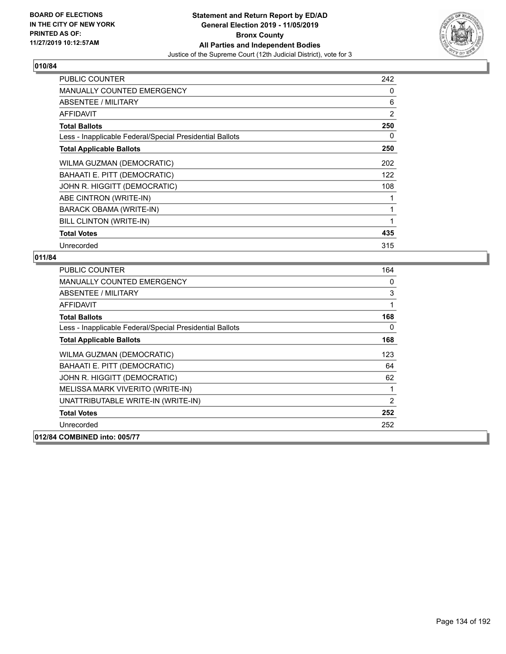

| <b>PUBLIC COUNTER</b>                                    | 242 |
|----------------------------------------------------------|-----|
| <b>MANUALLY COUNTED EMERGENCY</b>                        | 0   |
| <b>ABSENTEE / MILITARY</b>                               | 6   |
| <b>AFFIDAVIT</b>                                         | 2   |
| <b>Total Ballots</b>                                     | 250 |
| Less - Inapplicable Federal/Special Presidential Ballots | 0   |
| <b>Total Applicable Ballots</b>                          | 250 |
| WILMA GUZMAN (DEMOCRATIC)                                | 202 |
| BAHAATI E. PITT (DEMOCRATIC)                             | 122 |
| JOHN R. HIGGITT (DEMOCRATIC)                             | 108 |
| ABE CINTRON (WRITE-IN)                                   |     |
| BARACK OBAMA (WRITE-IN)                                  | 1   |
| BILL CLINTON (WRITE-IN)                                  | 1   |
| <b>Total Votes</b>                                       | 435 |
| Unrecorded                                               | 315 |

| PUBLIC COUNTER                                           | 164            |
|----------------------------------------------------------|----------------|
| <b>MANUALLY COUNTED EMERGENCY</b>                        | 0              |
| ABSENTEE / MILITARY                                      | 3              |
| AFFIDAVIT                                                | 1              |
| <b>Total Ballots</b>                                     | 168            |
| Less - Inapplicable Federal/Special Presidential Ballots | 0              |
| <b>Total Applicable Ballots</b>                          | 168            |
| WILMA GUZMAN (DEMOCRATIC)                                | 123            |
| BAHAATI E. PITT (DEMOCRATIC)                             | 64             |
| JOHN R. HIGGITT (DEMOCRATIC)                             | 62             |
| MELISSA MARK VIVERITO (WRITE-IN)                         | 1              |
| UNATTRIBUTABLE WRITE-IN (WRITE-IN)                       | $\overline{2}$ |
| <b>Total Votes</b>                                       | 252            |
| Unrecorded                                               | 252            |
| 012/84 COMBINED into: 005/77                             |                |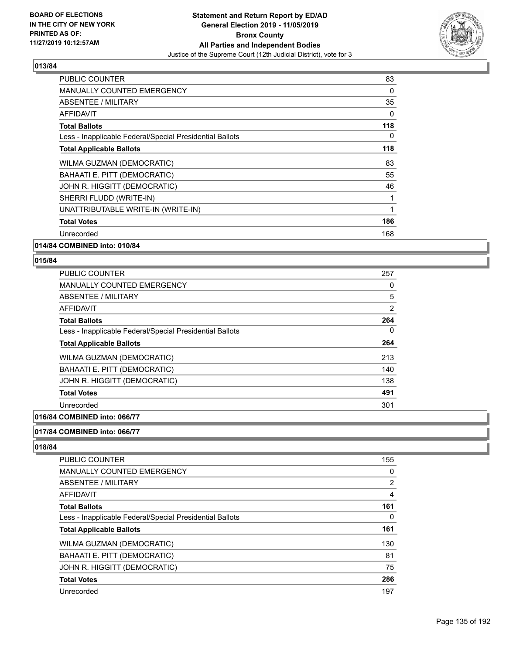

| <b>PUBLIC COUNTER</b>                                    | 83       |
|----------------------------------------------------------|----------|
| <b>MANUALLY COUNTED EMERGENCY</b>                        | 0        |
| ABSENTEE / MILITARY                                      | 35       |
| AFFIDAVIT                                                | 0        |
| <b>Total Ballots</b>                                     | 118      |
| Less - Inapplicable Federal/Special Presidential Ballots | $\Omega$ |
| <b>Total Applicable Ballots</b>                          | 118      |
| WILMA GUZMAN (DEMOCRATIC)                                | 83       |
| BAHAATI E. PITT (DEMOCRATIC)                             | 55       |
| JOHN R. HIGGITT (DEMOCRATIC)                             | 46       |
| SHERRI FLUDD (WRITE-IN)                                  |          |
| UNATTRIBUTABLE WRITE-IN (WRITE-IN)                       | 1        |
| <b>Total Votes</b>                                       | 186      |
| Unrecorded                                               | 168      |
|                                                          |          |

**014/84 COMBINED into: 010/84**

## **015/84**

| <b>PUBLIC COUNTER</b>                                    | 257 |
|----------------------------------------------------------|-----|
| <b>MANUALLY COUNTED EMERGENCY</b>                        | 0   |
| ABSENTEE / MILITARY                                      | 5   |
| AFFIDAVIT                                                | 2   |
| <b>Total Ballots</b>                                     | 264 |
| Less - Inapplicable Federal/Special Presidential Ballots | 0   |
| <b>Total Applicable Ballots</b>                          | 264 |
| WILMA GUZMAN (DEMOCRATIC)                                | 213 |
| BAHAATI E. PITT (DEMOCRATIC)                             | 140 |
| JOHN R. HIGGITT (DEMOCRATIC)                             | 138 |
| <b>Total Votes</b>                                       | 491 |
| Unrecorded                                               | 301 |
|                                                          |     |

# **016/84 COMBINED into: 066/77**

# **017/84 COMBINED into: 066/77**

| <b>PUBLIC COUNTER</b>                                    | 155            |
|----------------------------------------------------------|----------------|
| MANUALLY COUNTED EMERGENCY                               | 0              |
| ABSENTEE / MILITARY                                      | $\overline{2}$ |
| AFFIDAVIT                                                | 4              |
| <b>Total Ballots</b>                                     | 161            |
| Less - Inapplicable Federal/Special Presidential Ballots | 0              |
| <b>Total Applicable Ballots</b>                          | 161            |
| WILMA GUZMAN (DEMOCRATIC)                                | 130            |
| BAHAATI E. PITT (DEMOCRATIC)                             | 81             |
| JOHN R. HIGGITT (DEMOCRATIC)                             | 75             |
| <b>Total Votes</b>                                       | 286            |
| Unrecorded                                               | 197            |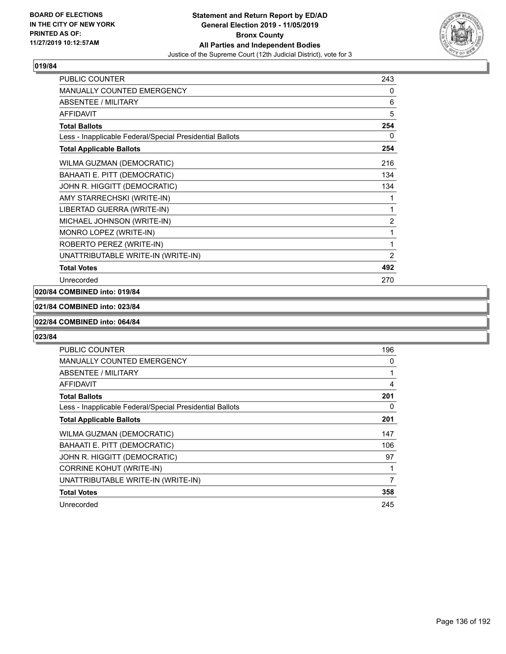

| PUBLIC COUNTER                                           | 243            |
|----------------------------------------------------------|----------------|
| MANUALLY COUNTED EMERGENCY                               | 0              |
| ABSENTEE / MILITARY                                      | 6              |
| <b>AFFIDAVIT</b>                                         | 5              |
| <b>Total Ballots</b>                                     | 254            |
| Less - Inapplicable Federal/Special Presidential Ballots | 0              |
| <b>Total Applicable Ballots</b>                          | 254            |
| WILMA GUZMAN (DEMOCRATIC)                                | 216            |
| BAHAATI E. PITT (DEMOCRATIC)                             | 134            |
| JOHN R. HIGGITT (DEMOCRATIC)                             | 134            |
| AMY STARRECHSKI (WRITE-IN)                               | 1              |
| LIBERTAD GUERRA (WRITE-IN)                               | 1              |
| MICHAEL JOHNSON (WRITE-IN)                               | $\overline{c}$ |
| MONRO LOPEZ (WRITE-IN)                                   | 1              |
| ROBERTO PEREZ (WRITE-IN)                                 | 1              |
| UNATTRIBUTABLE WRITE-IN (WRITE-IN)                       | $\overline{2}$ |
| <b>Total Votes</b>                                       | 492            |
| Unrecorded                                               | 270            |

# **020/84 COMBINED into: 019/84**

#### **021/84 COMBINED into: 023/84**

#### **022/84 COMBINED into: 064/84**

| <b>PUBLIC COUNTER</b>                                    | 196 |
|----------------------------------------------------------|-----|
| <b>MANUALLY COUNTED EMERGENCY</b>                        | 0   |
| <b>ABSENTEE / MILITARY</b>                               | 1   |
| <b>AFFIDAVIT</b>                                         | 4   |
| <b>Total Ballots</b>                                     | 201 |
| Less - Inapplicable Federal/Special Presidential Ballots | 0   |
| <b>Total Applicable Ballots</b>                          | 201 |
| WILMA GUZMAN (DEMOCRATIC)                                | 147 |
| BAHAATI E. PITT (DEMOCRATIC)                             | 106 |
| JOHN R. HIGGITT (DEMOCRATIC)                             | 97  |
| <b>CORRINE KOHUT (WRITE-IN)</b>                          | 1   |
| UNATTRIBUTABLE WRITE-IN (WRITE-IN)                       | 7   |
| <b>Total Votes</b>                                       | 358 |
| Unrecorded                                               | 245 |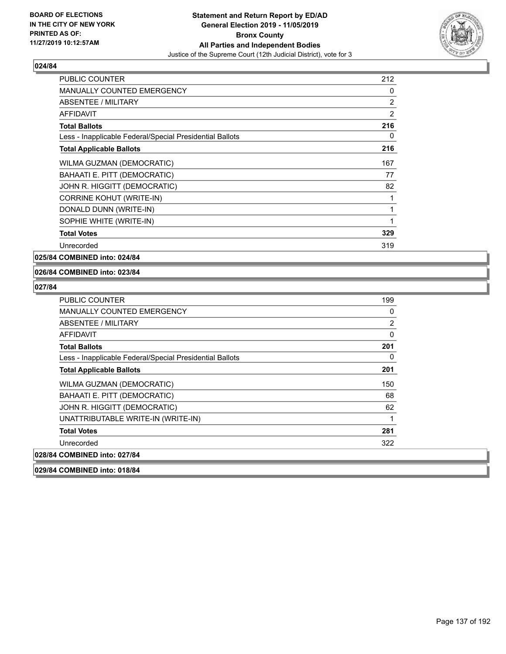

| <b>PUBLIC COUNTER</b>                                    | 212 |
|----------------------------------------------------------|-----|
| <b>MANUALLY COUNTED EMERGENCY</b>                        | 0   |
| ABSENTEE / MILITARY                                      | 2   |
| <b>AFFIDAVIT</b>                                         | 2   |
| <b>Total Ballots</b>                                     | 216 |
| Less - Inapplicable Federal/Special Presidential Ballots | 0   |
| <b>Total Applicable Ballots</b>                          | 216 |
| WILMA GUZMAN (DEMOCRATIC)                                | 167 |
| BAHAATI E. PITT (DEMOCRATIC)                             | 77  |
| JOHN R. HIGGITT (DEMOCRATIC)                             | 82  |
| <b>CORRINE KOHUT (WRITE-IN)</b>                          | 1   |
| DONALD DUNN (WRITE-IN)                                   | 1   |
| SOPHIE WHITE (WRITE-IN)                                  | 1   |
| <b>Total Votes</b>                                       | 329 |
| Unrecorded                                               | 319 |

**025/84 COMBINED into: 024/84**

#### **026/84 COMBINED into: 023/84**

| PUBLIC COUNTER                                           | 199            |
|----------------------------------------------------------|----------------|
| MANUALLY COUNTED EMERGENCY                               | 0              |
| ABSENTEE / MILITARY                                      | $\overline{2}$ |
| AFFIDAVIT                                                | $\mathbf{0}$   |
| <b>Total Ballots</b>                                     | 201            |
| Less - Inapplicable Federal/Special Presidential Ballots | 0              |
| <b>Total Applicable Ballots</b>                          | 201            |
| WILMA GUZMAN (DEMOCRATIC)                                | 150            |
| BAHAATI E. PITT (DEMOCRATIC)                             | 68             |
| JOHN R. HIGGITT (DEMOCRATIC)                             | 62             |
| UNATTRIBUTABLE WRITE-IN (WRITE-IN)                       | 1              |
| <b>Total Votes</b>                                       | 281            |
| Unrecorded                                               | 322            |
| 028/84 COMBINED into: 027/84                             |                |
| 029/84 COMBINED into: 018/84                             |                |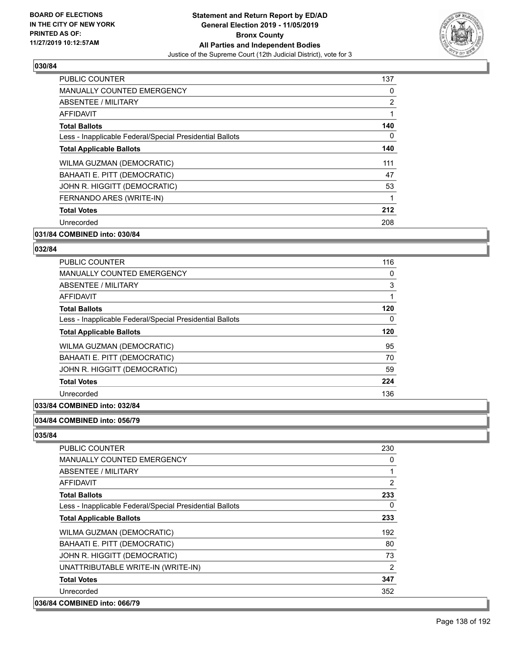

| PUBLIC COUNTER                                           | 137            |
|----------------------------------------------------------|----------------|
| <b>MANUALLY COUNTED EMERGENCY</b>                        | 0              |
| ABSENTEE / MILITARY                                      | $\overline{2}$ |
| AFFIDAVIT                                                |                |
| <b>Total Ballots</b>                                     | 140            |
| Less - Inapplicable Federal/Special Presidential Ballots | 0              |
| <b>Total Applicable Ballots</b>                          | 140            |
| WILMA GUZMAN (DEMOCRATIC)                                | 111            |
| BAHAATI E. PITT (DEMOCRATIC)                             | 47             |
| JOHN R. HIGGITT (DEMOCRATIC)                             | 53             |
| FERNANDO ARES (WRITE-IN)                                 |                |
| <b>Total Votes</b>                                       | 212            |
| Unrecorded                                               | 208            |
|                                                          |                |

#### **031/84 COMBINED into: 030/84**

#### **032/84**

| <b>PUBLIC COUNTER</b>                                    | 116      |
|----------------------------------------------------------|----------|
| <b>MANUALLY COUNTED EMERGENCY</b>                        | $\Omega$ |
| ABSENTEE / MILITARY                                      | 3        |
| <b>AFFIDAVIT</b>                                         |          |
| <b>Total Ballots</b>                                     | 120      |
| Less - Inapplicable Federal/Special Presidential Ballots | $\Omega$ |
| <b>Total Applicable Ballots</b>                          | 120      |
| WILMA GUZMAN (DEMOCRATIC)                                | 95       |
| BAHAATI E. PITT (DEMOCRATIC)                             | 70       |
| JOHN R. HIGGITT (DEMOCRATIC)                             | 59       |
| <b>Total Votes</b>                                       | 224      |
| Unrecorded                                               | 136      |

## **033/84 COMBINED into: 032/84**

#### **034/84 COMBINED into: 056/79**

| <b>PUBLIC COUNTER</b>                                    | 230            |
|----------------------------------------------------------|----------------|
| <b>MANUALLY COUNTED EMERGENCY</b>                        | 0              |
| ABSENTEE / MILITARY                                      | 1              |
| AFFIDAVIT                                                | 2              |
| <b>Total Ballots</b>                                     | 233            |
| Less - Inapplicable Federal/Special Presidential Ballots | $\Omega$       |
| <b>Total Applicable Ballots</b>                          | 233            |
| WILMA GUZMAN (DEMOCRATIC)                                | 192            |
| BAHAATI E. PITT (DEMOCRATIC)                             | 80             |
| JOHN R. HIGGITT (DEMOCRATIC)                             | 73             |
| UNATTRIBUTABLE WRITE-IN (WRITE-IN)                       | $\overline{2}$ |
| <b>Total Votes</b>                                       | 347            |
| Unrecorded                                               | 352            |
| 036/84 COMBINED into: 066/79                             |                |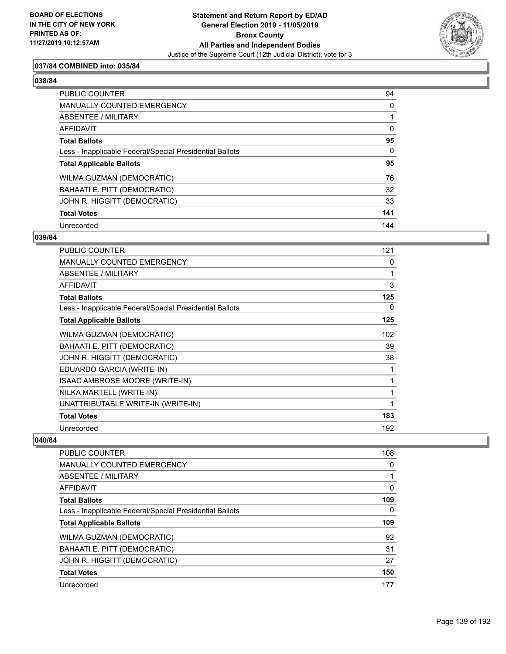

## **037/84 COMBINED into: 035/84**

#### **038/84**

| <b>PUBLIC COUNTER</b>                                    | 94       |
|----------------------------------------------------------|----------|
| <b>MANUALLY COUNTED EMERGENCY</b>                        | 0        |
| ABSENTEE / MILITARY                                      |          |
| AFFIDAVIT                                                | $\Omega$ |
| <b>Total Ballots</b>                                     | 95       |
| Less - Inapplicable Federal/Special Presidential Ballots | $\Omega$ |
| <b>Total Applicable Ballots</b>                          | 95       |
| WILMA GUZMAN (DEMOCRATIC)                                | 76       |
| BAHAATI E. PITT (DEMOCRATIC)                             | 32       |
| JOHN R. HIGGITT (DEMOCRATIC)                             | 33       |
| <b>Total Votes</b>                                       | 141      |
| Unrecorded                                               | 144      |

#### **039/84**

| PUBLIC COUNTER                                           | 121 |
|----------------------------------------------------------|-----|
| <b>MANUALLY COUNTED EMERGENCY</b>                        | 0   |
| ABSENTEE / MILITARY                                      |     |
| <b>AFFIDAVIT</b>                                         | 3   |
| <b>Total Ballots</b>                                     | 125 |
| Less - Inapplicable Federal/Special Presidential Ballots | 0   |
| <b>Total Applicable Ballots</b>                          | 125 |
| WILMA GUZMAN (DEMOCRATIC)                                | 102 |
| BAHAATI E. PITT (DEMOCRATIC)                             | 39  |
| JOHN R. HIGGITT (DEMOCRATIC)                             | 38  |
| EDUARDO GARCIA (WRITE-IN)                                | 1   |
| ISAAC AMBROSE MOORE (WRITE-IN)                           | 1   |
| NILKA MARTELL (WRITE-IN)                                 | 1   |
| UNATTRIBUTABLE WRITE-IN (WRITE-IN)                       | 1   |
| <b>Total Votes</b>                                       | 183 |
| Unrecorded                                               | 192 |

| <b>PUBLIC COUNTER</b>                                    | 108 |
|----------------------------------------------------------|-----|
| <b>MANUALLY COUNTED EMERGENCY</b>                        | 0   |
| ABSENTEE / MILITARY                                      |     |
| AFFIDAVIT                                                | 0   |
| <b>Total Ballots</b>                                     | 109 |
| Less - Inapplicable Federal/Special Presidential Ballots | 0   |
| <b>Total Applicable Ballots</b>                          | 109 |
| WILMA GUZMAN (DEMOCRATIC)                                | 92  |
| BAHAATI E. PITT (DEMOCRATIC)                             | 31  |
| JOHN R. HIGGITT (DEMOCRATIC)                             | 27  |
| <b>Total Votes</b>                                       | 150 |
| Unrecorded                                               | 177 |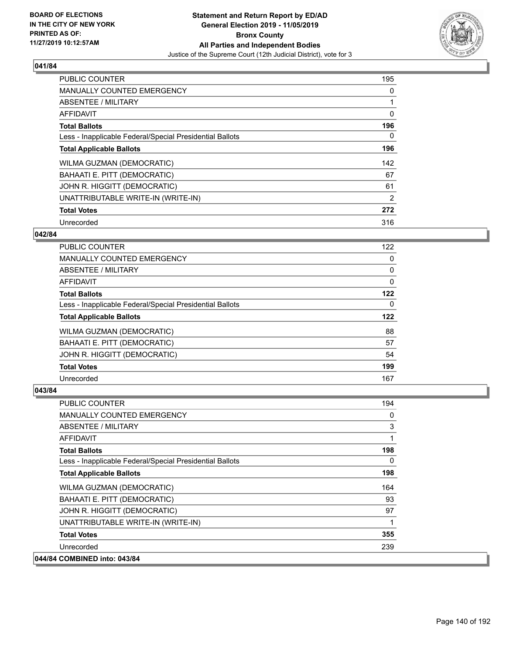

| PUBLIC COUNTER                                           | 195 |
|----------------------------------------------------------|-----|
| <b>MANUALLY COUNTED EMERGENCY</b>                        | 0   |
| ABSENTEE / MILITARY                                      |     |
| <b>AFFIDAVIT</b>                                         | 0   |
| <b>Total Ballots</b>                                     | 196 |
| Less - Inapplicable Federal/Special Presidential Ballots | 0   |
| <b>Total Applicable Ballots</b>                          | 196 |
| <b>WILMA GUZMAN (DEMOCRATIC)</b>                         | 142 |
| BAHAATI E. PITT (DEMOCRATIC)                             | 67  |
| JOHN R. HIGGITT (DEMOCRATIC)                             | 61  |
| UNATTRIBUTABLE WRITE-IN (WRITE-IN)                       | 2   |
| <b>Total Votes</b>                                       | 272 |
| Unrecorded                                               | 316 |

## **042/84**

| <b>PUBLIC COUNTER</b>                                    | 122      |
|----------------------------------------------------------|----------|
| <b>MANUALLY COUNTED EMERGENCY</b>                        | 0        |
| ABSENTEE / MILITARY                                      | 0        |
| AFFIDAVIT                                                | $\Omega$ |
| <b>Total Ballots</b>                                     | 122      |
| Less - Inapplicable Federal/Special Presidential Ballots | 0        |
| <b>Total Applicable Ballots</b>                          | 122      |
| WILMA GUZMAN (DEMOCRATIC)                                | 88       |
| BAHAATI E. PITT (DEMOCRATIC)                             | 57       |
| JOHN R. HIGGITT (DEMOCRATIC)                             | 54       |
| <b>Total Votes</b>                                       | 199      |
| Unrecorded                                               | 167      |

| PUBLIC COUNTER                                           | 194      |
|----------------------------------------------------------|----------|
| <b>MANUALLY COUNTED EMERGENCY</b>                        | 0        |
| ABSENTEE / MILITARY                                      | 3        |
| <b>AFFIDAVIT</b>                                         | 1        |
| <b>Total Ballots</b>                                     | 198      |
| Less - Inapplicable Federal/Special Presidential Ballots | $\Omega$ |
| <b>Total Applicable Ballots</b>                          | 198      |
| WILMA GUZMAN (DEMOCRATIC)                                | 164      |
| BAHAATI E. PITT (DEMOCRATIC)                             | 93       |
| JOHN R. HIGGITT (DEMOCRATIC)                             | 97       |
| UNATTRIBUTABLE WRITE-IN (WRITE-IN)                       |          |
| <b>Total Votes</b>                                       | 355      |
| Unrecorded                                               | 239      |
| 044/84 COMBINED into: 043/84                             |          |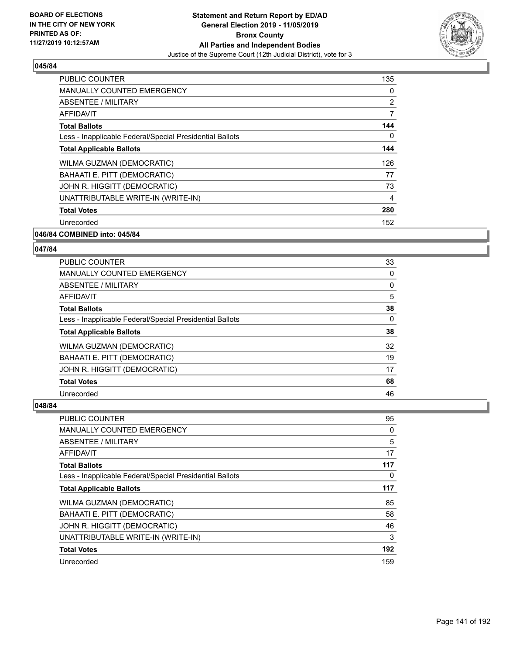

| <b>PUBLIC COUNTER</b>                                    | 135            |
|----------------------------------------------------------|----------------|
| <b>MANUALLY COUNTED EMERGENCY</b>                        | 0              |
| ABSENTEE / MILITARY                                      | $\overline{2}$ |
| AFFIDAVIT                                                | 7              |
| <b>Total Ballots</b>                                     | 144            |
| Less - Inapplicable Federal/Special Presidential Ballots | 0              |
| <b>Total Applicable Ballots</b>                          | 144            |
| WILMA GUZMAN (DEMOCRATIC)                                | 126            |
| BAHAATI E. PITT (DEMOCRATIC)                             | 77             |
| JOHN R. HIGGITT (DEMOCRATIC)                             | 73             |
| UNATTRIBUTABLE WRITE-IN (WRITE-IN)                       | 4              |
| <b>Total Votes</b>                                       | 280            |
| Unrecorded                                               | 152            |
| ------ - - - <i>---</i>                                  |                |

# **046/84 COMBINED into: 045/84**

#### **047/84**

| <b>PUBLIC COUNTER</b>                                    | 33 |
|----------------------------------------------------------|----|
| <b>MANUALLY COUNTED EMERGENCY</b>                        | 0  |
| ABSENTEE / MILITARY                                      | 0  |
| <b>AFFIDAVIT</b>                                         | 5  |
| <b>Total Ballots</b>                                     | 38 |
| Less - Inapplicable Federal/Special Presidential Ballots | 0  |
| <b>Total Applicable Ballots</b>                          | 38 |
| <b>WILMA GUZMAN (DEMOCRATIC)</b>                         | 32 |
| BAHAATI E. PITT (DEMOCRATIC)                             | 19 |
| JOHN R. HIGGITT (DEMOCRATIC)                             | 17 |
| <b>Total Votes</b>                                       | 68 |
| Unrecorded                                               | 46 |

| PUBLIC COUNTER                                           | 95       |
|----------------------------------------------------------|----------|
| MANUALLY COUNTED EMERGENCY                               | 0        |
| ABSENTEE / MILITARY                                      | 5        |
| AFFIDAVIT                                                | 17       |
| <b>Total Ballots</b>                                     | 117      |
| Less - Inapplicable Federal/Special Presidential Ballots | $\Omega$ |
| <b>Total Applicable Ballots</b>                          | 117      |
| WILMA GUZMAN (DEMOCRATIC)                                | 85       |
| BAHAATI E. PITT (DEMOCRATIC)                             | 58       |
| JOHN R. HIGGITT (DEMOCRATIC)                             | 46       |
| UNATTRIBUTABLE WRITE-IN (WRITE-IN)                       | 3        |
| <b>Total Votes</b>                                       | 192      |
| Unrecorded                                               | 159      |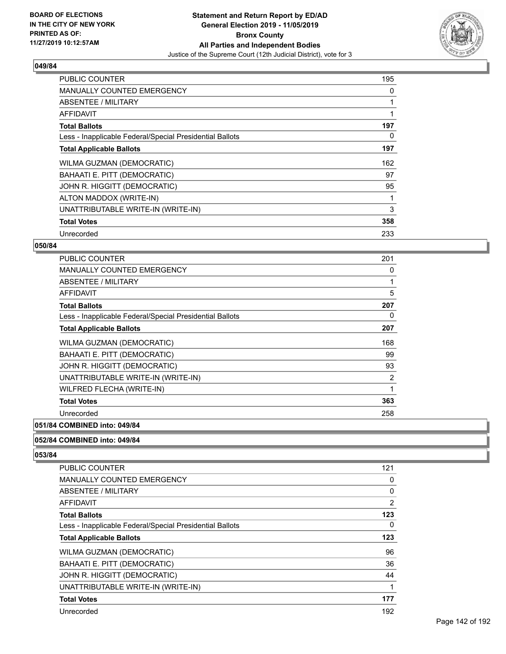

| <b>PUBLIC COUNTER</b>                                    | 195 |
|----------------------------------------------------------|-----|
| <b>MANUALLY COUNTED EMERGENCY</b>                        | 0   |
| ABSENTEE / MILITARY                                      |     |
| AFFIDAVIT                                                |     |
| <b>Total Ballots</b>                                     | 197 |
| Less - Inapplicable Federal/Special Presidential Ballots | 0   |
| <b>Total Applicable Ballots</b>                          | 197 |
| WILMA GUZMAN (DEMOCRATIC)                                | 162 |
| BAHAATI E. PITT (DEMOCRATIC)                             | 97  |
| JOHN R. HIGGITT (DEMOCRATIC)                             | 95  |
| ALTON MADDOX (WRITE-IN)                                  |     |
| UNATTRIBUTABLE WRITE-IN (WRITE-IN)                       | 3   |
| <b>Total Votes</b>                                       | 358 |
| Unrecorded                                               | 233 |

## **050/84**

| <b>PUBLIC COUNTER</b>                                    | 201            |
|----------------------------------------------------------|----------------|
| <b>MANUALLY COUNTED EMERGENCY</b>                        | 0              |
| <b>ABSENTEE / MILITARY</b>                               |                |
| AFFIDAVIT                                                | 5              |
| <b>Total Ballots</b>                                     | 207            |
| Less - Inapplicable Federal/Special Presidential Ballots | 0              |
| <b>Total Applicable Ballots</b>                          | 207            |
| WILMA GUZMAN (DEMOCRATIC)                                | 168            |
| BAHAATI E. PITT (DEMOCRATIC)                             | 99             |
| JOHN R. HIGGITT (DEMOCRATIC)                             | 93             |
| UNATTRIBUTABLE WRITE-IN (WRITE-IN)                       | $\overline{2}$ |
| WILFRED FLECHA (WRITE-IN)                                | 1              |
| <b>Total Votes</b>                                       | 363            |
| Unrecorded                                               | 258            |

#### **051/84 COMBINED into: 049/84**

## **052/84 COMBINED into: 049/84**

| PUBLIC COUNTER                                           | 121            |
|----------------------------------------------------------|----------------|
| <b>MANUALLY COUNTED EMERGENCY</b>                        | 0              |
| ABSENTEE / MILITARY                                      | 0              |
| AFFIDAVIT                                                | $\overline{2}$ |
| <b>Total Ballots</b>                                     | 123            |
| Less - Inapplicable Federal/Special Presidential Ballots | 0              |
| <b>Total Applicable Ballots</b>                          | 123            |
| WILMA GUZMAN (DEMOCRATIC)                                | 96             |
| BAHAATI E. PITT (DEMOCRATIC)                             | 36             |
| JOHN R. HIGGITT (DEMOCRATIC)                             | 44             |
| UNATTRIBUTABLE WRITE-IN (WRITE-IN)                       | 1              |
| <b>Total Votes</b>                                       | 177            |
| Unrecorded                                               | 192            |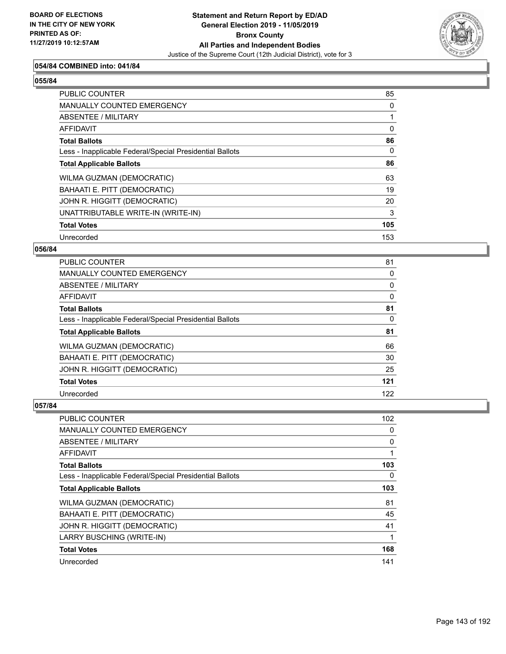

## **054/84 COMBINED into: 041/84**

#### **055/84**

| PUBLIC COUNTER                                           | 85       |
|----------------------------------------------------------|----------|
| MANUALLY COUNTED EMERGENCY                               | 0        |
| ABSENTEE / MILITARY                                      |          |
| AFFIDAVIT                                                | 0        |
| <b>Total Ballots</b>                                     | 86       |
| Less - Inapplicable Federal/Special Presidential Ballots | $\Omega$ |
| <b>Total Applicable Ballots</b>                          | 86       |
| WILMA GUZMAN (DEMOCRATIC)                                | 63       |
| BAHAATI E. PITT (DEMOCRATIC)                             | 19       |
| JOHN R. HIGGITT (DEMOCRATIC)                             | 20       |
| UNATTRIBUTABLE WRITE-IN (WRITE-IN)                       | 3        |
| <b>Total Votes</b>                                       | 105      |
| Unrecorded                                               | 153      |

#### **056/84**

| PUBLIC COUNTER                                           | 81       |
|----------------------------------------------------------|----------|
| MANUALLY COUNTED EMERGENCY                               | 0        |
| ABSENTEE / MILITARY                                      | $\Omega$ |
| AFFIDAVIT                                                | $\Omega$ |
| <b>Total Ballots</b>                                     | 81       |
| Less - Inapplicable Federal/Special Presidential Ballots | 0        |
| <b>Total Applicable Ballots</b>                          | 81       |
| WILMA GUZMAN (DEMOCRATIC)                                | 66       |
| BAHAATI E. PITT (DEMOCRATIC)                             | 30       |
| JOHN R. HIGGITT (DEMOCRATIC)                             | 25       |
| <b>Total Votes</b>                                       | 121      |
| Unrecorded                                               | 122      |

| PUBLIC COUNTER                                           | 102 |
|----------------------------------------------------------|-----|
| MANUALLY COUNTED EMERGENCY                               | 0   |
| ABSENTEE / MILITARY                                      | 0   |
| AFFIDAVIT                                                |     |
| <b>Total Ballots</b>                                     | 103 |
| Less - Inapplicable Federal/Special Presidential Ballots | 0   |
| <b>Total Applicable Ballots</b>                          | 103 |
| <b>WILMA GUZMAN (DEMOCRATIC)</b>                         | 81  |
| BAHAATI E. PITT (DEMOCRATIC)                             | 45  |
| JOHN R. HIGGITT (DEMOCRATIC)                             | 41  |
| LARRY BUSCHING (WRITE-IN)                                |     |
| <b>Total Votes</b>                                       | 168 |
| Unrecorded                                               | 141 |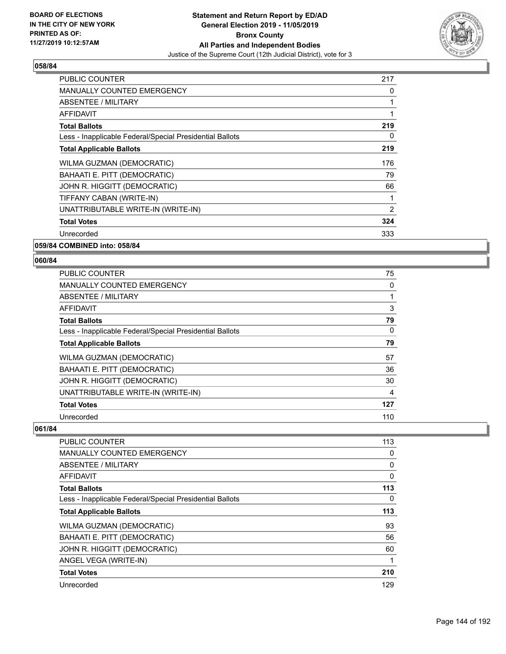

| <b>PUBLIC COUNTER</b>                                    | 217 |
|----------------------------------------------------------|-----|
| <b>MANUALLY COUNTED EMERGENCY</b>                        | 0   |
| ABSENTEE / MILITARY                                      |     |
| AFFIDAVIT                                                |     |
| <b>Total Ballots</b>                                     | 219 |
| Less - Inapplicable Federal/Special Presidential Ballots | 0   |
| <b>Total Applicable Ballots</b>                          | 219 |
| WILMA GUZMAN (DEMOCRATIC)                                | 176 |
| BAHAATI E. PITT (DEMOCRATIC)                             | 79  |
| JOHN R. HIGGITT (DEMOCRATIC)                             | 66  |
| TIFFANY CABAN (WRITE-IN)                                 |     |
| UNATTRIBUTABLE WRITE-IN (WRITE-IN)                       | 2   |
| <b>Total Votes</b>                                       | 324 |
| Unrecorded                                               | 333 |
| 059/84 COMBINED into: 058/84                             |     |

**060/84** 

| PUBLIC COUNTER                                           | 75  |
|----------------------------------------------------------|-----|
| <b>MANUALLY COUNTED EMERGENCY</b>                        | 0   |
| <b>ABSENTEE / MILITARY</b>                               |     |
| <b>AFFIDAVIT</b>                                         | 3   |
| <b>Total Ballots</b>                                     | 79  |
| Less - Inapplicable Federal/Special Presidential Ballots | 0   |
| <b>Total Applicable Ballots</b>                          | 79  |
| WILMA GUZMAN (DEMOCRATIC)                                | 57  |
| BAHAATI E. PITT (DEMOCRATIC)                             | 36  |
| JOHN R. HIGGITT (DEMOCRATIC)                             | 30  |
| UNATTRIBUTABLE WRITE-IN (WRITE-IN)                       | 4   |
| <b>Total Votes</b>                                       | 127 |
| Unrecorded                                               | 110 |

| PUBLIC COUNTER                                           | 113 |
|----------------------------------------------------------|-----|
| <b>MANUALLY COUNTED EMERGENCY</b>                        | 0   |
| ABSENTEE / MILITARY                                      | 0   |
| <b>AFFIDAVIT</b>                                         | 0   |
| <b>Total Ballots</b>                                     | 113 |
| Less - Inapplicable Federal/Special Presidential Ballots | 0   |
| <b>Total Applicable Ballots</b>                          | 113 |
| WILMA GUZMAN (DEMOCRATIC)                                | 93  |
| BAHAATI E. PITT (DEMOCRATIC)                             | 56  |
| JOHN R. HIGGITT (DEMOCRATIC)                             | 60  |
| ANGEL VEGA (WRITE-IN)                                    | 1   |
| <b>Total Votes</b>                                       | 210 |
| Unrecorded                                               | 129 |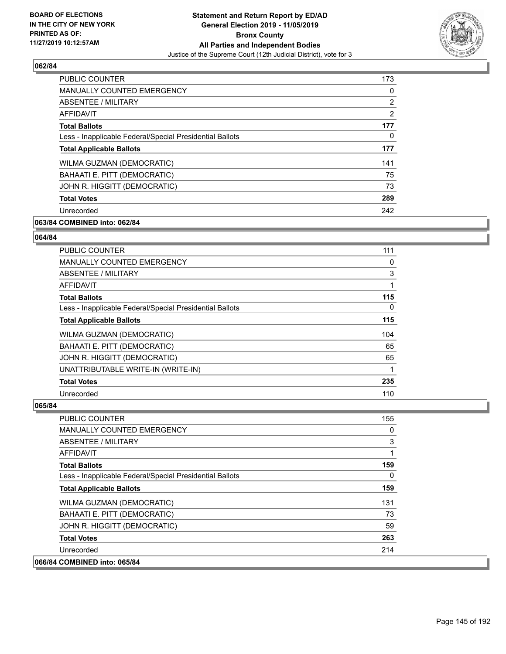

| <b>PUBLIC COUNTER</b>                                    | 173 |
|----------------------------------------------------------|-----|
| <b>MANUALLY COUNTED EMERGENCY</b>                        | 0   |
| ABSENTEE / MILITARY                                      | 2   |
| AFFIDAVIT                                                | 2   |
| <b>Total Ballots</b>                                     | 177 |
| Less - Inapplicable Federal/Special Presidential Ballots | 0   |
| <b>Total Applicable Ballots</b>                          | 177 |
| WILMA GUZMAN (DEMOCRATIC)                                | 141 |
| BAHAATI E. PITT (DEMOCRATIC)                             | 75  |
| JOHN R. HIGGITT (DEMOCRATIC)                             | 73  |
| <b>Total Votes</b>                                       | 289 |
| Unrecorded                                               | 242 |

# **063/84 COMBINED into: 062/84**

#### **064/84**

| <b>PUBLIC COUNTER</b>                                    | 111 |
|----------------------------------------------------------|-----|
| <b>MANUALLY COUNTED EMERGENCY</b>                        | 0   |
| ABSENTEE / MILITARY                                      | 3   |
| <b>AFFIDAVIT</b>                                         |     |
| <b>Total Ballots</b>                                     | 115 |
| Less - Inapplicable Federal/Special Presidential Ballots | 0   |
| <b>Total Applicable Ballots</b>                          | 115 |
| WILMA GUZMAN (DEMOCRATIC)                                | 104 |
| BAHAATI E. PITT (DEMOCRATIC)                             | 65  |
| JOHN R. HIGGITT (DEMOCRATIC)                             | 65  |
| UNATTRIBUTABLE WRITE-IN (WRITE-IN)                       |     |
| <b>Total Votes</b>                                       | 235 |
| Unrecorded                                               | 110 |

| <b>PUBLIC COUNTER</b>                                    | 155      |
|----------------------------------------------------------|----------|
| <b>MANUALLY COUNTED EMERGENCY</b>                        | 0        |
| ABSENTEE / MILITARY                                      | 3        |
| <b>AFFIDAVIT</b>                                         |          |
| <b>Total Ballots</b>                                     | 159      |
| Less - Inapplicable Federal/Special Presidential Ballots | $\Omega$ |
| <b>Total Applicable Ballots</b>                          | 159      |
| WILMA GUZMAN (DEMOCRATIC)                                | 131      |
| BAHAATI E. PITT (DEMOCRATIC)                             | 73       |
| JOHN R. HIGGITT (DEMOCRATIC)                             | 59       |
| <b>Total Votes</b>                                       | 263      |
| Unrecorded                                               | 214      |
| 066/84 COMBINED into: 065/84                             |          |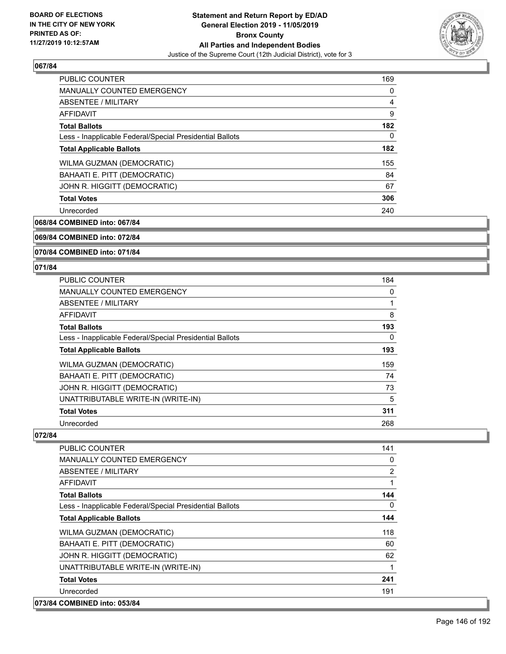

| <b>PUBLIC COUNTER</b>                                    | 169            |
|----------------------------------------------------------|----------------|
| <b>MANUALLY COUNTED EMERGENCY</b>                        | 0              |
| ABSENTEE / MILITARY                                      | $\overline{4}$ |
| <b>AFFIDAVIT</b>                                         | 9              |
| <b>Total Ballots</b>                                     | 182            |
| Less - Inapplicable Federal/Special Presidential Ballots | $\Omega$       |
| <b>Total Applicable Ballots</b>                          | 182            |
| <b>WILMA GUZMAN (DEMOCRATIC)</b>                         | 155            |
| BAHAATI E. PITT (DEMOCRATIC)                             | 84             |
| JOHN R. HIGGITT (DEMOCRATIC)                             | 67             |
| <b>Total Votes</b>                                       | 306            |
| Unrecorded                                               | 240            |

**068/84 COMBINED into: 067/84**

# **069/84 COMBINED into: 072/84**

**070/84 COMBINED into: 071/84**

#### **071/84**

| <b>PUBLIC COUNTER</b>                                    | 184 |
|----------------------------------------------------------|-----|
| MANUALLY COUNTED EMERGENCY                               | 0   |
| ABSENTEE / MILITARY                                      |     |
| AFFIDAVIT                                                | 8   |
| <b>Total Ballots</b>                                     | 193 |
| Less - Inapplicable Federal/Special Presidential Ballots | 0   |
| <b>Total Applicable Ballots</b>                          | 193 |
| WILMA GUZMAN (DEMOCRATIC)                                | 159 |
| BAHAATI E. PITT (DEMOCRATIC)                             | 74  |
| JOHN R. HIGGITT (DEMOCRATIC)                             | 73  |
| UNATTRIBUTABLE WRITE-IN (WRITE-IN)                       | 5   |
| <b>Total Votes</b>                                       | 311 |
| Unrecorded                                               | 268 |

| <b>PUBLIC COUNTER</b>                                    | 141      |
|----------------------------------------------------------|----------|
| MANUALLY COUNTED EMERGENCY                               | 0        |
| ABSENTEE / MILITARY                                      | 2        |
| AFFIDAVIT                                                | 1        |
| <b>Total Ballots</b>                                     | 144      |
| Less - Inapplicable Federal/Special Presidential Ballots | $\Omega$ |
| <b>Total Applicable Ballots</b>                          | 144      |
| WILMA GUZMAN (DEMOCRATIC)                                | 118      |
| BAHAATI E. PITT (DEMOCRATIC)                             | 60       |
| JOHN R. HIGGITT (DEMOCRATIC)                             | 62       |
| UNATTRIBUTABLE WRITE-IN (WRITE-IN)                       | 1        |
| <b>Total Votes</b>                                       | 241      |
| Unrecorded                                               | 191      |
| 073/84 COMBINED into: 053/84                             |          |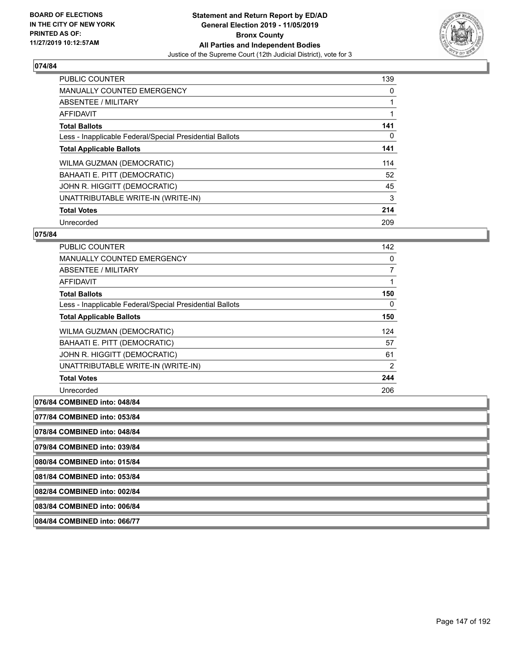

| <b>PUBLIC COUNTER</b>                                    | 139      |
|----------------------------------------------------------|----------|
| <b>MANUALLY COUNTED EMERGENCY</b>                        | 0        |
| ABSENTEE / MILITARY                                      |          |
| <b>AFFIDAVIT</b>                                         |          |
| <b>Total Ballots</b>                                     | 141      |
| Less - Inapplicable Federal/Special Presidential Ballots | $\Omega$ |
| <b>Total Applicable Ballots</b>                          | 141      |
| WILMA GUZMAN (DEMOCRATIC)                                | 114      |
| BAHAATI E. PITT (DEMOCRATIC)                             | 52       |
| JOHN R. HIGGITT (DEMOCRATIC)                             | 45       |
| UNATTRIBUTABLE WRITE-IN (WRITE-IN)                       | 3        |
| <b>Total Votes</b>                                       | 214      |
| Unrecorded                                               | 209      |

# **075/84**

| <b>PUBLIC COUNTER</b>                                    | 142            |
|----------------------------------------------------------|----------------|
| MANUALLY COUNTED EMERGENCY                               | 0              |
| ABSENTEE / MILITARY                                      | 7              |
| <b>AFFIDAVIT</b>                                         |                |
| <b>Total Ballots</b>                                     | 150            |
| Less - Inapplicable Federal/Special Presidential Ballots | 0              |
| <b>Total Applicable Ballots</b>                          | 150            |
| WILMA GUZMAN (DEMOCRATIC)                                | 124            |
| BAHAATI E. PITT (DEMOCRATIC)                             | 57             |
| JOHN R. HIGGITT (DEMOCRATIC)                             | 61             |
| UNATTRIBUTABLE WRITE-IN (WRITE-IN)                       | $\overline{2}$ |
| <b>Total Votes</b>                                       | 244            |
| Unrecorded                                               | 206            |

#### **076/84 COMBINED into: 048/84**

**077/84 COMBINED into: 053/84**

**078/84 COMBINED into: 048/84**

**079/84 COMBINED into: 039/84**

**080/84 COMBINED into: 015/84**

**081/84 COMBINED into: 053/84**

**082/84 COMBINED into: 002/84**

**083/84 COMBINED into: 006/84**

**084/84 COMBINED into: 066/77**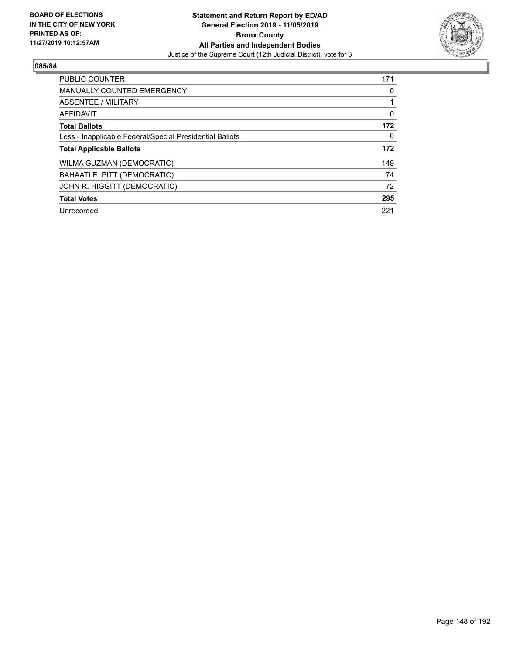

| <b>PUBLIC COUNTER</b>                                    | 171      |
|----------------------------------------------------------|----------|
| <b>MANUALLY COUNTED EMERGENCY</b>                        | 0        |
| ABSENTEE / MILITARY                                      |          |
| AFFIDAVIT                                                | $\Omega$ |
| <b>Total Ballots</b>                                     | 172      |
| Less - Inapplicable Federal/Special Presidential Ballots | 0        |
| <b>Total Applicable Ballots</b>                          | 172      |
| <b>WILMA GUZMAN (DEMOCRATIC)</b>                         | 149      |
| BAHAATI E. PITT (DEMOCRATIC)                             | 74       |
| JOHN R. HIGGITT (DEMOCRATIC)                             | 72       |
| <b>Total Votes</b>                                       | 295      |
| Unrecorded                                               | 221      |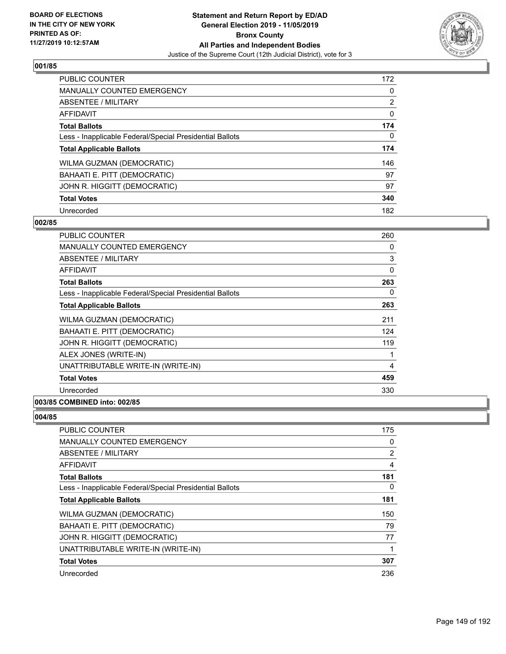

| <b>PUBLIC COUNTER</b>                                    | 172            |
|----------------------------------------------------------|----------------|
| <b>MANUALLY COUNTED EMERGENCY</b>                        | $\Omega$       |
| ABSENTEE / MILITARY                                      | $\overline{2}$ |
| <b>AFFIDAVIT</b>                                         | 0              |
| <b>Total Ballots</b>                                     | 174            |
| Less - Inapplicable Federal/Special Presidential Ballots | $\Omega$       |
| <b>Total Applicable Ballots</b>                          | 174            |
| WILMA GUZMAN (DEMOCRATIC)                                | 146            |
| BAHAATI E. PITT (DEMOCRATIC)                             | 97             |
| JOHN R. HIGGITT (DEMOCRATIC)                             | 97             |
| <b>Total Votes</b>                                       | 340            |
| Unrecorded                                               | 182            |

#### **002/85**

| PUBLIC COUNTER                                           | 260 |
|----------------------------------------------------------|-----|
| <b>MANUALLY COUNTED EMERGENCY</b>                        | 0   |
| <b>ABSENTEE / MILITARY</b>                               | 3   |
| <b>AFFIDAVIT</b>                                         | 0   |
| <b>Total Ballots</b>                                     | 263 |
| Less - Inapplicable Federal/Special Presidential Ballots | 0   |
| <b>Total Applicable Ballots</b>                          | 263 |
| WILMA GUZMAN (DEMOCRATIC)                                | 211 |
| BAHAATI E. PITT (DEMOCRATIC)                             | 124 |
| JOHN R. HIGGITT (DEMOCRATIC)                             | 119 |
| ALEX JONES (WRITE-IN)                                    | 1   |
| UNATTRIBUTABLE WRITE-IN (WRITE-IN)                       | 4   |
| <b>Total Votes</b>                                       | 459 |
| Unrecorded                                               | 330 |
|                                                          |     |

# **003/85 COMBINED into: 002/85**

| PUBLIC COUNTER                                           | 175            |
|----------------------------------------------------------|----------------|
| <b>MANUALLY COUNTED EMERGENCY</b>                        | 0              |
| ABSENTEE / MILITARY                                      | $\overline{2}$ |
| AFFIDAVIT                                                | $\overline{4}$ |
| <b>Total Ballots</b>                                     | 181            |
| Less - Inapplicable Federal/Special Presidential Ballots | 0              |
| <b>Total Applicable Ballots</b>                          | 181            |
| WILMA GUZMAN (DEMOCRATIC)                                | 150            |
| BAHAATI E. PITT (DEMOCRATIC)                             | 79             |
| JOHN R. HIGGITT (DEMOCRATIC)                             | 77             |
| UNATTRIBUTABLE WRITE-IN (WRITE-IN)                       | 1              |
| <b>Total Votes</b>                                       | 307            |
| Unrecorded                                               | 236            |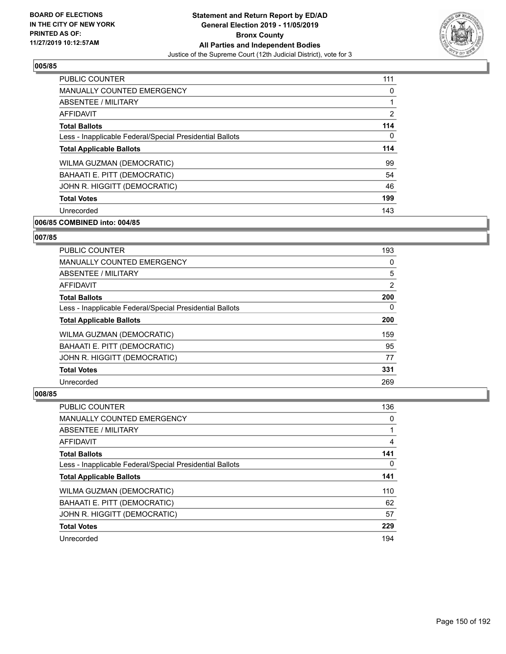

| PUBLIC COUNTER                                           | 111 |
|----------------------------------------------------------|-----|
| <b>MANUALLY COUNTED EMERGENCY</b>                        | 0   |
| ABSENTEE / MILITARY                                      | 1   |
| AFFIDAVIT                                                | 2   |
| <b>Total Ballots</b>                                     | 114 |
| Less - Inapplicable Federal/Special Presidential Ballots | 0   |
| <b>Total Applicable Ballots</b>                          | 114 |
| WILMA GUZMAN (DEMOCRATIC)                                | 99  |
| BAHAATI E. PITT (DEMOCRATIC)                             | 54  |
| JOHN R. HIGGITT (DEMOCRATIC)                             | 46  |
| <b>Total Votes</b>                                       | 199 |
| Unrecorded                                               | 143 |

# **006/85 COMBINED into: 004/85**

# **007/85**

| PUBLIC COUNTER                                           | 193            |
|----------------------------------------------------------|----------------|
| <b>MANUALLY COUNTED EMERGENCY</b>                        | 0              |
| ABSENTEE / MILITARY                                      | 5              |
| AFFIDAVIT                                                | $\overline{2}$ |
| <b>Total Ballots</b>                                     | 200            |
| Less - Inapplicable Federal/Special Presidential Ballots | $\Omega$       |
| <b>Total Applicable Ballots</b>                          | 200            |
| WILMA GUZMAN (DEMOCRATIC)                                | 159            |
| BAHAATI E. PITT (DEMOCRATIC)                             | 95             |
| JOHN R. HIGGITT (DEMOCRATIC)                             | 77             |
| <b>Total Votes</b>                                       | 331            |
| Unrecorded                                               | 269            |

| PUBLIC COUNTER                                           | 136 |
|----------------------------------------------------------|-----|
| <b>MANUALLY COUNTED EMERGENCY</b>                        | 0   |
| <b>ABSENTEE / MILITARY</b>                               |     |
| AFFIDAVIT                                                | 4   |
| <b>Total Ballots</b>                                     | 141 |
| Less - Inapplicable Federal/Special Presidential Ballots | 0   |
| <b>Total Applicable Ballots</b>                          | 141 |
| WILMA GUZMAN (DEMOCRATIC)                                | 110 |
| BAHAATI E. PITT (DEMOCRATIC)                             | 62  |
| JOHN R. HIGGITT (DEMOCRATIC)                             | 57  |
| <b>Total Votes</b>                                       | 229 |
| Unrecorded                                               | 194 |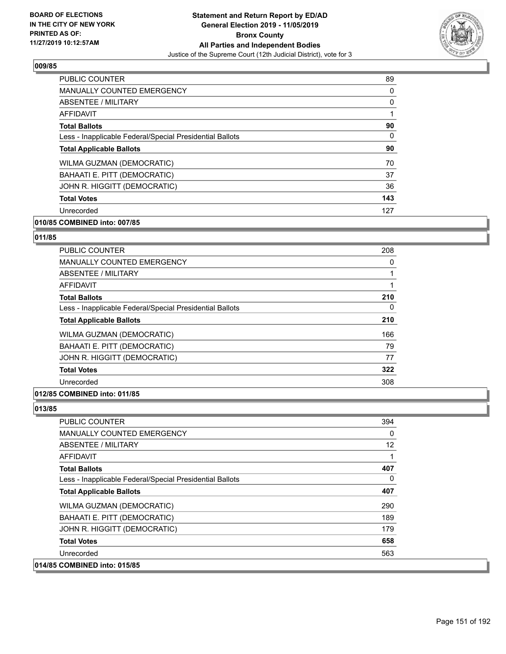

| PUBLIC COUNTER                                           | 89       |
|----------------------------------------------------------|----------|
| <b>MANUALLY COUNTED EMERGENCY</b>                        | 0        |
| ABSENTEE / MILITARY                                      | 0        |
| AFFIDAVIT                                                |          |
| <b>Total Ballots</b>                                     | 90       |
| Less - Inapplicable Federal/Special Presidential Ballots | $\Omega$ |
| <b>Total Applicable Ballots</b>                          | 90       |
| WILMA GUZMAN (DEMOCRATIC)                                | 70       |
| BAHAATI E. PITT (DEMOCRATIC)                             | 37       |
| JOHN R. HIGGITT (DEMOCRATIC)                             | 36       |
| <b>Total Votes</b>                                       | 143      |
| Unrecorded                                               | 127      |

# **010/85 COMBINED into: 007/85**

# **011/85**

| <b>PUBLIC COUNTER</b>                                    | 208 |
|----------------------------------------------------------|-----|
| <b>MANUALLY COUNTED EMERGENCY</b>                        | 0   |
| ABSENTEE / MILITARY                                      |     |
| <b>AFFIDAVIT</b>                                         | 1   |
| <b>Total Ballots</b>                                     | 210 |
| Less - Inapplicable Federal/Special Presidential Ballots | 0   |
| <b>Total Applicable Ballots</b>                          | 210 |
| WILMA GUZMAN (DEMOCRATIC)                                | 166 |
| BAHAATI E. PITT (DEMOCRATIC)                             | 79  |
| JOHN R. HIGGITT (DEMOCRATIC)                             | 77  |
| <b>Total Votes</b>                                       | 322 |
| Unrecorded                                               | 308 |
|                                                          |     |

# **012/85 COMBINED into: 011/85**

| PUBLIC COUNTER                                           | 394             |
|----------------------------------------------------------|-----------------|
| <b>MANUALLY COUNTED EMERGENCY</b>                        | 0               |
| ABSENTEE / MILITARY                                      | 12 <sup>°</sup> |
| AFFIDAVIT                                                |                 |
| <b>Total Ballots</b>                                     | 407             |
| Less - Inapplicable Federal/Special Presidential Ballots | 0               |
| <b>Total Applicable Ballots</b>                          | 407             |
| WILMA GUZMAN (DEMOCRATIC)                                | 290             |
| BAHAATI E. PITT (DEMOCRATIC)                             | 189             |
| JOHN R. HIGGITT (DEMOCRATIC)                             | 179             |
| <b>Total Votes</b>                                       | 658             |
| Unrecorded                                               | 563             |
| 014/85 COMBINED into: 015/85                             |                 |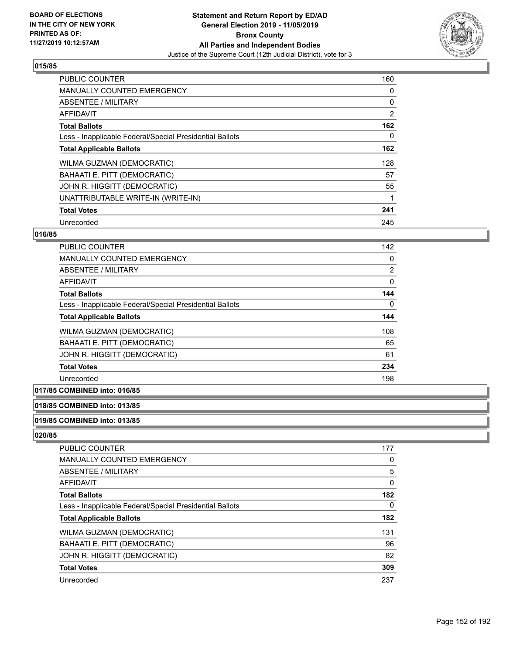

| <b>PUBLIC COUNTER</b>                                    | 160            |
|----------------------------------------------------------|----------------|
| <b>MANUALLY COUNTED EMERGENCY</b>                        | 0              |
| ABSENTEE / MILITARY                                      | 0              |
| <b>AFFIDAVIT</b>                                         | $\overline{2}$ |
| <b>Total Ballots</b>                                     | 162            |
| Less - Inapplicable Federal/Special Presidential Ballots | 0              |
| <b>Total Applicable Ballots</b>                          | 162            |
| WILMA GUZMAN (DEMOCRATIC)                                | 128            |
| BAHAATI E. PITT (DEMOCRATIC)                             | 57             |
| JOHN R. HIGGITT (DEMOCRATIC)                             | 55             |
| UNATTRIBUTABLE WRITE-IN (WRITE-IN)                       |                |
| <b>Total Votes</b>                                       | 241            |
| Unrecorded                                               | 245            |

# **016/85**

| PUBLIC COUNTER                                           | 142            |
|----------------------------------------------------------|----------------|
| <b>MANUALLY COUNTED EMERGENCY</b>                        | 0              |
| ABSENTEE / MILITARY                                      | $\overline{2}$ |
| AFFIDAVIT                                                | $\Omega$       |
| <b>Total Ballots</b>                                     | 144            |
| Less - Inapplicable Federal/Special Presidential Ballots | 0              |
| <b>Total Applicable Ballots</b>                          | 144            |
| WILMA GUZMAN (DEMOCRATIC)                                | 108            |
| BAHAATI E. PITT (DEMOCRATIC)                             | 65             |
| JOHN R. HIGGITT (DEMOCRATIC)                             | 61             |
| <b>Total Votes</b>                                       | 234            |
| Unrecorded                                               | 198            |

# **017/85 COMBINED into: 016/85**

# **018/85 COMBINED into: 013/85**

**019/85 COMBINED into: 013/85**

| <b>PUBLIC COUNTER</b>                                    | 177 |
|----------------------------------------------------------|-----|
| <b>MANUALLY COUNTED EMERGENCY</b>                        | 0   |
| <b>ABSENTEE / MILITARY</b>                               | 5   |
| AFFIDAVIT                                                | 0   |
| <b>Total Ballots</b>                                     | 182 |
| Less - Inapplicable Federal/Special Presidential Ballots | 0   |
| <b>Total Applicable Ballots</b>                          | 182 |
| WILMA GUZMAN (DEMOCRATIC)                                | 131 |
| BAHAATI E. PITT (DEMOCRATIC)                             | 96  |
| JOHN R. HIGGITT (DEMOCRATIC)                             | 82  |
| <b>Total Votes</b>                                       | 309 |
| Unrecorded                                               | 237 |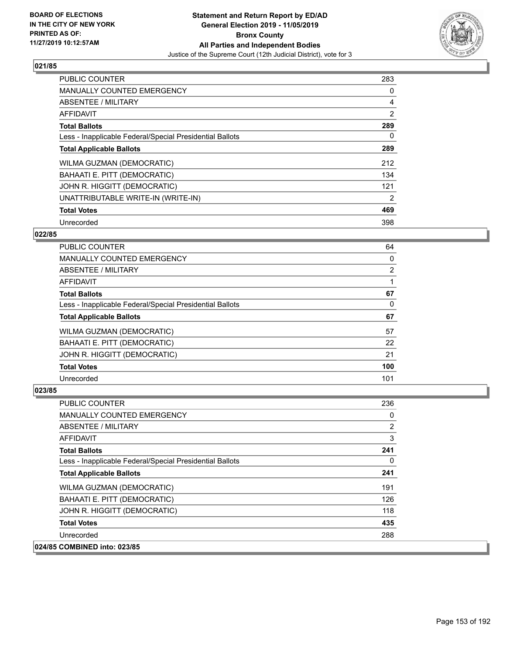

| PUBLIC COUNTER                                           | 283            |
|----------------------------------------------------------|----------------|
| <b>MANUALLY COUNTED EMERGENCY</b>                        | 0              |
| ABSENTEE / MILITARY                                      | 4              |
| <b>AFFIDAVIT</b>                                         | $\overline{2}$ |
| <b>Total Ballots</b>                                     | 289            |
| Less - Inapplicable Federal/Special Presidential Ballots | 0              |
| <b>Total Applicable Ballots</b>                          | 289            |
| WILMA GUZMAN (DEMOCRATIC)                                | 212            |
| BAHAATI E. PITT (DEMOCRATIC)                             | 134            |
| JOHN R. HIGGITT (DEMOCRATIC)                             | 121            |
| UNATTRIBUTABLE WRITE-IN (WRITE-IN)                       | 2              |
| <b>Total Votes</b>                                       | 469            |
| Unrecorded                                               | 398            |

# **022/85**

| <b>PUBLIC COUNTER</b>                                    | 64             |
|----------------------------------------------------------|----------------|
| <b>MANUALLY COUNTED EMERGENCY</b>                        | 0              |
| ABSENTEE / MILITARY                                      | $\overline{2}$ |
| <b>AFFIDAVIT</b>                                         |                |
| <b>Total Ballots</b>                                     | 67             |
| Less - Inapplicable Federal/Special Presidential Ballots | 0              |
| <b>Total Applicable Ballots</b>                          | 67             |
| <b>WILMA GUZMAN (DEMOCRATIC)</b>                         | 57             |
| BAHAATI E. PITT (DEMOCRATIC)                             | 22             |
| JOHN R. HIGGITT (DEMOCRATIC)                             | 21             |
| <b>Total Votes</b>                                       | 100            |
| Unrecorded                                               | 101            |

| PUBLIC COUNTER                                           | 236            |
|----------------------------------------------------------|----------------|
| <b>MANUALLY COUNTED EMERGENCY</b>                        | 0              |
| ABSENTEE / MILITARY                                      | $\overline{2}$ |
| AFFIDAVIT                                                | 3              |
| <b>Total Ballots</b>                                     | 241            |
| Less - Inapplicable Federal/Special Presidential Ballots | $\Omega$       |
| <b>Total Applicable Ballots</b>                          | 241            |
| WILMA GUZMAN (DEMOCRATIC)                                | 191            |
| BAHAATI E. PITT (DEMOCRATIC)                             | 126            |
| JOHN R. HIGGITT (DEMOCRATIC)                             | 118            |
| <b>Total Votes</b>                                       | 435            |
| Unrecorded                                               | 288            |
| 024/85 COMBINED into: 023/85                             |                |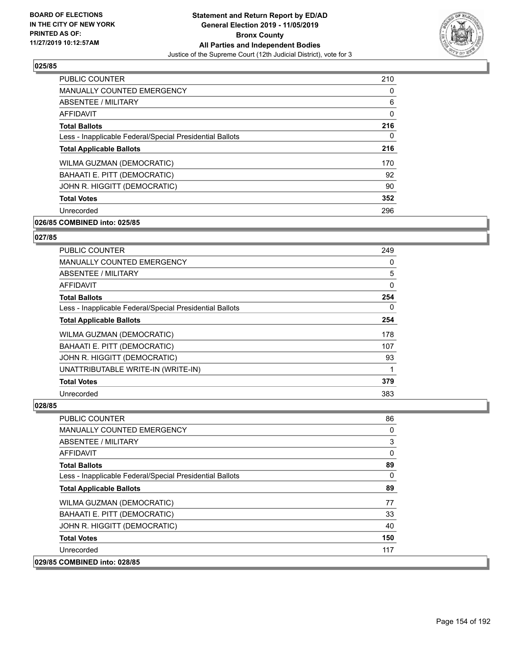

| <b>PUBLIC COUNTER</b>                                    | 210      |
|----------------------------------------------------------|----------|
| <b>MANUALLY COUNTED EMERGENCY</b>                        | $\Omega$ |
| ABSENTEE / MILITARY                                      | 6        |
| AFFIDAVIT                                                | $\Omega$ |
| <b>Total Ballots</b>                                     | 216      |
| Less - Inapplicable Federal/Special Presidential Ballots | 0        |
| <b>Total Applicable Ballots</b>                          | 216      |
| WILMA GUZMAN (DEMOCRATIC)                                | 170      |
| BAHAATI E. PITT (DEMOCRATIC)                             | 92       |
| JOHN R. HIGGITT (DEMOCRATIC)                             | 90       |
| <b>Total Votes</b>                                       | 352      |
| Unrecorded                                               | 296      |

# **026/85 COMBINED into: 025/85**

#### **027/85**

| PUBLIC COUNTER                                           | 249 |
|----------------------------------------------------------|-----|
| <b>MANUALLY COUNTED EMERGENCY</b>                        | 0   |
| ABSENTEE / MILITARY                                      | 5   |
| <b>AFFIDAVIT</b>                                         | 0   |
| <b>Total Ballots</b>                                     | 254 |
| Less - Inapplicable Federal/Special Presidential Ballots | 0   |
| <b>Total Applicable Ballots</b>                          | 254 |
| <b>WILMA GUZMAN (DEMOCRATIC)</b>                         | 178 |
| BAHAATI E. PITT (DEMOCRATIC)                             | 107 |
| JOHN R. HIGGITT (DEMOCRATIC)                             | 93  |
| UNATTRIBUTABLE WRITE-IN (WRITE-IN)                       |     |
| <b>Total Votes</b>                                       | 379 |
| Unrecorded                                               | 383 |

| PUBLIC COUNTER                                           | 86       |
|----------------------------------------------------------|----------|
| <b>MANUALLY COUNTED EMERGENCY</b>                        | 0        |
| ABSENTEE / MILITARY                                      | 3        |
| AFFIDAVIT                                                | 0        |
| <b>Total Ballots</b>                                     | 89       |
| Less - Inapplicable Federal/Special Presidential Ballots | $\Omega$ |
| <b>Total Applicable Ballots</b>                          | 89       |
| <b>WILMA GUZMAN (DEMOCRATIC)</b>                         | 77       |
| BAHAATI E. PITT (DEMOCRATIC)                             | 33       |
| JOHN R. HIGGITT (DEMOCRATIC)                             | 40       |
| <b>Total Votes</b>                                       | 150      |
| Unrecorded                                               | 117      |
| 029/85 COMBINED into: 028/85                             |          |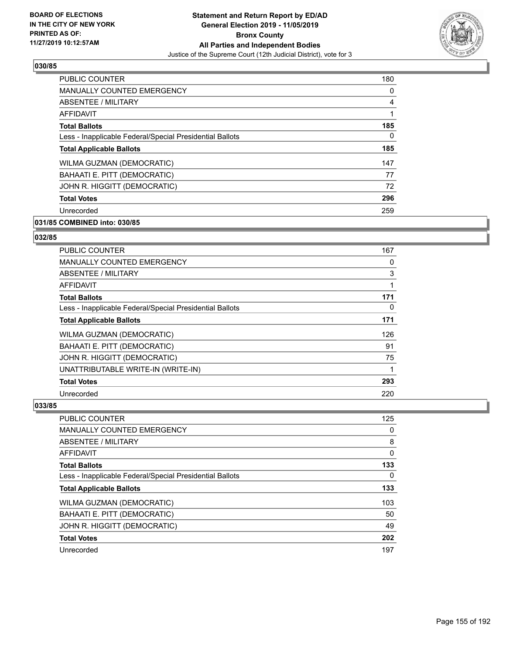

| PUBLIC COUNTER                                           | 180            |
|----------------------------------------------------------|----------------|
| <b>MANUALLY COUNTED EMERGENCY</b>                        | 0              |
| ABSENTEE / MILITARY                                      | $\overline{4}$ |
| AFFIDAVIT                                                |                |
| <b>Total Ballots</b>                                     | 185            |
| Less - Inapplicable Federal/Special Presidential Ballots | 0              |
| <b>Total Applicable Ballots</b>                          | 185            |
| WILMA GUZMAN (DEMOCRATIC)                                | 147            |
| BAHAATI E. PITT (DEMOCRATIC)                             | 77             |
| JOHN R. HIGGITT (DEMOCRATIC)                             | 72             |
| <b>Total Votes</b>                                       | 296            |
| Unrecorded                                               | 259            |

# **031/85 COMBINED into: 030/85**

# **032/85**

| PUBLIC COUNTER                                           | 167 |
|----------------------------------------------------------|-----|
| <b>MANUALLY COUNTED EMERGENCY</b>                        | 0   |
| ABSENTEE / MILITARY                                      | 3   |
| <b>AFFIDAVIT</b>                                         |     |
| <b>Total Ballots</b>                                     | 171 |
| Less - Inapplicable Federal/Special Presidential Ballots | 0   |
| <b>Total Applicable Ballots</b>                          | 171 |
| <b>WILMA GUZMAN (DEMOCRATIC)</b>                         | 126 |
| BAHAATI E. PITT (DEMOCRATIC)                             | 91  |
| JOHN R. HIGGITT (DEMOCRATIC)                             | 75  |
| UNATTRIBUTABLE WRITE-IN (WRITE-IN)                       |     |
| <b>Total Votes</b>                                       | 293 |
| Unrecorded                                               | 220 |

| PUBLIC COUNTER                                           | 125 |
|----------------------------------------------------------|-----|
| <b>MANUALLY COUNTED EMERGENCY</b>                        | 0   |
| ABSENTEE / MILITARY                                      | 8   |
| AFFIDAVIT                                                | 0   |
| <b>Total Ballots</b>                                     | 133 |
| Less - Inapplicable Federal/Special Presidential Ballots | 0   |
| <b>Total Applicable Ballots</b>                          | 133 |
| WILMA GUZMAN (DEMOCRATIC)                                | 103 |
| BAHAATI E. PITT (DEMOCRATIC)                             | 50  |
| JOHN R. HIGGITT (DEMOCRATIC)                             | 49  |
| <b>Total Votes</b>                                       | 202 |
| Unrecorded                                               | 197 |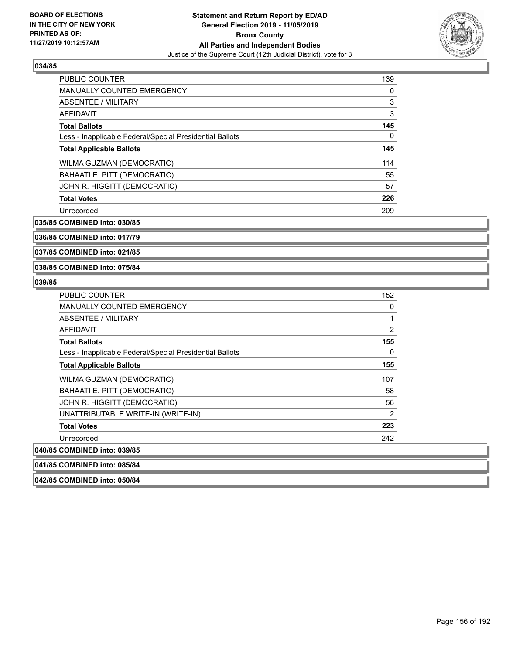

| <b>PUBLIC COUNTER</b>                                    | 139      |
|----------------------------------------------------------|----------|
| <b>MANUALLY COUNTED EMERGENCY</b>                        | 0        |
| ABSENTEE / MILITARY                                      | 3        |
| AFFIDAVIT                                                | 3        |
| <b>Total Ballots</b>                                     | 145      |
| Less - Inapplicable Federal/Special Presidential Ballots | $\Omega$ |
| <b>Total Applicable Ballots</b>                          | 145      |
| WILMA GUZMAN (DEMOCRATIC)                                | 114      |
| <b>BAHAATI E. PITT (DEMOCRATIC)</b>                      | 55       |
| JOHN R. HIGGITT (DEMOCRATIC)                             | 57       |
| <b>Total Votes</b>                                       | 226      |
| Unrecorded                                               | 209      |

**035/85 COMBINED into: 030/85**

**036/85 COMBINED into: 017/79**

**037/85 COMBINED into: 021/85**

#### **038/85 COMBINED into: 075/84**

#### **039/85**

| <b>PUBLIC COUNTER</b>                                    | 152 |
|----------------------------------------------------------|-----|
| MANUALLY COUNTED EMERGENCY                               | 0   |
| ABSENTEE / MILITARY                                      | 1   |
| AFFIDAVIT                                                | 2   |
| <b>Total Ballots</b>                                     | 155 |
| Less - Inapplicable Federal/Special Presidential Ballots | 0   |
| <b>Total Applicable Ballots</b>                          | 155 |
| WILMA GUZMAN (DEMOCRATIC)                                | 107 |
| BAHAATI E. PITT (DEMOCRATIC)                             | 58  |
| JOHN R. HIGGITT (DEMOCRATIC)                             | 56  |
| UNATTRIBUTABLE WRITE-IN (WRITE-IN)                       | 2   |
| <b>Total Votes</b>                                       | 223 |
| Unrecorded                                               | 242 |
| 040/85 COMBINED into: 039/85                             |     |
| 041/85 COMBINED into: 085/84                             |     |

**042/85 COMBINED into: 050/84**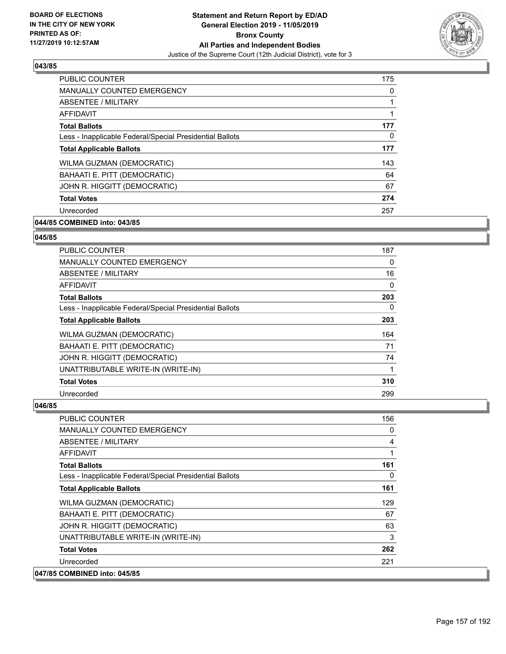

| <b>PUBLIC COUNTER</b>                                    | 175      |
|----------------------------------------------------------|----------|
| <b>MANUALLY COUNTED EMERGENCY</b>                        | $\Omega$ |
| ABSENTEE / MILITARY                                      |          |
| AFFIDAVIT                                                | 1        |
| <b>Total Ballots</b>                                     | 177      |
| Less - Inapplicable Federal/Special Presidential Ballots | 0        |
| <b>Total Applicable Ballots</b>                          | 177      |
| WILMA GUZMAN (DEMOCRATIC)                                | 143      |
| BAHAATI E. PITT (DEMOCRATIC)                             | 64       |
| JOHN R. HIGGITT (DEMOCRATIC)                             | 67       |
| <b>Total Votes</b>                                       | 274      |
| Unrecorded                                               | 257      |

# **044/85 COMBINED into: 043/85**

#### **045/85**

| PUBLIC COUNTER                                           | 187      |
|----------------------------------------------------------|----------|
| <b>MANUALLY COUNTED EMERGENCY</b>                        | 0        |
| ABSENTEE / MILITARY                                      | 16       |
| <b>AFFIDAVIT</b>                                         | $\Omega$ |
| <b>Total Ballots</b>                                     | 203      |
| Less - Inapplicable Federal/Special Presidential Ballots | 0        |
| <b>Total Applicable Ballots</b>                          | 203      |
| <b>WILMA GUZMAN (DEMOCRATIC)</b>                         | 164      |
| BAHAATI E. PITT (DEMOCRATIC)                             | 71       |
| JOHN R. HIGGITT (DEMOCRATIC)                             | 74       |
| UNATTRIBUTABLE WRITE-IN (WRITE-IN)                       |          |
| <b>Total Votes</b>                                       | 310      |
| Unrecorded                                               | 299      |

| PUBLIC COUNTER                                           | 156      |
|----------------------------------------------------------|----------|
| <b>MANUALLY COUNTED EMERGENCY</b>                        | $\Omega$ |
| <b>ABSENTEE / MILITARY</b>                               | 4        |
| <b>AFFIDAVIT</b>                                         |          |
| <b>Total Ballots</b>                                     | 161      |
| Less - Inapplicable Federal/Special Presidential Ballots | $\Omega$ |
| <b>Total Applicable Ballots</b>                          | 161      |
| WILMA GUZMAN (DEMOCRATIC)                                | 129      |
| BAHAATI E. PITT (DEMOCRATIC)                             | 67       |
| JOHN R. HIGGITT (DEMOCRATIC)                             | 63       |
| UNATTRIBUTABLE WRITE-IN (WRITE-IN)                       | 3        |
| <b>Total Votes</b>                                       | 262      |
| Unrecorded                                               | 221      |
| 047/85 COMBINED into: 045/85                             |          |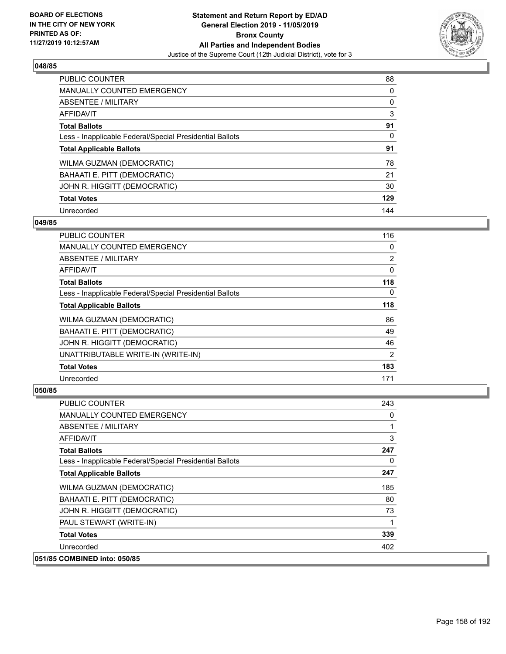

| <b>PUBLIC COUNTER</b>                                    | 88  |
|----------------------------------------------------------|-----|
| <b>MANUALLY COUNTED EMERGENCY</b>                        | 0   |
| <b>ABSENTEE / MILITARY</b>                               | 0   |
| <b>AFFIDAVIT</b>                                         | 3   |
| <b>Total Ballots</b>                                     | 91  |
| Less - Inapplicable Federal/Special Presidential Ballots | 0   |
| <b>Total Applicable Ballots</b>                          | 91  |
| WILMA GUZMAN (DEMOCRATIC)                                | 78  |
| BAHAATI E. PITT (DEMOCRATIC)                             | 21  |
| JOHN R. HIGGITT (DEMOCRATIC)                             | 30  |
| <b>Total Votes</b>                                       | 129 |
| Unrecorded                                               | 144 |

### **049/85**

| PUBLIC COUNTER                                           | 116            |
|----------------------------------------------------------|----------------|
| <b>MANUALLY COUNTED EMERGENCY</b>                        | 0              |
| ABSENTEE / MILITARY                                      | $\overline{2}$ |
| AFFIDAVIT                                                | 0              |
| <b>Total Ballots</b>                                     | 118            |
| Less - Inapplicable Federal/Special Presidential Ballots | $\Omega$       |
| <b>Total Applicable Ballots</b>                          | 118            |
| WILMA GUZMAN (DEMOCRATIC)                                | 86             |
| BAHAATI E. PITT (DEMOCRATIC)                             | 49             |
| JOHN R. HIGGITT (DEMOCRATIC)                             | 46             |
| UNATTRIBUTABLE WRITE-IN (WRITE-IN)                       | $\overline{2}$ |
| <b>Total Votes</b>                                       | 183            |
| Unrecorded                                               | 171            |

| PUBLIC COUNTER                                           | 243      |
|----------------------------------------------------------|----------|
| <b>MANUALLY COUNTED EMERGENCY</b>                        | 0        |
| ABSENTEE / MILITARY                                      | 1        |
| <b>AFFIDAVIT</b>                                         | 3        |
| <b>Total Ballots</b>                                     | 247      |
| Less - Inapplicable Federal/Special Presidential Ballots | $\Omega$ |
| <b>Total Applicable Ballots</b>                          | 247      |
| WILMA GUZMAN (DEMOCRATIC)                                | 185      |
| BAHAATI E. PITT (DEMOCRATIC)                             | 80       |
| JOHN R. HIGGITT (DEMOCRATIC)                             | 73       |
| PAUL STEWART (WRITE-IN)                                  |          |
| <b>Total Votes</b>                                       | 339      |
| Unrecorded                                               | 402      |
| 051/85 COMBINED into: 050/85                             |          |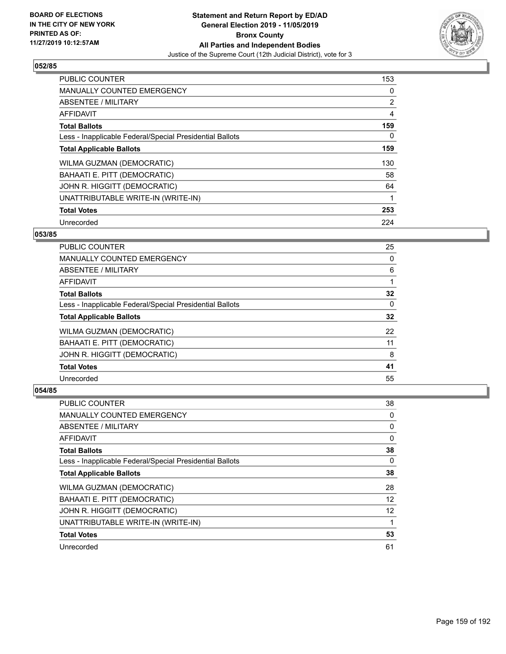

| PUBLIC COUNTER                                           | 153 |
|----------------------------------------------------------|-----|
| <b>MANUALLY COUNTED EMERGENCY</b>                        | 0   |
| ABSENTEE / MILITARY                                      | 2   |
| <b>AFFIDAVIT</b>                                         | 4   |
| <b>Total Ballots</b>                                     | 159 |
| Less - Inapplicable Federal/Special Presidential Ballots | 0   |
| <b>Total Applicable Ballots</b>                          | 159 |
| WILMA GUZMAN (DEMOCRATIC)                                | 130 |
| BAHAATI E. PITT (DEMOCRATIC)                             | 58  |
| JOHN R. HIGGITT (DEMOCRATIC)                             | 64  |
| UNATTRIBUTABLE WRITE-IN (WRITE-IN)                       |     |
| <b>Total Votes</b>                                       | 253 |
| Unrecorded                                               | 224 |

# **053/85**

| <b>PUBLIC COUNTER</b>                                    | 25 |
|----------------------------------------------------------|----|
| <b>MANUALLY COUNTED EMERGENCY</b>                        | 0  |
| ABSENTEE / MILITARY                                      | 6  |
| AFFIDAVIT                                                |    |
| <b>Total Ballots</b>                                     | 32 |
| Less - Inapplicable Federal/Special Presidential Ballots | 0  |
| <b>Total Applicable Ballots</b>                          | 32 |
| WILMA GUZMAN (DEMOCRATIC)                                | 22 |
| BAHAATI E. PITT (DEMOCRATIC)                             | 11 |
| JOHN R. HIGGITT (DEMOCRATIC)                             | 8  |
| <b>Total Votes</b>                                       | 41 |
| Unrecorded                                               | 55 |

| <b>PUBLIC COUNTER</b>                                    | 38       |
|----------------------------------------------------------|----------|
| <b>MANUALLY COUNTED EMERGENCY</b>                        | 0        |
| ABSENTEE / MILITARY                                      | 0        |
| AFFIDAVIT                                                | 0        |
| <b>Total Ballots</b>                                     | 38       |
| Less - Inapplicable Federal/Special Presidential Ballots | $\Omega$ |
| <b>Total Applicable Ballots</b>                          | 38       |
| WILMA GUZMAN (DEMOCRATIC)                                | 28       |
| BAHAATI E. PITT (DEMOCRATIC)                             | 12       |
| JOHN R. HIGGITT (DEMOCRATIC)                             | 12       |
| UNATTRIBUTABLE WRITE-IN (WRITE-IN)                       |          |
| <b>Total Votes</b>                                       | 53       |
| Unrecorded                                               | 61       |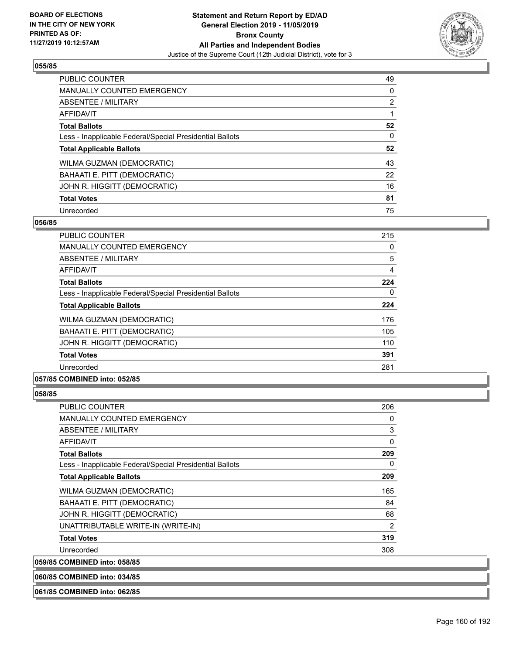

| <b>PUBLIC COUNTER</b>                                    | 49             |
|----------------------------------------------------------|----------------|
| <b>MANUALLY COUNTED EMERGENCY</b>                        | 0              |
| <b>ABSENTEE / MILITARY</b>                               | $\overline{2}$ |
| <b>AFFIDAVIT</b>                                         |                |
| <b>Total Ballots</b>                                     | 52             |
| Less - Inapplicable Federal/Special Presidential Ballots | 0              |
| <b>Total Applicable Ballots</b>                          | 52             |
| WILMA GUZMAN (DEMOCRATIC)                                | 43             |
| BAHAATI E. PITT (DEMOCRATIC)                             | 22             |
| JOHN R. HIGGITT (DEMOCRATIC)                             | 16             |
| <b>Total Votes</b>                                       | 81             |
| Unrecorded                                               | 75             |

#### **056/85**

| PUBLIC COUNTER                                           | 215 |
|----------------------------------------------------------|-----|
| <b>MANUALLY COUNTED EMERGENCY</b>                        | 0   |
| ABSENTEE / MILITARY                                      | 5   |
| AFFIDAVIT                                                | 4   |
| <b>Total Ballots</b>                                     | 224 |
| Less - Inapplicable Federal/Special Presidential Ballots | 0   |
| <b>Total Applicable Ballots</b>                          | 224 |
| WILMA GUZMAN (DEMOCRATIC)                                | 176 |
| BAHAATI E. PITT (DEMOCRATIC)                             | 105 |
| JOHN R. HIGGITT (DEMOCRATIC)                             | 110 |
| <b>Total Votes</b>                                       | 391 |
| Unrecorded                                               | 281 |
| A                                                        |     |

# **057/85 COMBINED into: 052/85**

#### **058/85**

| <b>PUBLIC COUNTER</b>                                    | 206 |
|----------------------------------------------------------|-----|
| <b>MANUALLY COUNTED EMERGENCY</b>                        | 0   |
| ABSENTEE / MILITARY                                      | 3   |
| AFFIDAVIT                                                | 0   |
| <b>Total Ballots</b>                                     | 209 |
| Less - Inapplicable Federal/Special Presidential Ballots | 0   |
| <b>Total Applicable Ballots</b>                          | 209 |
| WILMA GUZMAN (DEMOCRATIC)                                | 165 |
| BAHAATI E. PITT (DEMOCRATIC)                             | 84  |
| JOHN R. HIGGITT (DEMOCRATIC)                             | 68  |
| UNATTRIBUTABLE WRITE-IN (WRITE-IN)                       | 2   |
| <b>Total Votes</b>                                       | 319 |
| Unrecorded                                               | 308 |
| 059/85 COMBINED into: 058/85                             |     |

**060/85 COMBINED into: 034/85**

**061/85 COMBINED into: 062/85**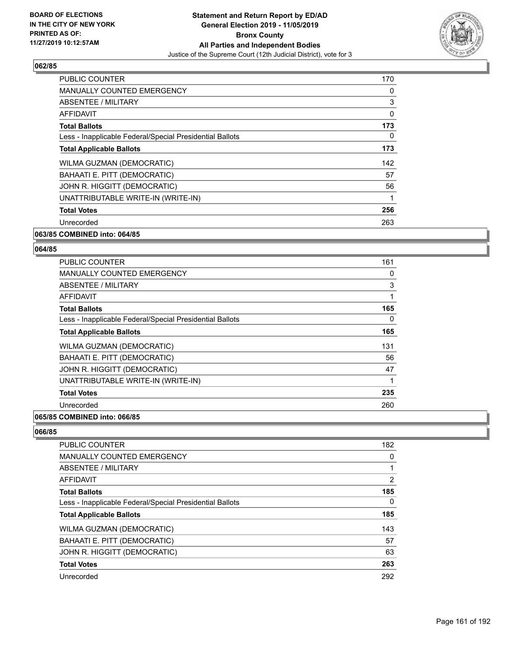

| <b>PUBLIC COUNTER</b>                                    | 170 |
|----------------------------------------------------------|-----|
| <b>MANUALLY COUNTED EMERGENCY</b>                        | 0   |
| ABSENTEE / MILITARY                                      | 3   |
| AFFIDAVIT                                                | 0   |
| <b>Total Ballots</b>                                     | 173 |
| Less - Inapplicable Federal/Special Presidential Ballots | 0   |
| <b>Total Applicable Ballots</b>                          | 173 |
| WILMA GUZMAN (DEMOCRATIC)                                | 142 |
| BAHAATI E. PITT (DEMOCRATIC)                             | 57  |
| JOHN R. HIGGITT (DEMOCRATIC)                             | 56  |
| UNATTRIBUTABLE WRITE-IN (WRITE-IN)                       | 1   |
| <b>Total Votes</b>                                       | 256 |
| Unrecorded                                               | 263 |
|                                                          |     |

# **063/85 COMBINED into: 064/85**

#### **064/85**

| <b>PUBLIC COUNTER</b>                                    | 161 |
|----------------------------------------------------------|-----|
| <b>MANUALLY COUNTED EMERGENCY</b>                        | 0   |
| ABSENTEE / MILITARY                                      | 3   |
| <b>AFFIDAVIT</b>                                         |     |
| <b>Total Ballots</b>                                     | 165 |
| Less - Inapplicable Federal/Special Presidential Ballots | 0   |
| <b>Total Applicable Ballots</b>                          | 165 |
| WILMA GUZMAN (DEMOCRATIC)                                | 131 |
| BAHAATI E. PITT (DEMOCRATIC)                             | 56  |
| JOHN R. HIGGITT (DEMOCRATIC)                             | 47  |
| UNATTRIBUTABLE WRITE-IN (WRITE-IN)                       |     |
| <b>Total Votes</b>                                       | 235 |
| Unrecorded                                               | 260 |
|                                                          |     |

### **065/85 COMBINED into: 066/85**

| PUBLIC COUNTER                                           | 182            |
|----------------------------------------------------------|----------------|
| <b>MANUALLY COUNTED EMERGENCY</b>                        | 0              |
| ABSENTEE / MILITARY                                      |                |
| AFFIDAVIT                                                | $\overline{2}$ |
| <b>Total Ballots</b>                                     | 185            |
| Less - Inapplicable Federal/Special Presidential Ballots | 0              |
| <b>Total Applicable Ballots</b>                          | 185            |
| WILMA GUZMAN (DEMOCRATIC)                                | 143            |
| BAHAATI E. PITT (DEMOCRATIC)                             | 57             |
| JOHN R. HIGGITT (DEMOCRATIC)                             | 63             |
| <b>Total Votes</b>                                       | 263            |
| Unrecorded                                               | 292            |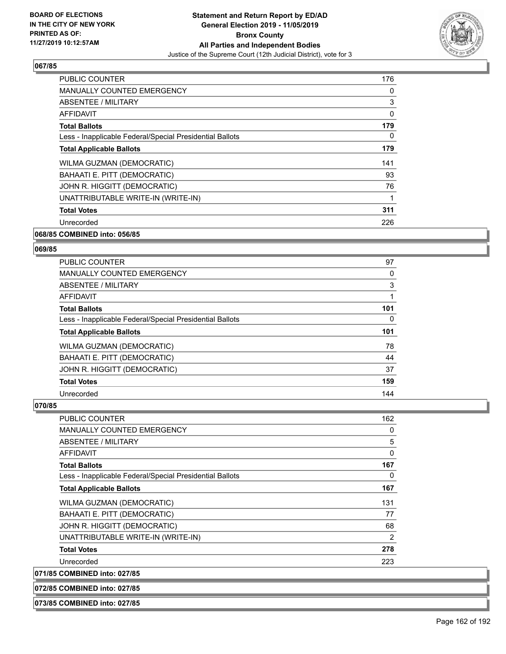

| <b>PUBLIC COUNTER</b>                                    | 176 |
|----------------------------------------------------------|-----|
| <b>MANUALLY COUNTED EMERGENCY</b>                        | 0   |
| ABSENTEE / MILITARY                                      | 3   |
| AFFIDAVIT                                                | 0   |
| <b>Total Ballots</b>                                     | 179 |
| Less - Inapplicable Federal/Special Presidential Ballots | 0   |
| <b>Total Applicable Ballots</b>                          | 179 |
| WILMA GUZMAN (DEMOCRATIC)                                | 141 |
| BAHAATI E. PITT (DEMOCRATIC)                             | 93  |
| JOHN R. HIGGITT (DEMOCRATIC)                             | 76  |
| UNATTRIBUTABLE WRITE-IN (WRITE-IN)                       |     |
| <b>Total Votes</b>                                       | 311 |
| Unrecorded                                               | 226 |
|                                                          |     |

# **068/85 COMBINED into: 056/85**

#### **069/85**

| <b>PUBLIC COUNTER</b>                                    | 97  |
|----------------------------------------------------------|-----|
| <b>MANUALLY COUNTED EMERGENCY</b>                        | 0   |
| ABSENTEE / MILITARY                                      | 3   |
| <b>AFFIDAVIT</b>                                         |     |
| <b>Total Ballots</b>                                     | 101 |
| Less - Inapplicable Federal/Special Presidential Ballots | 0   |
| <b>Total Applicable Ballots</b>                          | 101 |
| <b>WILMA GUZMAN (DEMOCRATIC)</b>                         | 78  |
| BAHAATI E. PITT (DEMOCRATIC)                             | 44  |
| JOHN R. HIGGITT (DEMOCRATIC)                             | 37  |
| <b>Total Votes</b>                                       | 159 |
| Unrecorded                                               | 144 |

#### **070/85**

| PUBLIC COUNTER                                           | 162 |
|----------------------------------------------------------|-----|
| <b>MANUALLY COUNTED EMERGENCY</b>                        | 0   |
| ABSENTEE / MILITARY                                      | 5   |
| <b>AFFIDAVIT</b>                                         | 0   |
| <b>Total Ballots</b>                                     | 167 |
| Less - Inapplicable Federal/Special Presidential Ballots | 0   |
| <b>Total Applicable Ballots</b>                          | 167 |
| WILMA GUZMAN (DEMOCRATIC)                                | 131 |
| BAHAATI E. PITT (DEMOCRATIC)                             | 77  |
| JOHN R. HIGGITT (DEMOCRATIC)                             | 68  |
| UNATTRIBUTABLE WRITE-IN (WRITE-IN)                       | 2   |
| <b>Total Votes</b>                                       | 278 |
| Unrecorded                                               | 223 |
| 071/85 COMBINED into: 027/85                             |     |

**072/85 COMBINED into: 027/85**

**073/85 COMBINED into: 027/85**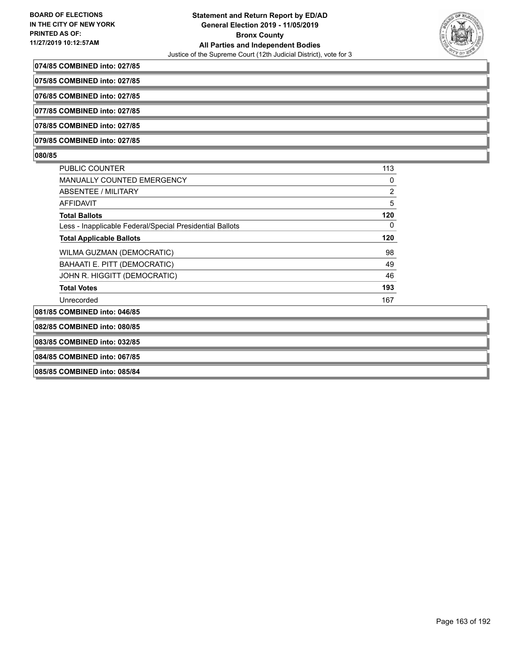

#### **074/85 COMBINED into: 027/85**

**075/85 COMBINED into: 027/85**

**076/85 COMBINED into: 027/85**

**077/85 COMBINED into: 027/85**

**078/85 COMBINED into: 027/85**

**079/85 COMBINED into: 027/85**

#### **080/85**

| PUBLIC COUNTER                                           | 113            |
|----------------------------------------------------------|----------------|
| <b>MANUALLY COUNTED EMERGENCY</b>                        | 0              |
| ABSENTEE / MILITARY                                      | $\overline{2}$ |
| <b>AFFIDAVIT</b>                                         | 5              |
| <b>Total Ballots</b>                                     | 120            |
| Less - Inapplicable Federal/Special Presidential Ballots | 0              |
| <b>Total Applicable Ballots</b>                          | 120            |
| WILMA GUZMAN (DEMOCRATIC)                                | 98             |
| BAHAATI E. PITT (DEMOCRATIC)                             | 49             |
| JOHN R. HIGGITT (DEMOCRATIC)                             | 46             |
| <b>Total Votes</b>                                       | 193            |
| Unrecorded                                               | 167            |
| 081/85 COMBINED into: 046/85                             |                |
| 082/85 COMBINED into: 080/85                             |                |
| 083/85 COMBINED into: 032/85                             |                |

**084/85 COMBINED into: 067/85**

**085/85 COMBINED into: 085/84**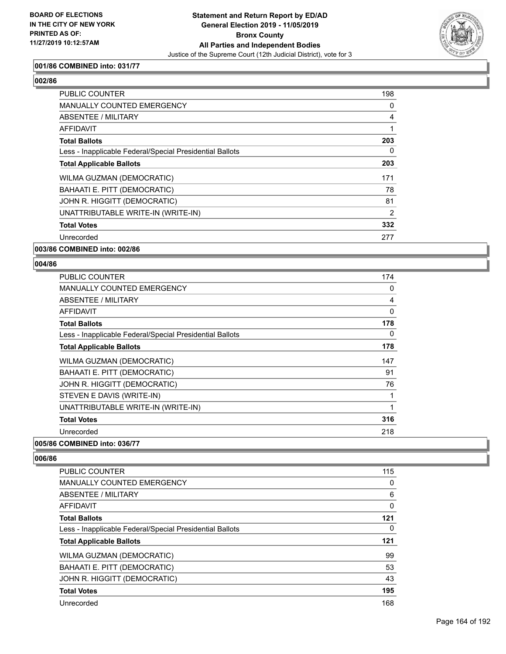

# **001/86 COMBINED into: 031/77**

# **002/86**

| PUBLIC COUNTER                                           | 198            |
|----------------------------------------------------------|----------------|
| <b>MANUALLY COUNTED EMERGENCY</b>                        | 0              |
| ABSENTEE / MILITARY                                      | 4              |
| <b>AFFIDAVIT</b>                                         |                |
| <b>Total Ballots</b>                                     | 203            |
| Less - Inapplicable Federal/Special Presidential Ballots | 0              |
| <b>Total Applicable Ballots</b>                          | 203            |
| WILMA GUZMAN (DEMOCRATIC)                                | 171            |
| BAHAATI E. PITT (DEMOCRATIC)                             | 78             |
| JOHN R. HIGGITT (DEMOCRATIC)                             | 81             |
| UNATTRIBUTABLE WRITE-IN (WRITE-IN)                       | $\overline{2}$ |
| <b>Total Votes</b>                                       | 332            |
| Unrecorded                                               | 277            |

**003/86 COMBINED into: 002/86**

#### **004/86**

| <b>PUBLIC COUNTER</b>                                    | 174            |
|----------------------------------------------------------|----------------|
| MANUALLY COUNTED EMERGENCY                               | 0              |
| ABSENTEE / MILITARY                                      | $\overline{4}$ |
| AFFIDAVIT                                                | 0              |
| <b>Total Ballots</b>                                     | 178            |
| Less - Inapplicable Federal/Special Presidential Ballots | 0              |
| <b>Total Applicable Ballots</b>                          | 178            |
| <b>WILMA GUZMAN (DEMOCRATIC)</b>                         | 147            |
| BAHAATI E. PITT (DEMOCRATIC)                             | 91             |
| JOHN R. HIGGITT (DEMOCRATIC)                             | 76             |
| STEVEN E DAVIS (WRITE-IN)                                | 1              |
| UNATTRIBUTABLE WRITE-IN (WRITE-IN)                       | 1              |
| <b>Total Votes</b>                                       | 316            |
| Unrecorded                                               | 218            |
| 005/86 COMBINED into: 036/77                             |                |

| PUBLIC COUNTER                                           | 115 |
|----------------------------------------------------------|-----|
| <b>MANUALLY COUNTED EMERGENCY</b>                        | 0   |
| ABSENTEE / MILITARY                                      | 6   |
| AFFIDAVIT                                                | 0   |
| <b>Total Ballots</b>                                     | 121 |
| Less - Inapplicable Federal/Special Presidential Ballots | 0   |
|                                                          |     |
| <b>Total Applicable Ballots</b>                          | 121 |
| WILMA GUZMAN (DEMOCRATIC)                                | 99  |
| BAHAATI E. PITT (DEMOCRATIC)                             | 53  |
| JOHN R. HIGGITT (DEMOCRATIC)                             | 43  |
| <b>Total Votes</b>                                       | 195 |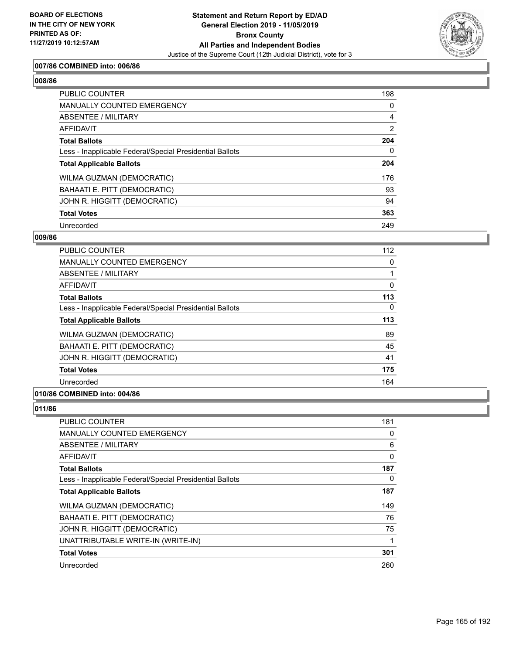

# **007/86 COMBINED into: 006/86**

# **008/86**

| <b>PUBLIC COUNTER</b>                                    | 198 |
|----------------------------------------------------------|-----|
| <b>MANUALLY COUNTED EMERGENCY</b>                        | 0   |
| ABSENTEE / MILITARY                                      | 4   |
| AFFIDAVIT                                                | 2   |
| <b>Total Ballots</b>                                     | 204 |
| Less - Inapplicable Federal/Special Presidential Ballots | 0   |
| <b>Total Applicable Ballots</b>                          | 204 |
| WILMA GUZMAN (DEMOCRATIC)                                | 176 |
| BAHAATI E. PITT (DEMOCRATIC)                             | 93  |
| JOHN R. HIGGITT (DEMOCRATIC)                             | 94  |
| <b>Total Votes</b>                                       | 363 |
| Unrecorded                                               | 249 |

#### **009/86**

| <b>PUBLIC COUNTER</b>                                    | 112 |
|----------------------------------------------------------|-----|
| <b>MANUALLY COUNTED EMERGENCY</b>                        | 0   |
| ABSENTEE / MILITARY                                      |     |
| AFFIDAVIT                                                | 0   |
| <b>Total Ballots</b>                                     | 113 |
| Less - Inapplicable Federal/Special Presidential Ballots | 0   |
| <b>Total Applicable Ballots</b>                          | 113 |
| WILMA GUZMAN (DEMOCRATIC)                                | 89  |
| BAHAATI E. PITT (DEMOCRATIC)                             | 45  |
| JOHN R. HIGGITT (DEMOCRATIC)                             | 41  |
| <b>Total Votes</b>                                       | 175 |
| Unrecorded                                               | 164 |
|                                                          |     |

# **010/86 COMBINED into: 004/86**

| <b>PUBLIC COUNTER</b>                                    | 181 |
|----------------------------------------------------------|-----|
| MANUALLY COUNTED EMERGENCY                               | 0   |
| ABSENTEE / MILITARY                                      | 6   |
| AFFIDAVIT                                                | 0   |
| <b>Total Ballots</b>                                     | 187 |
| Less - Inapplicable Federal/Special Presidential Ballots | 0   |
| <b>Total Applicable Ballots</b>                          | 187 |
| WILMA GUZMAN (DEMOCRATIC)                                | 149 |
| BAHAATI E. PITT (DEMOCRATIC)                             | 76  |
| JOHN R. HIGGITT (DEMOCRATIC)                             | 75  |
| UNATTRIBUTABLE WRITE-IN (WRITE-IN)                       | 1   |
| <b>Total Votes</b>                                       | 301 |
| Unrecorded                                               | 260 |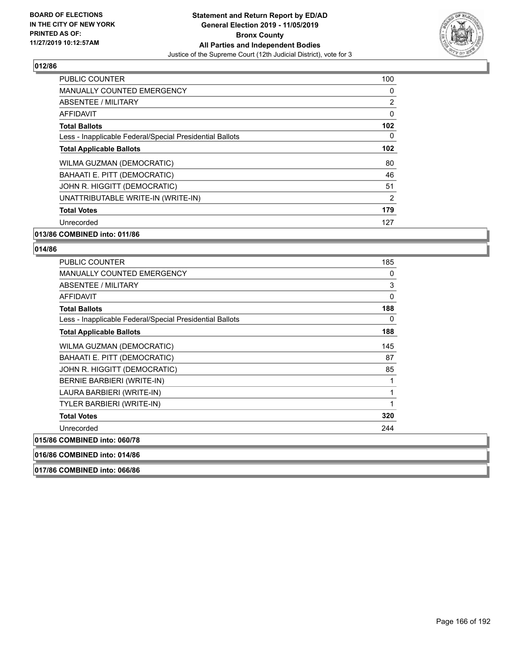

| <b>PUBLIC COUNTER</b>                                    | 100            |
|----------------------------------------------------------|----------------|
| <b>MANUALLY COUNTED EMERGENCY</b>                        | 0              |
| ABSENTEE / MILITARY                                      | $\overline{2}$ |
| AFFIDAVIT                                                | $\Omega$       |
| <b>Total Ballots</b>                                     | 102            |
| Less - Inapplicable Federal/Special Presidential Ballots | 0              |
| <b>Total Applicable Ballots</b>                          | 102            |
| WILMA GUZMAN (DEMOCRATIC)                                | 80             |
| BAHAATI E. PITT (DEMOCRATIC)                             | 46             |
| JOHN R. HIGGITT (DEMOCRATIC)                             | 51             |
| UNATTRIBUTABLE WRITE-IN (WRITE-IN)                       | $\overline{2}$ |
| <b>Total Votes</b>                                       | 179            |
| Unrecorded                                               | 127            |
|                                                          |                |

# **013/86 COMBINED into: 011/86**

| <b>PUBLIC COUNTER</b>                                    | 185          |
|----------------------------------------------------------|--------------|
| <b>MANUALLY COUNTED EMERGENCY</b>                        | 0            |
| <b>ABSENTEE / MILITARY</b>                               | $\mathsf 3$  |
| <b>AFFIDAVIT</b>                                         | 0            |
| <b>Total Ballots</b>                                     | 188          |
| Less - Inapplicable Federal/Special Presidential Ballots | $\mathbf{0}$ |
| <b>Total Applicable Ballots</b>                          | 188          |
| WILMA GUZMAN (DEMOCRATIC)                                | 145          |
| BAHAATI E. PITT (DEMOCRATIC)                             | 87           |
| JOHN R. HIGGITT (DEMOCRATIC)                             | 85           |
| BERNIE BARBIERI (WRITE-IN)                               | 1            |
| LAURA BARBIERI (WRITE-IN)                                | 1            |
| TYLER BARBIERI (WRITE-IN)                                | 1            |
| <b>Total Votes</b>                                       | 320          |
| Unrecorded                                               | 244          |
| 015/86 COMBINED into: 060/78                             |              |
| 016/86 COMBINED into: 014/86                             |              |
| 017/86 COMBINED into: 066/86                             |              |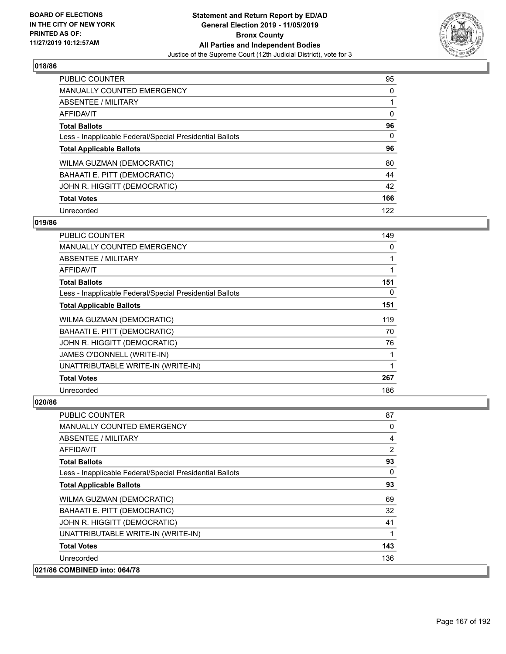

| <b>PUBLIC COUNTER</b>                                    | 95       |
|----------------------------------------------------------|----------|
| <b>MANUALLY COUNTED EMERGENCY</b>                        | 0        |
| ABSENTEE / MILITARY                                      |          |
| <b>AFFIDAVIT</b>                                         | $\Omega$ |
| <b>Total Ballots</b>                                     | 96       |
| Less - Inapplicable Federal/Special Presidential Ballots | 0        |
| <b>Total Applicable Ballots</b>                          | 96       |
| WILMA GUZMAN (DEMOCRATIC)                                | 80       |
| BAHAATI E. PITT (DEMOCRATIC)                             | 44       |
| JOHN R. HIGGITT (DEMOCRATIC)                             | 42       |
| <b>Total Votes</b>                                       | 166      |
| Unrecorded                                               | 122      |

### **019/86**

| PUBLIC COUNTER                                           | 149          |
|----------------------------------------------------------|--------------|
| <b>MANUALLY COUNTED EMERGENCY</b>                        | 0            |
| ABSENTEE / MILITARY                                      | 1            |
| AFFIDAVIT                                                | 1            |
| <b>Total Ballots</b>                                     | 151          |
| Less - Inapplicable Federal/Special Presidential Ballots | 0            |
| <b>Total Applicable Ballots</b>                          | 151          |
| WILMA GUZMAN (DEMOCRATIC)                                | 119          |
| BAHAATI E. PITT (DEMOCRATIC)                             | 70           |
| JOHN R. HIGGITT (DEMOCRATIC)                             | 76           |
| JAMES O'DONNELL (WRITE-IN)                               | 1            |
| UNATTRIBUTABLE WRITE-IN (WRITE-IN)                       | $\mathbf{1}$ |
| <b>Total Votes</b>                                       | 267          |
| Unrecorded                                               | 186          |

| <b>PUBLIC COUNTER</b>                                    | 87           |
|----------------------------------------------------------|--------------|
| <b>MANUALLY COUNTED EMERGENCY</b>                        | 0            |
| ABSENTEE / MILITARY                                      | 4            |
| AFFIDAVIT                                                | 2            |
| <b>Total Ballots</b>                                     | 93           |
| Less - Inapplicable Federal/Special Presidential Ballots | $\mathbf{0}$ |
| <b>Total Applicable Ballots</b>                          | 93           |
| WILMA GUZMAN (DEMOCRATIC)                                | 69           |
| BAHAATI E. PITT (DEMOCRATIC)                             | 32           |
| JOHN R. HIGGITT (DEMOCRATIC)                             | 41           |
| UNATTRIBUTABLE WRITE-IN (WRITE-IN)                       | 1            |
| <b>Total Votes</b>                                       | 143          |
| Unrecorded                                               | 136          |
| 021/86 COMBINED into: 064/78                             |              |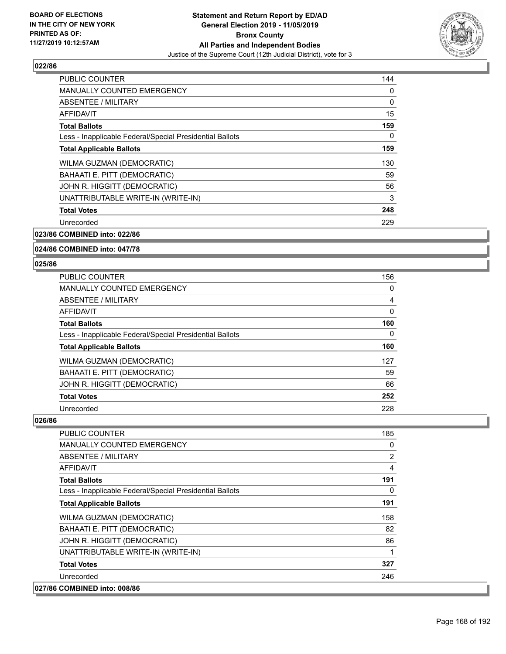

| <b>PUBLIC COUNTER</b>                                    | 144 |
|----------------------------------------------------------|-----|
| <b>MANUALLY COUNTED EMERGENCY</b>                        | 0   |
| ABSENTEE / MILITARY                                      | 0   |
| AFFIDAVIT                                                | 15  |
| <b>Total Ballots</b>                                     | 159 |
| Less - Inapplicable Federal/Special Presidential Ballots | 0   |
| <b>Total Applicable Ballots</b>                          | 159 |
| WILMA GUZMAN (DEMOCRATIC)                                | 130 |
| BAHAATI E. PITT (DEMOCRATIC)                             | 59  |
| JOHN R. HIGGITT (DEMOCRATIC)                             | 56  |
| UNATTRIBUTABLE WRITE-IN (WRITE-IN)                       | 3   |
| <b>Total Votes</b>                                       | 248 |
| Unrecorded                                               | 229 |
|                                                          |     |

**023/86 COMBINED into: 022/86**

**024/86 COMBINED into: 047/78**

#### **025/86**

| <b>PUBLIC COUNTER</b>                                    | 156            |
|----------------------------------------------------------|----------------|
| <b>MANUALLY COUNTED EMERGENCY</b>                        | 0              |
| ABSENTEE / MILITARY                                      | $\overline{4}$ |
| AFFIDAVIT                                                | 0              |
| <b>Total Ballots</b>                                     | 160            |
| Less - Inapplicable Federal/Special Presidential Ballots | 0              |
| <b>Total Applicable Ballots</b>                          | 160            |
| WILMA GUZMAN (DEMOCRATIC)                                | 127            |
| BAHAATI E. PITT (DEMOCRATIC)                             | 59             |
| JOHN R. HIGGITT (DEMOCRATIC)                             | 66             |
| <b>Total Votes</b>                                       | 252            |
| Unrecorded                                               | 228            |

| <b>PUBLIC COUNTER</b>                                    | 185            |
|----------------------------------------------------------|----------------|
| <b>MANUALLY COUNTED EMERGENCY</b>                        | 0              |
| ABSENTEE / MILITARY                                      | $\overline{2}$ |
| AFFIDAVIT                                                | 4              |
| <b>Total Ballots</b>                                     | 191            |
| Less - Inapplicable Federal/Special Presidential Ballots | $\Omega$       |
| <b>Total Applicable Ballots</b>                          | 191            |
| WILMA GUZMAN (DEMOCRATIC)                                | 158            |
| BAHAATI E. PITT (DEMOCRATIC)                             | 82             |
| JOHN R. HIGGITT (DEMOCRATIC)                             | 86             |
| UNATTRIBUTABLE WRITE-IN (WRITE-IN)                       |                |
| <b>Total Votes</b>                                       | 327            |
| Unrecorded                                               | 246            |
| 027/86 COMBINED into: 008/86                             |                |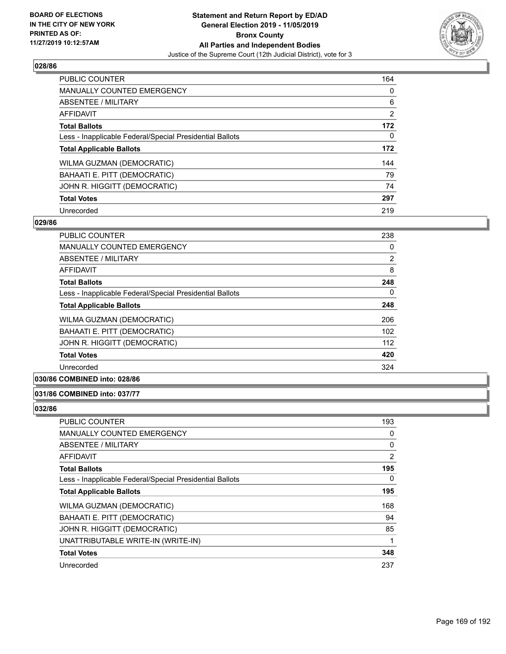

| <b>PUBLIC COUNTER</b>                                    | 164            |
|----------------------------------------------------------|----------------|
| <b>MANUALLY COUNTED EMERGENCY</b>                        | $\Omega$       |
| ABSENTEE / MILITARY                                      | 6              |
| <b>AFFIDAVIT</b>                                         | $\overline{2}$ |
| <b>Total Ballots</b>                                     | 172            |
| Less - Inapplicable Federal/Special Presidential Ballots | $\Omega$       |
| <b>Total Applicable Ballots</b>                          | 172            |
| WILMA GUZMAN (DEMOCRATIC)                                | 144            |
| BAHAATI E. PITT (DEMOCRATIC)                             | 79             |
| JOHN R. HIGGITT (DEMOCRATIC)                             | 74             |
| <b>Total Votes</b>                                       | 297            |
| Unrecorded                                               | 219            |

#### **029/86**

| <b>PUBLIC COUNTER</b>                                    | 238 |
|----------------------------------------------------------|-----|
| <b>MANUALLY COUNTED EMERGENCY</b>                        | 0   |
| ABSENTEE / MILITARY                                      | 2   |
| <b>AFFIDAVIT</b>                                         | 8   |
| <b>Total Ballots</b>                                     | 248 |
| Less - Inapplicable Federal/Special Presidential Ballots | 0   |
| <b>Total Applicable Ballots</b>                          | 248 |
| WILMA GUZMAN (DEMOCRATIC)                                | 206 |
| BAHAATI E. PITT (DEMOCRATIC)                             | 102 |
| JOHN R. HIGGITT (DEMOCRATIC)                             | 112 |
| <b>Total Votes</b>                                       | 420 |
| Unrecorded                                               | 324 |
|                                                          |     |

**030/86 COMBINED into: 028/86**

# **031/86 COMBINED into: 037/77**

| <b>PUBLIC COUNTER</b>                                    | 193 |
|----------------------------------------------------------|-----|
| <b>MANUALLY COUNTED EMERGENCY</b>                        | 0   |
| ABSENTEE / MILITARY                                      | 0   |
| AFFIDAVIT                                                | 2   |
| <b>Total Ballots</b>                                     | 195 |
| Less - Inapplicable Federal/Special Presidential Ballots | 0   |
| <b>Total Applicable Ballots</b>                          | 195 |
| WILMA GUZMAN (DEMOCRATIC)                                | 168 |
| BAHAATI E. PITT (DEMOCRATIC)                             | 94  |
| JOHN R. HIGGITT (DEMOCRATIC)                             | 85  |
| UNATTRIBUTABLE WRITE-IN (WRITE-IN)                       | 1   |
| <b>Total Votes</b>                                       | 348 |
| Unrecorded                                               | 237 |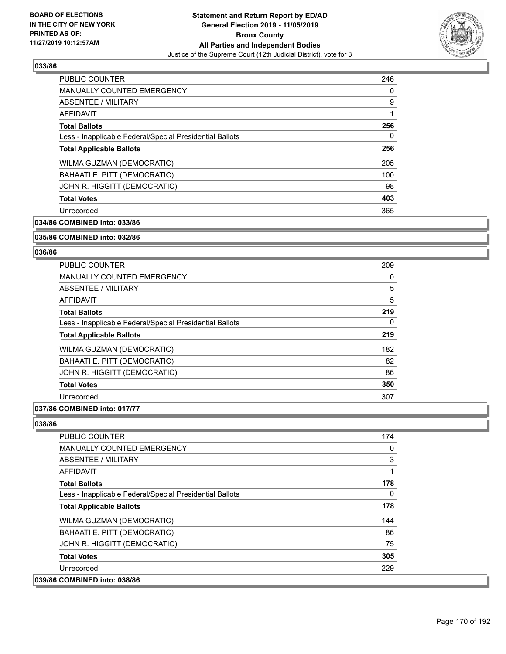

| <b>PUBLIC COUNTER</b>                                    | 246 |
|----------------------------------------------------------|-----|
| <b>MANUALLY COUNTED EMERGENCY</b>                        | 0   |
| ABSENTEE / MILITARY                                      | 9   |
| AFFIDAVIT                                                |     |
| <b>Total Ballots</b>                                     | 256 |
| Less - Inapplicable Federal/Special Presidential Ballots | 0   |
| <b>Total Applicable Ballots</b>                          | 256 |
| WILMA GUZMAN (DEMOCRATIC)                                | 205 |
| BAHAATI E. PITT (DEMOCRATIC)                             | 100 |
| JOHN R. HIGGITT (DEMOCRATIC)                             | 98  |
| <b>Total Votes</b>                                       | 403 |
| Unrecorded                                               | 365 |

**034/86 COMBINED into: 033/86**

#### **035/86 COMBINED into: 032/86**

#### **036/86**

| PUBLIC COUNTER                                           | 209 |
|----------------------------------------------------------|-----|
| <b>MANUALLY COUNTED EMERGENCY</b>                        | 0   |
| ABSENTEE / MILITARY                                      | 5   |
| <b>AFFIDAVIT</b>                                         | 5   |
| <b>Total Ballots</b>                                     | 219 |
| Less - Inapplicable Federal/Special Presidential Ballots | 0   |
| <b>Total Applicable Ballots</b>                          | 219 |
| WILMA GUZMAN (DEMOCRATIC)                                | 182 |
| BAHAATI E. PITT (DEMOCRATIC)                             | 82  |
| JOHN R. HIGGITT (DEMOCRATIC)                             | 86  |
| <b>Total Votes</b>                                       | 350 |
| Unrecorded                                               | 307 |
|                                                          |     |

# **037/86 COMBINED into: 017/77**

| <b>PUBLIC COUNTER</b>                                    | 174 |
|----------------------------------------------------------|-----|
| <b>MANUALLY COUNTED EMERGENCY</b>                        | 0   |
| ABSENTEE / MILITARY                                      | 3   |
| AFFIDAVIT                                                | 1   |
| <b>Total Ballots</b>                                     | 178 |
| Less - Inapplicable Federal/Special Presidential Ballots | 0   |
| <b>Total Applicable Ballots</b>                          | 178 |
| <b>WILMA GUZMAN (DEMOCRATIC)</b>                         | 144 |
| BAHAATI E. PITT (DEMOCRATIC)                             | 86  |
| JOHN R. HIGGITT (DEMOCRATIC)                             | 75  |
| <b>Total Votes</b>                                       | 305 |
| Unrecorded                                               | 229 |
| 039/86 COMBINED into: 038/86                             |     |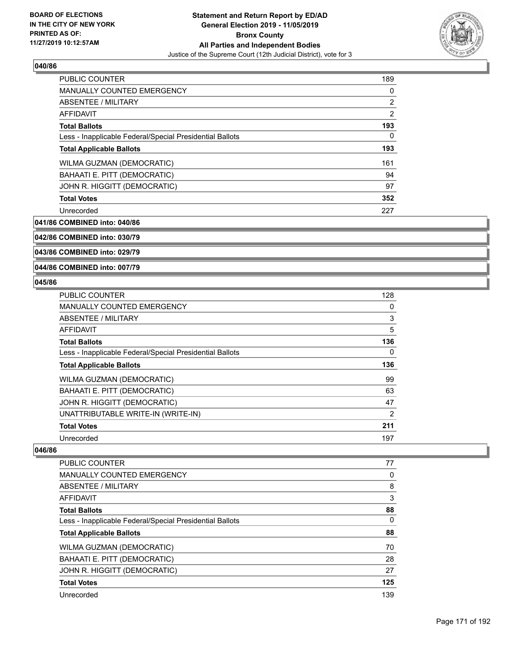

| <b>PUBLIC COUNTER</b>                                    | 189            |
|----------------------------------------------------------|----------------|
| <b>MANUALLY COUNTED EMERGENCY</b>                        | 0              |
| ABSENTEE / MILITARY                                      | $\overline{2}$ |
| AFFIDAVIT                                                | 2              |
| <b>Total Ballots</b>                                     | 193            |
| Less - Inapplicable Federal/Special Presidential Ballots | $\Omega$       |
| <b>Total Applicable Ballots</b>                          | 193            |
| WILMA GUZMAN (DEMOCRATIC)                                | 161            |
| <b>BAHAATI E. PITT (DEMOCRATIC)</b>                      | 94             |
| JOHN R. HIGGITT (DEMOCRATIC)                             | 97             |
| <b>Total Votes</b>                                       | 352            |
| Unrecorded                                               | 227            |

**041/86 COMBINED into: 040/86**

# **042/86 COMBINED into: 030/79**

**043/86 COMBINED into: 029/79**

#### **044/86 COMBINED into: 007/79**

# **045/86**

| <b>PUBLIC COUNTER</b>                                    | 128            |
|----------------------------------------------------------|----------------|
| <b>MANUALLY COUNTED EMERGENCY</b>                        | 0              |
| ABSENTEE / MILITARY                                      | 3              |
| <b>AFFIDAVIT</b>                                         | 5              |
| <b>Total Ballots</b>                                     | 136            |
| Less - Inapplicable Federal/Special Presidential Ballots | 0              |
| <b>Total Applicable Ballots</b>                          | 136            |
| WILMA GUZMAN (DEMOCRATIC)                                | 99             |
| BAHAATI E. PITT (DEMOCRATIC)                             | 63             |
| JOHN R. HIGGITT (DEMOCRATIC)                             | 47             |
| UNATTRIBUTABLE WRITE-IN (WRITE-IN)                       | $\overline{2}$ |
| <b>Total Votes</b>                                       | 211            |
| Unrecorded                                               | 197            |

| <b>PUBLIC COUNTER</b>                                    | 77  |
|----------------------------------------------------------|-----|
| <b>MANUALLY COUNTED EMERGENCY</b>                        | 0   |
| ABSENTEE / MILITARY                                      | 8   |
| AFFIDAVIT                                                | 3   |
| <b>Total Ballots</b>                                     | 88  |
| Less - Inapplicable Federal/Special Presidential Ballots | 0   |
| <b>Total Applicable Ballots</b>                          | 88  |
| WILMA GUZMAN (DEMOCRATIC)                                | 70  |
| BAHAATI E. PITT (DEMOCRATIC)                             | 28  |
| JOHN R. HIGGITT (DEMOCRATIC)                             | 27  |
| <b>Total Votes</b>                                       | 125 |
| Unrecorded                                               | 139 |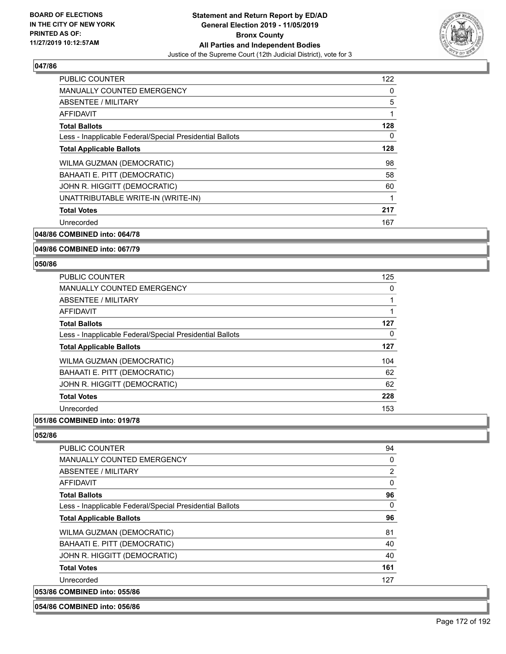

| <b>PUBLIC COUNTER</b>                                    | 122 |
|----------------------------------------------------------|-----|
| <b>MANUALLY COUNTED EMERGENCY</b>                        | 0   |
| ABSENTEE / MILITARY                                      | 5   |
| <b>AFFIDAVIT</b>                                         |     |
| <b>Total Ballots</b>                                     | 128 |
| Less - Inapplicable Federal/Special Presidential Ballots | 0   |
| <b>Total Applicable Ballots</b>                          | 128 |
| WILMA GUZMAN (DEMOCRATIC)                                | 98  |
| BAHAATI E. PITT (DEMOCRATIC)                             | 58  |
| JOHN R. HIGGITT (DEMOCRATIC)                             | 60  |
| UNATTRIBUTABLE WRITE-IN (WRITE-IN)                       |     |
| <b>Total Votes</b>                                       | 217 |
| Unrecorded                                               | 167 |
|                                                          |     |

**048/86 COMBINED into: 064/78**

**049/86 COMBINED into: 067/79**

#### **050/86**

| <b>PUBLIC COUNTER</b>                                    | 125 |
|----------------------------------------------------------|-----|
| <b>MANUALLY COUNTED EMERGENCY</b>                        | 0   |
| ABSENTEE / MILITARY                                      |     |
| AFFIDAVIT                                                |     |
| <b>Total Ballots</b>                                     | 127 |
| Less - Inapplicable Federal/Special Presidential Ballots | 0   |
| <b>Total Applicable Ballots</b>                          | 127 |
| WILMA GUZMAN (DEMOCRATIC)                                | 104 |
| BAHAATI E. PITT (DEMOCRATIC)                             | 62  |
| JOHN R. HIGGITT (DEMOCRATIC)                             | 62  |
| <b>Total Votes</b>                                       | 228 |
| Unrecorded                                               | 153 |
|                                                          |     |

**051/86 COMBINED into: 019/78**

**052/86** 

| <b>PUBLIC COUNTER</b>                                    | 94  |
|----------------------------------------------------------|-----|
| MANUALLY COUNTED EMERGENCY                               | 0   |
| ABSENTEE / MILITARY                                      | 2   |
| AFFIDAVIT                                                | 0   |
| <b>Total Ballots</b>                                     | 96  |
| Less - Inapplicable Federal/Special Presidential Ballots | 0   |
| <b>Total Applicable Ballots</b>                          | 96  |
| WILMA GUZMAN (DEMOCRATIC)                                | 81  |
| BAHAATI E. PITT (DEMOCRATIC)                             | 40  |
| JOHN R. HIGGITT (DEMOCRATIC)                             | 40  |
| <b>Total Votes</b>                                       | 161 |
| Unrecorded                                               | 127 |
| 053/86 COMBINED into: 055/86                             |     |

#### **054/86 COMBINED into: 056/86**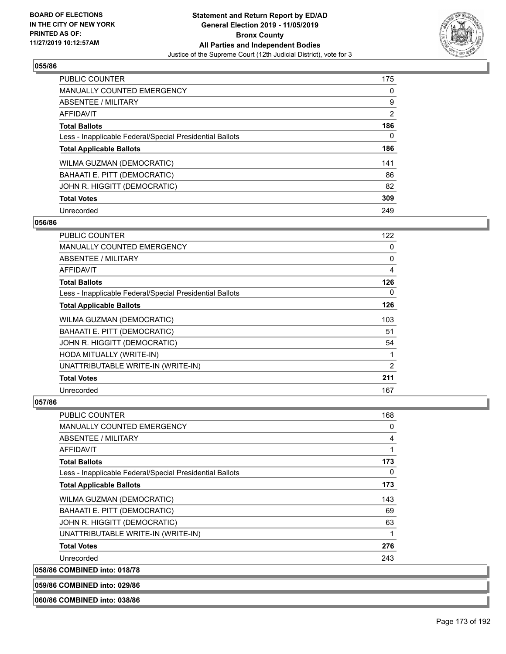

| <b>PUBLIC COUNTER</b>                                    | 175            |
|----------------------------------------------------------|----------------|
| <b>MANUALLY COUNTED EMERGENCY</b>                        | 0              |
| <b>ABSENTEE / MILITARY</b>                               | 9              |
| <b>AFFIDAVIT</b>                                         | $\overline{2}$ |
| <b>Total Ballots</b>                                     | 186            |
| Less - Inapplicable Federal/Special Presidential Ballots | 0              |
| <b>Total Applicable Ballots</b>                          | 186            |
| WILMA GUZMAN (DEMOCRATIC)                                | 141            |
| BAHAATI E. PITT (DEMOCRATIC)                             | 86             |
|                                                          |                |
| JOHN R. HIGGITT (DEMOCRATIC)                             | 82             |
| <b>Total Votes</b>                                       | 309            |

#### **056/86**

| PUBLIC COUNTER                                           | 122      |
|----------------------------------------------------------|----------|
| MANUALLY COUNTED EMERGENCY                               | 0        |
| ABSENTEE / MILITARY                                      | 0        |
| <b>AFFIDAVIT</b>                                         | 4        |
| <b>Total Ballots</b>                                     | 126      |
| Less - Inapplicable Federal/Special Presidential Ballots | $\Omega$ |
| <b>Total Applicable Ballots</b>                          | 126      |
| WILMA GUZMAN (DEMOCRATIC)                                | 103      |
| BAHAATI E. PITT (DEMOCRATIC)                             | 51       |
| JOHN R. HIGGITT (DEMOCRATIC)                             | 54       |
| HODA MITUALLY (WRITE-IN)                                 |          |
| UNATTRIBUTABLE WRITE-IN (WRITE-IN)                       | 2        |
| <b>Total Votes</b>                                       | 211      |
| Unrecorded                                               | 167      |

# **057/86**

| <b>PUBLIC COUNTER</b>                                    | 168 |
|----------------------------------------------------------|-----|
| <b>MANUALLY COUNTED EMERGENCY</b>                        | 0   |
| ABSENTEE / MILITARY                                      | 4   |
| AFFIDAVIT                                                | 1   |
| <b>Total Ballots</b>                                     | 173 |
| Less - Inapplicable Federal/Special Presidential Ballots | 0   |
| <b>Total Applicable Ballots</b>                          | 173 |
| WILMA GUZMAN (DEMOCRATIC)                                | 143 |
| BAHAATI E. PITT (DEMOCRATIC)                             | 69  |
| JOHN R. HIGGITT (DEMOCRATIC)                             | 63  |
| UNATTRIBUTABLE WRITE-IN (WRITE-IN)                       | 1   |
| <b>Total Votes</b>                                       | 276 |
| Unrecorded                                               | 243 |
| 058/86 COMBINED into: 018/78                             |     |

**059/86 COMBINED into: 029/86**

**060/86 COMBINED into: 038/86**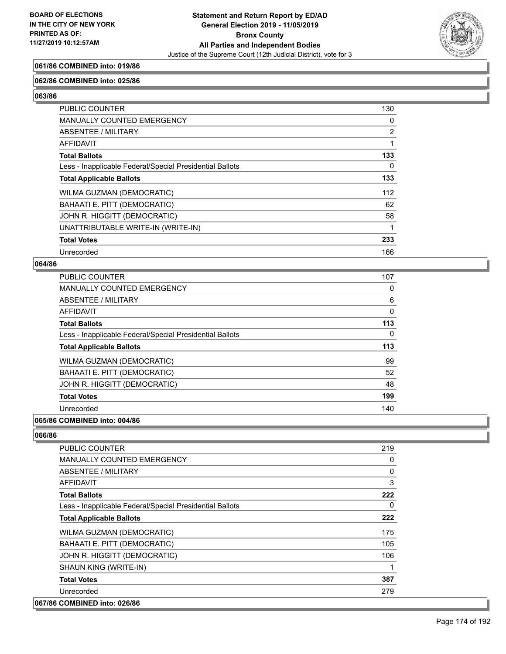

# **061/86 COMBINED into: 019/86**

#### **062/86 COMBINED into: 025/86**

**063/86** 

| <b>PUBLIC COUNTER</b>                                    | 130            |
|----------------------------------------------------------|----------------|
| <b>MANUALLY COUNTED EMERGENCY</b>                        | 0              |
| ABSENTEE / MILITARY                                      | $\overline{2}$ |
| AFFIDAVIT                                                |                |
| <b>Total Ballots</b>                                     | 133            |
| Less - Inapplicable Federal/Special Presidential Ballots | 0              |
| <b>Total Applicable Ballots</b>                          | 133            |
| WILMA GUZMAN (DEMOCRATIC)                                | 112            |
| BAHAATI E. PITT (DEMOCRATIC)                             | 62             |
| JOHN R. HIGGITT (DEMOCRATIC)                             | 58             |
| UNATTRIBUTABLE WRITE-IN (WRITE-IN)                       |                |
| <b>Total Votes</b>                                       | 233            |
| Unrecorded                                               | 166            |

#### **064/86**

| <b>PUBLIC COUNTER</b>                                    | 107 |
|----------------------------------------------------------|-----|
| <b>MANUALLY COUNTED EMERGENCY</b>                        | 0   |
| ABSENTEE / MILITARY                                      | 6   |
| <b>AFFIDAVIT</b>                                         | 0   |
| <b>Total Ballots</b>                                     | 113 |
| Less - Inapplicable Federal/Special Presidential Ballots | 0   |
| <b>Total Applicable Ballots</b>                          | 113 |
| WILMA GUZMAN (DEMOCRATIC)                                | 99  |
| BAHAATI E. PITT (DEMOCRATIC)                             | 52  |
| JOHN R. HIGGITT (DEMOCRATIC)                             | 48  |
| <b>Total Votes</b>                                       | 199 |
| Unrecorded                                               | 140 |
|                                                          |     |

#### **065/86 COMBINED into: 004/86**

| <b>PUBLIC COUNTER</b>                                    | 219 |
|----------------------------------------------------------|-----|
| MANUALLY COUNTED EMERGENCY                               | 0   |
| ABSENTEE / MILITARY                                      | 0   |
| AFFIDAVIT                                                | 3   |
| <b>Total Ballots</b>                                     | 222 |
| Less - Inapplicable Federal/Special Presidential Ballots | 0   |
| <b>Total Applicable Ballots</b>                          | 222 |
| WILMA GUZMAN (DEMOCRATIC)                                | 175 |
| BAHAATI E. PITT (DEMOCRATIC)                             | 105 |
| JOHN R. HIGGITT (DEMOCRATIC)                             | 106 |
| SHAUN KING (WRITE-IN)                                    | 1   |
| <b>Total Votes</b>                                       | 387 |
| Unrecorded                                               | 279 |
| 067/86 COMBINED into: 026/86                             |     |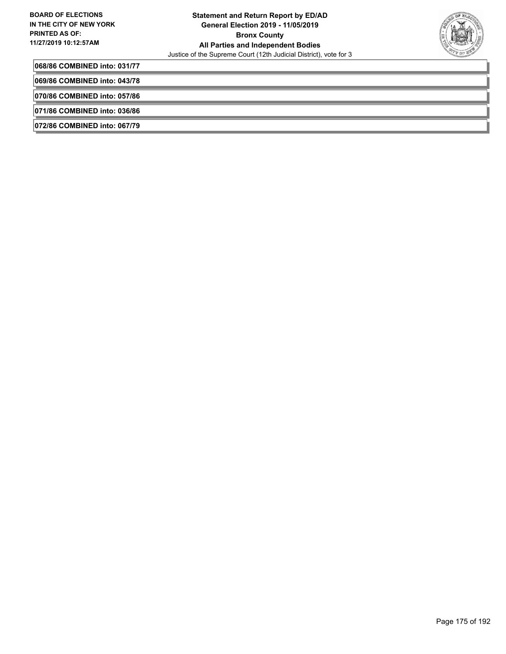

**068/86 COMBINED into: 031/77**

**069/86 COMBINED into: 043/78**

**070/86 COMBINED into: 057/86**

**071/86 COMBINED into: 036/86**

**072/86 COMBINED into: 067/79**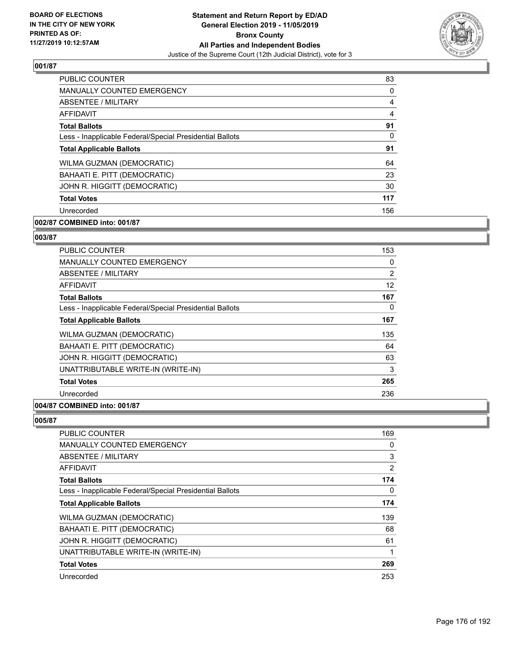

| <b>PUBLIC COUNTER</b>                                    | 83       |
|----------------------------------------------------------|----------|
| <b>MANUALLY COUNTED EMERGENCY</b>                        | $\Omega$ |
| ABSENTEE / MILITARY                                      | 4        |
| AFFIDAVIT                                                | 4        |
| <b>Total Ballots</b>                                     | 91       |
| Less - Inapplicable Federal/Special Presidential Ballots | 0        |
| <b>Total Applicable Ballots</b>                          | 91       |
| WILMA GUZMAN (DEMOCRATIC)                                | 64       |
| BAHAATI E. PITT (DEMOCRATIC)                             | 23       |
| JOHN R. HIGGITT (DEMOCRATIC)                             | 30       |
| <b>Total Votes</b>                                       | 117      |
| Unrecorded                                               | 156      |

# **002/87 COMBINED into: 001/87**

#### **003/87**

| <b>PUBLIC COUNTER</b>                                    | 153      |
|----------------------------------------------------------|----------|
| <b>MANUALLY COUNTED EMERGENCY</b>                        | $\Omega$ |
| <b>ABSENTEE / MILITARY</b>                               | 2        |
| AFFIDAVIT                                                | 12       |
| <b>Total Ballots</b>                                     | 167      |
| Less - Inapplicable Federal/Special Presidential Ballots | $\Omega$ |
| <b>Total Applicable Ballots</b>                          | 167      |
| WILMA GUZMAN (DEMOCRATIC)                                | 135      |
| BAHAATI E. PITT (DEMOCRATIC)                             | 64       |
| JOHN R. HIGGITT (DEMOCRATIC)                             | 63       |
| UNATTRIBUTABLE WRITE-IN (WRITE-IN)                       | 3        |
| <b>Total Votes</b>                                       | 265      |
| Unrecorded                                               | 236      |
| 004/87 COMBINED into: 001/87                             |          |

| PUBLIC COUNTER                                           | 169            |
|----------------------------------------------------------|----------------|
| <b>MANUALLY COUNTED EMERGENCY</b>                        | 0              |
| ABSENTEE / MILITARY                                      | 3              |
| AFFIDAVIT                                                | $\overline{2}$ |
| <b>Total Ballots</b>                                     | 174            |
| Less - Inapplicable Federal/Special Presidential Ballots | 0              |
| <b>Total Applicable Ballots</b>                          | 174            |
| WILMA GUZMAN (DEMOCRATIC)                                | 139            |
| BAHAATI E. PITT (DEMOCRATIC)                             | 68             |
| JOHN R. HIGGITT (DEMOCRATIC)                             | 61             |
| UNATTRIBUTABLE WRITE-IN (WRITE-IN)                       | 1              |
| <b>Total Votes</b>                                       | 269            |
| Unrecorded                                               | 253            |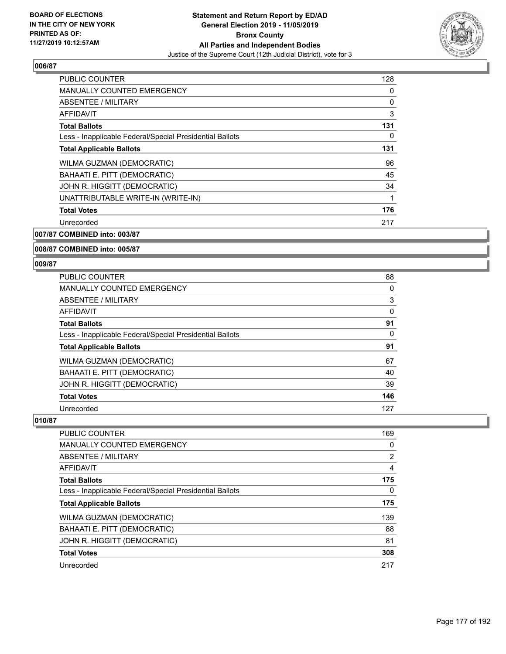

| <b>PUBLIC COUNTER</b>                                    | 128 |
|----------------------------------------------------------|-----|
| <b>MANUALLY COUNTED EMERGENCY</b>                        | 0   |
| ABSENTEE / MILITARY                                      | 0   |
| AFFIDAVIT                                                | 3   |
| <b>Total Ballots</b>                                     | 131 |
| Less - Inapplicable Federal/Special Presidential Ballots | 0   |
| <b>Total Applicable Ballots</b>                          | 131 |
| WILMA GUZMAN (DEMOCRATIC)                                | 96  |
| BAHAATI E. PITT (DEMOCRATIC)                             | 45  |
| JOHN R. HIGGITT (DEMOCRATIC)                             | 34  |
| UNATTRIBUTABLE WRITE-IN (WRITE-IN)                       | 1   |
| <b>Total Votes</b>                                       | 176 |
| Unrecorded                                               | 217 |
|                                                          |     |

**007/87 COMBINED into: 003/87**

#### **008/87 COMBINED into: 005/87**

#### **009/87**

| <b>PUBLIC COUNTER</b>                                    | 88       |
|----------------------------------------------------------|----------|
| <b>MANUALLY COUNTED EMERGENCY</b>                        | 0        |
| ABSENTEE / MILITARY                                      | 3        |
| <b>AFFIDAVIT</b>                                         | 0        |
| <b>Total Ballots</b>                                     | 91       |
| Less - Inapplicable Federal/Special Presidential Ballots | $\Omega$ |
| <b>Total Applicable Ballots</b>                          | 91       |
| WILMA GUZMAN (DEMOCRATIC)                                | 67       |
| BAHAATI E. PITT (DEMOCRATIC)                             | 40       |
| JOHN R. HIGGITT (DEMOCRATIC)                             | 39       |
| <b>Total Votes</b>                                       | 146      |
| Unrecorded                                               | 127      |

| <b>PUBLIC COUNTER</b>                                    | 169            |
|----------------------------------------------------------|----------------|
| <b>MANUALLY COUNTED EMERGENCY</b>                        | 0              |
| ABSENTEE / MILITARY                                      | $\overline{2}$ |
| AFFIDAVIT                                                | 4              |
| <b>Total Ballots</b>                                     | 175            |
| Less - Inapplicable Federal/Special Presidential Ballots | 0              |
| <b>Total Applicable Ballots</b>                          | 175            |
| WILMA GUZMAN (DEMOCRATIC)                                | 139            |
| BAHAATI E. PITT (DEMOCRATIC)                             | 88             |
| JOHN R. HIGGITT (DEMOCRATIC)                             | 81             |
| <b>Total Votes</b>                                       | 308            |
| Unrecorded                                               | 217            |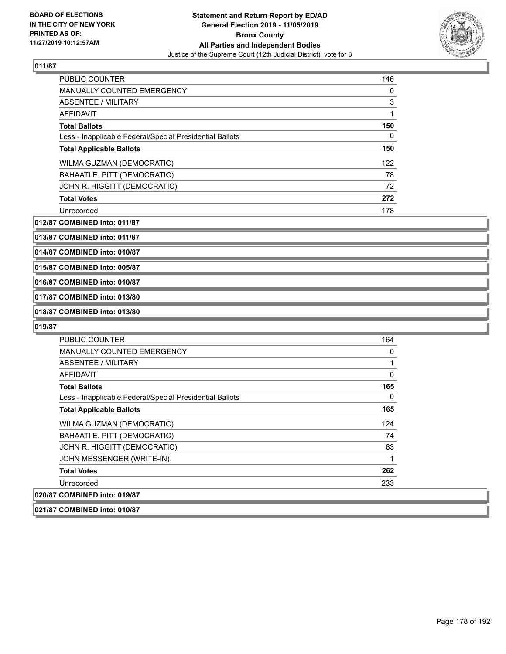

| PUBLIC COUNTER                                           | 146 |
|----------------------------------------------------------|-----|
| <b>MANUALLY COUNTED EMERGENCY</b>                        | 0   |
| ABSENTEE / MILITARY                                      | 3   |
| AFFIDAVIT                                                |     |
| <b>Total Ballots</b>                                     | 150 |
| Less - Inapplicable Federal/Special Presidential Ballots | 0   |
| <b>Total Applicable Ballots</b>                          | 150 |
| WILMA GUZMAN (DEMOCRATIC)                                | 122 |
| BAHAATI E. PITT (DEMOCRATIC)                             | 78  |
| JOHN R. HIGGITT (DEMOCRATIC)                             | 72  |
| <b>Total Votes</b>                                       | 272 |
| Unrecorded                                               | 178 |

**012/87 COMBINED into: 011/87**

**013/87 COMBINED into: 011/87**

**014/87 COMBINED into: 010/87**

**015/87 COMBINED into: 005/87**

**016/87 COMBINED into: 010/87**

**017/87 COMBINED into: 013/80**

**018/87 COMBINED into: 013/80**

**019/87** 

| <b>PUBLIC COUNTER</b>                                    | 164      |
|----------------------------------------------------------|----------|
| MANUALLY COUNTED EMERGENCY                               | 0        |
| ABSENTEE / MILITARY                                      |          |
| AFFIDAVIT                                                | 0        |
| <b>Total Ballots</b>                                     | 165      |
| Less - Inapplicable Federal/Special Presidential Ballots | $\Omega$ |
| <b>Total Applicable Ballots</b>                          | 165      |
| WILMA GUZMAN (DEMOCRATIC)                                | 124      |
| <b>BAHAATI E. PITT (DEMOCRATIC)</b>                      | 74       |
| JOHN R. HIGGITT (DEMOCRATIC)                             | 63       |
| JOHN MESSENGER (WRITE-IN)                                | 1        |
| <b>Total Votes</b>                                       | 262      |
| Unrecorded                                               | 233      |
| 020/87 COMBINED into: 019/87                             |          |

**021/87 COMBINED into: 010/87**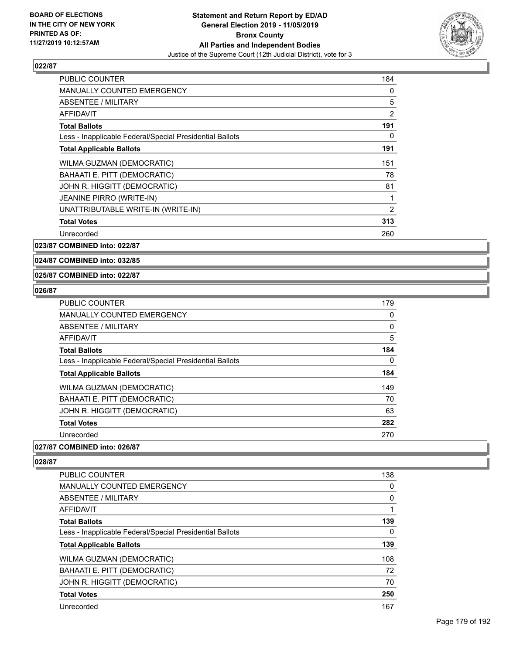

| <b>PUBLIC COUNTER</b>                                    | 184            |
|----------------------------------------------------------|----------------|
| <b>MANUALLY COUNTED EMERGENCY</b>                        | 0              |
| ABSENTEE / MILITARY                                      | 5              |
| AFFIDAVIT                                                | 2              |
| <b>Total Ballots</b>                                     | 191            |
| Less - Inapplicable Federal/Special Presidential Ballots | 0              |
| <b>Total Applicable Ballots</b>                          | 191            |
| WILMA GUZMAN (DEMOCRATIC)                                | 151            |
| BAHAATI E. PITT (DEMOCRATIC)                             | 78             |
| JOHN R. HIGGITT (DEMOCRATIC)                             | 81             |
| <b>JEANINE PIRRO (WRITE-IN)</b>                          | 1              |
| UNATTRIBUTABLE WRITE-IN (WRITE-IN)                       | $\overline{2}$ |
| <b>Total Votes</b>                                       | 313            |
| Unrecorded                                               | 260            |

**023/87 COMBINED into: 022/87**

**024/87 COMBINED into: 032/85**

#### **025/87 COMBINED into: 022/87**

#### **026/87**

| PUBLIC COUNTER                                           | 179 |
|----------------------------------------------------------|-----|
| MANUALLY COUNTED EMERGENCY                               | 0   |
| ABSENTEE / MILITARY                                      | 0   |
| AFFIDAVIT                                                | 5   |
| <b>Total Ballots</b>                                     | 184 |
| Less - Inapplicable Federal/Special Presidential Ballots | 0   |
| <b>Total Applicable Ballots</b>                          | 184 |
| <b>WILMA GUZMAN (DEMOCRATIC)</b>                         | 149 |
| BAHAATI E. PITT (DEMOCRATIC)                             | 70  |
| JOHN R. HIGGITT (DEMOCRATIC)                             | 63  |
| <b>Total Votes</b>                                       | 282 |
| Unrecorded                                               | 270 |

### **027/87 COMBINED into: 026/87**

| <b>PUBLIC COUNTER</b>                                    | 138 |
|----------------------------------------------------------|-----|
| <b>MANUALLY COUNTED EMERGENCY</b>                        | 0   |
| ABSENTEE / MILITARY                                      | 0   |
| AFFIDAVIT                                                | 1   |
| <b>Total Ballots</b>                                     | 139 |
| Less - Inapplicable Federal/Special Presidential Ballots | 0   |
| <b>Total Applicable Ballots</b>                          | 139 |
| WILMA GUZMAN (DEMOCRATIC)                                | 108 |
| BAHAATI E. PITT (DEMOCRATIC)                             | 72  |
| JOHN R. HIGGITT (DEMOCRATIC)                             | 70  |
| <b>Total Votes</b>                                       | 250 |
| Unrecorded                                               |     |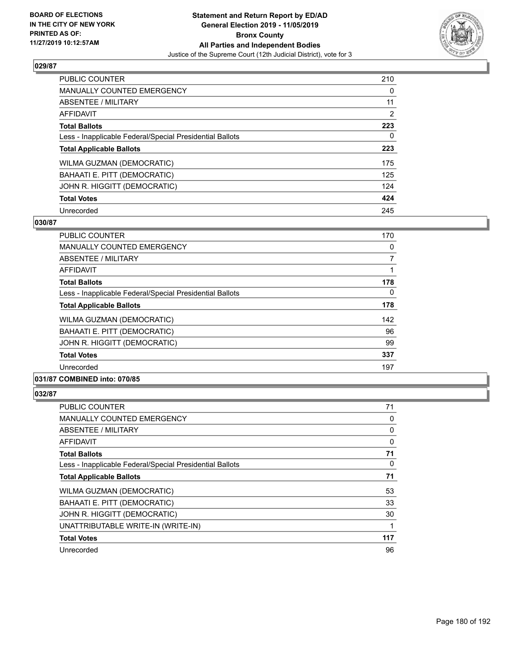

| <b>PUBLIC COUNTER</b>                                    | 210            |
|----------------------------------------------------------|----------------|
| MANUALLY COUNTED EMERGENCY                               | 0              |
| ABSENTEE / MILITARY                                      | 11             |
| <b>AFFIDAVIT</b>                                         | $\overline{2}$ |
| <b>Total Ballots</b>                                     | 223            |
| Less - Inapplicable Federal/Special Presidential Ballots | 0              |
| <b>Total Applicable Ballots</b>                          | 223            |
| WILMA GUZMAN (DEMOCRATIC)                                | 175            |
| BAHAATI E. PITT (DEMOCRATIC)                             | 125            |
| JOHN R. HIGGITT (DEMOCRATIC)                             | 124            |
| <b>Total Votes</b>                                       | 424            |
| Unrecorded                                               | 245            |

#### **030/87**

| <b>PUBLIC COUNTER</b>                                    | 170 |
|----------------------------------------------------------|-----|
| <b>MANUALLY COUNTED EMERGENCY</b>                        | 0   |
| ABSENTEE / MILITARY                                      | 7   |
| AFFIDAVIT                                                |     |
| <b>Total Ballots</b>                                     | 178 |
| Less - Inapplicable Federal/Special Presidential Ballots | 0   |
| <b>Total Applicable Ballots</b>                          | 178 |
| WILMA GUZMAN (DEMOCRATIC)                                | 142 |
| BAHAATI E. PITT (DEMOCRATIC)                             | 96  |
| JOHN R. HIGGITT (DEMOCRATIC)                             | 99  |
| <b>Total Votes</b>                                       | 337 |
| Unrecorded                                               | 197 |
| A                                                        |     |

# **031/87 COMBINED into: 070/85**

| <b>PUBLIC COUNTER</b>                                    | 71  |
|----------------------------------------------------------|-----|
| <b>MANUALLY COUNTED EMERGENCY</b>                        | 0   |
| ABSENTEE / MILITARY                                      | 0   |
| AFFIDAVIT                                                | 0   |
| <b>Total Ballots</b>                                     | 71  |
| Less - Inapplicable Federal/Special Presidential Ballots | 0   |
| <b>Total Applicable Ballots</b>                          | 71  |
| WILMA GUZMAN (DEMOCRATIC)                                | 53  |
| BAHAATI E. PITT (DEMOCRATIC)                             | 33  |
| JOHN R. HIGGITT (DEMOCRATIC)                             | 30  |
| UNATTRIBUTABLE WRITE-IN (WRITE-IN)                       |     |
| <b>Total Votes</b>                                       | 117 |
| Unrecorded                                               | 96  |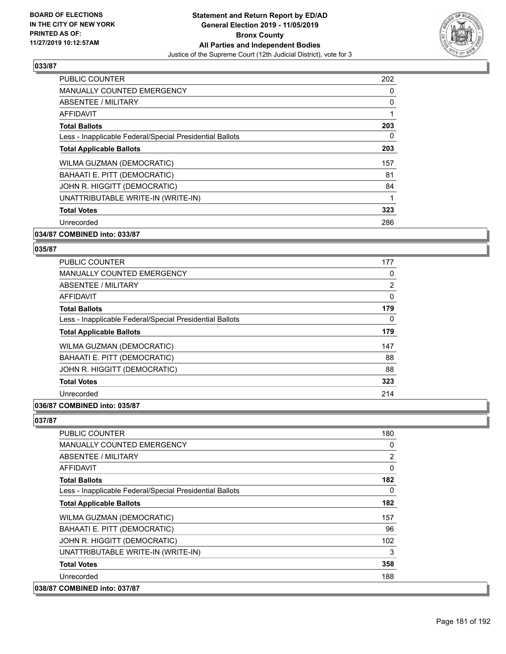

| <b>PUBLIC COUNTER</b>                                    | 202 |
|----------------------------------------------------------|-----|
| <b>MANUALLY COUNTED EMERGENCY</b>                        | 0   |
| ABSENTEE / MILITARY                                      | 0   |
| AFFIDAVIT                                                |     |
| <b>Total Ballots</b>                                     | 203 |
| Less - Inapplicable Federal/Special Presidential Ballots | 0   |
| <b>Total Applicable Ballots</b>                          | 203 |
| WILMA GUZMAN (DEMOCRATIC)                                | 157 |
| BAHAATI E. PITT (DEMOCRATIC)                             | 81  |
| JOHN R. HIGGITT (DEMOCRATIC)                             | 84  |
| UNATTRIBUTABLE WRITE-IN (WRITE-IN)                       |     |
| <b>Total Votes</b>                                       | 323 |
| Unrecorded                                               | 286 |
|                                                          |     |

# **034/87 COMBINED into: 033/87**

### **035/87**

| <b>PUBLIC COUNTER</b>                                    | 177 |
|----------------------------------------------------------|-----|
| <b>MANUALLY COUNTED EMERGENCY</b>                        | 0   |
| ABSENTEE / MILITARY                                      | 2   |
| <b>AFFIDAVIT</b>                                         | 0   |
| <b>Total Ballots</b>                                     | 179 |
| Less - Inapplicable Federal/Special Presidential Ballots | 0   |
| <b>Total Applicable Ballots</b>                          | 179 |
| WILMA GUZMAN (DEMOCRATIC)                                | 147 |
| BAHAATI E. PITT (DEMOCRATIC)                             | 88  |
| JOHN R. HIGGITT (DEMOCRATIC)                             | 88  |
| <b>Total Votes</b>                                       | 323 |
| Unrecorded                                               | 214 |
|                                                          |     |

# **036/87 COMBINED into: 035/87**

| <b>PUBLIC COUNTER</b>                                    | 180            |
|----------------------------------------------------------|----------------|
| <b>MANUALLY COUNTED EMERGENCY</b>                        | $\Omega$       |
| <b>ABSENTEE / MILITARY</b>                               | $\overline{2}$ |
| AFFIDAVIT                                                | 0              |
| <b>Total Ballots</b>                                     | 182            |
| Less - Inapplicable Federal/Special Presidential Ballots | 0              |
| <b>Total Applicable Ballots</b>                          | 182            |
| WILMA GUZMAN (DEMOCRATIC)                                | 157            |
| BAHAATI E. PITT (DEMOCRATIC)                             | 96             |
| JOHN R. HIGGITT (DEMOCRATIC)                             | 102            |
| UNATTRIBUTABLE WRITE-IN (WRITE-IN)                       | 3              |
| <b>Total Votes</b>                                       | 358            |
| Unrecorded                                               | 188            |
| 038/87 COMBINED into: 037/87                             |                |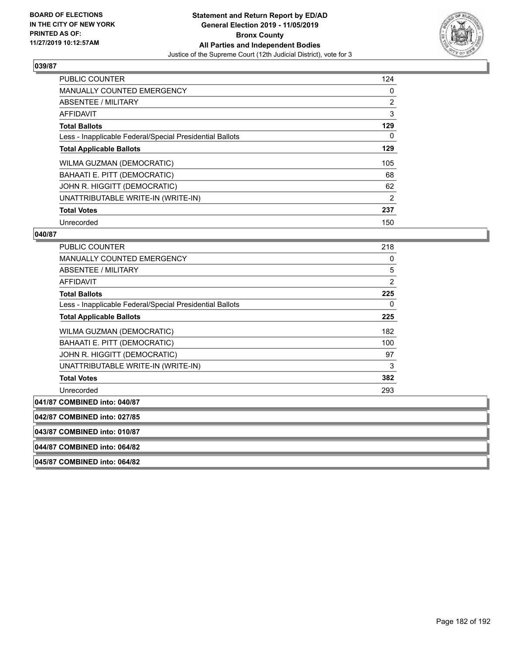

| <b>PUBLIC COUNTER</b>                                    | 124            |
|----------------------------------------------------------|----------------|
| <b>MANUALLY COUNTED EMERGENCY</b>                        | 0              |
| ABSENTEE / MILITARY                                      | $\overline{2}$ |
| <b>AFFIDAVIT</b>                                         | 3              |
| <b>Total Ballots</b>                                     | 129            |
| Less - Inapplicable Federal/Special Presidential Ballots | 0              |
| <b>Total Applicable Ballots</b>                          | 129            |
| WILMA GUZMAN (DEMOCRATIC)                                | 105            |
| BAHAATI E. PITT (DEMOCRATIC)                             | 68             |
| JOHN R. HIGGITT (DEMOCRATIC)                             | 62             |
| UNATTRIBUTABLE WRITE-IN (WRITE-IN)                       | 2              |
| <b>Total Votes</b>                                       | 237            |
| Unrecorded                                               | 150            |

# **040/87**

| PUBLIC COUNTER                                           | 218            |
|----------------------------------------------------------|----------------|
| <b>MANUALLY COUNTED EMERGENCY</b>                        | 0              |
| ABSENTEE / MILITARY                                      | 5              |
| AFFIDAVIT                                                | $\overline{2}$ |
| <b>Total Ballots</b>                                     | 225            |
| Less - Inapplicable Federal/Special Presidential Ballots | 0              |
| <b>Total Applicable Ballots</b>                          | 225            |
| WILMA GUZMAN (DEMOCRATIC)                                | 182            |
| BAHAATI E. PITT (DEMOCRATIC)                             | 100            |
| JOHN R. HIGGITT (DEMOCRATIC)                             | 97             |
| UNATTRIBUTABLE WRITE-IN (WRITE-IN)                       | 3              |
| <b>Total Votes</b>                                       | 382            |
| Unrecorded                                               | 293            |
| 041/87 COMBINED into: 040/87                             |                |
|                                                          |                |

**042/87 COMBINED into: 027/85**

**043/87 COMBINED into: 010/87**

**044/87 COMBINED into: 064/82**

**045/87 COMBINED into: 064/82**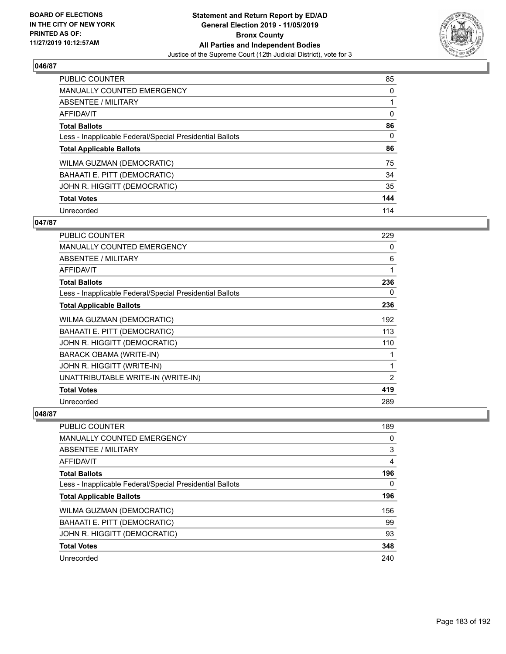

| <b>PUBLIC COUNTER</b>                                    | 85       |
|----------------------------------------------------------|----------|
| <b>MANUALLY COUNTED EMERGENCY</b>                        | 0        |
| ABSENTEE / MILITARY                                      |          |
| AFFIDAVIT                                                | $\Omega$ |
| <b>Total Ballots</b>                                     | 86       |
| Less - Inapplicable Federal/Special Presidential Ballots | $\Omega$ |
| <b>Total Applicable Ballots</b>                          | 86       |
| WILMA GUZMAN (DEMOCRATIC)                                | 75       |
| BAHAATI E. PITT (DEMOCRATIC)                             | 34       |
| JOHN R. HIGGITT (DEMOCRATIC)                             | 35       |
| <b>Total Votes</b>                                       | 144      |
| Unrecorded                                               | 114      |

## **047/87**

| <b>PUBLIC COUNTER</b>                                    | 229 |
|----------------------------------------------------------|-----|
| <b>MANUALLY COUNTED EMERGENCY</b>                        | 0   |
| ABSENTEE / MILITARY                                      | 6   |
| AFFIDAVIT                                                | 1   |
| <b>Total Ballots</b>                                     | 236 |
| Less - Inapplicable Federal/Special Presidential Ballots | 0   |
| <b>Total Applicable Ballots</b>                          | 236 |
| WILMA GUZMAN (DEMOCRATIC)                                | 192 |
| BAHAATI E. PITT (DEMOCRATIC)                             | 113 |
| JOHN R. HIGGITT (DEMOCRATIC)                             | 110 |
| BARACK OBAMA (WRITE-IN)                                  | 1   |
| JOHN R. HIGGITT (WRITE-IN)                               | 1   |
| UNATTRIBUTABLE WRITE-IN (WRITE-IN)                       | 2   |
| <b>Total Votes</b>                                       | 419 |
| Unrecorded                                               | 289 |

| <b>PUBLIC COUNTER</b>                                    | 189      |
|----------------------------------------------------------|----------|
| <b>MANUALLY COUNTED EMERGENCY</b>                        | $\Omega$ |
| <b>ABSENTEE / MILITARY</b>                               | 3        |
| AFFIDAVIT                                                | 4        |
| <b>Total Ballots</b>                                     | 196      |
| Less - Inapplicable Federal/Special Presidential Ballots | $\Omega$ |
| <b>Total Applicable Ballots</b>                          | 196      |
| WILMA GUZMAN (DEMOCRATIC)                                | 156      |
| BAHAATI E. PITT (DEMOCRATIC)                             | 99       |
| JOHN R. HIGGITT (DEMOCRATIC)                             | 93       |
| <b>Total Votes</b>                                       | 348      |
| Unrecorded                                               | 240      |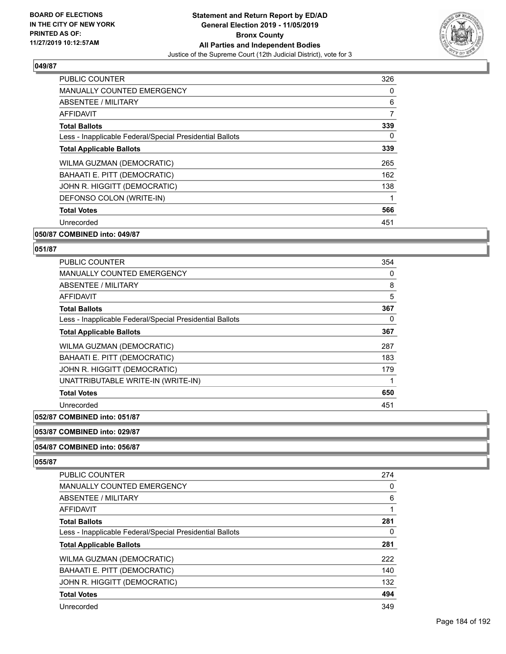

| <b>MANUALLY COUNTED EMERGENCY</b>                        | 0   |
|----------------------------------------------------------|-----|
|                                                          |     |
| ABSENTEE / MILITARY                                      | 6   |
| <b>AFFIDAVIT</b>                                         | 7   |
| <b>Total Ballots</b>                                     | 339 |
| Less - Inapplicable Federal/Special Presidential Ballots | 0   |
| <b>Total Applicable Ballots</b>                          | 339 |
| WILMA GUZMAN (DEMOCRATIC)                                | 265 |
| BAHAATI E. PITT (DEMOCRATIC)                             | 162 |
| JOHN R. HIGGITT (DEMOCRATIC)                             | 138 |
| DEFONSO COLON (WRITE-IN)                                 |     |
| <b>Total Votes</b>                                       | 566 |
| Unrecorded                                               | 451 |

### **050/87 COMBINED into: 049/87**

### **051/87**

| PUBLIC COUNTER                                           | 354 |
|----------------------------------------------------------|-----|
| <b>MANUALLY COUNTED EMERGENCY</b>                        | 0   |
| ABSENTEE / MILITARY                                      | 8   |
| <b>AFFIDAVIT</b>                                         | 5   |
| <b>Total Ballots</b>                                     | 367 |
| Less - Inapplicable Federal/Special Presidential Ballots | 0   |
| <b>Total Applicable Ballots</b>                          | 367 |
| WILMA GUZMAN (DEMOCRATIC)                                | 287 |
| BAHAATI E. PITT (DEMOCRATIC)                             | 183 |
| JOHN R. HIGGITT (DEMOCRATIC)                             | 179 |
| UNATTRIBUTABLE WRITE-IN (WRITE-IN)                       | 1   |
| <b>Total Votes</b>                                       | 650 |
| Unrecorded                                               | 451 |

### **052/87 COMBINED into: 051/87**

### **053/87 COMBINED into: 029/87**

### **054/87 COMBINED into: 056/87**

| <b>PUBLIC COUNTER</b>                                    | 274 |
|----------------------------------------------------------|-----|
| <b>MANUALLY COUNTED EMERGENCY</b>                        | 0   |
| ABSENTEE / MILITARY                                      | 6   |
| AFFIDAVIT                                                |     |
| <b>Total Ballots</b>                                     | 281 |
| Less - Inapplicable Federal/Special Presidential Ballots | 0   |
| <b>Total Applicable Ballots</b>                          | 281 |
| WILMA GUZMAN (DEMOCRATIC)                                | 222 |
| BAHAATI E. PITT (DEMOCRATIC)                             | 140 |
| JOHN R. HIGGITT (DEMOCRATIC)                             | 132 |
| <b>Total Votes</b>                                       | 494 |
| Unrecorded                                               | 349 |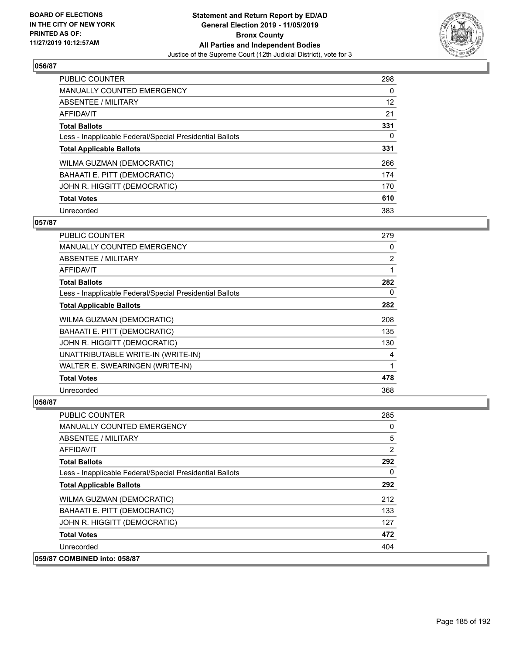

| <b>PUBLIC COUNTER</b>                                    | 298      |
|----------------------------------------------------------|----------|
| MANUALLY COUNTED EMERGENCY                               | $\Omega$ |
| ABSENTEE / MILITARY                                      | 12       |
| <b>AFFIDAVIT</b>                                         | 21       |
| <b>Total Ballots</b>                                     | 331      |
| Less - Inapplicable Federal/Special Presidential Ballots | 0        |
| <b>Total Applicable Ballots</b>                          | 331      |
| WILMA GUZMAN (DEMOCRATIC)                                | 266      |
| BAHAATI E. PITT (DEMOCRATIC)                             | 174      |
| JOHN R. HIGGITT (DEMOCRATIC)                             | 170      |
| <b>Total Votes</b>                                       | 610      |
| Unrecorded                                               | 383      |

### **057/87**

| <b>PUBLIC COUNTER</b>                                    | 279            |
|----------------------------------------------------------|----------------|
| MANUALLY COUNTED EMERGENCY                               | 0              |
| ABSENTEE / MILITARY                                      | $\overline{2}$ |
| AFFIDAVIT                                                |                |
| <b>Total Ballots</b>                                     | 282            |
| Less - Inapplicable Federal/Special Presidential Ballots | 0              |
| <b>Total Applicable Ballots</b>                          | 282            |
| <b>WILMA GUZMAN (DEMOCRATIC)</b>                         | 208            |
| BAHAATI E. PITT (DEMOCRATIC)                             | 135            |
| JOHN R. HIGGITT (DEMOCRATIC)                             | 130            |
| UNATTRIBUTABLE WRITE-IN (WRITE-IN)                       | 4              |
| WALTER E. SWEARINGEN (WRITE-IN)                          | 1              |
| <b>Total Votes</b>                                       | 478            |
| Unrecorded                                               | 368            |

| <b>PUBLIC COUNTER</b>                                    | 285      |
|----------------------------------------------------------|----------|
| <b>MANUALLY COUNTED EMERGENCY</b>                        | 0        |
| ABSENTEE / MILITARY                                      | 5        |
| AFFIDAVIT                                                | 2        |
| <b>Total Ballots</b>                                     | 292      |
| Less - Inapplicable Federal/Special Presidential Ballots | $\Omega$ |
| <b>Total Applicable Ballots</b>                          | 292      |
| <b>WILMA GUZMAN (DEMOCRATIC)</b>                         | 212      |
| BAHAATI E. PITT (DEMOCRATIC)                             | 133      |
| JOHN R. HIGGITT (DEMOCRATIC)                             | 127      |
| <b>Total Votes</b>                                       | 472      |
| Unrecorded                                               | 404      |
| 059/87 COMBINED into: 058/87                             |          |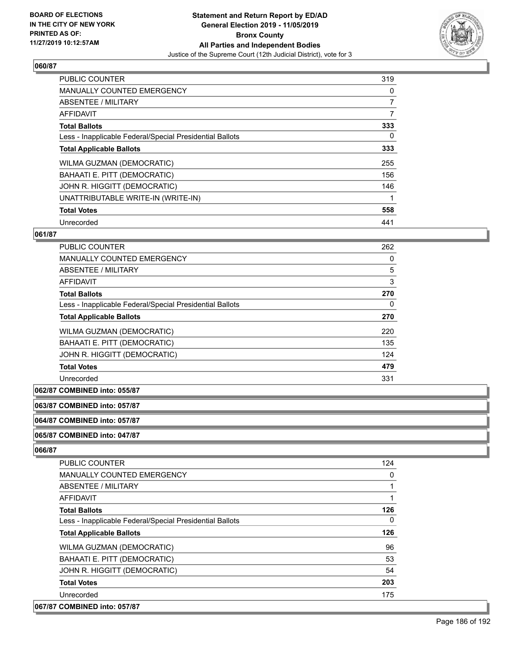

| <b>PUBLIC COUNTER</b>                                    | 319            |
|----------------------------------------------------------|----------------|
| <b>MANUALLY COUNTED EMERGENCY</b>                        | 0              |
| ABSENTEE / MILITARY                                      | $\overline{7}$ |
| <b>AFFIDAVIT</b>                                         | 7              |
| <b>Total Ballots</b>                                     | 333            |
| Less - Inapplicable Federal/Special Presidential Ballots | $\Omega$       |
| <b>Total Applicable Ballots</b>                          | 333            |
| WILMA GUZMAN (DEMOCRATIC)                                | 255            |
| BAHAATI E. PITT (DEMOCRATIC)                             | 156            |
| JOHN R. HIGGITT (DEMOCRATIC)                             | 146            |
| UNATTRIBUTABLE WRITE-IN (WRITE-IN)                       |                |
| <b>Total Votes</b>                                       | 558            |
| Unrecorded                                               | 441            |

# **061/87**

| <b>PUBLIC COUNTER</b>                                    | 262 |
|----------------------------------------------------------|-----|
| MANUALLY COUNTED EMERGENCY                               | 0   |
| ABSENTEE / MILITARY                                      | 5   |
| AFFIDAVIT                                                | 3   |
| <b>Total Ballots</b>                                     | 270 |
| Less - Inapplicable Federal/Special Presidential Ballots | 0   |
| <b>Total Applicable Ballots</b>                          | 270 |
| WILMA GUZMAN (DEMOCRATIC)                                | 220 |
| BAHAATI E. PITT (DEMOCRATIC)                             | 135 |
| JOHN R. HIGGITT (DEMOCRATIC)                             | 124 |
| <b>Total Votes</b>                                       | 479 |
| Unrecorded                                               | 331 |

# **062/87 COMBINED into: 055/87**

# **063/87 COMBINED into: 057/87**

**064/87 COMBINED into: 057/87**

# **065/87 COMBINED into: 047/87**

| PUBLIC COUNTER                                           | 124      |
|----------------------------------------------------------|----------|
| MANUALLY COUNTED EMERGENCY                               | 0        |
| ABSENTEE / MILITARY                                      |          |
| AFFIDAVIT                                                |          |
| <b>Total Ballots</b>                                     | 126      |
| Less - Inapplicable Federal/Special Presidential Ballots | $\Omega$ |
| <b>Total Applicable Ballots</b>                          | 126      |
| WILMA GUZMAN (DEMOCRATIC)                                | 96       |
| BAHAATI E. PITT (DEMOCRATIC)                             | 53       |
| JOHN R. HIGGITT (DEMOCRATIC)                             | 54       |
| <b>Total Votes</b>                                       | 203      |
| Unrecorded                                               | 175      |
| 067/87 COMBINED into: 057/87                             |          |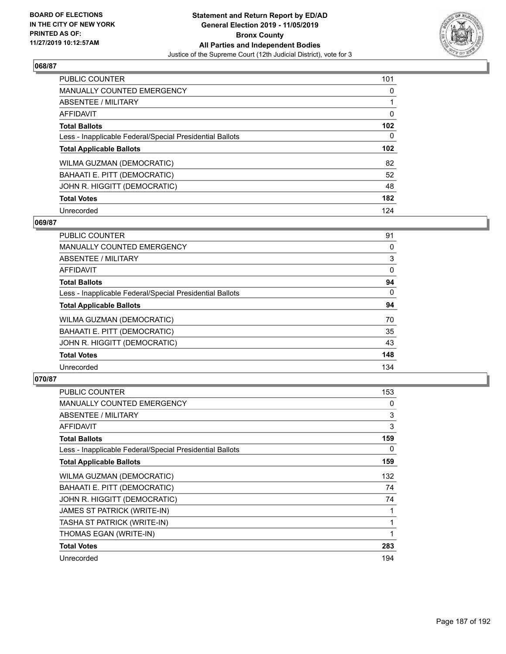

| <b>PUBLIC COUNTER</b>                                    | 101              |
|----------------------------------------------------------|------------------|
| <b>MANUALLY COUNTED EMERGENCY</b>                        | 0                |
| ABSENTEE / MILITARY                                      |                  |
| <b>AFFIDAVIT</b>                                         | 0                |
| <b>Total Ballots</b>                                     | 102              |
| Less - Inapplicable Federal/Special Presidential Ballots | $\Omega$         |
| <b>Total Applicable Ballots</b>                          | 102 <sub>2</sub> |
|                                                          |                  |
| WILMA GUZMAN (DEMOCRATIC)                                |                  |
| BAHAATI E. PITT (DEMOCRATIC)                             | 52               |
| JOHN R. HIGGITT (DEMOCRATIC)                             | 82<br>48         |
| <b>Total Votes</b>                                       | 182              |

### **069/87**

| <b>PUBLIC COUNTER</b>                                    | 91       |
|----------------------------------------------------------|----------|
| <b>MANUALLY COUNTED EMERGENCY</b>                        | 0        |
| ABSENTEE / MILITARY                                      | 3        |
| <b>AFFIDAVIT</b>                                         | $\Omega$ |
| <b>Total Ballots</b>                                     | 94       |
| Less - Inapplicable Federal/Special Presidential Ballots | $\Omega$ |
| <b>Total Applicable Ballots</b>                          | 94       |
| WILMA GUZMAN (DEMOCRATIC)                                | 70       |
| BAHAATI E. PITT (DEMOCRATIC)                             | 35       |
| JOHN R. HIGGITT (DEMOCRATIC)                             | 43       |
| <b>Total Votes</b>                                       | 148      |
| Unrecorded                                               | 134      |

| <b>PUBLIC COUNTER</b>                                    | 153 |
|----------------------------------------------------------|-----|
| MANUALLY COUNTED EMERGENCY                               | 0   |
| ABSENTEE / MILITARY                                      | 3   |
| <b>AFFIDAVIT</b>                                         | 3   |
| <b>Total Ballots</b>                                     | 159 |
| Less - Inapplicable Federal/Special Presidential Ballots | 0   |
| <b>Total Applicable Ballots</b>                          | 159 |
| WILMA GUZMAN (DEMOCRATIC)                                | 132 |
| BAHAATI E. PITT (DEMOCRATIC)                             | 74  |
| JOHN R. HIGGITT (DEMOCRATIC)                             | 74  |
| JAMES ST PATRICK (WRITE-IN)                              | 1   |
| TASHA ST PATRICK (WRITE-IN)                              | 1   |
| THOMAS EGAN (WRITE-IN)                                   | 1   |
| <b>Total Votes</b>                                       | 283 |
| Unrecorded                                               | 194 |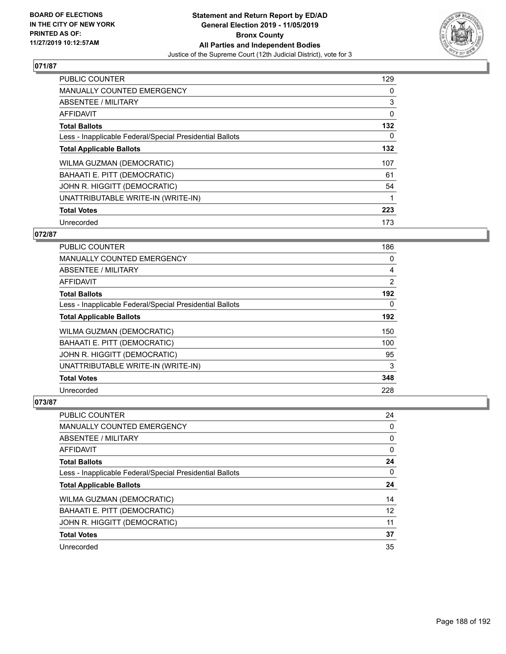

| <b>PUBLIC COUNTER</b>                                    | 129 |
|----------------------------------------------------------|-----|
| <b>MANUALLY COUNTED EMERGENCY</b>                        | 0   |
| ABSENTEE / MILITARY                                      | 3   |
| <b>AFFIDAVIT</b>                                         | 0   |
| <b>Total Ballots</b>                                     | 132 |
| Less - Inapplicable Federal/Special Presidential Ballots | 0   |
| <b>Total Applicable Ballots</b>                          | 132 |
| WILMA GUZMAN (DEMOCRATIC)                                | 107 |
| BAHAATI E. PITT (DEMOCRATIC)                             | 61  |
| JOHN R. HIGGITT (DEMOCRATIC)                             | 54  |
| UNATTRIBUTABLE WRITE-IN (WRITE-IN)                       |     |
| <b>Total Votes</b>                                       | 223 |
| Unrecorded                                               | 173 |

# **072/87**

| <b>PUBLIC COUNTER</b>                                    | 186            |
|----------------------------------------------------------|----------------|
| <b>MANUALLY COUNTED EMERGENCY</b>                        | 0              |
| ABSENTEE / MILITARY                                      | 4              |
| <b>AFFIDAVIT</b>                                         | $\overline{2}$ |
| <b>Total Ballots</b>                                     | 192            |
| Less - Inapplicable Federal/Special Presidential Ballots | 0              |
| <b>Total Applicable Ballots</b>                          | 192            |
| WILMA GUZMAN (DEMOCRATIC)                                | 150            |
| BAHAATI E. PITT (DEMOCRATIC)                             | 100            |
| JOHN R. HIGGITT (DEMOCRATIC)                             | 95             |
| UNATTRIBUTABLE WRITE-IN (WRITE-IN)                       | 3              |
| <b>Total Votes</b>                                       | 348            |
| Unrecorded                                               | 228            |

| <b>PUBLIC COUNTER</b>                                    | 24 |
|----------------------------------------------------------|----|
| <b>MANUALLY COUNTED EMERGENCY</b>                        | 0  |
| ABSENTEE / MILITARY                                      | 0  |
| AFFIDAVIT                                                | 0  |
| <b>Total Ballots</b>                                     | 24 |
| Less - Inapplicable Federal/Special Presidential Ballots | 0  |
|                                                          |    |
| <b>Total Applicable Ballots</b>                          | 24 |
| WILMA GUZMAN (DEMOCRATIC)                                | 14 |
| BAHAATI E. PITT (DEMOCRATIC)                             | 12 |
| JOHN R. HIGGITT (DEMOCRATIC)                             | 11 |
| <b>Total Votes</b>                                       | 37 |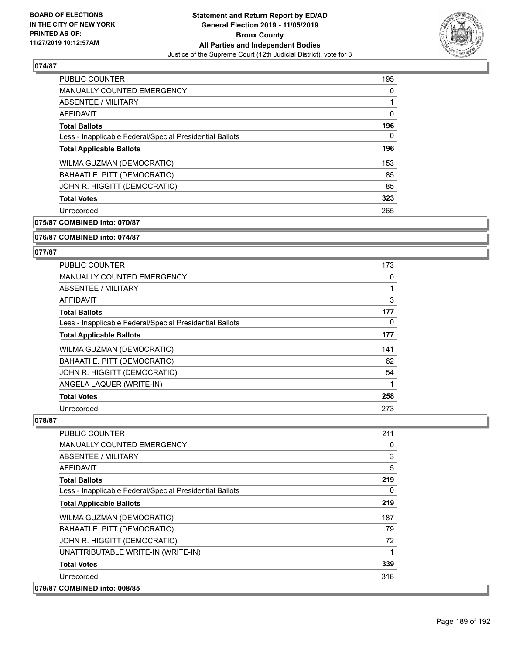

| PUBLIC COUNTER                                           | 195 |
|----------------------------------------------------------|-----|
| <b>MANUALLY COUNTED EMERGENCY</b>                        | 0   |
| ABSENTEE / MILITARY                                      |     |
| <b>AFFIDAVIT</b>                                         | 0   |
| <b>Total Ballots</b>                                     | 196 |
| Less - Inapplicable Federal/Special Presidential Ballots | 0   |
| <b>Total Applicable Ballots</b>                          | 196 |
| <b>WILMA GUZMAN (DEMOCRATIC)</b>                         | 153 |
| BAHAATI E. PITT (DEMOCRATIC)                             | 85  |
| JOHN R. HIGGITT (DEMOCRATIC)                             | 85  |
| <b>Total Votes</b>                                       | 323 |
| Unrecorded                                               | 265 |
|                                                          |     |

**075/87 COMBINED into: 070/87**

**076/87 COMBINED into: 074/87**

### **077/87**

| <b>PUBLIC COUNTER</b>                                    | 173 |
|----------------------------------------------------------|-----|
| <b>MANUALLY COUNTED EMERGENCY</b>                        | 0   |
| ABSENTEE / MILITARY                                      |     |
| AFFIDAVIT                                                | 3   |
| <b>Total Ballots</b>                                     | 177 |
| Less - Inapplicable Federal/Special Presidential Ballots | 0   |
| <b>Total Applicable Ballots</b>                          | 177 |
| WILMA GUZMAN (DEMOCRATIC)                                | 141 |
| BAHAATI E. PITT (DEMOCRATIC)                             | 62  |
| JOHN R. HIGGITT (DEMOCRATIC)                             | 54  |
| ANGELA LAQUER (WRITE-IN)                                 |     |
| <b>Total Votes</b>                                       | 258 |
| Unrecorded                                               | 273 |

| PUBLIC COUNTER                                           | 211      |
|----------------------------------------------------------|----------|
| <b>MANUALLY COUNTED EMERGENCY</b>                        | 0        |
| ABSENTEE / MILITARY                                      | 3        |
| AFFIDAVIT                                                | 5        |
| <b>Total Ballots</b>                                     | 219      |
| Less - Inapplicable Federal/Special Presidential Ballots | $\Omega$ |
| <b>Total Applicable Ballots</b>                          | 219      |
| WILMA GUZMAN (DEMOCRATIC)                                | 187      |
| BAHAATI E. PITT (DEMOCRATIC)                             | 79       |
| JOHN R. HIGGITT (DEMOCRATIC)                             | 72       |
| UNATTRIBUTABLE WRITE-IN (WRITE-IN)                       |          |
| <b>Total Votes</b>                                       | 339      |
| Unrecorded                                               | 318      |
| 079/87 COMBINED into: 008/85                             |          |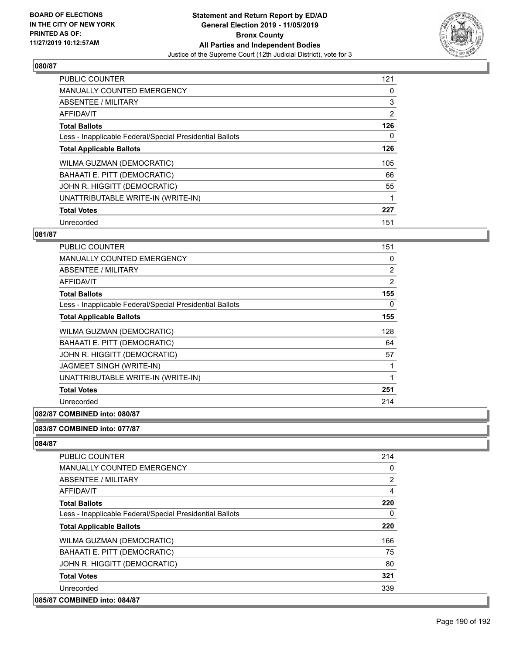

| PUBLIC COUNTER                                           | 121            |
|----------------------------------------------------------|----------------|
| <b>MANUALLY COUNTED EMERGENCY</b>                        | 0              |
| ABSENTEE / MILITARY                                      | 3              |
| <b>AFFIDAVIT</b>                                         | $\overline{2}$ |
| <b>Total Ballots</b>                                     | 126            |
| Less - Inapplicable Federal/Special Presidential Ballots | 0              |
| <b>Total Applicable Ballots</b>                          | 126            |
| WILMA GUZMAN (DEMOCRATIC)                                | 105            |
| BAHAATI E. PITT (DEMOCRATIC)                             | 66             |
| JOHN R. HIGGITT (DEMOCRATIC)                             | 55             |
| UNATTRIBUTABLE WRITE-IN (WRITE-IN)                       |                |
| <b>Total Votes</b>                                       | 227            |
| Unrecorded                                               | 151            |

# **081/87**

| PUBLIC COUNTER                                           | 151            |
|----------------------------------------------------------|----------------|
| <b>MANUALLY COUNTED EMERGENCY</b>                        | 0              |
| ABSENTEE / MILITARY                                      | 2              |
| <b>AFFIDAVIT</b>                                         | $\overline{2}$ |
| <b>Total Ballots</b>                                     | 155            |
| Less - Inapplicable Federal/Special Presidential Ballots | 0              |
| <b>Total Applicable Ballots</b>                          | 155            |
| WILMA GUZMAN (DEMOCRATIC)                                | 128            |
| BAHAATI E. PITT (DEMOCRATIC)                             | 64             |
| JOHN R. HIGGITT (DEMOCRATIC)                             | 57             |
| JAGMEET SINGH (WRITE-IN)                                 | 1              |
| UNATTRIBUTABLE WRITE-IN (WRITE-IN)                       | 1              |
| <b>Total Votes</b>                                       | 251            |
| Unrecorded                                               | 214            |
|                                                          |                |

# **082/87 COMBINED into: 080/87**

# **083/87 COMBINED into: 077/87**

| PUBLIC COUNTER                                           | 214 |
|----------------------------------------------------------|-----|
| <b>MANUALLY COUNTED EMERGENCY</b>                        | 0   |
| ABSENTEE / MILITARY                                      | 2   |
| AFFIDAVIT                                                | 4   |
| <b>Total Ballots</b>                                     | 220 |
| Less - Inapplicable Federal/Special Presidential Ballots | 0   |
| <b>Total Applicable Ballots</b>                          | 220 |
| WILMA GUZMAN (DEMOCRATIC)                                | 166 |
| BAHAATI E. PITT (DEMOCRATIC)                             | 75  |
| JOHN R. HIGGITT (DEMOCRATIC)                             | 80  |
| <b>Total Votes</b>                                       | 321 |
| Unrecorded                                               | 339 |
| 085/87 COMBINED into: 084/87                             |     |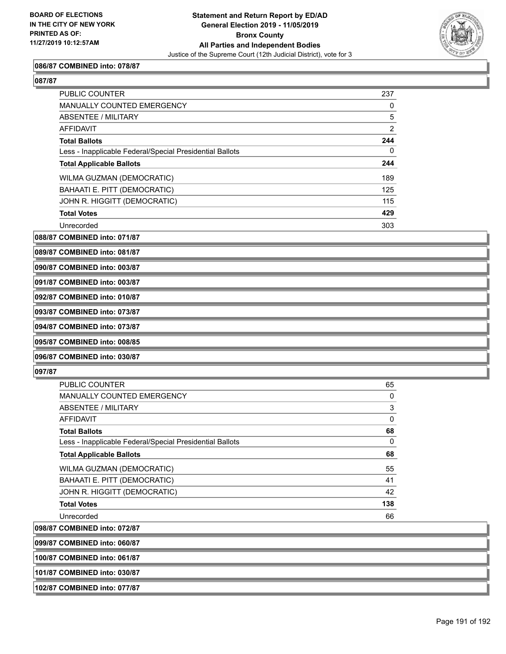

### **086/87 COMBINED into: 078/87**

| PUBLIC COUNTER                                           | 237      |
|----------------------------------------------------------|----------|
| <b>MANUALLY COUNTED EMERGENCY</b>                        | 0        |
| ABSENTEE / MILITARY                                      | 5        |
| <b>AFFIDAVIT</b>                                         | 2        |
| <b>Total Ballots</b>                                     | 244      |
| Less - Inapplicable Federal/Special Presidential Ballots | $\Omega$ |
| <b>Total Applicable Ballots</b>                          | 244      |
| WILMA GUZMAN (DEMOCRATIC)                                | 189      |
| BAHAATI E. PITT (DEMOCRATIC)                             | 125      |
| JOHN R. HIGGITT (DEMOCRATIC)                             | 115      |
| <b>Total Votes</b>                                       | 429      |
| Unrecorded                                               | 303      |

**088/87 COMBINED into: 071/87**

**089/87 COMBINED into: 081/87**

**090/87 COMBINED into: 003/87**

**091/87 COMBINED into: 003/87**

**092/87 COMBINED into: 010/87**

**093/87 COMBINED into: 073/87**

**094/87 COMBINED into: 073/87**

**095/87 COMBINED into: 008/85**

**096/87 COMBINED into: 030/87**

### **097/87**

| PUBLIC COUNTER                                           | 65       |
|----------------------------------------------------------|----------|
| <b>MANUALLY COUNTED EMERGENCY</b>                        | 0        |
| ABSENTEE / MILITARY                                      | 3        |
| AFFIDAVIT                                                | $\Omega$ |
| <b>Total Ballots</b>                                     | 68       |
| Less - Inapplicable Federal/Special Presidential Ballots | $\Omega$ |
| <b>Total Applicable Ballots</b>                          | 68       |
| WILMA GUZMAN (DEMOCRATIC)                                | 55       |
| BAHAATI E. PITT (DEMOCRATIC)                             | 41       |
| JOHN R. HIGGITT (DEMOCRATIC)                             | 42       |
| <b>Total Votes</b>                                       | 138      |
| Unrecorded                                               | 66       |
|                                                          |          |

**098/87 COMBINED into: 072/87**

**099/87 COMBINED into: 060/87**

**100/87 COMBINED into: 061/87**

**101/87 COMBINED into: 030/87**

**102/87 COMBINED into: 077/87**